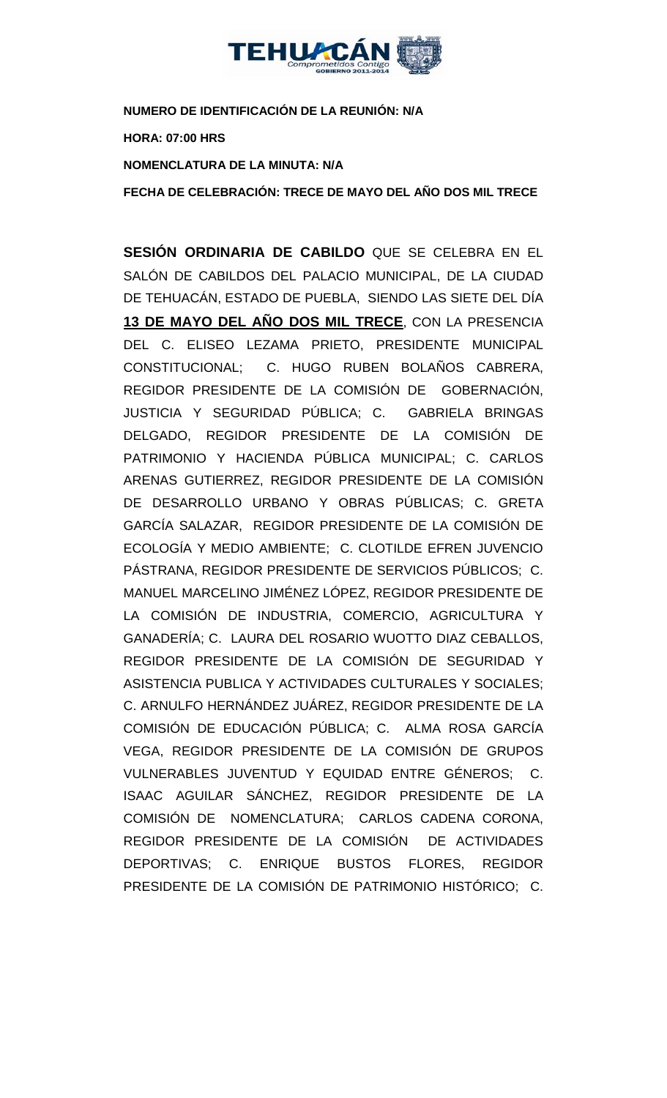

**NUMERO DE IDENTIFICACIÓN DE LA REUNIÓN: N/A**

**HORA: 07:00 HRS**

**NOMENCLATURA DE LA MINUTA: N/A**

**FECHA DE CELEBRACIÓN: TRECE DE MAYO DEL AÑO DOS MIL TRECE** 

**SESIÓN ORDINARIA DE CABILDO** QUE SE CELEBRA EN EL SALÓN DE CABILDOS DEL PALACIO MUNICIPAL, DE LA CIUDAD DE TEHUACÁN, ESTADO DE PUEBLA, SIENDO LAS SIETE DEL DÍA **13 DE MAYO DEL AÑO DOS MIL TRECE**, CON LA PRESENCIA DEL C. ELISEO LEZAMA PRIETO, PRESIDENTE MUNICIPAL CONSTITUCIONAL; C. HUGO RUBEN BOLAÑOS CABRERA, REGIDOR PRESIDENTE DE LA COMISIÓN DE GOBERNACIÓN, JUSTICIA Y SEGURIDAD PÚBLICA; C. GABRIELA BRINGAS DELGADO, REGIDOR PRESIDENTE DE LA COMISIÓN DE PATRIMONIO Y HACIENDA PÚBLICA MUNICIPAL; C. CARLOS ARENAS GUTIERREZ, REGIDOR PRESIDENTE DE LA COMISIÓN DE DESARROLLO URBANO Y OBRAS PÚBLICAS; C. GRETA GARCÍA SALAZAR, REGIDOR PRESIDENTE DE LA COMISIÓN DE ECOLOGÍA Y MEDIO AMBIENTE; C. CLOTILDE EFREN JUVENCIO PÁSTRANA, REGIDOR PRESIDENTE DE SERVICIOS PÚBLICOS; C. MANUEL MARCELINO JIMÉNEZ LÓPEZ, REGIDOR PRESIDENTE DE LA COMISIÓN DE INDUSTRIA, COMERCIO, AGRICULTURA Y GANADERÍA; C. LAURA DEL ROSARIO WUOTTO DIAZ CEBALLOS, REGIDOR PRESIDENTE DE LA COMISIÓN DE SEGURIDAD Y ASISTENCIA PUBLICA Y ACTIVIDADES CULTURALES Y SOCIALES; C. ARNULFO HERNÁNDEZ JUÁREZ, REGIDOR PRESIDENTE DE LA COMISIÓN DE EDUCACIÓN PÚBLICA; C. ALMA ROSA GARCÍA VEGA, REGIDOR PRESIDENTE DE LA COMISIÓN DE GRUPOS VULNERABLES JUVENTUD Y EQUIDAD ENTRE GÉNEROS; C. ISAAC AGUILAR SÁNCHEZ, REGIDOR PRESIDENTE DE LA COMISIÓN DE NOMENCLATURA; CARLOS CADENA CORONA, REGIDOR PRESIDENTE DE LA COMISIÓN DE ACTIVIDADES DEPORTIVAS; C. ENRIQUE BUSTOS FLORES, REGIDOR PRESIDENTE DE LA COMISIÓN DE PATRIMONIO HISTÓRICO; C.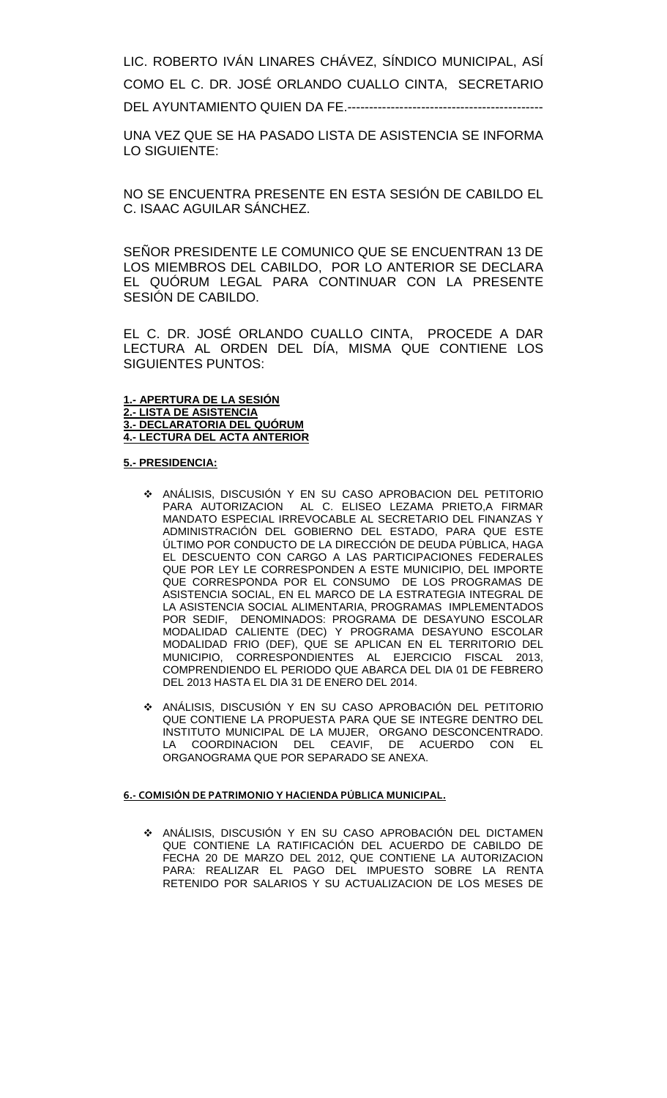LIC. ROBERTO IVÁN LINARES CHÁVEZ, SÍNDICO MUNICIPAL, ASÍ COMO EL C. DR. JOSÉ ORLANDO CUALLO CINTA, SECRETARIO DEL AYUNTAMIENTO QUIEN DA FE.-------------------------

UNA VEZ QUE SE HA PASADO LISTA DE ASISTENCIA SE INFORMA LO SIGUIENTE:

NO SE ENCUENTRA PRESENTE EN ESTA SESIÓN DE CABILDO EL C. ISAAC AGUILAR SÁNCHEZ.

SEÑOR PRESIDENTE LE COMUNICO QUE SE ENCUENTRAN 13 DE LOS MIEMBROS DEL CABILDO, POR LO ANTERIOR SE DECLARA EL QUÓRUM LEGAL PARA CONTINUAR CON LA PRESENTE SESIÓN DE CABILDO.

EL C. DR. JOSÉ ORLANDO CUALLO CINTA, PROCEDE A DAR LECTURA AL ORDEN DEL DÍA, MISMA QUE CONTIENE LOS SIGUIENTES PUNTOS:

**1.- APERTURA DE LA SESIÓN 2.- LISTA DE ASISTENCIA 3.- DECLARATORIA DEL QUÓRUM 4.- LECTURA DEL ACTA ANTERIOR**

#### **5.- PRESIDENCIA:**

- ANÁLISIS, DISCUSIÓN Y EN SU CASO APROBACION DEL PETITORIO PARA AUTORIZACION AL C. ELISEO LEZAMA PRIETO,A FIRMAR MANDATO ESPECIAL IRREVOCABLE AL SECRETARIO DEL FINANZAS Y ADMINISTRACIÓN DEL GOBIERNO DEL ESTADO, PARA QUE ESTE ÚLTIMO POR CONDUCTO DE LA DIRECCIÓN DE DEUDA PÚBLICA, HAGA EL DESCUENTO CON CARGO A LAS PARTICIPACIONES FEDERALES QUE POR LEY LE CORRESPONDEN A ESTE MUNICIPIO, DEL IMPORTE QUE CORRESPONDA POR EL CONSUMO DE LOS PROGRAMAS DE ASISTENCIA SOCIAL, EN EL MARCO DE LA ESTRATEGIA INTEGRAL DE LA ASISTENCIA SOCIAL ALIMENTARIA, PROGRAMAS IMPLEMENTADOS POR SEDIF, DENOMINADOS: PROGRAMA DE DESAYUNO ESCOLAR MODALIDAD CALIENTE (DEC) Y PROGRAMA DESAYUNO ESCOLAR MODALIDAD FRIO (DEF), QUE SE APLICAN EN EL TERRITORIO DEL MUNICIPIO, CORRESPONDIENTES AL EJERCICIO FISCAL 2013, COMPRENDIENDO EL PERIODO QUE ABARCA DEL DIA 01 DE FEBRERO DEL 2013 HASTA EL DIA 31 DE ENERO DEL 2014.
- ANÁLISIS, DISCUSIÓN Y EN SU CASO APROBACIÓN DEL PETITORIO QUE CONTIENE LA PROPUESTA PARA QUE SE INTEGRE DENTRO DEL INSTITUTO MUNICIPAL DE LA MUJER, ORGANO DESCONCENTRADO. LA COORDINACION DEL CEAVIF, DE ACUERDO CON EL ORGANOGRAMA QUE POR SEPARADO SE ANEXA.

#### **6.- COMISIÓN DE PATRIMONIO Y HACIENDA PÚBLICA MUNICIPAL.**

 ANÁLISIS, DISCUSIÓN Y EN SU CASO APROBACIÓN DEL DICTAMEN QUE CONTIENE LA RATIFICACIÓN DEL ACUERDO DE CABILDO DE FECHA 20 DE MARZO DEL 2012, QUE CONTIENE LA AUTORIZACION PARA: REALIZAR EL PAGO DEL IMPUESTO SOBRE LA RENTA RETENIDO POR SALARIOS Y SU ACTUALIZACION DE LOS MESES DE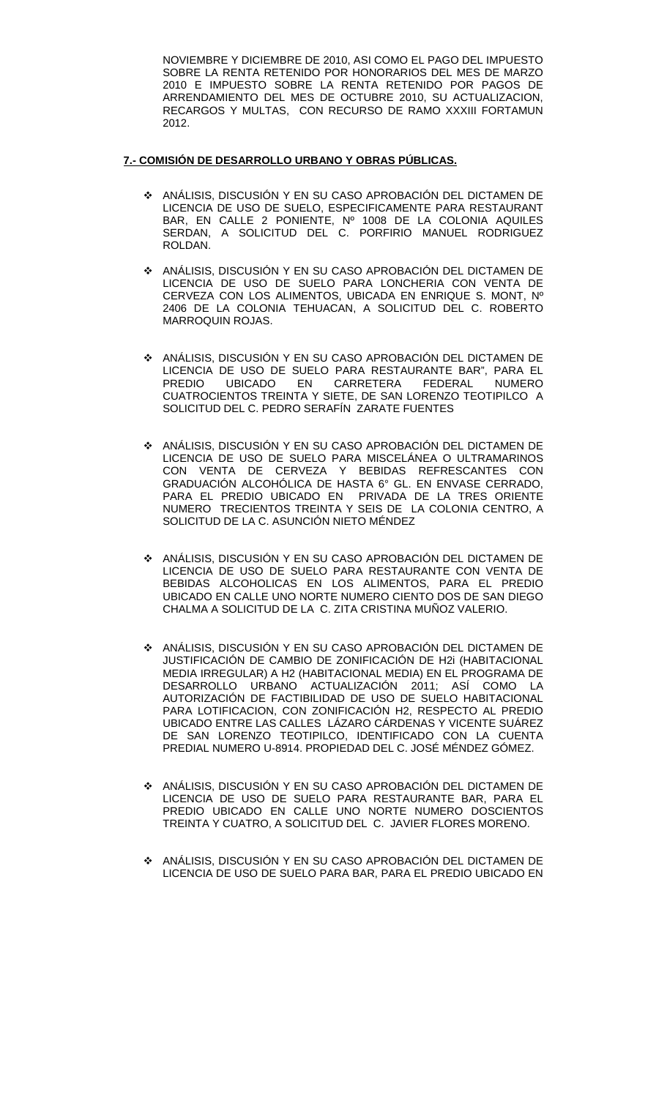NOVIEMBRE Y DICIEMBRE DE 2010, ASI COMO EL PAGO DEL IMPUESTO SOBRE LA RENTA RETENIDO POR HONORARIOS DEL MES DE MARZO 2010 E IMPUESTO SOBRE LA RENTA RETENIDO POR PAGOS DE ARRENDAMIENTO DEL MES DE OCTUBRE 2010, SU ACTUALIZACION, RECARGOS Y MULTAS, CON RECURSO DE RAMO XXXIII FORTAMUN 2012.

#### **7.- COMISIÓN DE DESARROLLO URBANO Y OBRAS PÚBLICAS.**

- ANÁLISIS, DISCUSIÓN Y EN SU CASO APROBACIÓN DEL DICTAMEN DE LICENCIA DE USO DE SUELO, ESPECIFICAMENTE PARA RESTAURANT BAR, EN CALLE 2 PONIENTE, Nº 1008 DE LA COLONIA AQUILES SERDAN, A SOLICITUD DEL C. PORFIRIO MANUEL RODRIGUEZ ROLDAN.
- ANÁLISIS, DISCUSIÓN Y EN SU CASO APROBACIÓN DEL DICTAMEN DE LICENCIA DE USO DE SUELO PARA LONCHERIA CON VENTA DE CERVEZA CON LOS ALIMENTOS, UBICADA EN ENRIQUE S. MONT, Nº 2406 DE LA COLONIA TEHUACAN, A SOLICITUD DEL C. ROBERTO MARROQUIN ROJAS.
- ANÁLISIS, DISCUSIÓN Y EN SU CASO APROBACIÓN DEL DICTAMEN DE LICENCIA DE USO DE SUELO PARA RESTAURANTE BAR", PARA EL<br>PREDIO UBICADO EN CARRETERA FEDERAL NUMERO PREDIO UBICADO EN CARRETERA FEDERAL NUMERO CUATROCIENTOS TREINTA Y SIETE, DE SAN LORENZO TEOTIPILCO A SOLICITUD DEL C. PEDRO SERAFÍN ZARATE FUENTES
- ANÁLISIS, DISCUSIÓN Y EN SU CASO APROBACIÓN DEL DICTAMEN DE LICENCIA DE USO DE SUELO PARA MISCELÁNEA O ULTRAMARINOS CON VENTA DE CERVEZA Y BEBIDAS REFRESCANTES CON GRADUACIÓN ALCOHÓLICA DE HASTA 6° GL. EN ENVASE CERRADO, PARA EL PREDIO UBICADO EN PRIVADA DE LA TRES ORIENTE NUMERO TRECIENTOS TREINTA Y SEIS DE LA COLONIA CENTRO, A SOLICITUD DE LA C. ASUNCIÓN NIETO MÉNDEZ
- ANÁLISIS, DISCUSIÓN Y EN SU CASO APROBACIÓN DEL DICTAMEN DE LICENCIA DE USO DE SUELO PARA RESTAURANTE CON VENTA DE BEBIDAS ALCOHOLICAS EN LOS ALIMENTOS, PARA EL PREDIO UBICADO EN CALLE UNO NORTE NUMERO CIENTO DOS DE SAN DIEGO CHALMA A SOLICITUD DE LA C. ZITA CRISTINA MUÑOZ VALERIO.
- ANÁLISIS, DISCUSIÓN Y EN SU CASO APROBACIÓN DEL DICTAMEN DE JUSTIFICACIÓN DE CAMBIO DE ZONIFICACIÓN DE H2i (HABITACIONAL MEDIA IRREGULAR) A H2 (HABITACIONAL MEDIA) EN EL PROGRAMA DE DESARROLLO URBANO ACTUALIZACIÓN 2011; ASÍ COMO LA AUTORIZACIÓN DE FACTIBILIDAD DE USO DE SUELO HABITACIONAL PARA LOTIFICACION, CON ZONIFICACIÓN H2, RESPECTO AL PREDIO UBICADO ENTRE LAS CALLES LÁZARO CÁRDENAS Y VICENTE SUÁREZ DE SAN LORENZO TEOTIPILCO, IDENTIFICADO CON LA CUENTA PREDIAL NUMERO U-8914. PROPIEDAD DEL C. JOSÉ MÉNDEZ GÓMEZ.
- ANÁLISIS, DISCUSIÓN Y EN SU CASO APROBACIÓN DEL DICTAMEN DE LICENCIA DE USO DE SUELO PARA RESTAURANTE BAR, PARA EL PREDIO UBICADO EN CALLE UNO NORTE NUMERO DOSCIENTOS TREINTA Y CUATRO, A SOLICITUD DEL C. JAVIER FLORES MORENO.
- ANÁLISIS, DISCUSIÓN Y EN SU CASO APROBACIÓN DEL DICTAMEN DE LICENCIA DE USO DE SUELO PARA BAR, PARA EL PREDIO UBICADO EN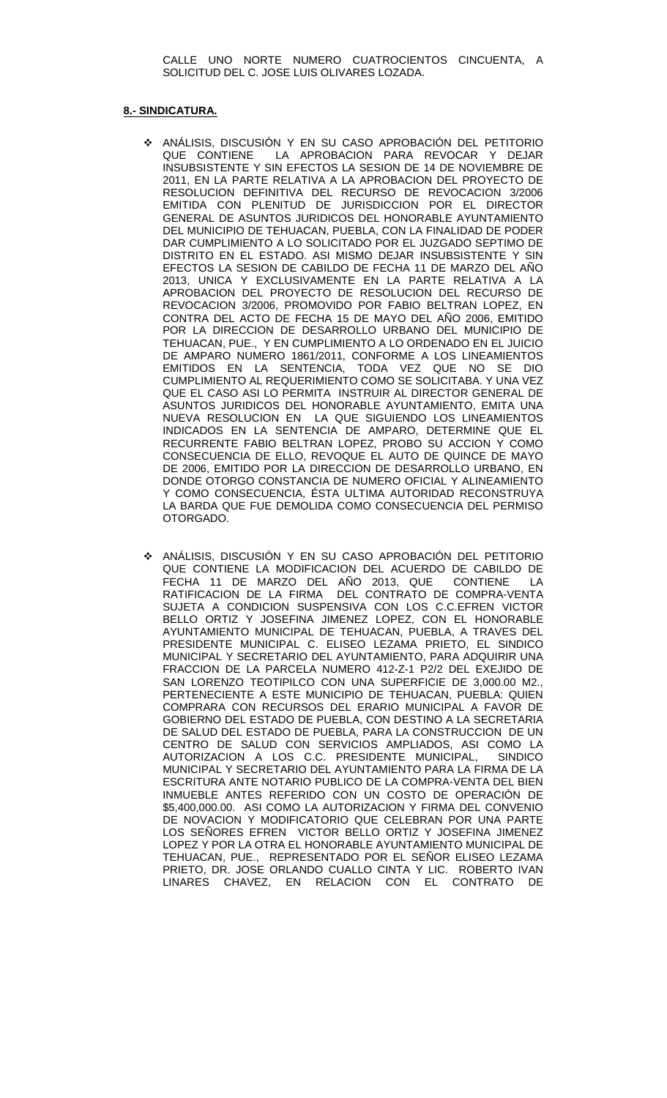CALLE UNO NORTE NUMERO CUATROCIENTOS CINCUENTA, A SOLICITUD DEL C. JOSE LUIS OLIVARES LOZADA.

#### **8.- SINDICATURA.**

- ANÁLISIS, DISCUSIÓN Y EN SU CASO APROBACIÓN DEL PETITORIO QUE CONTIENE LA APROBACION PARA REVOCAR Y DEJAR INSUBSISTENTE Y SIN EFECTOS LA SESION DE 14 DE NOVIEMBRE DE 2011, EN LA PARTE RELATIVA A LA APROBACION DEL PROYECTO DE RESOLUCION DEFINITIVA DEL RECURSO DE REVOCACION 3/2006 EMITIDA CON PLENITUD DE JURISDICCION POR EL DIRECTOR GENERAL DE ASUNTOS JURIDICOS DEL HONORABLE AYUNTAMIENTO DEL MUNICIPIO DE TEHUACAN, PUEBLA, CON LA FINALIDAD DE PODER DAR CUMPLIMIENTO A LO SOLICITADO POR EL JUZGADO SEPTIMO DE DISTRITO EN EL ESTADO. ASI MISMO DEJAR INSUBSISTENTE Y SIN EFECTOS LA SESION DE CABILDO DE FECHA 11 DE MARZO DEL AÑO 2013, UNICA Y EXCLUSIVAMENTE EN LA PARTE RELATIVA A LA APROBACION DEL PROYECTO DE RESOLUCION DEL RECURSO DE REVOCACION 3/2006, PROMOVIDO POR FABIO BELTRAN LOPEZ, EN CONTRA DEL ACTO DE FECHA 15 DE MAYO DEL AÑO 2006, EMITIDO POR LA DIRECCION DE DESARROLLO URBANO DEL MUNICIPIO DE TEHUACAN, PUE., Y EN CUMPLIMIENTO A LO ORDENADO EN EL JUICIO DE AMPARO NUMERO 1861/2011, CONFORME A LOS LINEAMIENTOS EMITIDOS EN LA SENTENCIA, TODA VEZ QUE NO SE DIO CUMPLIMIENTO AL REQUERIMIENTO COMO SE SOLICITABA. Y UNA VEZ QUE EL CASO ASI LO PERMITA INSTRUIR AL DIRECTOR GENERAL DE ASUNTOS JURIDICOS DEL HONORABLE AYUNTAMIENTO, EMITA UNA NUEVA RESOLUCION EN LA QUE SIGUIENDO LOS LINEAMIENTOS INDICADOS EN LA SENTENCIA DE AMPARO, DETERMINE QUE EL RECURRENTE FABIO BELTRAN LOPEZ, PROBO SU ACCION Y COMO CONSECUENCIA DE ELLO, REVOQUE EL AUTO DE QUINCE DE MAYO DE 2006, EMITIDO POR LA DIRECCION DE DESARROLLO URBANO, EN DONDE OTORGO CONSTANCIA DE NUMERO OFICIAL Y ALINEAMIENTO Y COMO CONSECUENCIA, ÉSTA ULTIMA AUTORIDAD RECONSTRUYA LA BARDA QUE FUE DEMOLIDA COMO CONSECUENCIA DEL PERMISO OTORGADO.
- ANÁLISIS, DISCUSIÓN Y EN SU CASO APROBACIÓN DEL PETITORIO QUE CONTIENE LA MODIFICACION DEL ACUERDO DE CABILDO DE FECHA 11 DE MARZO DEL AÑO 2013, QUE CONTIENE LA RATIFICACION DE LA FIRMA DEL CONTRATO DE COMPRA-VENTA SUJETA A CONDICION SUSPENSIVA CON LOS C.C.EFREN VICTOR BELLO ORTIZ Y JOSEFINA JIMENEZ LOPEZ, CON EL HONORABLE AYUNTAMIENTO MUNICIPAL DE TEHUACAN, PUEBLA, A TRAVES DEL PRESIDENTE MUNICIPAL C. ELISEO LEZAMA PRIETO, EL SINDICO MUNICIPAL Y SECRETARIO DEL AYUNTAMIENTO, PARA ADQUIRIR UNA FRACCION DE LA PARCELA NUMERO 412-Z-1 P2/2 DEL EXEJIDO DE SAN LORENZO TEOTIPILCO CON UNA SUPERFICIE DE 3,000.00 M2., PERTENECIENTE A ESTE MUNICIPIO DE TEHUACAN, PUEBLA: QUIEN COMPRARA CON RECURSOS DEL ERARIO MUNICIPAL A FAVOR DE GOBIERNO DEL ESTADO DE PUEBLA, CON DESTINO A LA SECRETARIA DE SALUD DEL ESTADO DE PUEBLA, PARA LA CONSTRUCCION DE UN CENTRO DE SALUD CON SERVICIOS AMPLIADOS, ASI COMO LA AUTORIZACION A LOS C.C. PRESIDENTE MUNICIPAL, MUNICIPAL Y SECRETARIO DEL AYUNTAMIENTO PARA LA FIRMA DE LA ESCRITURA ANTE NOTARIO PUBLICO DE LA COMPRA-VENTA DEL BIEN INMUEBLE ANTES REFERIDO CON UN COSTO DE OPERACIÓN DE \$5,400,000.00. ASI COMO LA AUTORIZACION Y FIRMA DEL CONVENIO DE NOVACION Y MODIFICATORIO QUE CELEBRAN POR UNA PARTE LOS SEÑORES EFREN VICTOR BELLO ORTIZ Y JOSEFINA JIMENEZ LOPEZ Y POR LA OTRA EL HONORABLE AYUNTAMIENTO MUNICIPAL DE TEHUACAN, PUE., REPRESENTADO POR EL SENOR ELISEO LEZAMA PRIETO, DR. JOSE ORLANDO CUALLO CINTA Y LIC. ROBERTO IVAN LINARES CHAVEZ, EN RELACION CON EL CONTRATO DE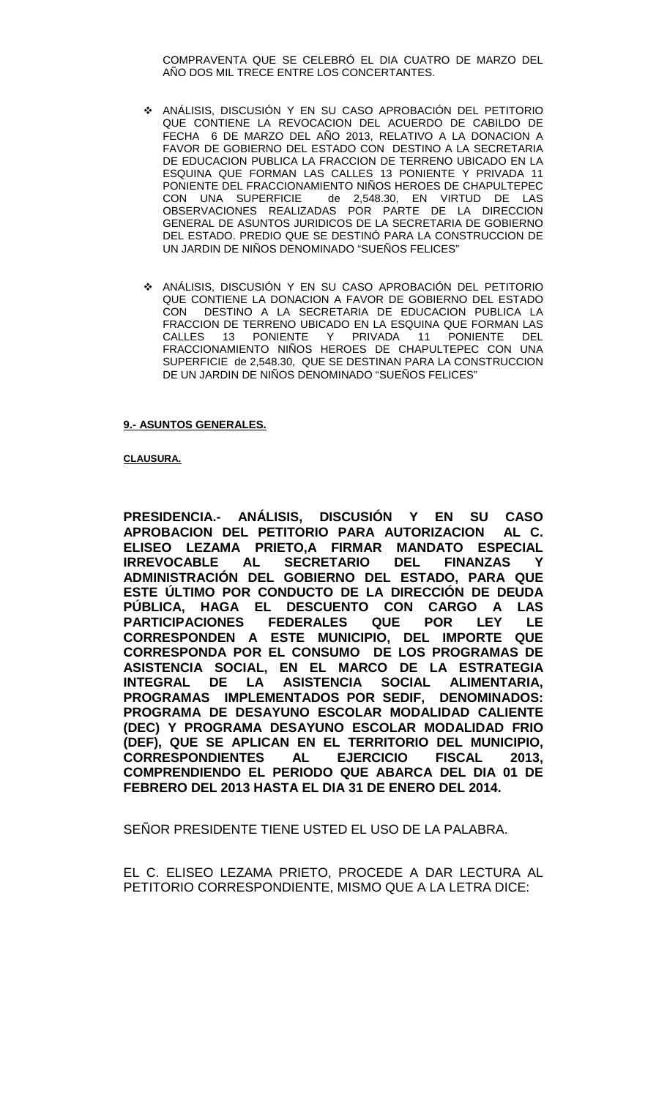COMPRAVENTA QUE SE CELEBRÓ EL DIA CUATRO DE MARZO DEL AÑO DOS MIL TRECE ENTRE LOS CONCERTANTES.

- ANÁLISIS, DISCUSIÓN Y EN SU CASO APROBACIÓN DEL PETITORIO QUE CONTIENE LA REVOCACION DEL ACUERDO DE CABILDO DE FECHA 6 DE MARZO DEL AÑO 2013, RELATIVO A LA DONACION A FAVOR DE GOBIERNO DEL ESTADO CON DESTINO A LA SECRETARIA DE EDUCACION PUBLICA LA FRACCION DE TERRENO UBICADO EN LA ESQUINA QUE FORMAN LAS CALLES 13 PONIENTE Y PRIVADA 11 PONIENTE DEL FRACCIONAMIENTO NIÑOS HEROES DE CHAPULTEPEC CON UNA SUPERFICIE de 2,548.30, EN VIRTUD DE LAS OBSERVACIONES REALIZADAS POR PARTE DE LA DIRECCION GENERAL DE ASUNTOS JURIDICOS DE LA SECRETARIA DE GOBIERNO DEL ESTADO. PREDIO QUE SE DESTINÓ PARA LA CONSTRUCCION DE UN JARDIN DE NIÑOS DENOMINADO "SUEÑOS FELICES"
- ANÁLISIS, DISCUSIÓN Y EN SU CASO APROBACIÓN DEL PETITORIO QUE CONTIENE LA DONACION A FAVOR DE GOBIERNO DEL ESTADO CON DESTINO A LA SECRETARIA DE EDUCACION PUBLICA LA FRACCION DE TERRENO UBICADO EN LA ESQUINA QUE FORMAN LAS<br>CALLES 13 PONIENTE Y PRIVADA 11 PONIENTE DEL CALLES 13 PONIENTE Y PRIVADA 11 PONIENTE FRACCIONAMIENTO NIÑOS HEROES DE CHAPULTEPEC CON UNA SUPERFICIE de 2,548.30, QUE SE DESTINAN PARA LA CONSTRUCCION DE UN JARDIN DE NIÑOS DENOMINADO "SUEÑOS FELICES"

#### **9.- ASUNTOS GENERALES.**

#### **CLAUSURA.**

**PRESIDENCIA.- ANÁLISIS, DISCUSIÓN Y EN SU CASO APROBACION DEL PETITORIO PARA AUTORIZACION ELISEO LEZAMA PRIETO,A FIRMAR MANDATO ESPECIAL**  SECRETARIO DEL FINANZAS Y **ADMINISTRACIÓN DEL GOBIERNO DEL ESTADO, PARA QUE ESTE ÚLTIMO POR CONDUCTO DE LA DIRECCIÓN DE DEUDA PÚBLICA, HAGA EL DESCUENTO CON CARGO A LAS PARTICIPACIONES FEDERALES QUE POR LEY LE CORRESPONDEN A ESTE MUNICIPIO, DEL IMPORTE QUE CORRESPONDA POR EL CONSUMO DE LOS PROGRAMAS DE ASISTENCIA SOCIAL, EN EL MARCO DE LA ESTRATEGIA INTEGRAL DE LA ASISTENCIA SOCIAL ALIMENTARIA, PROGRAMAS IMPLEMENTADOS POR SEDIF, DENOMINADOS: PROGRAMA DE DESAYUNO ESCOLAR MODALIDAD CALIENTE (DEC) Y PROGRAMA DESAYUNO ESCOLAR MODALIDAD FRIO (DEF), QUE SE APLICAN EN EL TERRITORIO DEL MUNICIPIO, CORRESPONDIENTES AL EJERCICIO FISCAL 2013, COMPRENDIENDO EL PERIODO QUE ABARCA DEL DIA 01 DE FEBRERO DEL 2013 HASTA EL DIA 31 DE ENERO DEL 2014.**

SEÑOR PRESIDENTE TIENE USTED EL USO DE LA PALABRA.

EL C. ELISEO LEZAMA PRIETO, PROCEDE A DAR LECTURA AL PETITORIO CORRESPONDIENTE, MISMO QUE A LA LETRA DICE: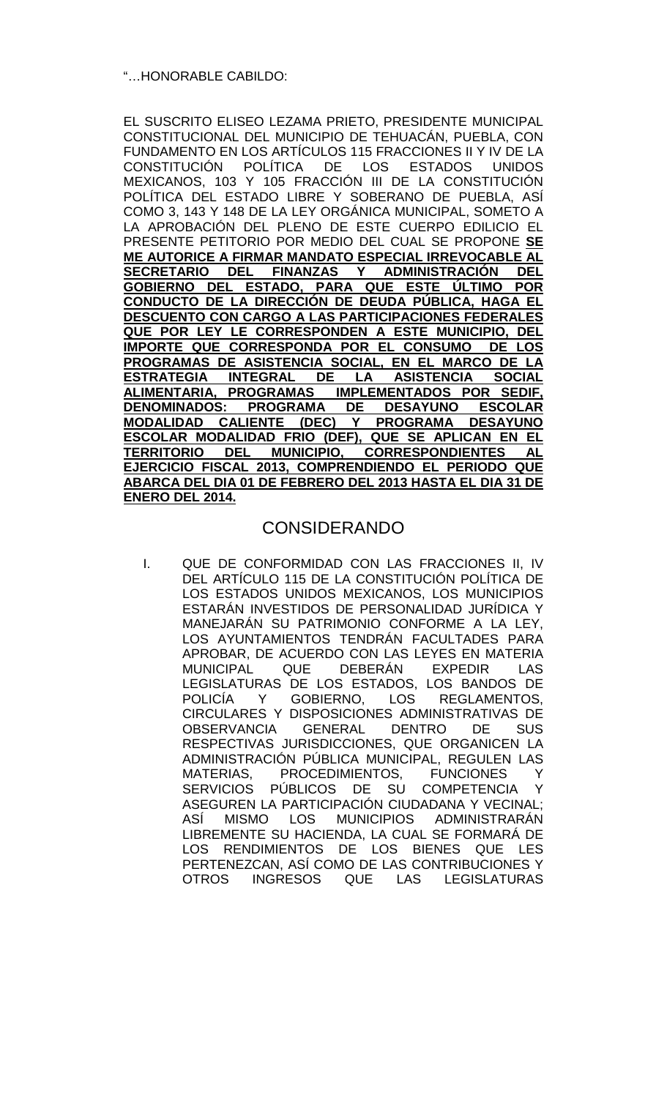# "…HONORABLE CABILDO:

EL SUSCRITO ELISEO LEZAMA PRIETO, PRESIDENTE MUNICIPAL CONSTITUCIONAL DEL MUNICIPIO DE TEHUACÁN, PUEBLA, CON FUNDAMENTO EN LOS ARTÍCULOS 115 FRACCIONES II Y IV DE LA CONSTITUCIÓN POLÍTICA DE LOS ESTADOS UNIDOS MEXICANOS, 103 Y 105 FRACCIÓN III DE LA CONSTITUCIÓN POLÍTICA DEL ESTADO LIBRE Y SOBERANO DE PUEBLA, ASÍ COMO 3, 143 Y 148 DE LA LEY ORGÁNICA MUNICIPAL, SOMETO A LA APROBACIÓN DEL PLENO DE ESTE CUERPO EDILICIO EL PRESENTE PETITORIO POR MEDIO DEL CUAL SE PROPONE **SE ME AUTORICE A FIRMAR MANDATO ESPECIAL IRREVOCABLE AL SECRETARIO DEL FINANZAS Y ADMINISTRACIÓN DEL GOBIERNO DEL ESTADO, PARA QUE ESTE ÚLTIMO POR CONDUCTO DE LA DIRECCIÓN DE DEUDA PÚBLICA, HAGA EL DESCUENTO CON CARGO A LAS PARTICIPACIONES FEDERALES QUE POR LEY LE CORRESPONDEN A ESTE MUNICIPIO, DEL IMPORTE QUE CORRESPONDA POR EL CONSUMO DE LOS PROGRAMAS DE ASISTENCIA SOCIAL, EN EL MARCO DE LA ESTRATEGIA INTEGRAL DE LA ASISTENCIA SOCIAL ALIMENTARIA, PROGRAMAS IMPLEMENTADOS POR SEDIF,**  PROGRAMA DE DESAYUNO ESCOLAR **MODALIDAD CALIENTE (DEC) Y PROGRAMA DESAYUNO ESCOLAR MODALIDAD FRIO (DEF), QUE SE APLICAN EN EL TERRITORIO DEL MUNICIPIO, CORRESPONDIENTES AL EJERCICIO FISCAL 2013, COMPRENDIENDO EL PERIODO QUE ABARCA DEL DIA 01 DE FEBRERO DEL 2013 HASTA EL DIA 31 DE ENERO DEL 2014.**

# CONSIDERANDO

I. QUE DE CONFORMIDAD CON LAS FRACCIONES II, IV DEL ARTÍCULO 115 DE LA CONSTITUCIÓN POLÍTICA DE LOS ESTADOS UNIDOS MEXICANOS, LOS MUNICIPIOS ESTARÁN INVESTIDOS DE PERSONALIDAD JURÍDICA Y MANEJARÁN SU PATRIMONIO CONFORME A LA LEY, LOS AYUNTAMIENTOS TENDRÁN FACULTADES PARA APROBAR, DE ACUERDO CON LAS LEYES EN MATERIA<br>MUNICIPAL QUE DEBERÁN EXPEDIR LAS MUNICIPAL QUE DEBERÁN EXPEDIR LAS LEGISLATURAS DE LOS ESTADOS, LOS BANDOS DE POLICÍA Y GOBIERNO, LOS REGLAMENTOS, CIRCULARES Y DISPOSICIONES ADMINISTRATIVAS DE OBSERVANCIA GENERAL DENTRO DE SUS RESPECTIVAS JURISDICCIONES, QUE ORGANICEN LA ADMINISTRACIÓN PÚBLICA MUNICIPAL, REGULEN LAS<br>MATERIAS, PROCEDIMIENTOS, FUNCIONES Y PROCEDIMIENTOS, FUNCIONES Y SERVICIOS PÚBLICOS DE SU COMPETENCIA Y ASEGUREN LA PARTICIPACIÓN CIUDADANA Y VECINAL; ASÍ MISMO LOS MUNICIPIOS ADMINISTRARÁN LIBREMENTE SU HACIENDA, LA CUAL SE FORMARÁ DE LOS RENDIMIENTOS DE LOS BIENES QUE LES PERTENEZCAN, ASÍ COMO DE LAS CONTRIBUCIONES Y OTROS INGRESOS QUE LAS LEGISLATURAS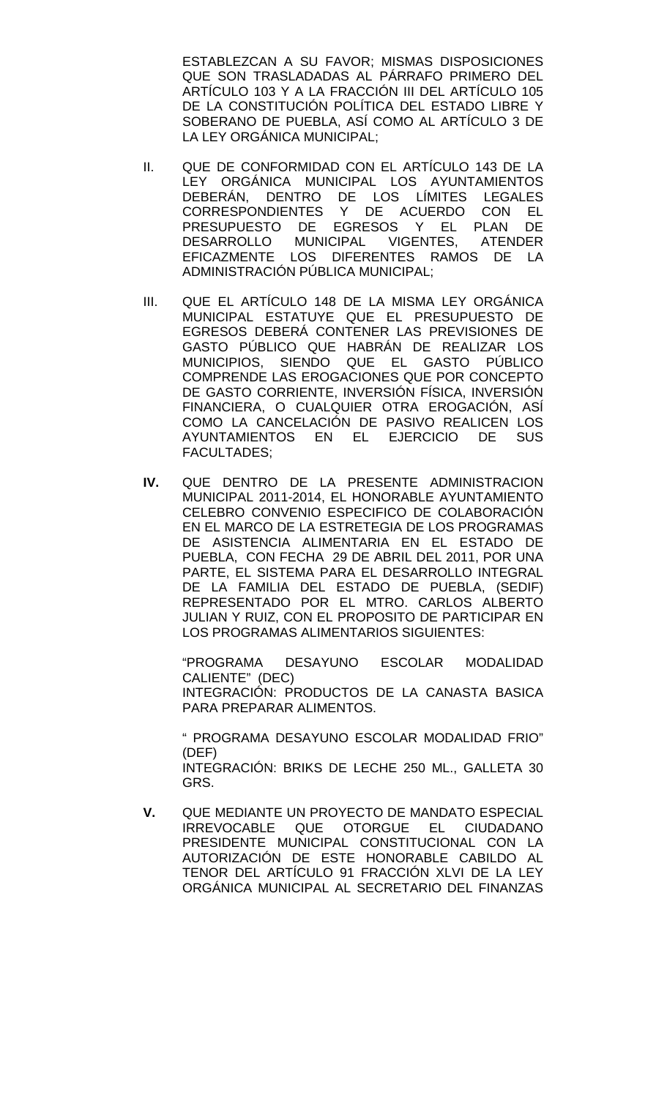ESTABLEZCAN A SU FAVOR; MISMAS DISPOSICIONES QUE SON TRASLADADAS AL PÁRRAFO PRIMERO DEL ARTÍCULO 103 Y A LA FRACCIÓN III DEL ARTÍCULO 105 DE LA CONSTITUCIÓN POLÍTICA DEL ESTADO LIBRE Y SOBERANO DE PUEBLA, ASÍ COMO AL ARTÍCULO 3 DE LA LEY ORGÁNICA MUNICIPAL;

- II. QUE DE CONFORMIDAD CON EL ARTÍCULO 143 DE LA LEY ORGÁNICA MUNICIPAL LOS AYUNTAMIENTOS DEBERÁN, DENTRO DE LOS LÍMITES LEGALES CORRESPONDIENTES Y DE ACUERDO CON EL PRESUPUESTO DE EGRESOS Y EL PLAN DE DESARROLLO MUNICIPAL VIGENTES, ATENDER EFICAZMENTE LOS DIFERENTES RAMOS DE LA ADMINISTRACIÓN PÚBLICA MUNICIPAL;
- III. QUE EL ARTÍCULO 148 DE LA MISMA LEY ORGÁNICA MUNICIPAL ESTATUYE QUE EL PRESUPUESTO DE EGRESOS DEBERÁ CONTENER LAS PREVISIONES DE GASTO PÚBLICO QUE HABRÁN DE REALIZAR LOS MUNICIPIOS, SIENDO QUE EL GASTO PÚBLICO COMPRENDE LAS EROGACIONES QUE POR CONCEPTO DE GASTO CORRIENTE, INVERSIÓN FÍSICA, INVERSIÓN FINANCIERA, O CUALQUIER OTRA EROGACIÓN, ASÍ COMO LA CANCELACIÓN DE PASIVO REALICEN LOS AYUNTAMIENTOS EN EL EJERCICIO DE SUS FACULTADES;
- **IV.** QUE DENTRO DE LA PRESENTE ADMINISTRACION MUNICIPAL 2011-2014, EL HONORABLE AYUNTAMIENTO CELEBRO CONVENIO ESPECIFICO DE COLABORACIÓN EN EL MARCO DE LA ESTRETEGIA DE LOS PROGRAMAS DE ASISTENCIA ALIMENTARIA EN EL ESTADO DE PUEBLA, CON FECHA 29 DE ABRIL DEL 2011, POR UNA PARTE, EL SISTEMA PARA EL DESARROLLO INTEGRAL DE LA FAMILIA DEL ESTADO DE PUEBLA, (SEDIF) REPRESENTADO POR EL MTRO. CARLOS ALBERTO JULIAN Y RUIZ, CON EL PROPOSITO DE PARTICIPAR EN LOS PROGRAMAS ALIMENTARIOS SIGUIENTES:

"PROGRAMA DESAYUNO ESCOLAR MODALIDAD CALIENTE" (DEC) INTEGRACIÓN: PRODUCTOS DE LA CANASTA BASICA PARA PREPARAR ALIMENTOS.

" PROGRAMA DESAYUNO ESCOLAR MODALIDAD FRIO" (DEF) INTEGRACIÓN: BRIKS DE LECHE 250 ML., GALLETA 30 GRS.

**V.** QUE MEDIANTE UN PROYECTO DE MANDATO ESPECIAL IRREVOCABLE QUE OTORGUE EL CIUDADANO PRESIDENTE MUNICIPAL CONSTITUCIONAL CON LA AUTORIZACIÓN DE ESTE HONORABLE CABILDO AL TENOR DEL ARTÍCULO 91 FRACCIÓN XLVI DE LA LEY ORGÁNICA MUNICIPAL AL SECRETARIO DEL FINANZAS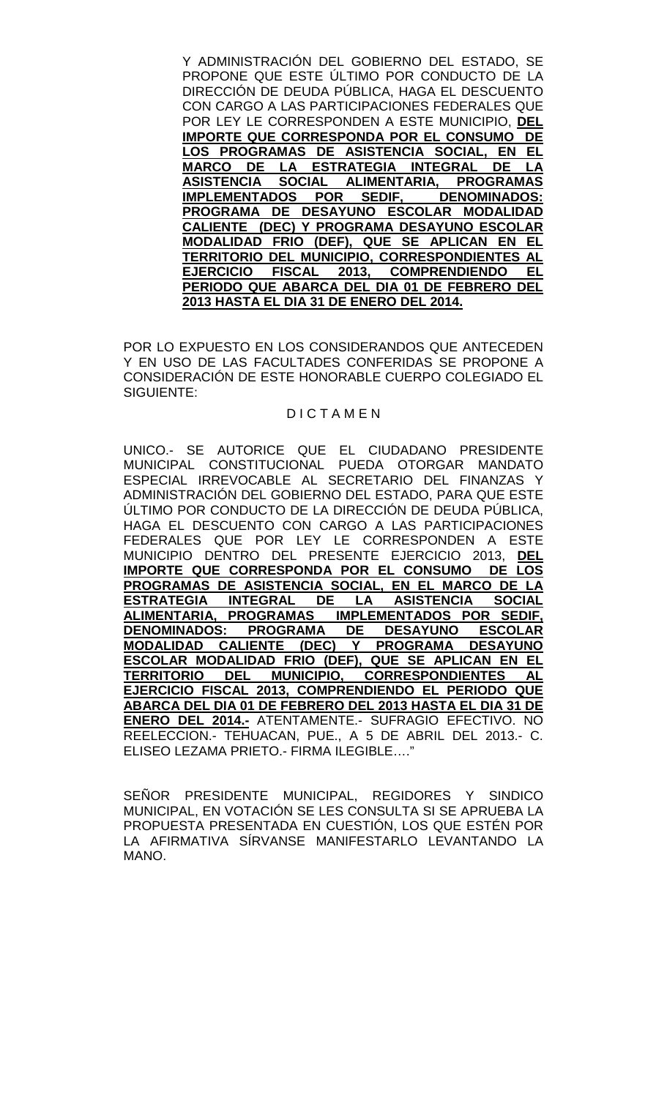Y ADMINISTRACIÓN DEL GOBIERNO DEL ESTADO, SE PROPONE QUE ESTE ÚLTIMO POR CONDUCTO DE LA DIRECCIÓN DE DEUDA PÚBLICA, HAGA EL DESCUENTO CON CARGO A LAS PARTICIPACIONES FEDERALES QUE POR LEY LE CORRESPONDEN A ESTE MUNICIPIO, **DEL IMPORTE QUE CORRESPONDA POR EL CONSUMO DE LOS PROGRAMAS DE ASISTENCIA SOCIAL, EN EL MARCO DE LA ESTRATEGIA INTEGRAL DE LA ASISTENCIA SOCIAL ALIMENTARIA, PROGRAMAS IMPLEMENTADOS POR SEDIF, DENOMINADOS: PROGRAMA DE DESAYUNO ESCOLAR MODALIDAD CALIENTE (DEC) Y PROGRAMA DESAYUNO ESCOLAR MODALIDAD FRIO (DEF), QUE SE APLICAN EN EL TERRITORIO DEL MUNICIPIO, CORRESPONDIENTES AL EJERCICIO FISCAL 2013, COMPRENDIENDO EL PERIODO QUE ABARCA DEL DIA 01 DE FEBRERO DEL 2013 HASTA EL DIA 31 DE ENERO DEL 2014.**

POR LO EXPUESTO EN LOS CONSIDERANDOS QUE ANTECEDEN Y EN USO DE LAS FACULTADES CONFERIDAS SE PROPONE A CONSIDERACIÓN DE ESTE HONORABLE CUERPO COLEGIADO EL SIGUIENTE:

### D I C T A M E N

UNICO.- SE AUTORICE QUE EL CIUDADANO PRESIDENTE MUNICIPAL CONSTITUCIONAL PUEDA OTORGAR MANDATO ESPECIAL IRREVOCABLE AL SECRETARIO DEL FINANZAS Y ADMINISTRACIÓN DEL GOBIERNO DEL ESTADO, PARA QUE ESTE ÚLTIMO POR CONDUCTO DE LA DIRECCIÓN DE DEUDA PÚBLICA, HAGA EL DESCUENTO CON CARGO A LAS PARTICIPACIONES FEDERALES QUE POR LEY LE CORRESPONDEN A ESTE MUNICIPIO DENTRO DEL PRESENTE EJERCICIO 2013, **DEL IMPORTE QUE CORRESPONDA POR EL CONSUMO DE PROGRAMAS DE ASISTENCIA SOCIAL, EN EL MARCO DE LA ESTRATEGIA INTEGRAL DE LA ASISTENCIA SOCIAL ALIMENTARIA, PROGRAMAS IMPLEMENTADOS POR SEDIF, PROGRAMA DE DESAYUNO ESCOLAR<br>IENTE (DEC) Y PROGRAMA DESAYUNO MODALIDAD CALIENTE (DEC) Y ESCOLAR MODALIDAD FRIO (DEF), QUE SE APLICAN EN EL TERRITORIO DEL MUNICIPIO, CORRESPONDIENTES AL EJERCICIO FISCAL 2013, COMPRENDIENDO EL PERIODO QUE ABARCA DEL DIA 01 DE FEBRERO DEL 2013 HASTA EL DIA 31 DE ENERO DEL 2014.-** ATENTAMENTE.- SUFRAGIO EFECTIVO. NO REELECCION.- TEHUACAN, PUE., A 5 DE ABRIL DEL 2013.- C. ELISEO LEZAMA PRIETO.- FIRMA ILEGIBLE…."

SEÑOR PRESIDENTE MUNICIPAL, REGIDORES Y SINDICO MUNICIPAL, EN VOTACIÓN SE LES CONSULTA SI SE APRUEBA LA PROPUESTA PRESENTADA EN CUESTIÓN, LOS QUE ESTÉN POR LA AFIRMATIVA SÍRVANSE MANIFESTARLO LEVANTANDO LA MANO.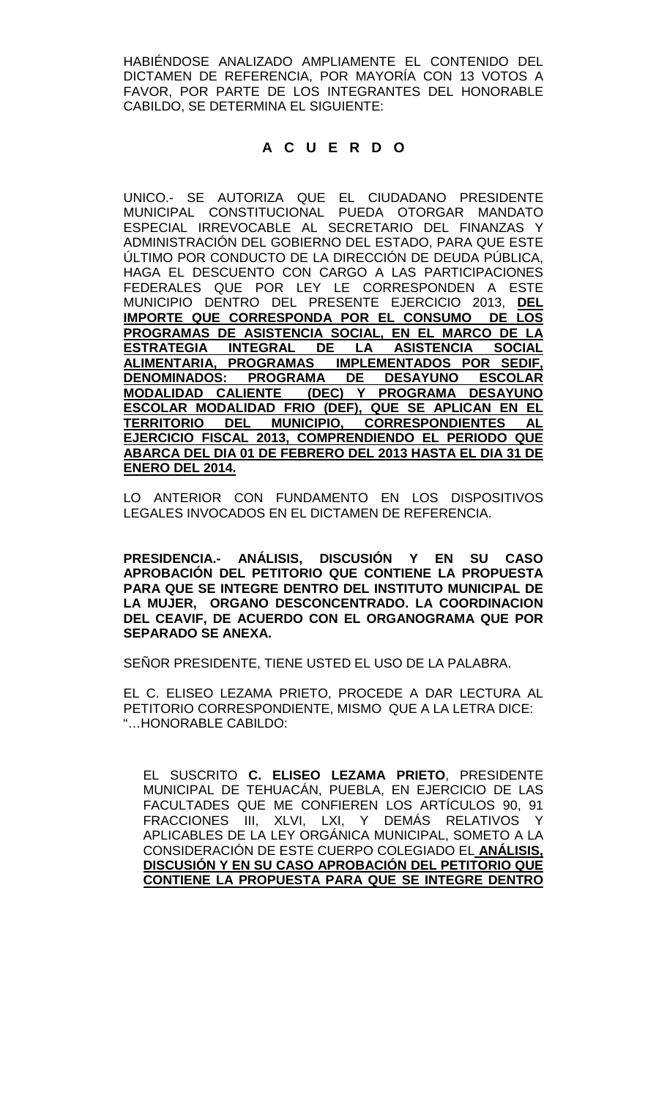HABIÉNDOSE ANALIZADO AMPLIAMENTE EL CONTENIDO DEL DICTAMEN DE REFERENCIA, POR MAYORÍA CON 13 VOTOS A FAVOR, POR PARTE DE LOS INTEGRANTES DEL HONORABLE CABILDO, SE DETERMINA EL SIGUIENTE:

# **A C U E R D O**

UNICO.- SE AUTORIZA QUE EL CIUDADANO PRESIDENTE MUNICIPAL CONSTITUCIONAL PUEDA OTORGAR MANDATO ESPECIAL IRREVOCABLE AL SECRETARIO DEL FINANZAS Y ADMINISTRACIÓN DEL GOBIERNO DEL ESTADO, PARA QUE ESTE ÚLTIMO POR CONDUCTO DE LA DIRECCIÓN DE DEUDA PÚBLICA, HAGA EL DESCUENTO CON CARGO A LAS PARTICIPACIONES FEDERALES QUE POR LEY LE CORRESPONDEN A ESTE MUNICIPIO DENTRO DEL PRESENTE EJERCICIO 2013, **DEL IMPORTE QUE CORRESPONDA POR EL CONSUMO DE LOS PROGRAMAS DE ASISTENCIA SOCIAL, EN EL MARCO DE LA ESTRATEGIA INTEGRAL DE LA ASISTENCIA SOCIAL ALIMENTARIA, PROGRAMAS IMPLEMENTADOS POR SEDIF, PROGRAMA DE DESAYUNO ESCOLAR MODALIDAD CALIENTE (DEC) Y PROGRAMA DESAYUNO ESCOLAR MODALIDAD FRIO (DEF), QUE SE APLICAN EN EL TERRITORIO DEL MUNICIPIO, CORRESPONDIENTES AL EJERCICIO FISCAL 2013, COMPRENDIENDO EL PERIODO QUE ABARCA DEL DIA 01 DE FEBRERO DEL 2013 HASTA EL DIA 31 DE ENERO DEL 2014.**

LO ANTERIOR CON FUNDAMENTO EN LOS DISPOSITIVOS LEGALES INVOCADOS EN EL DICTAMEN DE REFERENCIA.

**PRESIDENCIA.- ANÁLISIS, DISCUSIÓN Y EN SU CASO APROBACIÓN DEL PETITORIO QUE CONTIENE LA PROPUESTA PARA QUE SE INTEGRE DENTRO DEL INSTITUTO MUNICIPAL DE LA MUJER, ORGANO DESCONCENTRADO. LA COORDINACION DEL CEAVIF, DE ACUERDO CON EL ORGANOGRAMA QUE POR SEPARADO SE ANEXA.**

SEÑOR PRESIDENTE, TIENE USTED EL USO DE LA PALABRA.

EL C. ELISEO LEZAMA PRIETO, PROCEDE A DAR LECTURA AL PETITORIO CORRESPONDIENTE, MISMO QUE A LA LETRA DICE: "…HONORABLE CABILDO:

EL SUSCRITO **C. ELISEO LEZAMA PRIETO**, PRESIDENTE MUNICIPAL DE TEHUACÁN, PUEBLA, EN EJERCICIO DE LAS FACULTADES QUE ME CONFIEREN LOS ARTÍCULOS 90, 91 FRACCIONES III, XLVI, LXI, Y DEMÁS RELATIVOS Y APLICABLES DE LA LEY ORGÁNICA MUNICIPAL, SOMETO A LA CONSIDERACIÓN DE ESTE CUERPO COLEGIADO EL **ANÁLISIS, DISCUSIÓN Y EN SU CASO APROBACIÓN DEL PETITORIO QUE CONTIENE LA PROPUESTA PARA QUE SE INTEGRE DENTRO**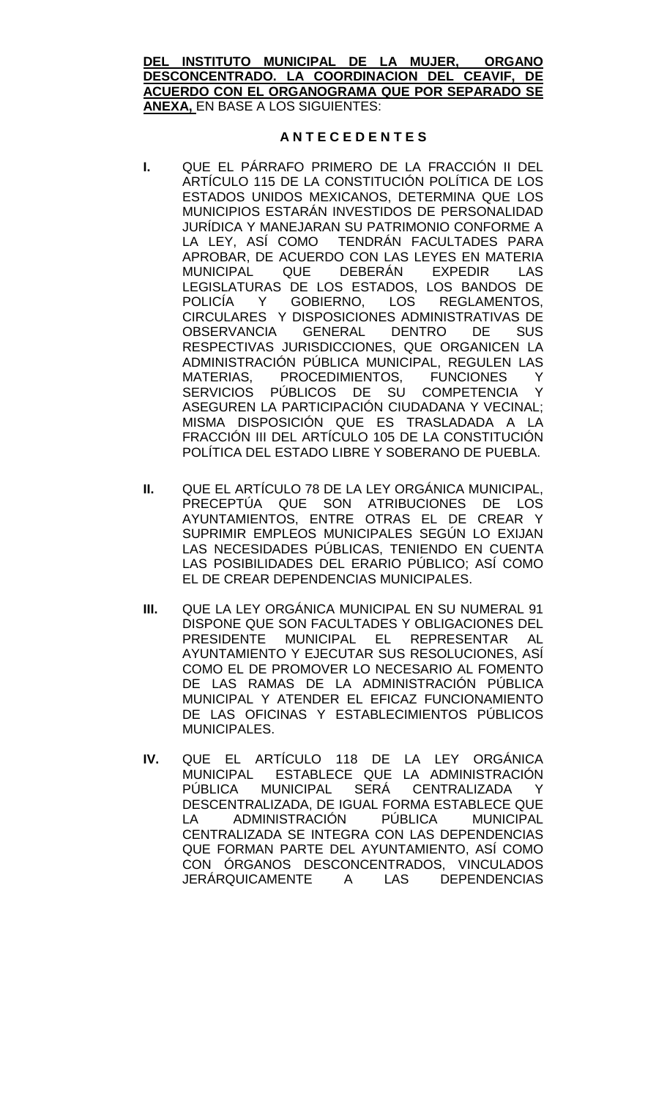**DEL INSTITUTO MUNICIPAL DE LA MUJER, ORGANO DESCONCENTRADO. LA COORDINACION DEL CEAVIF, DE ACUERDO CON EL ORGANOGRAMA QUE POR SEPARADO SE ANEXA,** EN BASE A LOS SIGUIENTES:

#### **A N T E C E D E N T E S**

- **I.** QUE EL PÁRRAFO PRIMERO DE LA FRACCIÓN II DEL ARTÍCULO 115 DE LA CONSTITUCIÓN POLÍTICA DE LOS ESTADOS UNIDOS MEXICANOS, DETERMINA QUE LOS MUNICIPIOS ESTARÁN INVESTIDOS DE PERSONALIDAD JURÍDICA Y MANEJARAN SU PATRIMONIO CONFORME A LA LEY, ASÍ COMO TENDRÁN FACULTADES PARA APROBAR, DE ACUERDO CON LAS LEYES EN MATERIA<br>MUNICIPAL QUE DEBERÁN EXPEDIR LAS QUE DEBERÁN EXPEDIR LEGISLATURAS DE LOS ESTADOS, LOS BANDOS DE POLICÍA Y GOBIERNO, LOS REGLAMENTOS, CIRCULARES Y DISPOSICIONES ADMINISTRATIVAS DE<br>OBSERVANCIA GENERAL DENTRO DE SUS OBSERVANCIA GENERAL DENTRO DE RESPECTIVAS JURISDICCIONES, QUE ORGANICEN LA ADMINISTRACIÓN PÚBLICA MUNICIPAL, REGULEN LAS MATERIAS, PROCEDIMIENTOS, FUNCIONES Y<br>SERVICIOS PÚBLICOS DE SU COMPETENCIA Y PÚBLICOS DE SU COMPETENCIA Y ASEGUREN LA PARTICIPACIÓN CIUDADANA Y VECINAL; MISMA DISPOSICIÓN QUE ES TRASLADADA A LA FRACCIÓN III DEL ARTÍCULO 105 DE LA CONSTITUCIÓN POLÍTICA DEL ESTADO LIBRE Y SOBERANO DE PUEBLA.
- **II.** QUE EL ARTÍCULO 78 DE LA LEY ORGÁNICA MUNICIPAL, PRECEPTÚA QUE SON ATRIBUCIONES DE LOS AYUNTAMIENTOS, ENTRE OTRAS EL DE CREAR Y SUPRIMIR EMPLEOS MUNICIPALES SEGÚN LO EXIJAN LAS NECESIDADES PÚBLICAS, TENIENDO EN CUENTA LAS POSIBILIDADES DEL ERARIO PÚBLICO; ASÍ COMO EL DE CREAR DEPENDENCIAS MUNICIPALES.
- **III.** QUE LA LEY ORGÁNICA MUNICIPAL EN SU NUMERAL 91 DISPONE QUE SON FACULTADES Y OBLIGACIONES DEL PRESIDENTE MUNICIPAL EL REPRESENTAR AL AYUNTAMIENTO Y EJECUTAR SUS RESOLUCIONES, ASÍ COMO EL DE PROMOVER LO NECESARIO AL FOMENTO DE LAS RAMAS DE LA ADMINISTRACIÓN PÚBLICA MUNICIPAL Y ATENDER EL EFICAZ FUNCIONAMIENTO DE LAS OFICINAS Y ESTABLECIMIENTOS PÚBLICOS MUNICIPALES.
- **IV.** QUE EL ARTÍCULO 118 DE LA LEY ORGÁNICA MUNICIPAL ESTABLECE QUE LA ADMINISTRACIÓN PÚBLICA MUNICIPAL SERÁ CENTRALIZADA Y DESCENTRALIZADA, DE IGUAL FORMA ESTABLECE QUE<br>LA ADMINISTRACIÓN PÚBLICA MUNICIPAL LA ADMINISTRACIÓN PÚBLICA MUNICIPAL CENTRALIZADA SE INTEGRA CON LAS DEPENDENCIAS QUE FORMAN PARTE DEL AYUNTAMIENTO, ASÍ COMO CON ÓRGANOS DESCONCENTRADOS, VINCULADOS JERÁRQUICAMENTE A LAS DEPENDENCIAS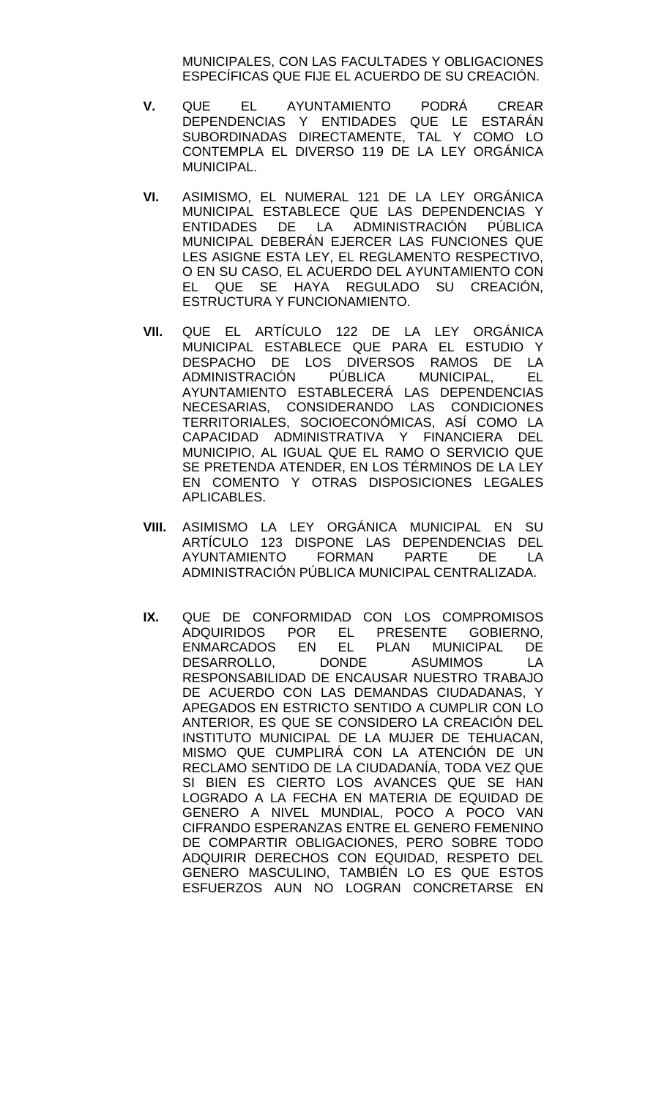MUNICIPALES, CON LAS FACULTADES Y OBLIGACIONES ESPECÍFICAS QUE FIJE EL ACUERDO DE SU CREACIÓN.

- **V.** QUE EL AYUNTAMIENTO PODRÁ CREAR DEPENDENCIAS Y ENTIDADES QUE LE ESTARÁN SUBORDINADAS DIRECTAMENTE, TAL Y COMO LO CONTEMPLA EL DIVERSO 119 DE LA LEY ORGÁNICA MUNICIPAL.
- **VI.** ASIMISMO, EL NUMERAL 121 DE LA LEY ORGÁNICA MUNICIPAL ESTABLECE QUE LAS DEPENDENCIAS Y ENTIDADES DE LA ADMINISTRACIÓN PÚBLICA MUNICIPAL DEBERÁN EJERCER LAS FUNCIONES QUE LES ASIGNE ESTA LEY, EL REGLAMENTO RESPECTIVO, O EN SU CASO, EL ACUERDO DEL AYUNTAMIENTO CON EL QUE SE HAYA REGULADO SU CREACIÓN, ESTRUCTURA Y FUNCIONAMIENTO.
- **VII.** QUE EL ARTÍCULO 122 DE LA LEY ORGÁNICA MUNICIPAL ESTABLECE QUE PARA EL ESTUDIO Y DESPACHO DE LOS DIVERSOS RAMOS DE LA ADMINISTRACIÓN PÚBLICA MUNICIPAL, EL AYUNTAMIENTO ESTABLECERÁ LAS DEPENDENCIAS NECESARIAS, CONSIDERANDO LAS CONDICIONES TERRITORIALES, SOCIOECONÓMICAS, ASÍ COMO LA CAPACIDAD ADMINISTRATIVA Y FINANCIERA DEL MUNICIPIO, AL IGUAL QUE EL RAMO O SERVICIO QUE SE PRETENDA ATENDER, EN LOS TÉRMINOS DE LA LEY EN COMENTO Y OTRAS DISPOSICIONES LEGALES APLICABLES.
- **VIII.** ASIMISMO LA LEY ORGÁNICA MUNICIPAL EN SU ARTÍCULO 123 DISPONE LAS DEPENDENCIAS DEL AYUNTAMIENTO FORMAN PARTE DE LA ADMINISTRACIÓN PÚBLICA MUNICIPAL CENTRALIZADA.
- **IX.** QUE DE CONFORMIDAD CON LOS COMPROMISOS ADQUIRIDOS POR EL PRESENTE GOBIERNO, ENMARCADOS EN EL PLAN MUNICIPAL DE<br>DESARROLLO, DONDE ASUMIMOS LA DESARROLLO, DONDE ASUMIMOS LA RESPONSABILIDAD DE ENCAUSAR NUESTRO TRABAJO DE ACUERDO CON LAS DEMANDAS CIUDADANAS, Y APEGADOS EN ESTRICTO SENTIDO A CUMPLIR CON LO ANTERIOR, ES QUE SE CONSIDERO LA CREACIÓN DEL INSTITUTO MUNICIPAL DE LA MUJER DE TEHUACAN, MISMO QUE CUMPLIRÁ CON LA ATENCIÓN DE UN RECLAMO SENTIDO DE LA CIUDADANÍA, TODA VEZ QUE SI BIEN ES CIERTO LOS AVANCES QUE SE HAN LOGRADO A LA FECHA EN MATERIA DE EQUIDAD DE GENERO A NIVEL MUNDIAL, POCO A POCO VAN CIFRANDO ESPERANZAS ENTRE EL GENERO FEMENINO DE COMPARTIR OBLIGACIONES, PERO SOBRE TODO ADQUIRIR DERECHOS CON EQUIDAD, RESPETO DEL GENERO MASCULINO, TAMBIÉN LO ES QUE ESTOS ESFUERZOS AUN NO LOGRAN CONCRETARSE EN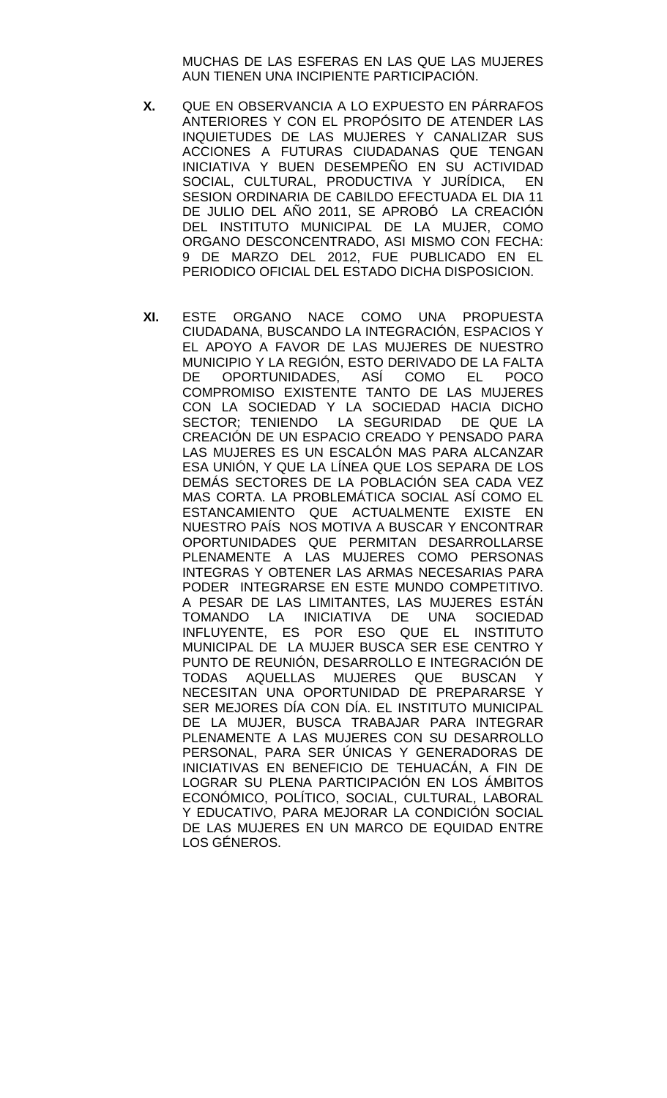MUCHAS DE LAS ESFERAS EN LAS QUE LAS MUJERES AUN TIENEN UNA INCIPIENTE PARTICIPACIÓN.

- **X.** QUE EN OBSERVANCIA A LO EXPUESTO EN PÁRRAFOS ANTERIORES Y CON EL PROPÓSITO DE ATENDER LAS INQUIETUDES DE LAS MUJERES Y CANALIZAR SUS ACCIONES A FUTURAS CIUDADANAS QUE TENGAN INICIATIVA Y BUEN DESEMPEÑO EN SU ACTIVIDAD SOCIAL, CULTURAL, PRODUCTIVA Y JURÍDICA, EN SESION ORDINARIA DE CABILDO EFECTUADA EL DIA 11 DE JULIO DEL AÑO 2011, SE APROBÓ LA CREACIÓN DEL INSTITUTO MUNICIPAL DE LA MUJER, COMO ORGANO DESCONCENTRADO, ASI MISMO CON FECHA: 9 DE MARZO DEL 2012, FUE PUBLICADO EN EL PERIODICO OFICIAL DEL ESTADO DICHA DISPOSICION.
- **XI.** ESTE ORGANO NACE COMO UNA PROPUESTA CIUDADANA, BUSCANDO LA INTEGRACIÓN, ESPACIOS Y EL APOYO A FAVOR DE LAS MUJERES DE NUESTRO MUNICIPIO Y LA REGIÓN, ESTO DERIVADO DE LA FALTA DE OPORTUNIDADES, ASÍ COMO EL POCO COMPROMISO EXISTENTE TANTO DE LAS MUJERES CON LA SOCIEDAD Y LA SOCIEDAD HACIA DICHO SECTOR; TENIENDO LA SEGURIDAD DE QUE LA CREACIÓN DE UN ESPACIO CREADO Y PENSADO PARA LAS MUJERES ES UN ESCALÓN MAS PARA ALCANZAR ESA UNIÓN, Y QUE LA LÍNEA QUE LOS SEPARA DE LOS DEMÁS SECTORES DE LA POBLACIÓN SEA CADA VEZ MAS CORTA. LA PROBLEMÁTICA SOCIAL ASÍ COMO EL ESTANCAMIENTO QUE ACTUALMENTE EXISTE EN NUESTRO PAÍS NOS MOTIVA A BUSCAR Y ENCONTRAR OPORTUNIDADES QUE PERMITAN DESARROLLARSE PLENAMENTE A LAS MUJERES COMO PERSONAS INTEGRAS Y OBTENER LAS ARMAS NECESARIAS PARA PODER INTEGRARSE EN ESTE MUNDO COMPETITIVO. A PESAR DE LAS LIMITANTES, LAS MUJERES ESTÁN TOMANDO LA INICIATIVA DE UNA SOCIEDAD INFLUYENTE, ES POR ESO QUE EL INSTITUTO MUNICIPAL DE LA MUJER BUSCA SER ESE CENTRO Y PUNTO DE REUNIÓN, DESARROLLO E INTEGRACIÓN DE TODAS AQUELLAS MUJERES QUE BUSCAN Y NECESITAN UNA OPORTUNIDAD DE PREPARARSE Y SER MEJORES DÍA CON DÍA. EL INSTITUTO MUNICIPAL DE LA MUJER, BUSCA TRABAJAR PARA INTEGRAR PLENAMENTE A LAS MUJERES CON SU DESARROLLO PERSONAL, PARA SER ÚNICAS Y GENERADORAS DE INICIATIVAS EN BENEFICIO DE TEHUACÁN, A FIN DE LOGRAR SU PLENA PARTICIPACIÓN EN LOS ÁMBITOS ECONÓMICO, POLÍTICO, SOCIAL, CULTURAL, LABORAL Y EDUCATIVO, PARA MEJORAR LA CONDICIÓN SOCIAL DE LAS MUJERES EN UN MARCO DE EQUIDAD ENTRE LOS GÉNEROS.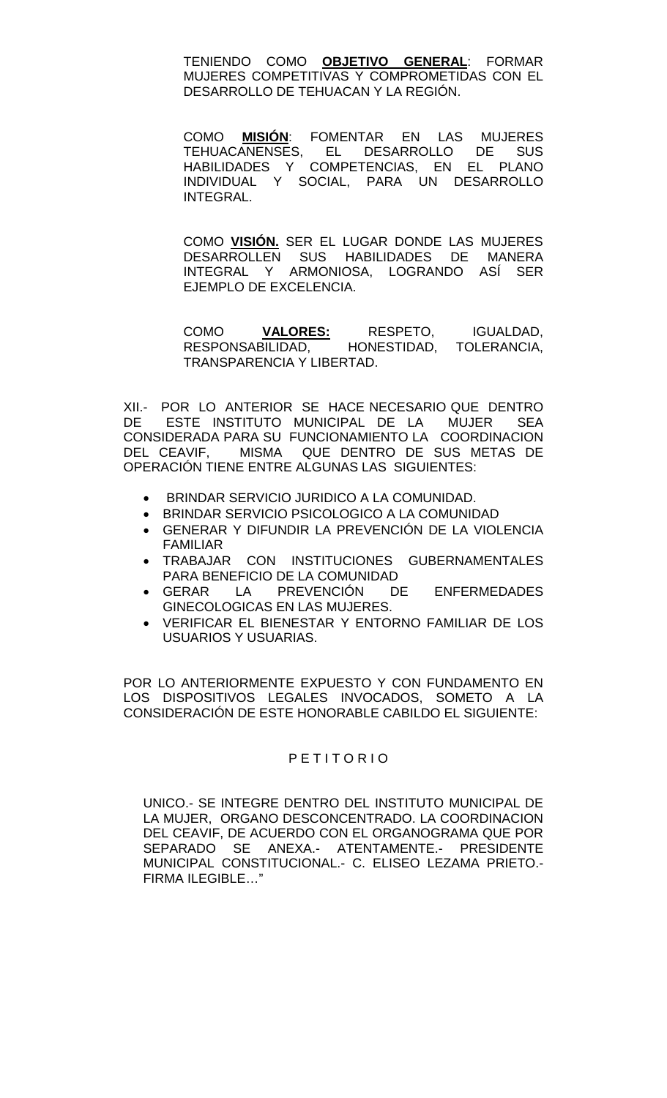TENIENDO COMO **OBJETIVO GENERAL**: FORMAR MUJERES COMPETITIVAS Y COMPROMETIDAS CON EL DESARROLLO DE TEHUACAN Y LA REGIÓN.

COMO **MISIÓN**: FOMENTAR EN LAS MUJERES TEHUACANENSES, EL DESARROLLO DE SUS HABILIDADES Y COMPETENCIAS, EN EL PLANO INDIVIDUAL Y SOCIAL, PARA UN DESARROLLO INTEGRAL.

COMO **VISIÓN.** SER EL LUGAR DONDE LAS MUJERES DESARROLLEN SUS HABILIDADES DE MANERA INTEGRAL Y ARMONIOSA, LOGRANDO ASÍ SER EJEMPLO DE EXCELENCIA.

COMO **VALORES:** RESPETO, IGUALDAD, RESPONSABILIDAD, HONESTIDAD, TOLERANCIA, TRANSPARENCIA Y LIBERTAD.

XII.- POR LO ANTERIOR SE HACE NECESARIO QUE DENTRO DE ESTE INSTITUTO MUNICIPAL DE LA MUJER SEA CONSIDERADA PARA SU FUNCIONAMIENTO LA COORDINACION DEL CEAVIF, MISMA QUE DENTRO DE SUS METAS DE OPERACIÓN TIENE ENTRE ALGUNAS LAS SIGUIENTES:

- BRINDAR SERVICIO JURIDICO A LA COMUNIDAD.
- BRINDAR SERVICIO PSICOLOGICO A LA COMUNIDAD
- GENERAR Y DIFUNDIR LA PREVENCIÓN DE LA VIOLENCIA FAMILIAR
- TRABAJAR CON INSTITUCIONES GUBERNAMENTALES PARA BENEFICIO DE LA COMUNIDAD
- GERAR LA PREVENCIÓN DE ENFERMEDADES GINECOLOGICAS EN LAS MUJERES.
- VERIFICAR EL BIENESTAR Y ENTORNO FAMILIAR DE LOS USUARIOS Y USUARIAS.

POR LO ANTERIORMENTE EXPUESTO Y CON FUNDAMENTO EN LOS DISPOSITIVOS LEGALES INVOCADOS, SOMETO A LA CONSIDERACIÓN DE ESTE HONORABLE CABILDO EL SIGUIENTE:

### P E T I T O R I O

UNICO.- SE INTEGRE DENTRO DEL INSTITUTO MUNICIPAL DE LA MUJER, ORGANO DESCONCENTRADO. LA COORDINACION DEL CEAVIF, DE ACUERDO CON EL ORGANOGRAMA QUE POR SEPARADO SE ANEXA.- ATENTAMENTE.- PRESIDENTE MUNICIPAL CONSTITUCIONAL.- C. ELISEO LEZAMA PRIETO.- FIRMA ILEGIBLE…"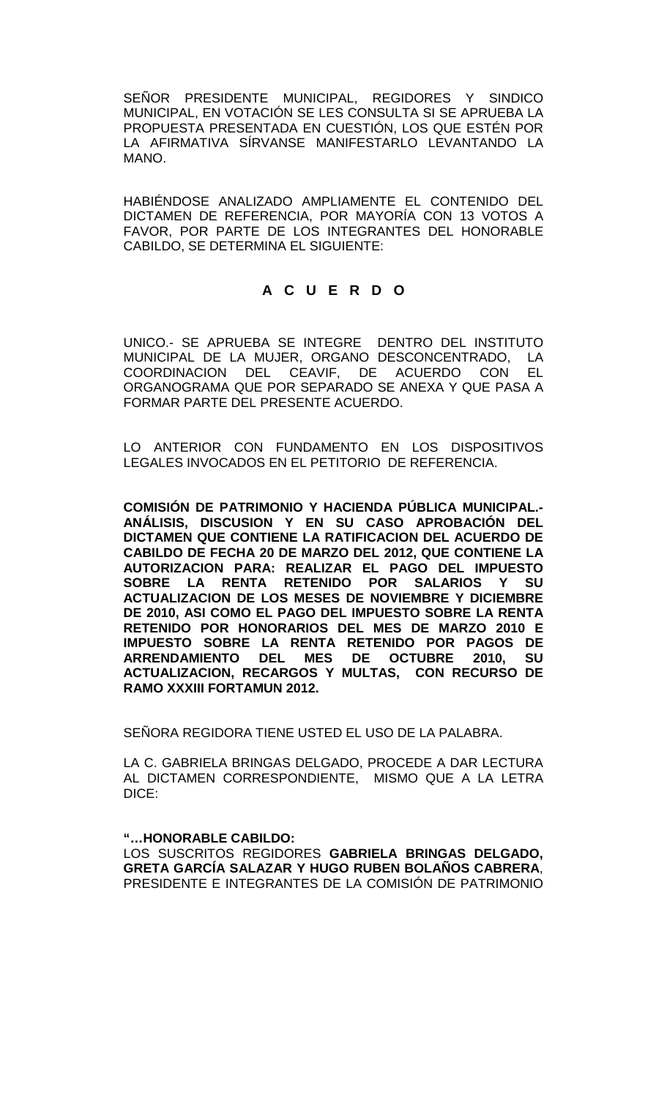SEÑOR PRESIDENTE MUNICIPAL, REGIDORES Y SINDICO MUNICIPAL, EN VOTACIÓN SE LES CONSULTA SI SE APRUEBA LA PROPUESTA PRESENTADA EN CUESTIÓN, LOS QUE ESTÉN POR LA AFIRMATIVA SÍRVANSE MANIFESTARLO LEVANTANDO LA MANO.

HABIÉNDOSE ANALIZADO AMPLIAMENTE EL CONTENIDO DEL DICTAMEN DE REFERENCIA, POR MAYORÍA CON 13 VOTOS A FAVOR, POR PARTE DE LOS INTEGRANTES DEL HONORABLE CABILDO, SE DETERMINA EL SIGUIENTE:

# **A C U E R D O**

UNICO.- SE APRUEBA SE INTEGRE DENTRO DEL INSTITUTO MUNICIPAL DE LA MUJER, ORGANO DESCONCENTRADO, LA COORDINACION DEL CEAVIF, DE ACUERDO CON EL ORGANOGRAMA QUE POR SEPARADO SE ANEXA Y QUE PASA A FORMAR PARTE DEL PRESENTE ACUERDO.

LO ANTERIOR CON FUNDAMENTO EN LOS DISPOSITIVOS LEGALES INVOCADOS EN EL PETITORIO DE REFERENCIA.

**COMISIÓN DE PATRIMONIO Y HACIENDA PÚBLICA MUNICIPAL.- ANÁLISIS, DISCUSION Y EN SU CASO APROBACIÓN DEL DICTAMEN QUE CONTIENE LA RATIFICACION DEL ACUERDO DE CABILDO DE FECHA 20 DE MARZO DEL 2012, QUE CONTIENE LA AUTORIZACION PARA: REALIZAR EL PAGO DEL IMPUESTO SOBRE LA RENTA RETENIDO POR SALARIOS Y SU ACTUALIZACION DE LOS MESES DE NOVIEMBRE Y DICIEMBRE DE 2010, ASI COMO EL PAGO DEL IMPUESTO SOBRE LA RENTA RETENIDO POR HONORARIOS DEL MES DE MARZO 2010 E IMPUESTO SOBRE LA RENTA RETENIDO POR PAGOS DE ARRENDAMIENTO DEL MES DE OCTUBRE 2010, SU ACTUALIZACION, RECARGOS Y MULTAS, CON RECURSO DE RAMO XXXIII FORTAMUN 2012.**

SEÑORA REGIDORA TIENE USTED EL USO DE LA PALABRA.

LA C. GABRIELA BRINGAS DELGADO, PROCEDE A DAR LECTURA AL DICTAMEN CORRESPONDIENTE, MISMO QUE A LA LETRA DICE:

**"…HONORABLE CABILDO:**

LOS SUSCRITOS REGIDORES **GABRIELA BRINGAS DELGADO, GRETA GARCÍA SALAZAR Y HUGO RUBEN BOLAÑOS CABRERA**, PRESIDENTE E INTEGRANTES DE LA COMISIÓN DE PATRIMONIO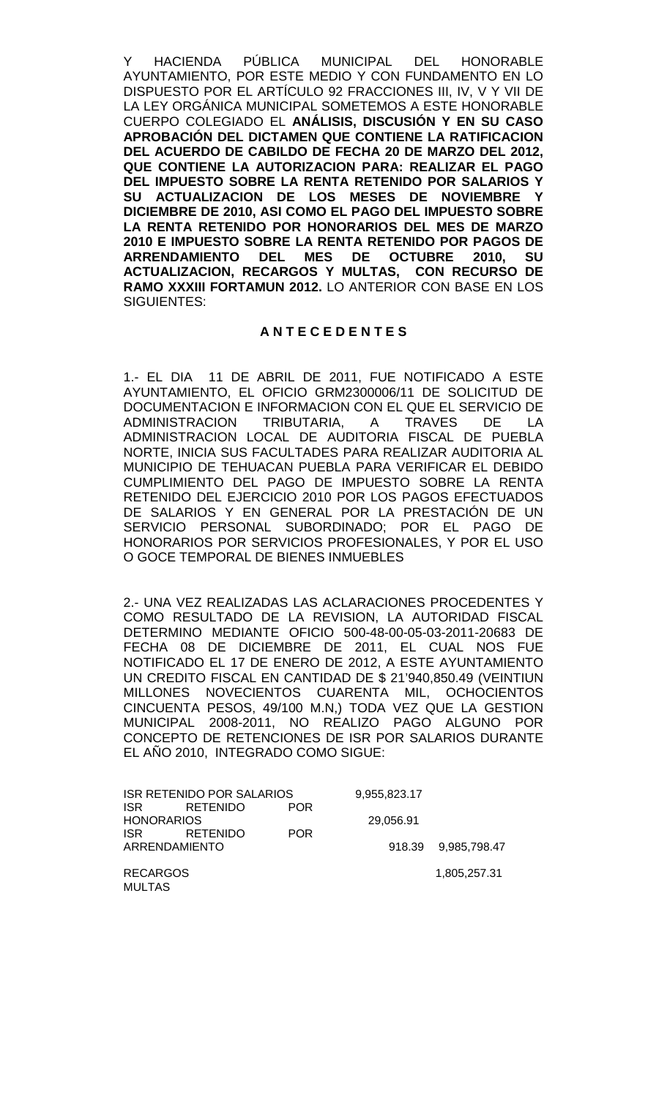Y HACIENDA PÚBLICA MUNICIPAL DEL HONORABLE AYUNTAMIENTO, POR ESTE MEDIO Y CON FUNDAMENTO EN LO DISPUESTO POR EL ARTÍCULO 92 FRACCIONES III, IV, V Y VII DE LA LEY ORGÁNICA MUNICIPAL SOMETEMOS A ESTE HONORABLE CUERPO COLEGIADO EL **ANÁLISIS, DISCUSIÓN Y EN SU CASO APROBACIÓN DEL DICTAMEN QUE CONTIENE LA RATIFICACION DEL ACUERDO DE CABILDO DE FECHA 20 DE MARZO DEL 2012, QUE CONTIENE LA AUTORIZACION PARA: REALIZAR EL PAGO DEL IMPUESTO SOBRE LA RENTA RETENIDO POR SALARIOS Y SU ACTUALIZACION DE LOS MESES DE NOVIEMBRE Y DICIEMBRE DE 2010, ASI COMO EL PAGO DEL IMPUESTO SOBRE LA RENTA RETENIDO POR HONORARIOS DEL MES DE MARZO 2010 E IMPUESTO SOBRE LA RENTA RETENIDO POR PAGOS DE DEL MES DE OCTUBRE 2010, ACTUALIZACION, RECARGOS Y MULTAS, CON RECURSO DE RAMO XXXIII FORTAMUN 2012.** LO ANTERIOR CON BASE EN LOS SIGUIENTES:

#### **A N T E C E D E N T E S**

1.- EL DIA 11 DE ABRIL DE 2011, FUE NOTIFICADO A ESTE AYUNTAMIENTO, EL OFICIO GRM2300006/11 DE SOLICITUD DE DOCUMENTACION E INFORMACION CON EL QUE EL SERVICIO DE<br>ADMINISTRACION TRIBUTARIA. A TRAVES DE LA TRIBUTARIA, A TRAVES DE LA ADMINISTRACION LOCAL DE AUDITORIA FISCAL DE PUEBLA NORTE, INICIA SUS FACULTADES PARA REALIZAR AUDITORIA AL MUNICIPIO DE TEHUACAN PUEBLA PARA VERIFICAR EL DEBIDO CUMPLIMIENTO DEL PAGO DE IMPUESTO SOBRE LA RENTA RETENIDO DEL EJERCICIO 2010 POR LOS PAGOS EFECTUADOS DE SALARIOS Y EN GENERAL POR LA PRESTACIÓN DE UN SERVICIO PERSONAL SUBORDINADO; POR EL PAGO DE HONORARIOS POR SERVICIOS PROFESIONALES, Y POR EL USO O GOCE TEMPORAL DE BIENES INMUEBLES

2.- UNA VEZ REALIZADAS LAS ACLARACIONES PROCEDENTES Y COMO RESULTADO DE LA REVISION, LA AUTORIDAD FISCAL DETERMINO MEDIANTE OFICIO 500-48-00-05-03-2011-20683 DE FECHA 08 DE DICIEMBRE DE 2011, EL CUAL NOS FUE NOTIFICADO EL 17 DE ENERO DE 2012, A ESTE AYUNTAMIENTO UN CREDITO FISCAL EN CANTIDAD DE \$ 21'940,850.49 (VEINTIUN MILLONES NOVECIENTOS CUARENTA MIL, OCHOCIENTOS CINCUENTA PESOS, 49/100 M.N,) TODA VEZ QUE LA GESTION MUNICIPAL 2008-2011, NO REALIZO PAGO ALGUNO POR CONCEPTO DE RETENCIONES DE ISR POR SALARIOS DURANTE EL AÑO 2010, INTEGRADO COMO SIGUE:

| ISR RETENIDO POR SALARIOS |                 |            | 9,955,823.17 |                     |
|---------------------------|-----------------|------------|--------------|---------------------|
| <b>ISR</b>                | <b>RETENIDO</b> | <b>POR</b> |              |                     |
| <b>HONORARIOS</b>         |                 |            | 29.056.91    |                     |
| <b>ISR</b>                | RETENIDO        | <b>POR</b> |              |                     |
| ARRENDAMIENTO             |                 |            |              | 918.39 9.985,798.47 |
|                           |                 |            |              |                     |
| <b>RECARGOS</b>           |                 |            |              | 1,805,257.31        |

MULTAS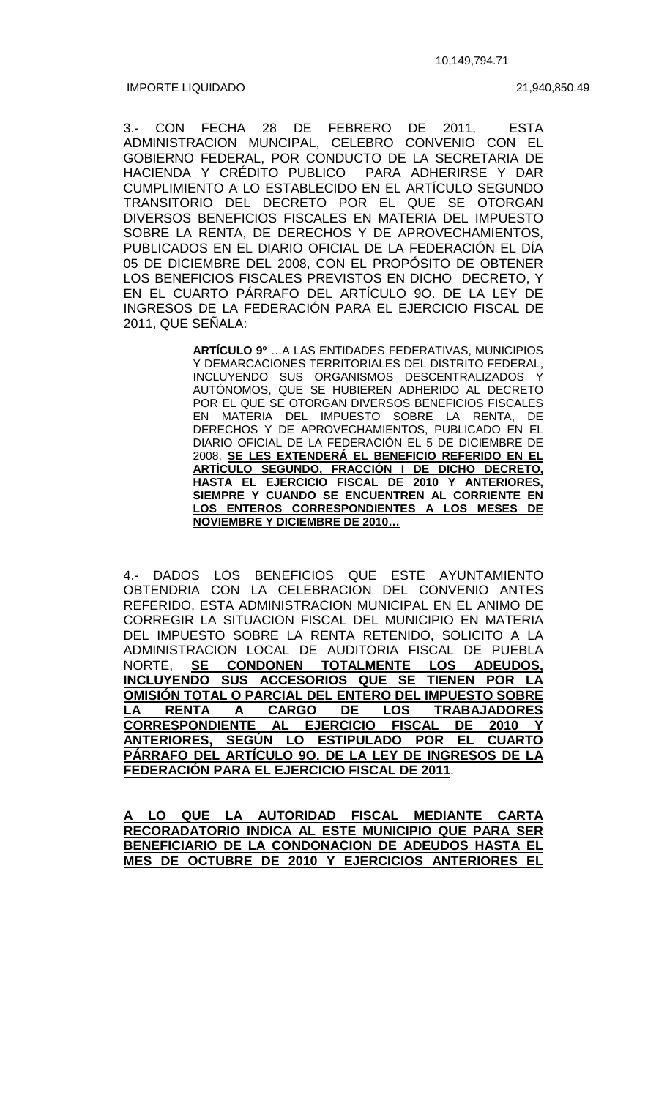IMPORTE LIQUIDADO

21,940,850.49

3.- CON FECHA 28 DE FEBRERO DE 2011, ESTA ADMINISTRACION MUNCIPAL, CELEBRO CONVENIO CON EL GOBIERNO FEDERAL, POR CONDUCTO DE LA SECRETARIA DE HACIENDA Y CRÉDITO PUBLICO PARA ADHERIRSE Y DAR CUMPLIMIENTO A LO ESTABLECIDO EN EL ARTÍCULO SEGUNDO TRANSITORIO DEL DECRETO POR EL QUE SE OTORGAN DIVERSOS BENEFICIOS FISCALES EN MATERIA DEL IMPUESTO SOBRE LA RENTA, DE DERECHOS Y DE APROVECHAMIENTOS, PUBLICADOS EN EL DIARIO OFICIAL DE LA FEDERACIÓN EL DÍA 05 DE DICIEMBRE DEL 2008, CON EL PROPÓSITO DE OBTENER LOS BENEFICIOS FISCALES PREVISTOS EN DICHO DECRETO, Y EN EL CUARTO PÁRRAFO DEL ARTÍCULO 9O. DE LA LEY DE INGRESOS DE LA FEDERACIÓN PARA EL EJERCICIO FISCAL DE 2011, QUE SEÑALA:

> **ARTÍCULO 9º** …A LAS ENTIDADES FEDERATIVAS, MUNICIPIOS Y DEMARCACIONES TERRITORIALES DEL DISTRITO FEDERAL, INCLUYENDO SUS ORGANISMOS DESCENTRALIZADOS Y AUTÓNOMOS, QUE SE HUBIEREN ADHERIDO AL DECRETO POR EL QUE SE OTORGAN DIVERSOS BENEFICIOS FISCALES EN MATERIA DEL IMPUESTO SOBRE LA RENTA, DE DERECHOS Y DE APROVECHAMIENTOS, PUBLICADO EN EL DIARIO OFICIAL DE LA FEDERACIÓN EL 5 DE DICIEMBRE DE 2008, **SE LES EXTENDERÁ EL BENEFICIO REFERIDO EN EL ARTÍCULO SEGUNDO, FRACCIÓN I DE DICHO DECRETO, HASTA EL EJERCICIO FISCAL DE 2010 Y ANTERIORES, SIEMPRE Y CUANDO SE ENCUENTREN AL CORRIENTE EN LOS ENTEROS CORRESPONDIENTES A LOS MESES DE NOVIEMBRE Y DICIEMBRE DE 2010…**

4.- DADOS LOS BENEFICIOS QUE ESTE AYUNTAMIENTO OBTENDRIA CON LA CELEBRACION DEL CONVENIO ANTES REFERIDO, ESTA ADMINISTRACION MUNICIPAL EN EL ANIMO DE CORREGIR LA SITUACION FISCAL DEL MUNICIPIO EN MATERIA DEL IMPUESTO SOBRE LA RENTA RETENIDO, SOLICITO A LA ADMINISTRACION LOCAL DE AUDITORIA FISCAL DE PUEBLA NORTE, **SE CONDONEN TOTALMENTE LOS ADEUDOS, INCLUYENDO SUS ACCESORIOS QUE SE TIENEN POR LA OMISIÓN TOTAL O PARCIAL DEL ENTERO DEL IMPUESTO SOBRE LA RENTA A CARGO DE LOS TRABAJADORES CORRESPONDIENTE AL EJERCICIO FISCAL DE 2010 Y ANTERIORES, SEGÚN LO ESTIPULADO POR EL CUARTO PÁRRAFO DEL ARTÍCULO 9O. DE LA LEY DE INGRESOS DE LA FEDERACIÓN PARA EL EJERCICIO FISCAL DE 2011**.

**A LO QUE LA AUTORIDAD FISCAL MEDIANTE CARTA RECORADATORIO INDICA AL ESTE MUNICIPIO QUE PARA SER BENEFICIARIO DE LA CONDONACION DE ADEUDOS HASTA EL MES DE OCTUBRE DE 2010 Y EJERCICIOS ANTERIORES EL**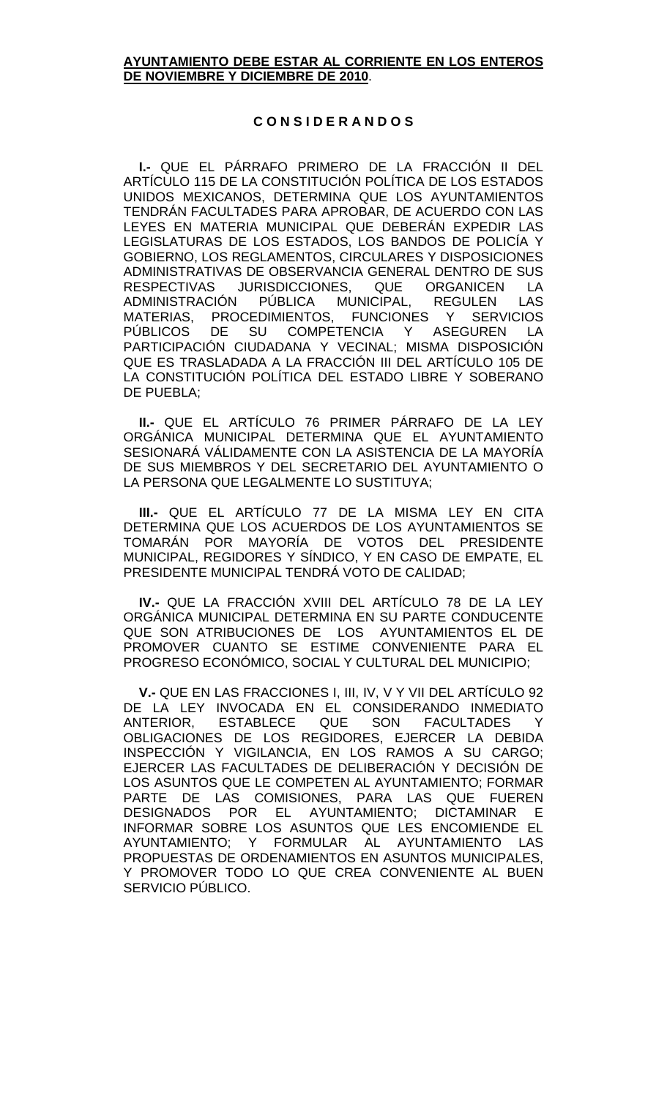#### **AYUNTAMIENTO DEBE ESTAR AL CORRIENTE EN LOS ENTEROS DE NOVIEMBRE Y DICIEMBRE DE 2010**.

#### **C O N S I D E R A N D O S**

**I.-** QUE EL PÁRRAFO PRIMERO DE LA FRACCIÓN II DEL ARTÍCULO 115 DE LA CONSTITUCIÓN POLÍTICA DE LOS ESTADOS UNIDOS MEXICANOS, DETERMINA QUE LOS AYUNTAMIENTOS TENDRÁN FACULTADES PARA APROBAR, DE ACUERDO CON LAS LEYES EN MATERIA MUNICIPAL QUE DEBERÁN EXPEDIR LAS LEGISLATURAS DE LOS ESTADOS, LOS BANDOS DE POLICÍA Y GOBIERNO, LOS REGLAMENTOS, CIRCULARES Y DISPOSICIONES ADMINISTRATIVAS DE OBSERVANCIA GENERAL DENTRO DE SUS RESPECTIVAS JURISDICCIONES, QUE ORGANICEN LA ADMINISTRACIÓN PÚBLICA MUNICIPAL, REGULEN LAS MATERIAS, PROCEDIMIENTOS, FUNCIONES Y SERVICIOS PÚBLICOS DE SU COMPETENCIA Y ASEGUREN LA PARTICIPACIÓN CIUDADANA Y VECINAL; MISMA DISPOSICIÓN QUE ES TRASLADADA A LA FRACCIÓN III DEL ARTÍCULO 105 DE LA CONSTITUCIÓN POLÍTICA DEL ESTADO LIBRE Y SOBERANO DE PUEBLA;

**II.-** QUE EL ARTÍCULO 76 PRIMER PÁRRAFO DE LA LEY ORGÁNICA MUNICIPAL DETERMINA QUE EL AYUNTAMIENTO SESIONARÁ VÁLIDAMENTE CON LA ASISTENCIA DE LA MAYORÍA DE SUS MIEMBROS Y DEL SECRETARIO DEL AYUNTAMIENTO O LA PERSONA QUE LEGALMENTE LO SUSTITUYA;

**III.-** QUE EL ARTÍCULO 77 DE LA MISMA LEY EN CITA DETERMINA QUE LOS ACUERDOS DE LOS AYUNTAMIENTOS SE TOMARÁN POR MAYORÍA DE VOTOS DEL PRESIDENTE MUNICIPAL, REGIDORES Y SÍNDICO, Y EN CASO DE EMPATE, EL PRESIDENTE MUNICIPAL TENDRÁ VOTO DE CALIDAD;

**IV.-** QUE LA FRACCIÓN XVIII DEL ARTÍCULO 78 DE LA LEY ORGÁNICA MUNICIPAL DETERMINA EN SU PARTE CONDUCENTE QUE SON ATRIBUCIONES DE LOS AYUNTAMIENTOS EL DE PROMOVER CUANTO SE ESTIME CONVENIENTE PARA EL PROGRESO ECONÓMICO, SOCIAL Y CULTURAL DEL MUNICIPIO;

**V.-** QUE EN LAS FRACCIONES I, III, IV, V Y VII DEL ARTÍCULO 92 DE LA LEY INVOCADA EN EL CONSIDERANDO INMEDIATO ANTERIOR, ESTABLECE QUE SON FACULTADES Y OBLIGACIONES DE LOS REGIDORES, EJERCER LA DEBIDA INSPECCIÓN Y VIGILANCIA, EN LOS RAMOS A SU CARGO; EJERCER LAS FACULTADES DE DELIBERACIÓN Y DECISIÓN DE LOS ASUNTOS QUE LE COMPETEN AL AYUNTAMIENTO; FORMAR PARTE DE LAS COMISIONES, PARA LAS QUE FUEREN DESIGNADOS POR EL AYUNTAMIENTO; DICTAMINAR E INFORMAR SOBRE LOS ASUNTOS QUE LES ENCOMIENDE EL AYUNTAMIENTO; Y FORMULAR AL AYUNTAMIENTO LAS PROPUESTAS DE ORDENAMIENTOS EN ASUNTOS MUNICIPALES, Y PROMOVER TODO LO QUE CREA CONVENIENTE AL BUEN SERVICIO PÚBLICO.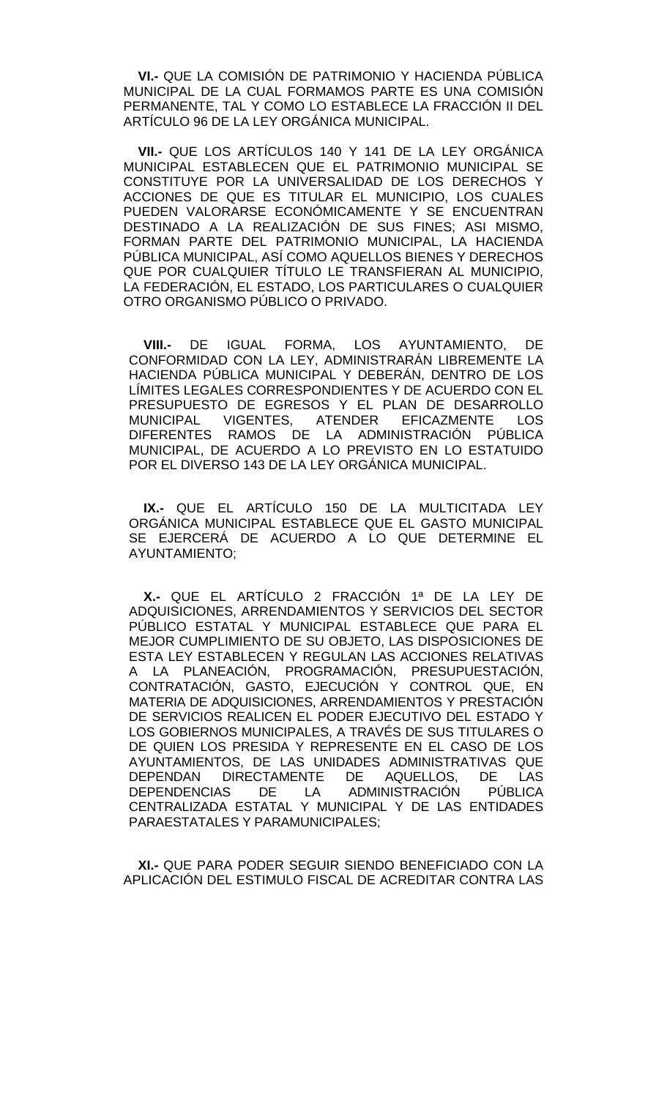**VI.-** QUE LA COMISIÓN DE PATRIMONIO Y HACIENDA PÚBLICA MUNICIPAL DE LA CUAL FORMAMOS PARTE ES UNA COMISIÓN PERMANENTE, TAL Y COMO LO ESTABLECE LA FRACCIÓN II DEL ARTÍCULO 96 DE LA LEY ORGÁNICA MUNICIPAL.

 **VII.-** QUE LOS ARTÍCULOS 140 Y 141 DE LA LEY ORGÁNICA MUNICIPAL ESTABLECEN QUE EL PATRIMONIO MUNICIPAL SE CONSTITUYE POR LA UNIVERSALIDAD DE LOS DERECHOS Y ACCIONES DE QUE ES TITULAR EL MUNICIPIO, LOS CUALES PUEDEN VALORARSE ECONÓMICAMENTE Y SE ENCUENTRAN DESTINADO A LA REALIZACIÓN DE SUS FINES; ASI MISMO, FORMAN PARTE DEL PATRIMONIO MUNICIPAL, LA HACIENDA PÚBLICA MUNICIPAL, ASÍ COMO AQUELLOS BIENES Y DERECHOS QUE POR CUALQUIER TÍTULO LE TRANSFIERAN AL MUNICIPIO, LA FEDERACIÓN, EL ESTADO, LOS PARTICULARES O CUALQUIER OTRO ORGANISMO PÚBLICO O PRIVADO.

 **VIII.-** DE IGUAL FORMA, LOS AYUNTAMIENTO, DE CONFORMIDAD CON LA LEY, ADMINISTRARÁN LIBREMENTE LA HACIENDA PÚBLICA MUNICIPAL Y DEBERÁN, DENTRO DE LOS LÍMITES LEGALES CORRESPONDIENTES Y DE ACUERDO CON EL PRESUPUESTO DE EGRESOS Y EL PLAN DE DESARROLLO MUNICIPAL VIGENTES, ATENDER EFICAZMENTE LOS DIFERENTES RAMOS DE LA ADMINISTRACIÓN PÚBLICA MUNICIPAL, DE ACUERDO A LO PREVISTO EN LO ESTATUIDO POR EL DIVERSO 143 DE LA LEY ORGÁNICA MUNICIPAL.

 **IX.-** QUE EL ARTÍCULO 150 DE LA MULTICITADA LEY ORGÁNICA MUNICIPAL ESTABLECE QUE EL GASTO MUNICIPAL SE EJERCERÁ DE ACUERDO A LO QUE DETERMINE EL AYUNTAMIENTO;

 **X.-** QUE EL ARTÍCULO 2 FRACCIÓN 1ª DE LA LEY DE ADQUISICIONES, ARRENDAMIENTOS Y SERVICIOS DEL SECTOR PÚBLICO ESTATAL Y MUNICIPAL ESTABLECE QUE PARA EL MEJOR CUMPLIMIENTO DE SU OBJETO, LAS DISPOSICIONES DE ESTA LEY ESTABLECEN Y REGULAN LAS ACCIONES RELATIVAS A LA PLANEACIÓN, PROGRAMACIÓN, PRESUPUESTACIÓN, CONTRATACIÓN, GASTO, EJECUCIÓN Y CONTROL QUE, EN MATERIA DE ADQUISICIONES, ARRENDAMIENTOS Y PRESTACIÓN DE SERVICIOS REALICEN EL PODER EJECUTIVO DEL ESTADO Y LOS GOBIERNOS MUNICIPALES, A TRAVÉS DE SUS TITULARES O DE QUIEN LOS PRESIDA Y REPRESENTE EN EL CASO DE LOS AYUNTAMIENTOS, DE LAS UNIDADES ADMINISTRATIVAS QUE<br>DEPENDAN DIRECTAMENTE DE AQUELLOS, DE LAS DEPENDAN DIRECTAMENTE DE AQUELLOS, DE LAS<br>DEPENDENCIAS DE LA ADMINISTRACIÓN PÚBLICA DE LA ADMINISTRACIÓN CENTRALIZADA ESTATAL Y MUNICIPAL Y DE LAS ENTIDADES PARAESTATALES Y PARAMUNICIPALES;

 **XI.-** QUE PARA PODER SEGUIR SIENDO BENEFICIADO CON LA APLICACIÓN DEL ESTIMULO FISCAL DE ACREDITAR CONTRA LAS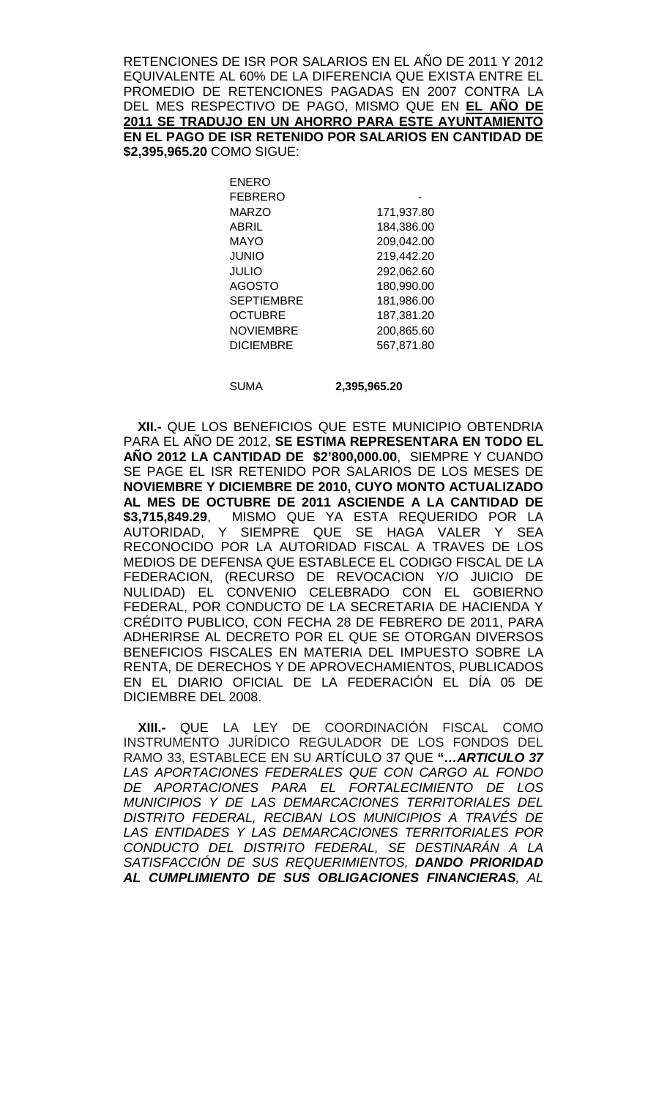RETENCIONES DE ISR POR SALARIOS EN EL AÑO DE 2011 Y 2012 EQUIVALENTE AL 60% DE LA DIFERENCIA QUE EXISTA ENTRE EL PROMEDIO DE RETENCIONES PAGADAS EN 2007 CONTRA LA DEL MES RESPECTIVO DE PAGO, MISMO QUE EN **EL AÑO DE 2011 SE TRADUJO EN UN AHORRO PARA ESTE AYUNTAMIENTO EN EL PAGO DE ISR RETENIDO POR SALARIOS EN CANTIDAD DE \$2,395,965.20** COMO SIGUE:

> ENERO **FEBRERO** MARZO 171,937.80 ABRIL 184,386.00 MAYO 209,042.00<br>JUNIO 219,442.20 JUNIO 219,442.20 292,062.60<br>180,990.00 180,990.00 AGOSTO 180,990.00 SEPTIEMBRE 181,986.00 OCTUBRE 187,381.20 NOVIEMBRE 200,865.60 DICIEMBRE 567,871.80

SUMA

**2,395,965.20** 

 **XII.-** QUE LOS BENEFICIOS QUE ESTE MUNICIPIO OBTENDRIA PARA EL AÑO DE 2012, **SE ESTIMA REPRESENTARA EN TODO EL AÑO 2012 LA CANTIDAD DE \$2'800,000.00**, SIEMPRE Y CUANDO SE PAGE EL ISR RETENIDO POR SALARIOS DE LOS MESES DE **NOVIEMBRE Y DICIEMBRE DE 2010, CUYO MONTO ACTUALIZADO AL MES DE OCTUBRE DE 2011 ASCIENDE A LA CANTIDAD DE \$3,715,849.29**, MISMO QUE YA ESTA REQUERIDO POR LA AUTORIDAD, Y SIEMPRE QUE SE HAGA VALER Y SEA RECONOCIDO POR LA AUTORIDAD FISCAL A TRAVES DE LOS MEDIOS DE DEFENSA QUE ESTABLECE EL CODIGO FISCAL DE LA FEDERACION, (RECURSO DE REVOCACION Y/O JUICIO DE NULIDAD) EL CONVENIO CELEBRADO CON EL GOBIERNO FEDERAL, POR CONDUCTO DE LA SECRETARIA DE HACIENDA Y CRÉDITO PUBLICO, CON FECHA 28 DE FEBRERO DE 2011, PARA ADHERIRSE AL DECRETO POR EL QUE SE OTORGAN DIVERSOS BENEFICIOS FISCALES EN MATERIA DEL IMPUESTO SOBRE LA RENTA, DE DERECHOS Y DE APROVECHAMIENTOS, PUBLICADOS EN EL DIARIO OFICIAL DE LA FEDERACIÓN EL DÍA 05 DE DICIEMBRE DEL 2008.

 **XIII.-** QUE LA LEY DE COORDINACIÓN FISCAL COMO INSTRUMENTO JURÍDICO REGULADOR DE LOS FONDOS DEL RAMO 33, ESTABLECE EN SU ARTÍCULO 37 QUE **"***…ARTICULO 37 LAS APORTACIONES FEDERALES QUE CON CARGO AL FONDO DE APORTACIONES PARA EL FORTALECIMIENTO DE LOS MUNICIPIOS Y DE LAS DEMARCACIONES TERRITORIALES DEL DISTRITO FEDERAL, RECIBAN LOS MUNICIPIOS A TRAVÉS DE LAS ENTIDADES Y LAS DEMARCACIONES TERRITORIALES POR CONDUCTO DEL DISTRITO FEDERAL, SE DESTINARÁN A LA SATISFACCIÓN DE SUS REQUERIMIENTOS, DANDO PRIORIDAD AL CUMPLIMIENTO DE SUS OBLIGACIONES FINANCIERAS, AL*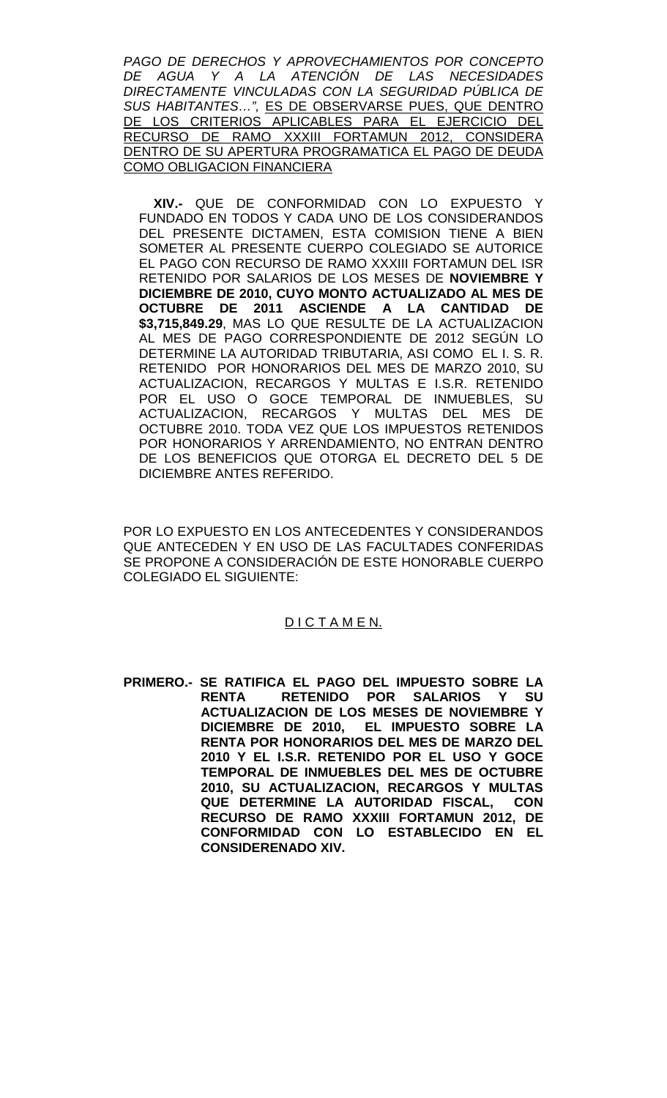*PAGO DE DERECHOS Y APROVECHAMIENTOS POR CONCEPTO DE AGUA Y A LA ATENCIÓN DE LAS NECESIDADES DIRECTAMENTE VINCULADAS CON LA SEGURIDAD PÚBLICA DE SUS HABITANTES…",* ES DE OBSERVARSE PUES, QUE DENTRO DE LOS CRITERIOS APLICABLES PARA EL EJERCICIO DEL RECURSO DE RAMO XXXIII FORTAMUN 2012, CONSIDERA DENTRO DE SU APERTURA PROGRAMATICA EL PAGO DE DEUDA COMO OBLIGACION FINANCIERA

 **XIV.-** QUE DE CONFORMIDAD CON LO EXPUESTO Y FUNDADO EN TODOS Y CADA UNO DE LOS CONSIDERANDOS DEL PRESENTE DICTAMEN, ESTA COMISION TIENE A BIEN SOMETER AL PRESENTE CUERPO COLEGIADO SE AUTORICE EL PAGO CON RECURSO DE RAMO XXXIII FORTAMUN DEL ISR RETENIDO POR SALARIOS DE LOS MESES DE **NOVIEMBRE Y DICIEMBRE DE 2010, CUYO MONTO ACTUALIZADO AL MES DE OCTUBRE DE 2011 ASCIENDE A LA CANTIDAD DE \$3,715,849.29**, MAS LO QUE RESULTE DE LA ACTUALIZACION AL MES DE PAGO CORRESPONDIENTE DE 2012 SEGÚN LO DETERMINE LA AUTORIDAD TRIBUTARIA, ASI COMO EL I. S. R. RETENIDO POR HONORARIOS DEL MES DE MARZO 2010, SU ACTUALIZACION, RECARGOS Y MULTAS E I.S.R. RETENIDO POR EL USO O GOCE TEMPORAL DE INMUEBLES, SU ACTUALIZACION, RECARGOS Y MULTAS DEL MES DE OCTUBRE 2010. TODA VEZ QUE LOS IMPUESTOS RETENIDOS POR HONORARIOS Y ARRENDAMIENTO, NO ENTRAN DENTRO DE LOS BENEFICIOS QUE OTORGA EL DECRETO DEL 5 DE DICIEMBRE ANTES REFERIDO.

POR LO EXPUESTO EN LOS ANTECEDENTES Y CONSIDERANDOS QUE ANTECEDEN Y EN USO DE LAS FACULTADES CONFERIDAS SE PROPONE A CONSIDERACIÓN DE ESTE HONORABLE CUERPO COLEGIADO EL SIGUIENTE:

### D I C T A M E N.

**PRIMERO.- SE RATIFICA EL PAGO DEL IMPUESTO SOBRE LA RENTA RETENIDO POR SALARIOS Y SU ACTUALIZACION DE LOS MESES DE NOVIEMBRE Y DICIEMBRE DE 2010, EL IMPUESTO SOBRE LA RENTA POR HONORARIOS DEL MES DE MARZO DEL 2010 Y EL I.S.R. RETENIDO POR EL USO Y GOCE TEMPORAL DE INMUEBLES DEL MES DE OCTUBRE 2010, SU ACTUALIZACION, RECARGOS Y MULTAS QUE DETERMINE LA AUTORIDAD FISCAL, CON RECURSO DE RAMO XXXIII FORTAMUN 2012, DE CONFORMIDAD CON LO ESTABLECIDO EN EL CONSIDERENADO XIV.**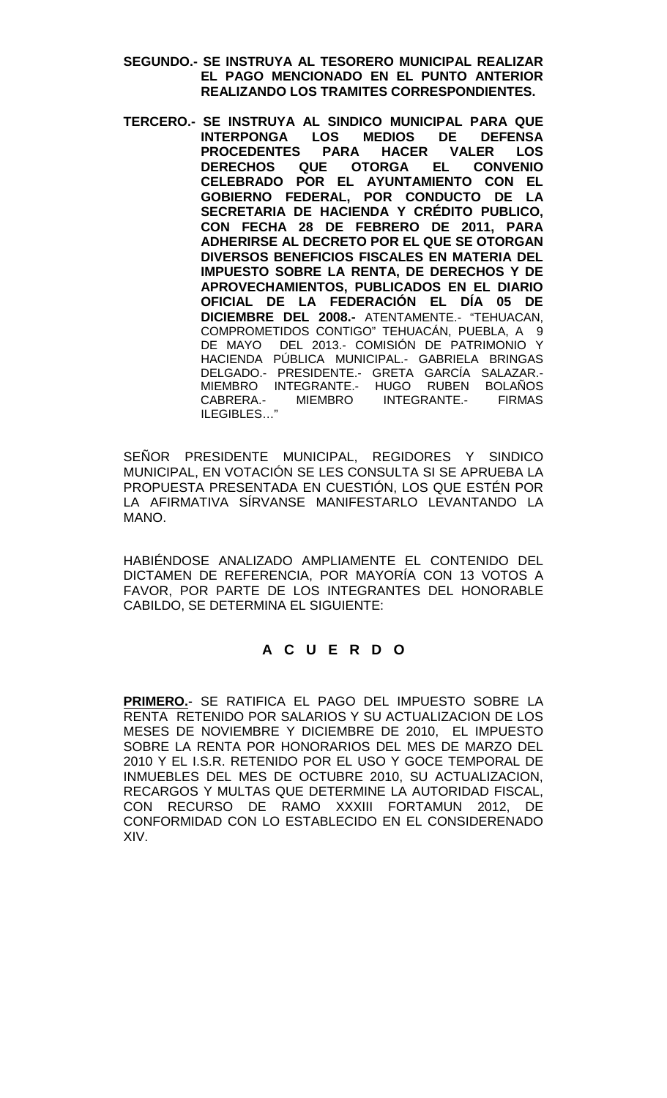- **SEGUNDO.- SE INSTRUYA AL TESORERO MUNICIPAL REALIZAR EL PAGO MENCIONADO EN EL PUNTO ANTERIOR REALIZANDO LOS TRAMITES CORRESPONDIENTES.**
- **TERCERO.- SE INSTRUYA AL SINDICO MUNICIPAL PARA QUE INTERPONGA LOS MEDIOS DE DEFENSA PROCEDENTES PARA HACER VALER LOS DERECHOS QUE OTORGA EL CONVENIO CELEBRADO POR EL AYUNTAMIENTO CON EL GOBIERNO FEDERAL, POR CONDUCTO DE LA SECRETARIA DE HACIENDA Y CRÉDITO PUBLICO, CON FECHA 28 DE FEBRERO DE 2011, PARA ADHERIRSE AL DECRETO POR EL QUE SE OTORGAN DIVERSOS BENEFICIOS FISCALES EN MATERIA DEL IMPUESTO SOBRE LA RENTA, DE DERECHOS Y DE APROVECHAMIENTOS, PUBLICADOS EN EL DIARIO OFICIAL DE LA FEDERACIÓN EL DÍA 05 DE DICIEMBRE DEL 2008.-** ATENTAMENTE.- "TEHUACAN, COMPROMETIDOS CONTIGO" TEHUACÁN, PUEBLA, A 9 DE MAYO DEL 2013.- COMISIÓN DE PATRIMONIO Y HACIENDA PÚBLICA MUNICIPAL.- GABRIELA BRINGAS DELGADO.- PRESIDENTE.- GRETA GARCÍA SALAZAR.- MIEMBRO INTEGRANTE.- HUGO RUBEN BOLANOS CABRERA.- MIEMBRO INTEGRANTE.- FIRMAS ILEGIBLES…"

SEÑOR PRESIDENTE MUNICIPAL, REGIDORES Y SINDICO MUNICIPAL, EN VOTACIÓN SE LES CONSULTA SI SE APRUEBA LA PROPUESTA PRESENTADA EN CUESTIÓN, LOS QUE ESTÉN POR LA AFIRMATIVA SÍRVANSE MANIFESTARLO LEVANTANDO LA MANO.

HABIÉNDOSE ANALIZADO AMPLIAMENTE EL CONTENIDO DEL DICTAMEN DE REFERENCIA, POR MAYORÍA CON 13 VOTOS A FAVOR, POR PARTE DE LOS INTEGRANTES DEL HONORABLE CABILDO, SE DETERMINA EL SIGUIENTE:

# **A C U E R D O**

**PRIMERO.**- SE RATIFICA EL PAGO DEL IMPUESTO SOBRE LA RENTA RETENIDO POR SALARIOS Y SU ACTUALIZACION DE LOS MESES DE NOVIEMBRE Y DICIEMBRE DE 2010, EL IMPUESTO SOBRE LA RENTA POR HONORARIOS DEL MES DE MARZO DEL 2010 Y EL I.S.R. RETENIDO POR EL USO Y GOCE TEMPORAL DE INMUEBLES DEL MES DE OCTUBRE 2010, SU ACTUALIZACION, RECARGOS Y MULTAS QUE DETERMINE LA AUTORIDAD FISCAL, CON RECURSO DE RAMO XXXIII FORTAMUN 2012, DE CONFORMIDAD CON LO ESTABLECIDO EN EL CONSIDERENADO XIV.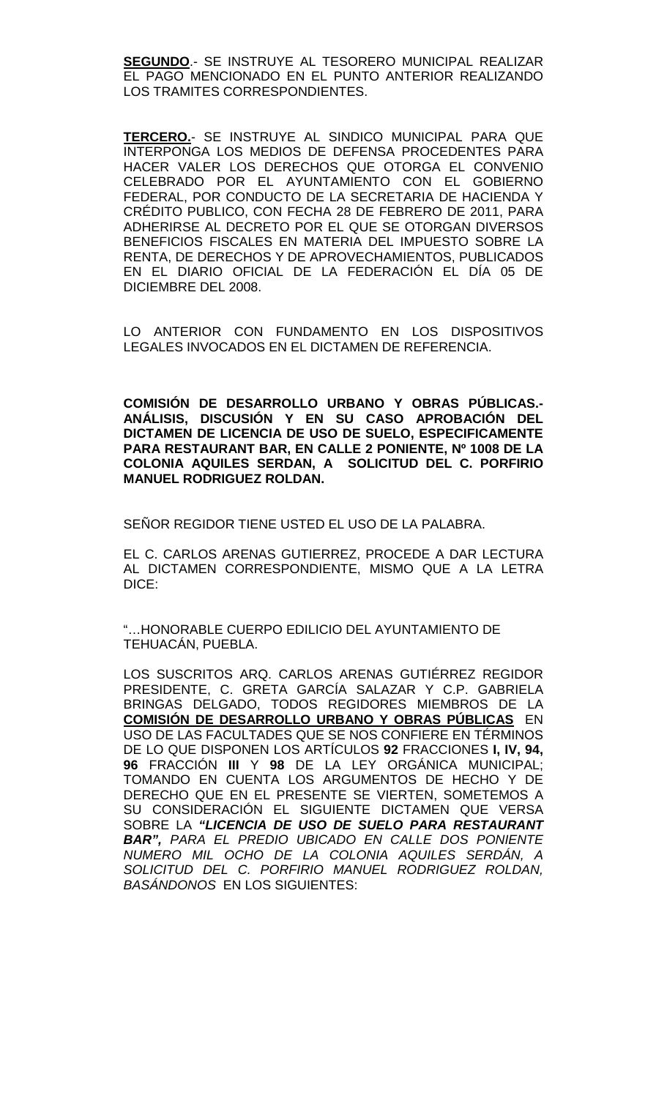**SEGUNDO**.- SE INSTRUYE AL TESORERO MUNICIPAL REALIZAR EL PAGO MENCIONADO EN EL PUNTO ANTERIOR REALIZANDO LOS TRAMITES CORRESPONDIENTES.

**TERCERO.**- SE INSTRUYE AL SINDICO MUNICIPAL PARA QUE INTERPONGA LOS MEDIOS DE DEFENSA PROCEDENTES PARA HACER VALER LOS DERECHOS QUE OTORGA EL CONVENIO CELEBRADO POR EL AYUNTAMIENTO CON EL GOBIERNO FEDERAL, POR CONDUCTO DE LA SECRETARIA DE HACIENDA Y CRÉDITO PUBLICO, CON FECHA 28 DE FEBRERO DE 2011, PARA ADHERIRSE AL DECRETO POR EL QUE SE OTORGAN DIVERSOS BENEFICIOS FISCALES EN MATERIA DEL IMPUESTO SOBRE LA RENTA, DE DERECHOS Y DE APROVECHAMIENTOS, PUBLICADOS EN EL DIARIO OFICIAL DE LA FEDERACIÓN EL DÍA 05 DE DICIEMBRE DEL 2008.

LO ANTERIOR CON FUNDAMENTO EN LOS DISPOSITIVOS LEGALES INVOCADOS EN EL DICTAMEN DE REFERENCIA.

**COMISIÓN DE DESARROLLO URBANO Y OBRAS PÚBLICAS.- ANÁLISIS, DISCUSIÓN Y EN SU CASO APROBACIÓN DEL DICTAMEN DE LICENCIA DE USO DE SUELO, ESPECIFICAMENTE PARA RESTAURANT BAR, EN CALLE 2 PONIENTE, Nº 1008 DE LA COLONIA AQUILES SERDAN, A SOLICITUD DEL C. PORFIRIO MANUEL RODRIGUEZ ROLDAN.**

SEÑOR REGIDOR TIENE USTED EL USO DE LA PALABRA.

EL C. CARLOS ARENAS GUTIERREZ, PROCEDE A DAR LECTURA AL DICTAMEN CORRESPONDIENTE, MISMO QUE A LA LETRA DICE:

"…HONORABLE CUERPO EDILICIO DEL AYUNTAMIENTO DE TEHUACÁN, PUEBLA.

LOS SUSCRITOS ARQ. CARLOS ARENAS GUTIÉRREZ REGIDOR PRESIDENTE, C. GRETA GARCÍA SALAZAR Y C.P. GABRIELA BRINGAS DELGADO, TODOS REGIDORES MIEMBROS DE LA **COMISIÓN DE DESARROLLO URBANO Y OBRAS PÚBLICAS** EN USO DE LAS FACULTADES QUE SE NOS CONFIERE EN TÉRMINOS DE LO QUE DISPONEN LOS ARTÍCULOS **92** FRACCIONES **I, IV, 94, 96** FRACCIÓN **III** Y **98** DE LA LEY ORGÁNICA MUNICIPAL; TOMANDO EN CUENTA LOS ARGUMENTOS DE HECHO Y DE DERECHO QUE EN EL PRESENTE SE VIERTEN, SOMETEMOS A SU CONSIDERACIÓN EL SIGUIENTE DICTAMEN QUE VERSA SOBRE LA *"LICENCIA DE USO DE SUELO PARA RESTAURANT BAR", PARA EL PREDIO UBICADO EN CALLE DOS PONIENTE NUMERO MIL OCHO DE LA COLONIA AQUILES SERDÁN, A SOLICITUD DEL C. PORFIRIO MANUEL RODRIGUEZ ROLDAN, BASÁNDONOS* EN LOS SIGUIENTES: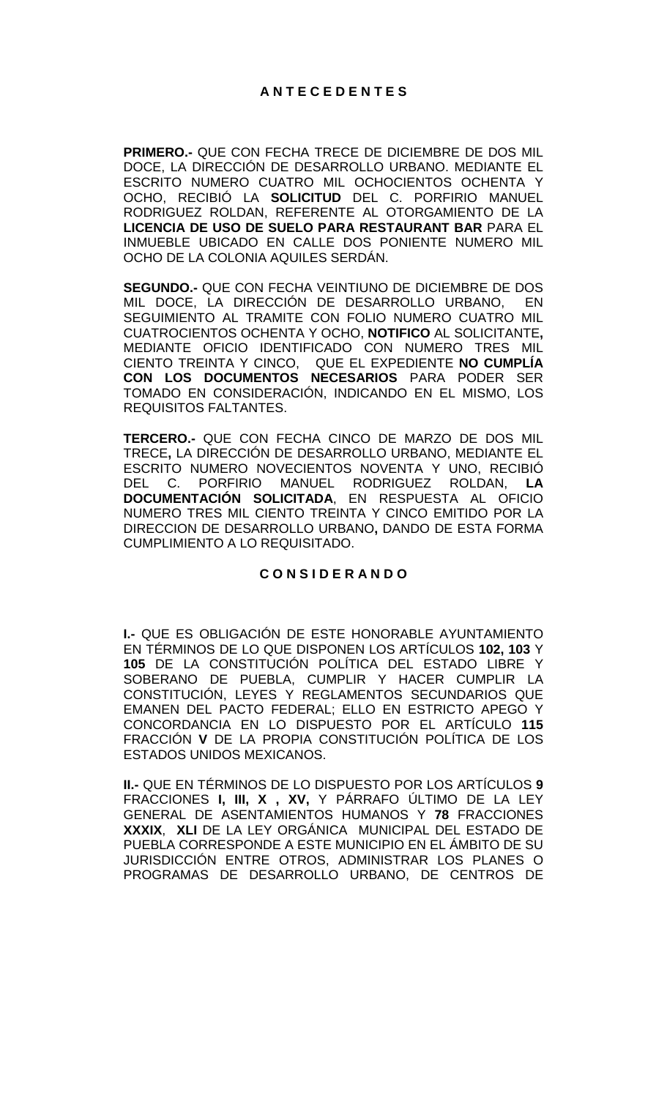**PRIMERO.-** QUE CON FECHA TRECE DE DICIEMBRE DE DOS MIL DOCE, LA DIRECCIÓN DE DESARROLLO URBANO. MEDIANTE EL ESCRITO NUMERO CUATRO MIL OCHOCIENTOS OCHENTA Y OCHO, RECIBIÓ LA **SOLICITUD** DEL C. PORFIRIO MANUEL RODRIGUEZ ROLDAN, REFERENTE AL OTORGAMIENTO DE LA **LICENCIA DE USO DE SUELO PARA RESTAURANT BAR** PARA EL INMUEBLE UBICADO EN CALLE DOS PONIENTE NUMERO MIL OCHO DE LA COLONIA AQUILES SERDÁN.

**SEGUNDO.-** QUE CON FECHA VEINTIUNO DE DICIEMBRE DE DOS MIL DOCE, LA DIRECCIÓN DE DESARROLLO URBANO, EN SEGUIMIENTO AL TRAMITE CON FOLIO NUMERO CUATRO MIL CUATROCIENTOS OCHENTA Y OCHO, **NOTIFICO** AL SOLICITANTE**,**  MEDIANTE OFICIO IDENTIFICADO CON NUMERO TRES MIL CIENTO TREINTA Y CINCO, QUE EL EXPEDIENTE **NO CUMPLÍA CON LOS DOCUMENTOS NECESARIOS** PARA PODER SER TOMADO EN CONSIDERACIÓN, INDICANDO EN EL MISMO, LOS REQUISITOS FALTANTES.

**TERCERO.-** QUE CON FECHA CINCO DE MARZO DE DOS MIL TRECE**,** LA DIRECCIÓN DE DESARROLLO URBANO, MEDIANTE EL ESCRITO NUMERO NOVECIENTOS NOVENTA Y UNO, RECIBIÓ DEL C. PORFIRIO MANUEL RODRIGUEZ ROLDAN, **LA DOCUMENTACIÓN SOLICITADA**, EN RESPUESTA AL OFICIO NUMERO TRES MIL CIENTO TREINTA Y CINCO EMITIDO POR LA DIRECCION DE DESARROLLO URBANO**,** DANDO DE ESTA FORMA CUMPLIMIENTO A LO REQUISITADO.

### **C O N S I D E R A N D O**

**I.-** QUE ES OBLIGACIÓN DE ESTE HONORABLE AYUNTAMIENTO EN TÉRMINOS DE LO QUE DISPONEN LOS ARTÍCULOS **102, 103** Y **105** DE LA CONSTITUCIÓN POLÍTICA DEL ESTADO LIBRE Y SOBERANO DE PUEBLA, CUMPLIR Y HACER CUMPLIR LA CONSTITUCIÓN, LEYES Y REGLAMENTOS SECUNDARIOS QUE EMANEN DEL PACTO FEDERAL; ELLO EN ESTRICTO APEGO Y CONCORDANCIA EN LO DISPUESTO POR EL ARTÍCULO **115**  FRACCIÓN **V** DE LA PROPIA CONSTITUCIÓN POLÍTICA DE LOS ESTADOS UNIDOS MEXICANOS.

**II.-** QUE EN TÉRMINOS DE LO DISPUESTO POR LOS ARTÍCULOS **9**  FRACCIONES **I, III, X , XV,** Y PÁRRAFO ÚLTIMO DE LA LEY GENERAL DE ASENTAMIENTOS HUMANOS Y **78** FRACCIONES **XXXIX**, **XLI** DE LA LEY ORGÁNICA MUNICIPAL DEL ESTADO DE PUEBLA CORRESPONDE A ESTE MUNICIPIO EN EL ÁMBITO DE SU JURISDICCIÓN ENTRE OTROS, ADMINISTRAR LOS PLANES O PROGRAMAS DE DESARROLLO URBANO, DE CENTROS DE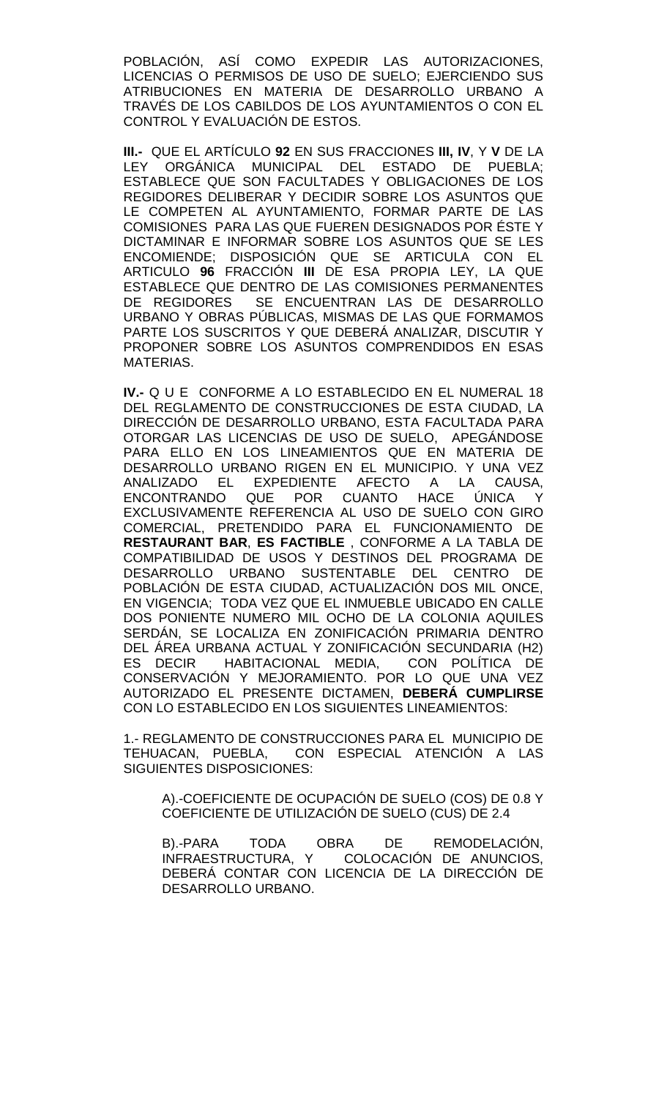POBLACIÓN, ASÍ COMO EXPEDIR LAS AUTORIZACIONES, LICENCIAS O PERMISOS DE USO DE SUELO; EJERCIENDO SUS ATRIBUCIONES EN MATERIA DE DESARROLLO URBANO A TRAVÉS DE LOS CABILDOS DE LOS AYUNTAMIENTOS O CON EL CONTROL Y EVALUACIÓN DE ESTOS.

**III.-** QUE EL ARTÍCULO **92** EN SUS FRACCIONES **III, IV**, Y **V** DE LA LEY ORGÁNICA MUNICIPAL DEL ESTADO DE PUEBLA; ESTABLECE QUE SON FACULTADES Y OBLIGACIONES DE LOS REGIDORES DELIBERAR Y DECIDIR SOBRE LOS ASUNTOS QUE LE COMPETEN AL AYUNTAMIENTO, FORMAR PARTE DE LAS COMISIONES PARA LAS QUE FUEREN DESIGNADOS POR ÉSTE Y DICTAMINAR E INFORMAR SOBRE LOS ASUNTOS QUE SE LES ENCOMIENDE; DISPOSICIÓN QUE SE ARTICULA CON EL ARTICULO **96** FRACCIÓN **III** DE ESA PROPIA LEY, LA QUE ESTABLECE QUE DENTRO DE LAS COMISIONES PERMANENTES<br>DE REGIDORES SE ENCUENTRAN LAS DE DESARROLLO SE ENCUENTRAN LAS DE DESARROLLO URBANO Y OBRAS PÚBLICAS, MISMAS DE LAS QUE FORMAMOS PARTE LOS SUSCRITOS Y QUE DEBERÁ ANALIZAR, DISCUTIR Y PROPONER SOBRE LOS ASUNTOS COMPRENDIDOS EN ESAS MATERIAS.

**IV.-** Q U E CONFORME A LO ESTABLECIDO EN EL NUMERAL 18 DEL REGLAMENTO DE CONSTRUCCIONES DE ESTA CIUDAD, LA DIRECCIÓN DE DESARROLLO URBANO, ESTA FACULTADA PARA OTORGAR LAS LICENCIAS DE USO DE SUELO, APEGÁNDOSE PARA ELLO EN LOS LINEAMIENTOS QUE EN MATERIA DE DESARROLLO URBANO RIGEN EN EL MUNICIPIO. Y UNA VEZ ANALIZADO EL EXPEDIENTE AFECTO A LA CAUSA, ENCONTRANDO QUE POR CUANTO HACE ÚNICA Y EXCLUSIVAMENTE REFERENCIA AL USO DE SUELO CON GIRO COMERCIAL, PRETENDIDO PARA EL FUNCIONAMIENTO DE **RESTAURANT BAR**, **ES FACTIBLE** , CONFORME A LA TABLA DE COMPATIBILIDAD DE USOS Y DESTINOS DEL PROGRAMA DE DESARROLLO URBANO SUSTENTABLE DEL CENTRO DE POBLACIÓN DE ESTA CIUDAD, ACTUALIZACIÓN DOS MIL ONCE, EN VIGENCIA; TODA VEZ QUE EL INMUEBLE UBICADO EN CALLE DOS PONIENTE NUMERO MIL OCHO DE LA COLONIA AQUILES SERDÁN, SE LOCALIZA EN ZONIFICACIÓN PRIMARIA DENTRO DEL ÁREA URBANA ACTUAL Y ZONIFICACIÓN SECUNDARIA (H2) ES DECIR HABITACIONAL MEDIA, CON POLÍTICA DE CONSERVACIÓN Y MEJORAMIENTO. POR LO QUE UNA VEZ AUTORIZADO EL PRESENTE DICTAMEN, **DEBERÁ CUMPLIRSE** CON LO ESTABLECIDO EN LOS SIGUIENTES LINEAMIENTOS:

1.- REGLAMENTO DE CONSTRUCCIONES PARA EL MUNICIPIO DE TEHUACAN, PUEBLA, CON ESPECIAL ATENCIÓN A LAS SIGUIENTES DISPOSICIONES:

A).-COEFICIENTE DE OCUPACIÓN DE SUELO (COS) DE 0.8 Y COEFICIENTE DE UTILIZACIÓN DE SUELO (CUS) DE 2.4

B).-PARA TODA OBRA DE REMODELACIÓN, INFRAESTRUCTURA, Y COLOCACIÓN DE ANUNCIOS, DEBERÁ CONTAR CON LICENCIA DE LA DIRECCIÓN DE DESARROLLO URBANO.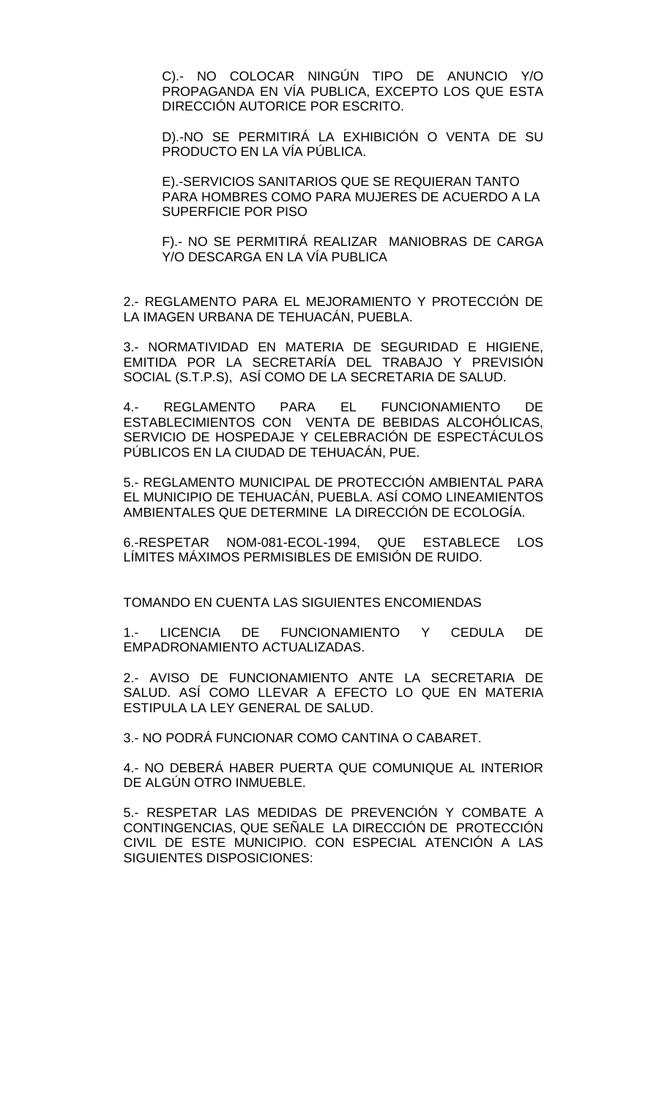C).- NO COLOCAR NINGÚN TIPO DE ANUNCIO Y/O PROPAGANDA EN VÍA PUBLICA, EXCEPTO LOS QUE ESTA DIRECCIÓN AUTORICE POR ESCRITO.

D).-NO SE PERMITIRÁ LA EXHIBICIÓN O VENTA DE SU PRODUCTO EN LA VÍA PÚBLICA.

E).-SERVICIOS SANITARIOS QUE SE REQUIERAN TANTO PARA HOMBRES COMO PARA MUJERES DE ACUERDO A LA SUPERFICIE POR PISO

F).- NO SE PERMITIRÁ REALIZAR MANIOBRAS DE CARGA Y/O DESCARGA EN LA VÍA PUBLICA

2.- REGLAMENTO PARA EL MEJORAMIENTO Y PROTECCIÓN DE LA IMAGEN URBANA DE TEHUACÁN, PUEBLA.

3.- NORMATIVIDAD EN MATERIA DE SEGURIDAD E HIGIENE, EMITIDA POR LA SECRETARÍA DEL TRABAJO Y PREVISIÓN SOCIAL (S.T.P.S), ASÍ COMO DE LA SECRETARIA DE SALUD.

4.- REGLAMENTO PARA EL FUNCIONAMIENTO DE ESTABLECIMIENTOS CON VENTA DE BEBIDAS ALCOHÓLICAS, SERVICIO DE HOSPEDAJE Y CELEBRACIÓN DE ESPECTÁCULOS PÚBLICOS EN LA CIUDAD DE TEHUACÁN, PUE.

5.- REGLAMENTO MUNICIPAL DE PROTECCIÓN AMBIENTAL PARA EL MUNICIPIO DE TEHUACÁN, PUEBLA. ASÍ COMO LINEAMIENTOS AMBIENTALES QUE DETERMINE LA DIRECCIÓN DE ECOLOGÍA.

6.-RESPETAR NOM-081-ECOL-1994, QUE ESTABLECE LOS LÍMITES MÁXIMOS PERMISIBLES DE EMISIÓN DE RUIDO.

TOMANDO EN CUENTA LAS SIGUIENTES ENCOMIENDAS

1.- LICENCIA DE FUNCIONAMIENTO Y CEDULA DE EMPADRONAMIENTO ACTUALIZADAS.

2.- AVISO DE FUNCIONAMIENTO ANTE LA SECRETARIA DE SALUD. ASÍ COMO LLEVAR A EFECTO LO QUE EN MATERIA ESTIPULA LA LEY GENERAL DE SALUD.

3.- NO PODRÁ FUNCIONAR COMO CANTINA O CABARET.

4.- NO DEBERÁ HABER PUERTA QUE COMUNIQUE AL INTERIOR DE ALGÚN OTRO INMUEBLE.

5.- RESPETAR LAS MEDIDAS DE PREVENCIÓN Y COMBATE A CONTINGENCIAS, QUE SEÑALE LA DIRECCIÓN DE PROTECCIÓN CIVIL DE ESTE MUNICIPIO. CON ESPECIAL ATENCIÓN A LAS SIGUIENTES DISPOSICIONES: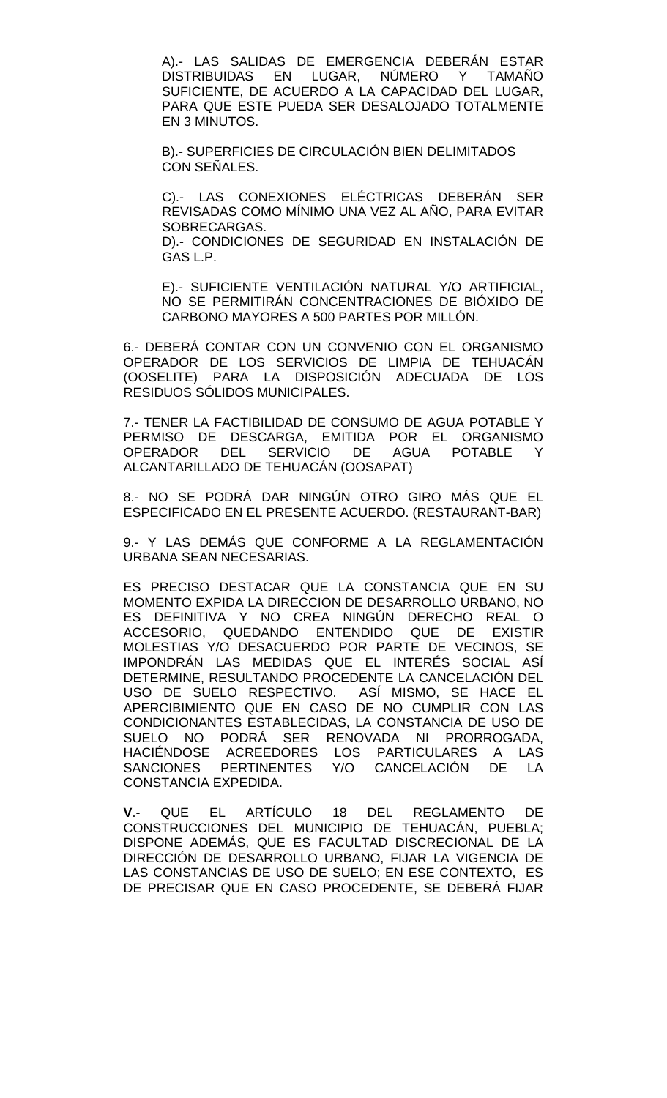A).- LAS SALIDAS DE EMERGENCIA DEBERÁN ESTAR<br>DISTRIBUIDAS EN LUGAR. NÚMERO Y TAMAÑO EN LUGAR, NÚMERO Y TAMAÑO SUFICIENTE, DE ACUERDO A LA CAPACIDAD DEL LUGAR, PARA QUE ESTE PUEDA SER DESALOJADO TOTALMENTE EN 3 MINUTOS.

B).- SUPERFICIES DE CIRCULACIÓN BIEN DELIMITADOS CON SEÑALES.

C).- LAS CONEXIONES ELÉCTRICAS DEBERÁN SER REVISADAS COMO MÍNIMO UNA VEZ AL AÑO, PARA EVITAR SOBRECARGAS.

D).- CONDICIONES DE SEGURIDAD EN INSTALACIÓN DE GAS L.P.

E).- SUFICIENTE VENTILACIÓN NATURAL Y/O ARTIFICIAL, NO SE PERMITIRÁN CONCENTRACIONES DE BIÓXIDO DE CARBONO MAYORES A 500 PARTES POR MILLÓN.

6.- DEBERÁ CONTAR CON UN CONVENIO CON EL ORGANISMO OPERADOR DE LOS SERVICIOS DE LIMPIA DE TEHUACÁN (OOSELITE) PARA LA DISPOSICIÓN ADECUADA DE LOS RESIDUOS SÓLIDOS MUNICIPALES.

7.- TENER LA FACTIBILIDAD DE CONSUMO DE AGUA POTABLE Y PERMISO DE DESCARGA, EMITIDA POR EL ORGANISMO OPERADOR DEL SERVICIO DE AGUA POTABLE Y ALCANTARILLADO DE TEHUACÁN (OOSAPAT)

8.- NO SE PODRÁ DAR NINGÚN OTRO GIRO MÁS QUE EL ESPECIFICADO EN EL PRESENTE ACUERDO. (RESTAURANT-BAR)

9.- Y LAS DEMÁS QUE CONFORME A LA REGLAMENTACIÓN URBANA SEAN NECESARIAS.

ES PRECISO DESTACAR QUE LA CONSTANCIA QUE EN SU MOMENTO EXPIDA LA DIRECCION DE DESARROLLO URBANO, NO ES DEFINITIVA Y NO CREA NINGÚN DERECHO REAL O ACCESORIO, QUEDANDO ENTENDIDO QUE DE EXISTIR MOLESTIAS Y/O DESACUERDO POR PARTE DE VECINOS, SE IMPONDRÁN LAS MEDIDAS QUE EL INTERÉS SOCIAL ASÍ DETERMINE, RESULTANDO PROCEDENTE LA CANCELACIÓN DEL USO DE SUELO RESPECTIVO. ASÍ MISMO, SE HACE EL APERCIBIMIENTO QUE EN CASO DE NO CUMPLIR CON LAS CONDICIONANTES ESTABLECIDAS, LA CONSTANCIA DE USO DE SUELO NO PODRÁ SER RENOVADA NI PRORROGADA, HACIÉNDOSE ACREEDORES LOS PARTICULARES A LAS SANCIONES PERTINENTES Y/O CANCELACIÓN DE LA CONSTANCIA EXPEDIDA.

**V**.- QUE EL ARTÍCULO 18 DEL REGLAMENTO DE CONSTRUCCIONES DEL MUNICIPIO DE TEHUACÁN, PUEBLA; DISPONE ADEMÁS, QUE ES FACULTAD DISCRECIONAL DE LA DIRECCIÓN DE DESARROLLO URBANO, FIJAR LA VIGENCIA DE LAS CONSTANCIAS DE USO DE SUELO; EN ESE CONTEXTO, ES DE PRECISAR QUE EN CASO PROCEDENTE, SE DEBERÁ FIJAR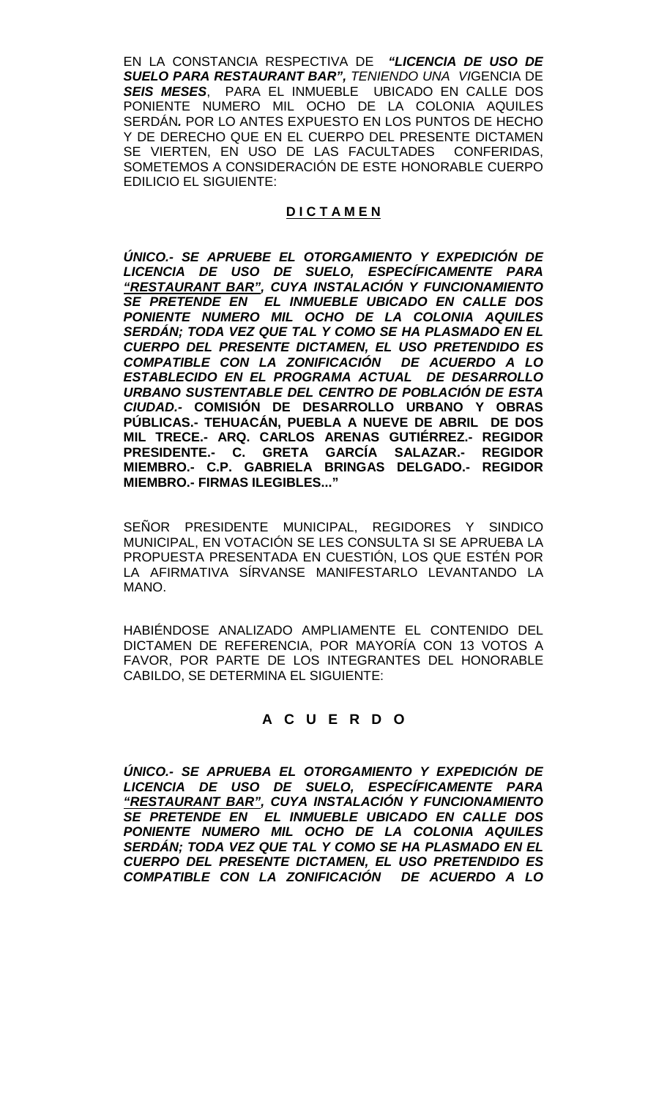EN LA CONSTANCIA RESPECTIVA DE *"LICENCIA DE USO DE SUELO PARA RESTAURANT BAR", TENIENDO UNA VI*GENCIA DE *SEIS MESES*, PARA EL INMUEBLE UBICADO EN CALLE DOS PONIENTE NUMERO MIL OCHO DE LA COLONIA AQUILES SERDÁN*.* POR LO ANTES EXPUESTO EN LOS PUNTOS DE HECHO Y DE DERECHO QUE EN EL CUERPO DEL PRESENTE DICTAMEN SE VIERTEN, EN USO DE LAS FACULTADES CONFERIDAS, SOMETEMOS A CONSIDERACIÓN DE ESTE HONORABLE CUERPO EDILICIO EL SIGUIENTE:

# **D I C T A M E N**

*ÚNICO.- SE APRUEBE EL OTORGAMIENTO Y EXPEDICIÓN DE LICENCIA DE USO DE SUELO, ESPECÍFICAMENTE PARA "RESTAURANT BAR", CUYA INSTALACIÓN Y FUNCIONAMIENTO SE PRETENDE EN EL INMUEBLE UBICADO EN CALLE DOS PONIENTE NUMERO MIL OCHO DE LA COLONIA AQUILES SERDÁN; TODA VEZ QUE TAL Y COMO SE HA PLASMADO EN EL CUERPO DEL PRESENTE DICTAMEN, EL USO PRETENDIDO ES COMPATIBLE CON LA ZONIFICACIÓN DE ACUERDO A LO ESTABLECIDO EN EL PROGRAMA ACTUAL DE DESARROLLO URBANO SUSTENTABLE DEL CENTRO DE POBLACIÓN DE ESTA CIUDAD.-* **COMISIÓN DE DESARROLLO URBANO Y OBRAS PÚBLICAS.- TEHUACÁN, PUEBLA A NUEVE DE ABRIL DE DOS MIL TRECE.- ARQ. CARLOS ARENAS GUTIÉRREZ.- REGIDOR PRESIDENTE.- C. GRETA GARCÍA SALAZAR.- REGIDOR MIEMBRO.- C.P. GABRIELA BRINGAS DELGADO.- REGIDOR MIEMBRO.- FIRMAS ILEGIBLES..."**

SEÑOR PRESIDENTE MUNICIPAL, REGIDORES Y SINDICO MUNICIPAL, EN VOTACIÓN SE LES CONSULTA SI SE APRUEBA LA PROPUESTA PRESENTADA EN CUESTIÓN, LOS QUE ESTÉN POR LA AFIRMATIVA SÍRVANSE MANIFESTARLO LEVANTANDO LA MANO.

HABIÉNDOSE ANALIZADO AMPLIAMENTE EL CONTENIDO DEL DICTAMEN DE REFERENCIA, POR MAYORÍA CON 13 VOTOS A FAVOR, POR PARTE DE LOS INTEGRANTES DEL HONORABLE CABILDO, SE DETERMINA EL SIGUIENTE:

# **A C U E R D O**

*ÚNICO.- SE APRUEBA EL OTORGAMIENTO Y EXPEDICIÓN DE LICENCIA DE USO DE SUELO, ESPECÍFICAMENTE PARA "RESTAURANT BAR", CUYA INSTALACIÓN Y FUNCIONAMIENTO SE PRETENDE EN EL INMUEBLE UBICADO EN CALLE DOS PONIENTE NUMERO MIL OCHO DE LA COLONIA AQUILES SERDÁN; TODA VEZ QUE TAL Y COMO SE HA PLASMADO EN EL CUERPO DEL PRESENTE DICTAMEN, EL USO PRETENDIDO ES COMPATIBLE CON LA ZONIFICACIÓN DE ACUERDO A LO*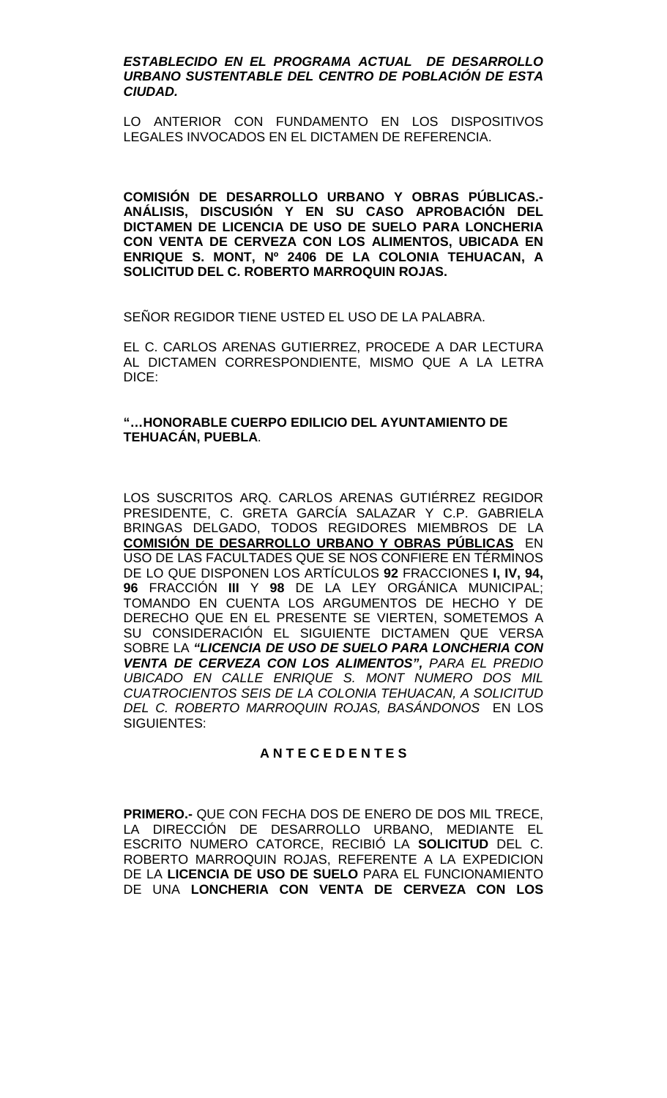### *ESTABLECIDO EN EL PROGRAMA ACTUAL DE DESARROLLO URBANO SUSTENTABLE DEL CENTRO DE POBLACIÓN DE ESTA CIUDAD.*

LO ANTERIOR CON FUNDAMENTO EN LOS DISPOSITIVOS LEGALES INVOCADOS EN EL DICTAMEN DE REFERENCIA.

**COMISIÓN DE DESARROLLO URBANO Y OBRAS PÚBLICAS.- ANÁLISIS, DISCUSIÓN Y EN SU CASO APROBACIÓN DEL DICTAMEN DE LICENCIA DE USO DE SUELO PARA LONCHERIA CON VENTA DE CERVEZA CON LOS ALIMENTOS, UBICADA EN ENRIQUE S. MONT, Nº 2406 DE LA COLONIA TEHUACAN, A SOLICITUD DEL C. ROBERTO MARROQUIN ROJAS.**

SEÑOR REGIDOR TIENE USTED EL USO DE LA PALABRA.

EL C. CARLOS ARENAS GUTIERREZ, PROCEDE A DAR LECTURA AL DICTAMEN CORRESPONDIENTE, MISMO QUE A LA LETRA DICE:

## **"…HONORABLE CUERPO EDILICIO DEL AYUNTAMIENTO DE TEHUACÁN, PUEBLA**.

LOS SUSCRITOS ARQ. CARLOS ARENAS GUTIÉRREZ REGIDOR PRESIDENTE, C. GRETA GARCÍA SALAZAR Y C.P. GABRIELA BRINGAS DELGADO, TODOS REGIDORES MIEMBROS DE LA **COMISIÓN DE DESARROLLO URBANO Y OBRAS PÚBLICAS** EN USO DE LAS FACULTADES QUE SE NOS CONFIERE EN TÉRMINOS DE LO QUE DISPONEN LOS ARTÍCULOS **92** FRACCIONES **I, IV, 94, 96** FRACCIÓN **III** Y **98** DE LA LEY ORGÁNICA MUNICIPAL; TOMANDO EN CUENTA LOS ARGUMENTOS DE HECHO Y DE DERECHO QUE EN EL PRESENTE SE VIERTEN, SOMETEMOS A SU CONSIDERACIÓN EL SIGUIENTE DICTAMEN QUE VERSA SOBRE LA *"LICENCIA DE USO DE SUELO PARA LONCHERIA CON VENTA DE CERVEZA CON LOS ALIMENTOS", PARA EL PREDIO UBICADO EN CALLE ENRIQUE S. MONT NUMERO DOS MIL CUATROCIENTOS SEIS DE LA COLONIA TEHUACAN, A SOLICITUD DEL C. ROBERTO MARROQUIN ROJAS, BASÁNDONOS* EN LOS SIGUIENTES:

## **A N T E C E D E N T E S**

**PRIMERO.-** QUE CON FECHA DOS DE ENERO DE DOS MIL TRECE, LA DIRECCIÓN DE DESARROLLO URBANO, MEDIANTE EL ESCRITO NUMERO CATORCE, RECIBIÓ LA **SOLICITUD** DEL C. ROBERTO MARROQUIN ROJAS, REFERENTE A LA EXPEDICION DE LA **LICENCIA DE USO DE SUELO** PARA EL FUNCIONAMIENTO DE UNA **LONCHERIA CON VENTA DE CERVEZA CON LOS**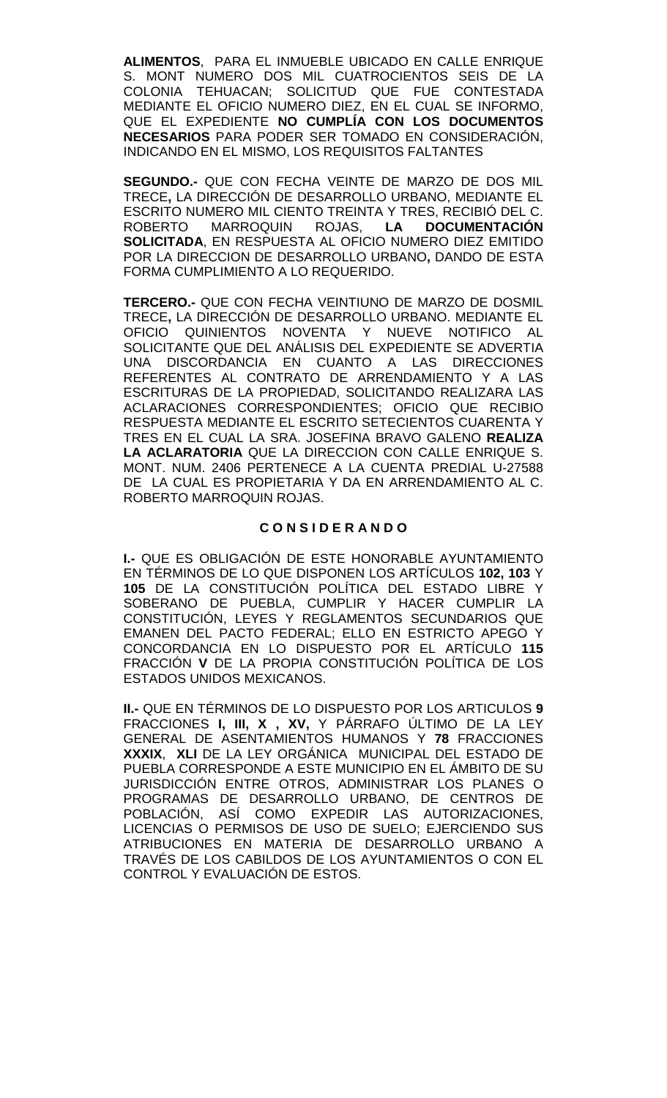**ALIMENTOS**, PARA EL INMUEBLE UBICADO EN CALLE ENRIQUE S. MONT NUMERO DOS MIL CUATROCIENTOS SEIS DE LA COLONIA TEHUACAN; SOLICITUD QUE FUE CONTESTADA MEDIANTE EL OFICIO NUMERO DIEZ, EN EL CUAL SE INFORMO, QUE EL EXPEDIENTE **NO CUMPLÍA CON LOS DOCUMENTOS NECESARIOS** PARA PODER SER TOMADO EN CONSIDERACIÓN, INDICANDO EN EL MISMO, LOS REQUISITOS FALTANTES

**SEGUNDO.-** QUE CON FECHA VEINTE DE MARZO DE DOS MIL TRECE**,** LA DIRECCIÓN DE DESARROLLO URBANO, MEDIANTE EL ESCRITO NUMERO MIL CIENTO TREINTA Y TRES, RECIBIÓ DEL C.<br>ROBERTO MARROQUIN ROJAS, **LA DOCUMENTACIÓN** ROBERTO MARROQUIN ROJAS, **LA DOCUMENTACIÓN SOLICITADA**, EN RESPUESTA AL OFICIO NUMERO DIEZ EMITIDO POR LA DIRECCION DE DESARROLLO URBANO**,** DANDO DE ESTA FORMA CUMPLIMIENTO A LO REQUERIDO.

**TERCERO.-** QUE CON FECHA VEINTIUNO DE MARZO DE DOSMIL TRECE**,** LA DIRECCIÓN DE DESARROLLO URBANO. MEDIANTE EL OFICIO QUINIENTOS NOVENTA Y NUEVE NOTIFICO AL SOLICITANTE QUE DEL ANÁLISIS DEL EXPEDIENTE SE ADVERTIA UNA DISCORDANCIA EN CUANTO A LAS DIRECCIONES REFERENTES AL CONTRATO DE ARRENDAMIENTO Y A LAS ESCRITURAS DE LA PROPIEDAD, SOLICITANDO REALIZARA LAS ACLARACIONES CORRESPONDIENTES; OFICIO QUE RECIBIO RESPUESTA MEDIANTE EL ESCRITO SETECIENTOS CUARENTA Y TRES EN EL CUAL LA SRA. JOSEFINA BRAVO GALENO **REALIZA LA ACLARATORIA** QUE LA DIRECCION CON CALLE ENRIQUE S. MONT. NUM. 2406 PERTENECE A LA CUENTA PREDIAL U-27588 DE LA CUAL ES PROPIETARIA Y DA EN ARRENDAMIENTO AL C. ROBERTO MARROQUIN ROJAS.

### **C O N S I D E R A N D O**

**I.-** QUE ES OBLIGACIÓN DE ESTE HONORABLE AYUNTAMIENTO EN TÉRMINOS DE LO QUE DISPONEN LOS ARTÍCULOS **102, 103** Y **105** DE LA CONSTITUCIÓN POLÍTICA DEL ESTADO LIBRE Y SOBERANO DE PUEBLA, CUMPLIR Y HACER CUMPLIR LA CONSTITUCIÓN, LEYES Y REGLAMENTOS SECUNDARIOS QUE EMANEN DEL PACTO FEDERAL; ELLO EN ESTRICTO APEGO Y CONCORDANCIA EN LO DISPUESTO POR EL ARTÍCULO **115**  FRACCIÓN **V** DE LA PROPIA CONSTITUCIÓN POLÍTICA DE LOS ESTADOS UNIDOS MEXICANOS.

**II.-** QUE EN TÉRMINOS DE LO DISPUESTO POR LOS ARTICULOS **9**  FRACCIONES **I, III, X , XV,** Y PÁRRAFO ÚLTIMO DE LA LEY GENERAL DE ASENTAMIENTOS HUMANOS Y **78** FRACCIONES **XXXIX**, **XLI** DE LA LEY ORGÁNICA MUNICIPAL DEL ESTADO DE PUEBLA CORRESPONDE A ESTE MUNICIPIO EN EL ÁMBITO DE SU JURISDICCIÓN ENTRE OTROS, ADMINISTRAR LOS PLANES O PROGRAMAS DE DESARROLLO URBANO, DE CENTROS DE POBLACIÓN, ASÍ COMO EXPEDIR LAS AUTORIZACIONES, LICENCIAS O PERMISOS DE USO DE SUELO; EJERCIENDO SUS ATRIBUCIONES EN MATERIA DE DESARROLLO URBANO A TRAVÉS DE LOS CABILDOS DE LOS AYUNTAMIENTOS O CON EL CONTROL Y EVALUACIÓN DE ESTOS.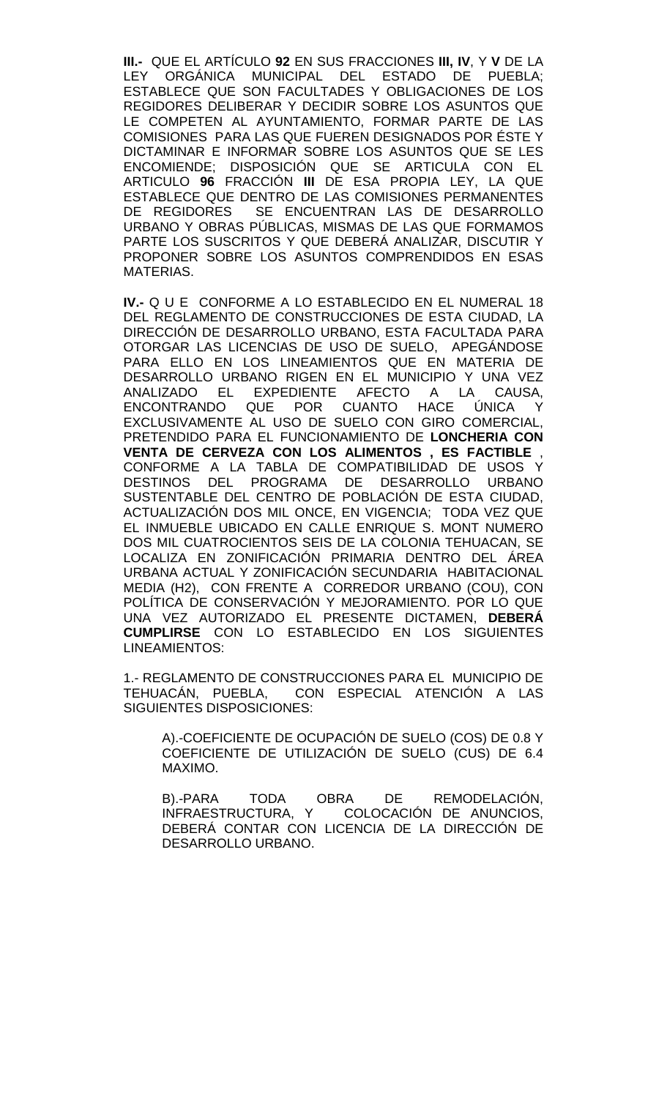**III.-** QUE EL ARTÍCULO **92** EN SUS FRACCIONES **III, IV**, Y **V** DE LA LEY ORGÁNICA MUNICIPAL DEL ESTADO DE PUEBLA; ESTABLECE QUE SON FACULTADES Y OBLIGACIONES DE LOS REGIDORES DELIBERAR Y DECIDIR SOBRE LOS ASUNTOS QUE LE COMPETEN AL AYUNTAMIENTO, FORMAR PARTE DE LAS COMISIONES PARA LAS QUE FUEREN DESIGNADOS POR ÉSTE Y DICTAMINAR E INFORMAR SOBRE LOS ASUNTOS QUE SE LES ENCOMIENDE; DISPOSICIÓN QUE SE ARTICULA CON EL ARTICULO **96** FRACCIÓN **III** DE ESA PROPIA LEY, LA QUE ESTABLECE QUE DENTRO DE LAS COMISIONES PERMANENTES DE REGIDORES SE ENCUENTRAN LAS DE DESARROLLO URBANO Y OBRAS PÚBLICAS, MISMAS DE LAS QUE FORMAMOS PARTE LOS SUSCRITOS Y QUE DEBERÁ ANALIZAR, DISCUTIR Y PROPONER SOBRE LOS ASUNTOS COMPRENDIDOS EN ESAS MATERIAS.

**IV.-** Q U E CONFORME A LO ESTABLECIDO EN EL NUMERAL 18 DEL REGLAMENTO DE CONSTRUCCIONES DE ESTA CIUDAD, LA DIRECCIÓN DE DESARROLLO URBANO, ESTA FACULTADA PARA OTORGAR LAS LICENCIAS DE USO DE SUELO, APEGÁNDOSE PARA ELLO EN LOS LINEAMIENTOS QUE EN MATERIA DE DESARROLLO URBANO RIGEN EN EL MUNICIPIO Y UNA VEZ ANALIZADO EL EXPEDIENTE AFECTO A LA CAUSA, ENCONTRANDO QUE POR CUANTO HACE ÚNICA Y EXCLUSIVAMENTE AL USO DE SUELO CON GIRO COMERCIAL, PRETENDIDO PARA EL FUNCIONAMIENTO DE **LONCHERIA CON VENTA DE CERVEZA CON LOS ALIMENTOS , ES FACTIBLE** , CONFORME A LA TABLA DE COMPATIBILIDAD DE USOS Y DESTINOS DEL PROGRAMA DE DESARROLLO URBANO SUSTENTABLE DEL CENTRO DE POBLACIÓN DE ESTA CIUDAD, ACTUALIZACIÓN DOS MIL ONCE, EN VIGENCIA; TODA VEZ QUE EL INMUEBLE UBICADO EN CALLE ENRIQUE S. MONT NUMERO DOS MIL CUATROCIENTOS SEIS DE LA COLONIA TEHUACAN, SE LOCALIZA EN ZONIFICACIÓN PRIMARIA DENTRO DEL ÁREA URBANA ACTUAL Y ZONIFICACIÓN SECUNDARIA HABITACIONAL MEDIA (H2), CON FRENTE A CORREDOR URBANO (COU), CON POLÍTICA DE CONSERVACIÓN Y MEJORAMIENTO. POR LO QUE UNA VEZ AUTORIZADO EL PRESENTE DICTAMEN, **DEBERÁ CUMPLIRSE** CON LO ESTABLECIDO EN LOS SIGUIENTES LINEAMIENTOS:

1.- REGLAMENTO DE CONSTRUCCIONES PARA EL MUNICIPIO DE TEHUACÁN, PUEBLA, CON ESPECIAL ATENCIÓN A LAS CON ESPECIAL ATENCIÓN A LAS SIGUIENTES DISPOSICIONES:

A).-COEFICIENTE DE OCUPACIÓN DE SUELO (COS) DE 0.8 Y COEFICIENTE DE UTILIZACIÓN DE SUELO (CUS) DE 6.4 MAXIMO.

B).-PARA TODA OBRA DE REMODELACIÓN, INFRAESTRUCTURA, Y COLOCACIÓN DE ANUNCIOS, DEBERÁ CONTAR CON LICENCIA DE LA DIRECCIÓN DE DESARROLLO URBANO.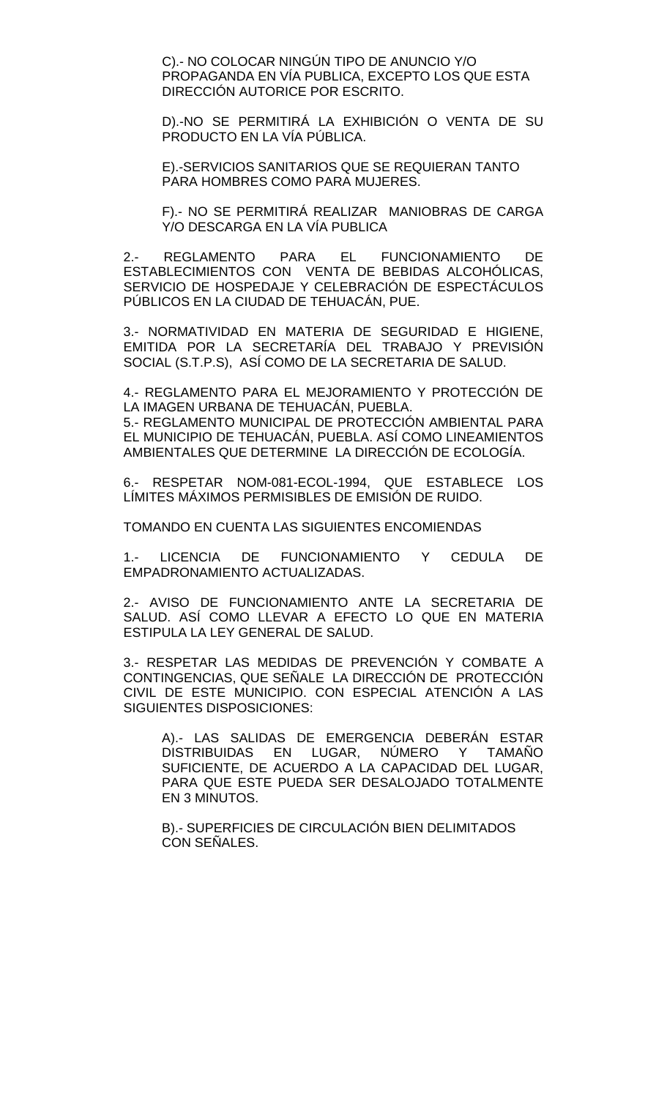C).- NO COLOCAR NINGÚN TIPO DE ANUNCIO Y/O PROPAGANDA EN VÍA PUBLICA, EXCEPTO LOS QUE ESTA DIRECCIÓN AUTORICE POR ESCRITO.

D).-NO SE PERMITIRÁ LA EXHIBICIÓN O VENTA DE SU PRODUCTO EN LA VÍA PÚBLICA.

E).-SERVICIOS SANITARIOS QUE SE REQUIERAN TANTO PARA HOMBRES COMO PARA MUJERES.

F).- NO SE PERMITIRÁ REALIZAR MANIOBRAS DE CARGA Y/O DESCARGA EN LA VÍA PUBLICA

2.- REGLAMENTO PARA EL FUNCIONAMIENTO DE ESTABLECIMIENTOS CON VENTA DE BEBIDAS ALCOHÓLICAS, SERVICIO DE HOSPEDAJE Y CELEBRACIÓN DE ESPECTÁCULOS PÚBLICOS EN LA CIUDAD DE TEHUACÁN, PUE.

3.- NORMATIVIDAD EN MATERIA DE SEGURIDAD E HIGIENE, EMITIDA POR LA SECRETARÍA DEL TRABAJO Y PREVISIÓN SOCIAL (S.T.P.S), ASÍ COMO DE LA SECRETARIA DE SALUD.

4.- REGLAMENTO PARA EL MEJORAMIENTO Y PROTECCIÓN DE LA IMAGEN URBANA DE TEHUACÁN, PUEBLA.

5.- REGLAMENTO MUNICIPAL DE PROTECCIÓN AMBIENTAL PARA EL MUNICIPIO DE TEHUACÁN, PUEBLA. ASÍ COMO LINEAMIENTOS AMBIENTALES QUE DETERMINE LA DIRECCIÓN DE ECOLOGÍA.

6.- RESPETAR NOM-081-ECOL-1994, QUE ESTABLECE LOS LÍMITES MÁXIMOS PERMISIBLES DE EMISIÓN DE RUIDO.

TOMANDO EN CUENTA LAS SIGUIENTES ENCOMIENDAS

1.- LICENCIA DE FUNCIONAMIENTO Y CEDULA DE EMPADRONAMIENTO ACTUALIZADAS.

2.- AVISO DE FUNCIONAMIENTO ANTE LA SECRETARIA DE SALUD. ASÍ COMO LLEVAR A EFECTO LO QUE EN MATERIA ESTIPULA LA LEY GENERAL DE SALUD.

3.- RESPETAR LAS MEDIDAS DE PREVENCIÓN Y COMBATE A CONTINGENCIAS, QUE SEÑALE LA DIRECCIÓN DE PROTECCIÓN CIVIL DE ESTE MUNICIPIO. CON ESPECIAL ATENCIÓN A LAS SIGUIENTES DISPOSICIONES:

A).- LAS SALIDAS DE EMERGENCIA DEBERÁN ESTAR DISTRIBUIDAS EN LUGAR, NUMERO Y TAMANO SUFICIENTE, DE ACUERDO A LA CAPACIDAD DEL LUGAR, PARA QUE ESTE PUEDA SER DESALOJADO TOTALMENTE EN 3 MINUTOS.

B).- SUPERFICIES DE CIRCULACIÓN BIEN DELIMITADOS CON SEÑALES.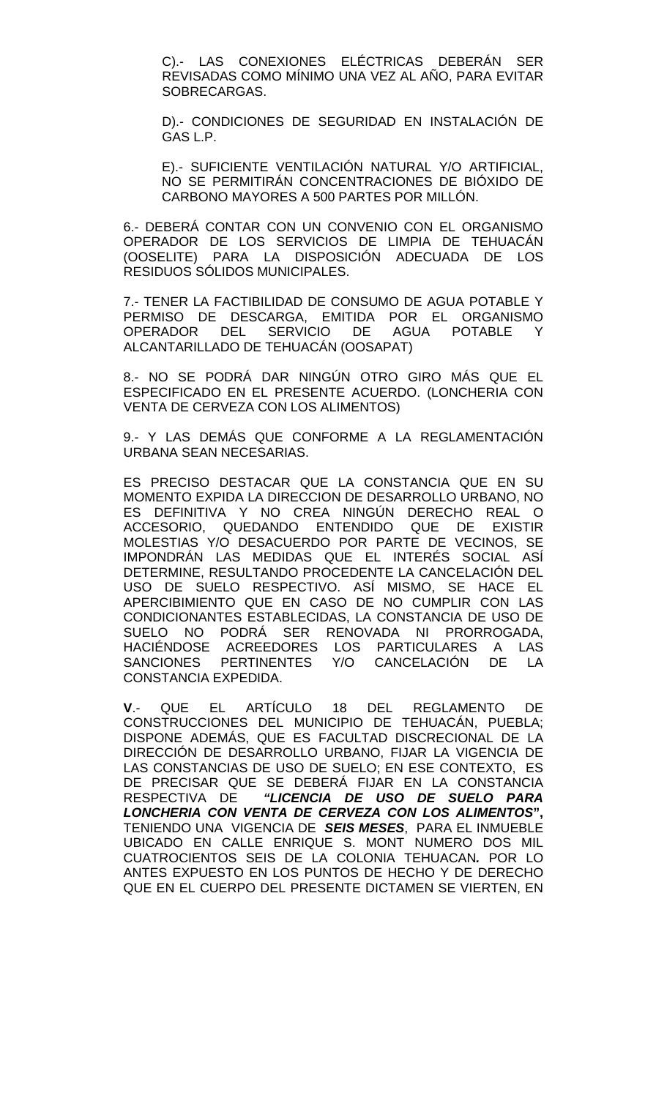C).- LAS CONEXIONES ELÉCTRICAS DEBERÁN SER REVISADAS COMO MÍNIMO UNA VEZ AL AÑO, PARA EVITAR SOBRECARGAS.

D).- CONDICIONES DE SEGURIDAD EN INSTALACIÓN DE GAS L.P.

E).- SUFICIENTE VENTILACIÓN NATURAL Y/O ARTIFICIAL, NO SE PERMITIRÁN CONCENTRACIONES DE BIÓXIDO DE CARBONO MAYORES A 500 PARTES POR MILLÓN.

6.- DEBERÁ CONTAR CON UN CONVENIO CON EL ORGANISMO OPERADOR DE LOS SERVICIOS DE LIMPIA DE TEHUACÁN (OOSELITE) PARA LA DISPOSICIÓN ADECUADA DE LOS RESIDUOS SÓLIDOS MUNICIPALES.

7.- TENER LA FACTIBILIDAD DE CONSUMO DE AGUA POTABLE Y PERMISO DE DESCARGA, EMITIDA POR EL ORGANISMO OPERADOR DEL SERVICIO DE AGUA POTABLE Y ALCANTARILLADO DE TEHUACÁN (OOSAPAT)

8.- NO SE PODRÁ DAR NINGÚN OTRO GIRO MÁS QUE EL ESPECIFICADO EN EL PRESENTE ACUERDO. (LONCHERIA CON VENTA DE CERVEZA CON LOS ALIMENTOS)

9.- Y LAS DEMÁS QUE CONFORME A LA REGLAMENTACIÓN URBANA SEAN NECESARIAS.

ES PRECISO DESTACAR QUE LA CONSTANCIA QUE EN SU MOMENTO EXPIDA LA DIRECCION DE DESARROLLO URBANO, NO ES DEFINITIVA Y NO CREA NINGÚN DERECHO REAL O ACCESORIO, QUEDANDO ENTENDIDO QUE DE EXISTIR MOLESTIAS Y/O DESACUERDO POR PARTE DE VECINOS, SE IMPONDRÁN LAS MEDIDAS QUE EL INTERÉS SOCIAL ASÍ DETERMINE, RESULTANDO PROCEDENTE LA CANCELACIÓN DEL USO DE SUELO RESPECTIVO. ASÍ MISMO, SE HACE EL APERCIBIMIENTO QUE EN CASO DE NO CUMPLIR CON LAS CONDICIONANTES ESTABLECIDAS, LA CONSTANCIA DE USO DE SUELO NO PODRÁ SER RENOVADA NI PRORROGADA, HACIÉNDOSE ACREEDORES LOS PARTICULARES A LAS PERTINENTES Y/O CANCELACIÓN CONSTANCIA EXPEDIDA.

**V**.- QUE EL ARTÍCULO 18 DEL REGLAMENTO DE CONSTRUCCIONES DEL MUNICIPIO DE TEHUACÁN, PUEBLA; DISPONE ADEMÁS, QUE ES FACULTAD DISCRECIONAL DE LA DIRECCIÓN DE DESARROLLO URBANO, FIJAR LA VIGENCIA DE LAS CONSTANCIAS DE USO DE SUELO; EN ESE CONTEXTO, ES DE PRECISAR QUE SE DEBERÁ FIJAR EN LA CONSTANCIA RESPECTIVA DE *"LICENCIA DE USO DE SUELO PARA LONCHERIA CON VENTA DE CERVEZA CON LOS ALIMENTOS***",**  TENIENDO UNA VIGENCIA DE *SEIS MESES*, PARA EL INMUEBLE UBICADO EN CALLE ENRIQUE S. MONT NUMERO DOS MIL CUATROCIENTOS SEIS DE LA COLONIA TEHUACAN*.* POR LO ANTES EXPUESTO EN LOS PUNTOS DE HECHO Y DE DERECHO QUE EN EL CUERPO DEL PRESENTE DICTAMEN SE VIERTEN, EN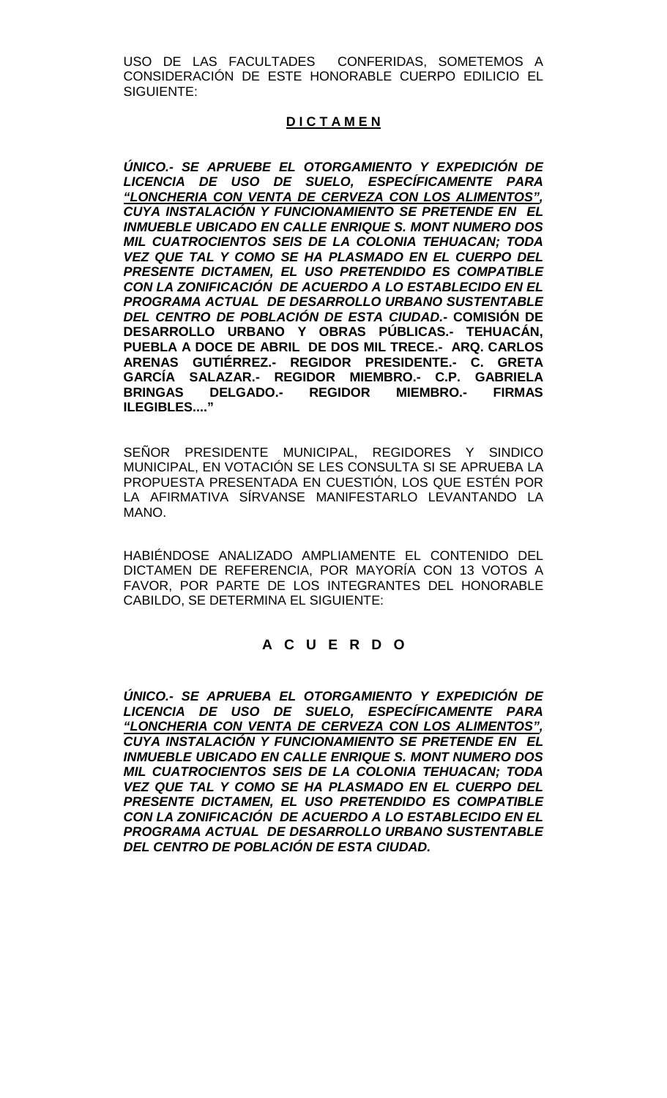USO DE LAS FACULTADES CONFERIDAS, SOMETEMOS A CONSIDERACIÓN DE ESTE HONORABLE CUERPO EDILICIO EL SIGUIENTE:

# **D I C T A M E N**

*ÚNICO.- SE APRUEBE EL OTORGAMIENTO Y EXPEDICIÓN DE LICENCIA DE USO DE SUELO, ESPECÍFICAMENTE PARA "LONCHERIA CON VENTA DE CERVEZA CON LOS ALIMENTOS", CUYA INSTALACIÓN Y FUNCIONAMIENTO SE PRETENDE EN EL INMUEBLE UBICADO EN CALLE ENRIQUE S. MONT NUMERO DOS MIL CUATROCIENTOS SEIS DE LA COLONIA TEHUACAN; TODA VEZ QUE TAL Y COMO SE HA PLASMADO EN EL CUERPO DEL PRESENTE DICTAMEN, EL USO PRETENDIDO ES COMPATIBLE CON LA ZONIFICACIÓN DE ACUERDO A LO ESTABLECIDO EN EL PROGRAMA ACTUAL DE DESARROLLO URBANO SUSTENTABLE DEL CENTRO DE POBLACIÓN DE ESTA CIUDAD.-* **COMISIÓN DE DESARROLLO URBANO Y OBRAS PÚBLICAS.- TEHUACÁN, PUEBLA A DOCE DE ABRIL DE DOS MIL TRECE.- ARQ. CARLOS ARENAS GUTIÉRREZ.- REGIDOR PRESIDENTE.- C. GRETA GARCÍA SALAZAR.- REGIDOR MIEMBRO.- C.P. GABRIELA BRINGAS DELGADO.- REGIDOR MIEMBRO.- FIRMAS ILEGIBLES...."**

SEÑOR PRESIDENTE MUNICIPAL, REGIDORES Y SINDICO MUNICIPAL, EN VOTACIÓN SE LES CONSULTA SI SE APRUEBA LA PROPUESTA PRESENTADA EN CUESTIÓN, LOS QUE ESTÉN POR LA AFIRMATIVA SÍRVANSE MANIFESTARLO LEVANTANDO LA MANO.

HABIÉNDOSE ANALIZADO AMPLIAMENTE EL CONTENIDO DEL DICTAMEN DE REFERENCIA, POR MAYORÍA CON 13 VOTOS A FAVOR, POR PARTE DE LOS INTEGRANTES DEL HONORABLE CABILDO, SE DETERMINA EL SIGUIENTE:

# **A C U E R D O**

*ÚNICO.- SE APRUEBA EL OTORGAMIENTO Y EXPEDICIÓN DE LICENCIA DE USO DE SUELO, ESPECÍFICAMENTE PARA "LONCHERIA CON VENTA DE CERVEZA CON LOS ALIMENTOS", CUYA INSTALACIÓN Y FUNCIONAMIENTO SE PRETENDE EN EL INMUEBLE UBICADO EN CALLE ENRIQUE S. MONT NUMERO DOS MIL CUATROCIENTOS SEIS DE LA COLONIA TEHUACAN; TODA VEZ QUE TAL Y COMO SE HA PLASMADO EN EL CUERPO DEL PRESENTE DICTAMEN, EL USO PRETENDIDO ES COMPATIBLE CON LA ZONIFICACIÓN DE ACUERDO A LO ESTABLECIDO EN EL PROGRAMA ACTUAL DE DESARROLLO URBANO SUSTENTABLE DEL CENTRO DE POBLACIÓN DE ESTA CIUDAD.*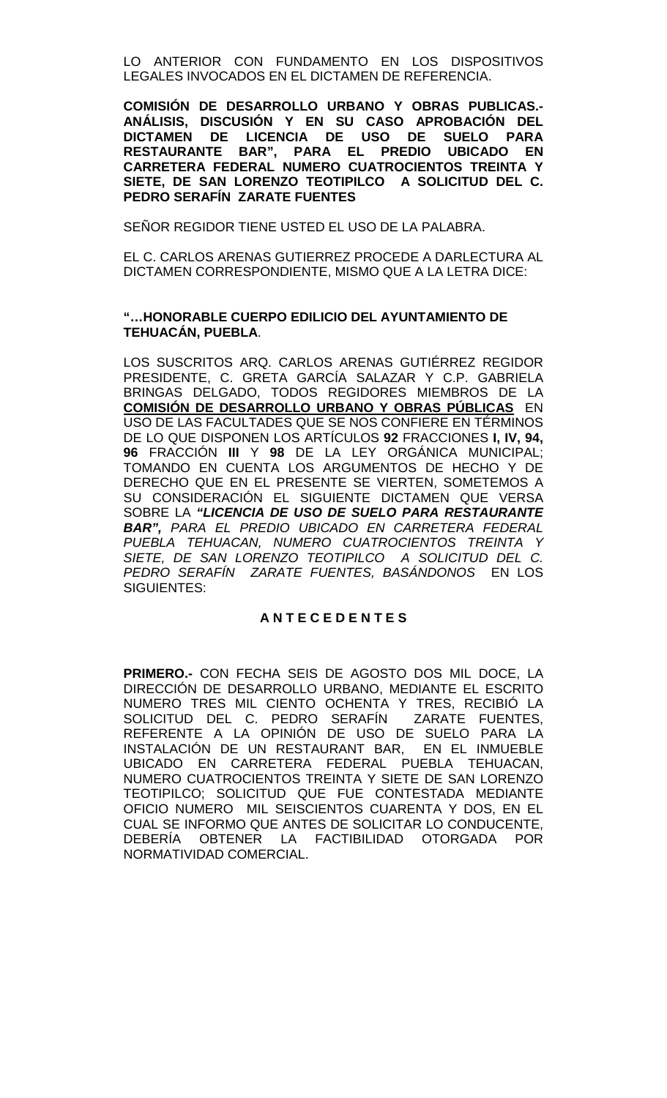LO ANTERIOR CON FUNDAMENTO EN LOS DISPOSITIVOS LEGALES INVOCADOS EN EL DICTAMEN DE REFERENCIA.

**COMISIÓN DE DESARROLLO URBANO Y OBRAS PUBLICAS.- ANÁLISIS, DISCUSIÓN Y EN SU CASO APROBACIÓN DEL DICTAMEN DE LICENCIA DE USO DE SUELO PARA RESTAURANTE BAR", PARA EL PREDIO UBICADO EN CARRETERA FEDERAL NUMERO CUATROCIENTOS TREINTA Y SIETE, DE SAN LORENZO TEOTIPILCO A SOLICITUD DEL C. PEDRO SERAFÍN ZARATE FUENTES**

SEÑOR REGIDOR TIENE USTED EL USO DE LA PALABRA.

EL C. CARLOS ARENAS GUTIERREZ PROCEDE A DARLECTURA AL DICTAMEN CORRESPONDIENTE, MISMO QUE A LA LETRA DICE:

## **"…HONORABLE CUERPO EDILICIO DEL AYUNTAMIENTO DE TEHUACÁN, PUEBLA**.

LOS SUSCRITOS ARQ. CARLOS ARENAS GUTIÉRREZ REGIDOR PRESIDENTE, C. GRETA GARCÍA SALAZAR Y C.P. GABRIELA BRINGAS DELGADO, TODOS REGIDORES MIEMBROS DE LA **COMISIÓN DE DESARROLLO URBANO Y OBRAS PÚBLICAS** EN USO DE LAS FACULTADES QUE SE NOS CONFIERE EN TÉRMINOS DE LO QUE DISPONEN LOS ARTÍCULOS **92** FRACCIONES **I, IV, 94, 96** FRACCIÓN **III** Y **98** DE LA LEY ORGÁNICA MUNICIPAL; TOMANDO EN CUENTA LOS ARGUMENTOS DE HECHO Y DE DERECHO QUE EN EL PRESENTE SE VIERTEN, SOMETEMOS A SU CONSIDERACIÓN EL SIGUIENTE DICTAMEN QUE VERSA SOBRE LA *"LICENCIA DE USO DE SUELO PARA RESTAURANTE BAR", PARA EL PREDIO UBICADO EN CARRETERA FEDERAL PUEBLA TEHUACAN, NUMERO CUATROCIENTOS TREINTA Y*  SIETE, DE SAN LORENZO TEOTIPILCO A SOLICITUD DEL C. *PEDRO SERAFÍN ZARATE FUENTES, BASÁNDONOS* EN LOS SIGUIENTES:

# **A N T E C E D E N T E S**

**PRIMERO.-** CON FECHA SEIS DE AGOSTO DOS MIL DOCE, LA DIRECCIÓN DE DESARROLLO URBANO, MEDIANTE EL ESCRITO NUMERO TRES MIL CIENTO OCHENTA Y TRES, RECIBIÓ LA SOLICITUD DEL C. PEDRO SERAFÍN ZARATE FUENTES, REFERENTE A LA OPINIÓN DE USO DE SUELO PARA LA INSTALACIÓN DE UN RESTAURANT BAR, EN EL INMUEBLE UBICADO EN CARRETERA FEDERAL PUEBLA TEHUACAN, NUMERO CUATROCIENTOS TREINTA Y SIETE DE SAN LORENZO TEOTIPILCO; SOLICITUD QUE FUE CONTESTADA MEDIANTE OFICIO NUMERO MIL SEISCIENTOS CUARENTA Y DOS, EN EL CUAL SE INFORMO QUE ANTES DE SOLICITAR LO CONDUCENTE, DEBERÍA OBTENER LA FACTIBILIDAD OTORGADA POR NORMATIVIDAD COMERCIAL.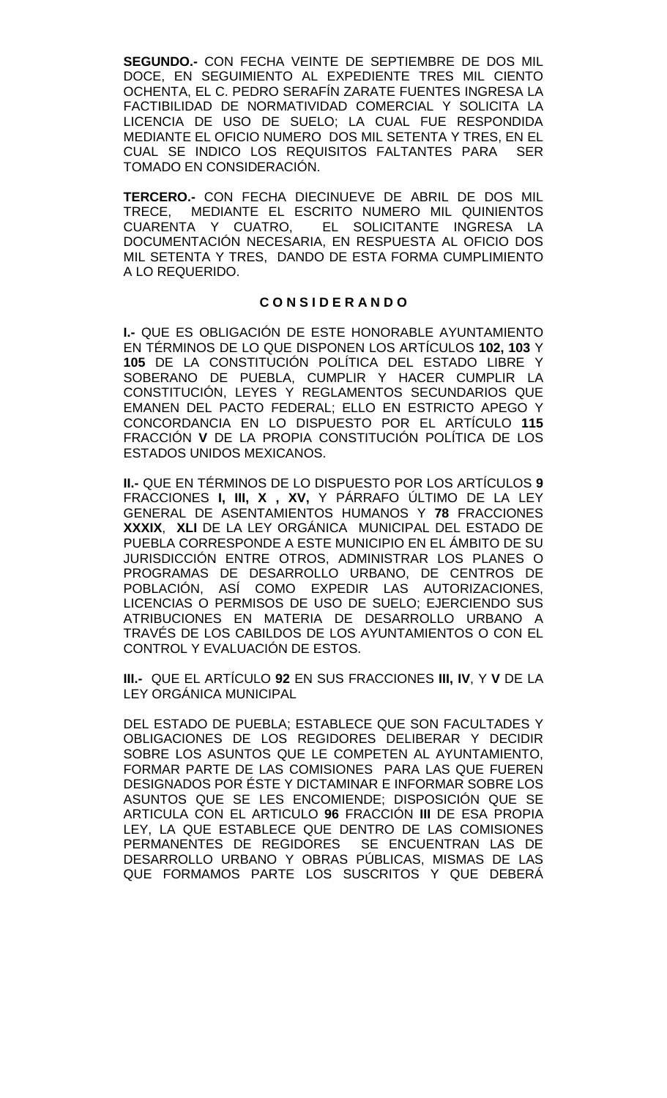**SEGUNDO.-** CON FECHA VEINTE DE SEPTIEMBRE DE DOS MIL DOCE, EN SEGUIMIENTO AL EXPEDIENTE TRES MIL CIENTO OCHENTA, EL C. PEDRO SERAFÍN ZARATE FUENTES INGRESA LA FACTIBILIDAD DE NORMATIVIDAD COMERCIAL Y SOLICITA LA LICENCIA DE USO DE SUELO; LA CUAL FUE RESPONDIDA MEDIANTE EL OFICIO NUMERO DOS MIL SETENTA Y TRES, EN EL CUAL SE INDICO LOS REQUISITOS FALTANTES PARA SER TOMADO EN CONSIDERACIÓN.

**TERCERO.-** CON FECHA DIECINUEVE DE ABRIL DE DOS MIL TRECE, MEDIANTE EL ESCRITO NUMERO MIL QUINIENTOS EL SOLICITANTE INGRESA LA DOCUMENTACIÓN NECESARIA, EN RESPUESTA AL OFICIO DOS MIL SETENTA Y TRES, DANDO DE ESTA FORMA CUMPLIMIENTO A LO REQUERIDO.

## **C O N S I D E R A N D O**

**I.-** QUE ES OBLIGACIÓN DE ESTE HONORABLE AYUNTAMIENTO EN TÉRMINOS DE LO QUE DISPONEN LOS ARTÍCULOS **102, 103** Y **105** DE LA CONSTITUCIÓN POLÍTICA DEL ESTADO LIBRE Y SOBERANO DE PUEBLA, CUMPLIR Y HACER CUMPLIR LA CONSTITUCIÓN, LEYES Y REGLAMENTOS SECUNDARIOS QUE EMANEN DEL PACTO FEDERAL; ELLO EN ESTRICTO APEGO Y CONCORDANCIA EN LO DISPUESTO POR EL ARTÍCULO **115**  FRACCIÓN **V** DE LA PROPIA CONSTITUCIÓN POLÍTICA DE LOS ESTADOS UNIDOS MEXICANOS.

**II.-** QUE EN TÉRMINOS DE LO DISPUESTO POR LOS ARTÍCULOS **9**  FRACCIONES **I, III, X , XV,** Y PÁRRAFO ÚLTIMO DE LA LEY GENERAL DE ASENTAMIENTOS HUMANOS Y **78** FRACCIONES **XXXIX**, **XLI** DE LA LEY ORGÁNICA MUNICIPAL DEL ESTADO DE PUEBLA CORRESPONDE A ESTE MUNICIPIO EN EL ÁMBITO DE SU JURISDICCIÓN ENTRE OTROS, ADMINISTRAR LOS PLANES O PROGRAMAS DE DESARROLLO URBANO, DE CENTROS DE POBLACIÓN, ASÍ COMO EXPEDIR LAS AUTORIZACIONES, LICENCIAS O PERMISOS DE USO DE SUELO; EJERCIENDO SUS ATRIBUCIONES EN MATERIA DE DESARROLLO URBANO A TRAVÉS DE LOS CABILDOS DE LOS AYUNTAMIENTOS O CON EL CONTROL Y EVALUACIÓN DE ESTOS.

**III.-** QUE EL ARTÍCULO **92** EN SUS FRACCIONES **III, IV**, Y **V** DE LA LEY ORGÁNICA MUNICIPAL

DEL ESTADO DE PUEBLA; ESTABLECE QUE SON FACULTADES Y OBLIGACIONES DE LOS REGIDORES DELIBERAR Y DECIDIR SOBRE LOS ASUNTOS QUE LE COMPETEN AL AYUNTAMIENTO, FORMAR PARTE DE LAS COMISIONES PARA LAS QUE FUEREN DESIGNADOS POR ÉSTE Y DICTAMINAR E INFORMAR SOBRE LOS ASUNTOS QUE SE LES ENCOMIENDE; DISPOSICIÓN QUE SE ARTICULA CON EL ARTICULO **96** FRACCIÓN **III** DE ESA PROPIA LEY, LA QUE ESTABLECE QUE DENTRO DE LAS COMISIONES PERMANENTES DE REGIDORES SE ENCUENTRAN LAS DE DESARROLLO URBANO Y OBRAS PÚBLICAS, MISMAS DE LAS QUE FORMAMOS PARTE LOS SUSCRITOS Y QUE DEBERÁ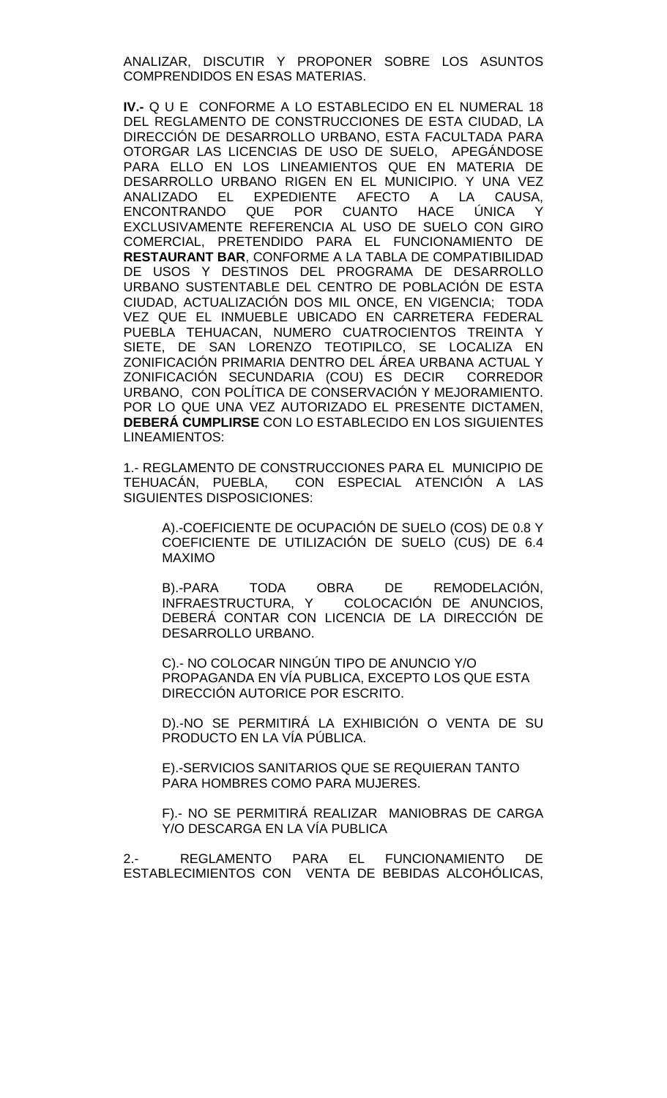ANALIZAR, DISCUTIR Y PROPONER SOBRE LOS ASUNTOS COMPRENDIDOS EN ESAS MATERIAS.

**IV.-** Q U E CONFORME A LO ESTABLECIDO EN EL NUMERAL 18 DEL REGLAMENTO DE CONSTRUCCIONES DE ESTA CIUDAD, LA DIRECCIÓN DE DESARROLLO URBANO, ESTA FACULTADA PARA OTORGAR LAS LICENCIAS DE USO DE SUELO, APEGÁNDOSE PARA ELLO EN LOS LINEAMIENTOS QUE EN MATERIA DE DESARROLLO URBANO RIGEN EN EL MUNICIPIO. Y UNA VEZ ANALIZADO EL EXPEDIENTE AFECTO A LA CAUSA,<br>ENCONTRANDO QUE POR CUANTO HACE ÚNICA Y ENCONTRANDO QUE POR CUANTO HACE ÚNICA Y EXCLUSIVAMENTE REFERENCIA AL USO DE SUELO CON GIRO COMERCIAL, PRETENDIDO PARA EL FUNCIONAMIENTO DE **RESTAURANT BAR**, CONFORME A LA TABLA DE COMPATIBILIDAD DE USOS Y DESTINOS DEL PROGRAMA DE DESARROLLO URBANO SUSTENTABLE DEL CENTRO DE POBLACIÓN DE ESTA CIUDAD, ACTUALIZACIÓN DOS MIL ONCE, EN VIGENCIA; TODA VEZ QUE EL INMUEBLE UBICADO EN CARRETERA FEDERAL PUEBLA TEHUACAN, NUMERO CUATROCIENTOS TREINTA Y SIETE, DE SAN LORENZO TEOTIPILCO, SE LOCALIZA EN ZONIFICACIÓN PRIMARIA DENTRO DEL ÁREA URBANA ACTUAL Y ZONIFICACIÓN SECUNDARIA (COU) ES DECIR CORREDOR URBANO, CON POLÍTICA DE CONSERVACIÓN Y MEJORAMIENTO. POR LO QUE UNA VEZ AUTORIZADO EL PRESENTE DICTAMEN, **DEBERÁ CUMPLIRSE** CON LO ESTABLECIDO EN LOS SIGUIENTES LINEAMIENTOS:

1.- REGLAMENTO DE CONSTRUCCIONES PARA EL MUNICIPIO DE TEHUACÁN, PUEBLA, CON ESPECIAL ATENCIÓN A LAS SIGUIENTES DISPOSICIONES:

A).-COEFICIENTE DE OCUPACIÓN DE SUELO (COS) DE 0.8 Y COEFICIENTE DE UTILIZACIÓN DE SUELO (CUS) DE 6.4 MAXIMO

B).-PARA TODA OBRA DE REMODELACIÓN,<br>INFRAESTRUCTURA, Y COLOCACIÓN DE ANUNCIOS. COLOCACIÓN DE ANUNCIOS, DEBERÁ CONTAR CON LICENCIA DE LA DIRECCIÓN DE DESARROLLO URBANO.

C).- NO COLOCAR NINGÚN TIPO DE ANUNCIO Y/O PROPAGANDA EN VÍA PUBLICA, EXCEPTO LOS QUE ESTA DIRECCIÓN AUTORICE POR ESCRITO.

D).-NO SE PERMITIRÁ LA EXHIBICIÓN O VENTA DE SU PRODUCTO EN LA VÍA PÚBLICA.

E).-SERVICIOS SANITARIOS QUE SE REQUIERAN TANTO PARA HOMBRES COMO PARA MUJERES.

F).- NO SE PERMITIRÁ REALIZAR MANIOBRAS DE CARGA Y/O DESCARGA EN LA VÍA PUBLICA

2.- REGLAMENTO PARA EL FUNCIONAMIENTO DE ESTABLECIMIENTOS CON VENTA DE BEBIDAS ALCOHÓLICAS,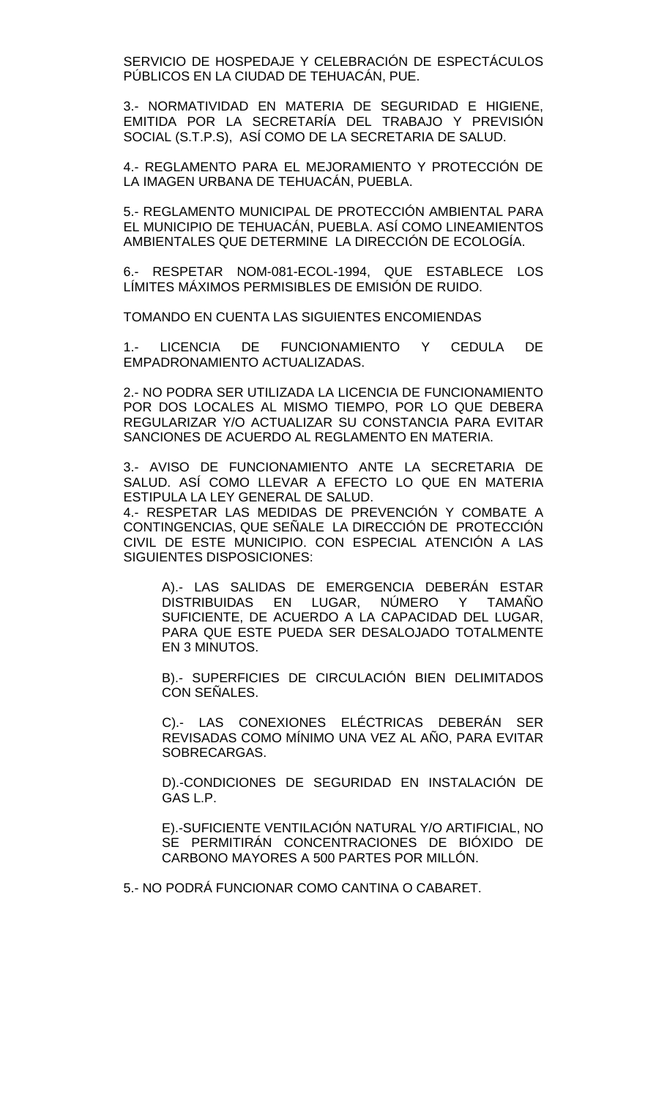SERVICIO DE HOSPEDAJE Y CELEBRACIÓN DE ESPECTÁCULOS PÚBLICOS EN LA CIUDAD DE TEHUACÁN, PUE.

3.- NORMATIVIDAD EN MATERIA DE SEGURIDAD E HIGIENE, EMITIDA POR LA SECRETARÍA DEL TRABAJO Y PREVISIÓN SOCIAL (S.T.P.S), ASÍ COMO DE LA SECRETARIA DE SALUD.

4.- REGLAMENTO PARA EL MEJORAMIENTO Y PROTECCIÓN DE LA IMAGEN URBANA DE TEHUACÁN, PUEBLA.

5.- REGLAMENTO MUNICIPAL DE PROTECCIÓN AMBIENTAL PARA EL MUNICIPIO DE TEHUACÁN, PUEBLA. ASÍ COMO LINEAMIENTOS AMBIENTALES QUE DETERMINE LA DIRECCIÓN DE ECOLOGÍA.

6.- RESPETAR NOM-081-ECOL-1994, QUE ESTABLECE LOS LÍMITES MÁXIMOS PERMISIBLES DE EMISIÓN DE RUIDO.

TOMANDO EN CUENTA LAS SIGUIENTES ENCOMIENDAS

1.- LICENCIA DE FUNCIONAMIENTO Y CEDULA DE EMPADRONAMIENTO ACTUALIZADAS.

2.- NO PODRA SER UTILIZADA LA LICENCIA DE FUNCIONAMIENTO POR DOS LOCALES AL MISMO TIEMPO, POR LO QUE DEBERA REGULARIZAR Y/O ACTUALIZAR SU CONSTANCIA PARA EVITAR SANCIONES DE ACUERDO AL REGLAMENTO EN MATERIA.

3.- AVISO DE FUNCIONAMIENTO ANTE LA SECRETARIA DE SALUD. ASÍ COMO LLEVAR A EFECTO LO QUE EN MATERIA ESTIPULA LA LEY GENERAL DE SALUD.

4.- RESPETAR LAS MEDIDAS DE PREVENCIÓN Y COMBATE A CONTINGENCIAS, QUE SEÑALE LA DIRECCIÓN DE PROTECCIÓN CIVIL DE ESTE MUNICIPIO. CON ESPECIAL ATENCIÓN A LAS SIGUIENTES DISPOSICIONES:

A).- LAS SALIDAS DE EMERGENCIA DEBERÁN ESTAR DISTRIBUIDAS EN LUGAR, NÚMERO Y TAMAÑO SUFICIENTE, DE ACUERDO A LA CAPACIDAD DEL LUGAR, PARA QUE ESTE PUEDA SER DESALOJADO TOTALMENTE EN 3 MINUTOS.

B).- SUPERFICIES DE CIRCULACIÓN BIEN DELIMITADOS CON SEÑALES.

C).- LAS CONEXIONES ELÉCTRICAS DEBERÁN SER REVISADAS COMO MÍNIMO UNA VEZ AL AÑO, PARA EVITAR SOBRECARGAS.

D).-CONDICIONES DE SEGURIDAD EN INSTALACIÓN DE GAS L.P.

E).-SUFICIENTE VENTILACIÓN NATURAL Y/O ARTIFICIAL, NO SE PERMITIRÁN CONCENTRACIONES DE BIÓXIDO DE CARBONO MAYORES A 500 PARTES POR MILLÓN.

5.- NO PODRÁ FUNCIONAR COMO CANTINA O CABARET.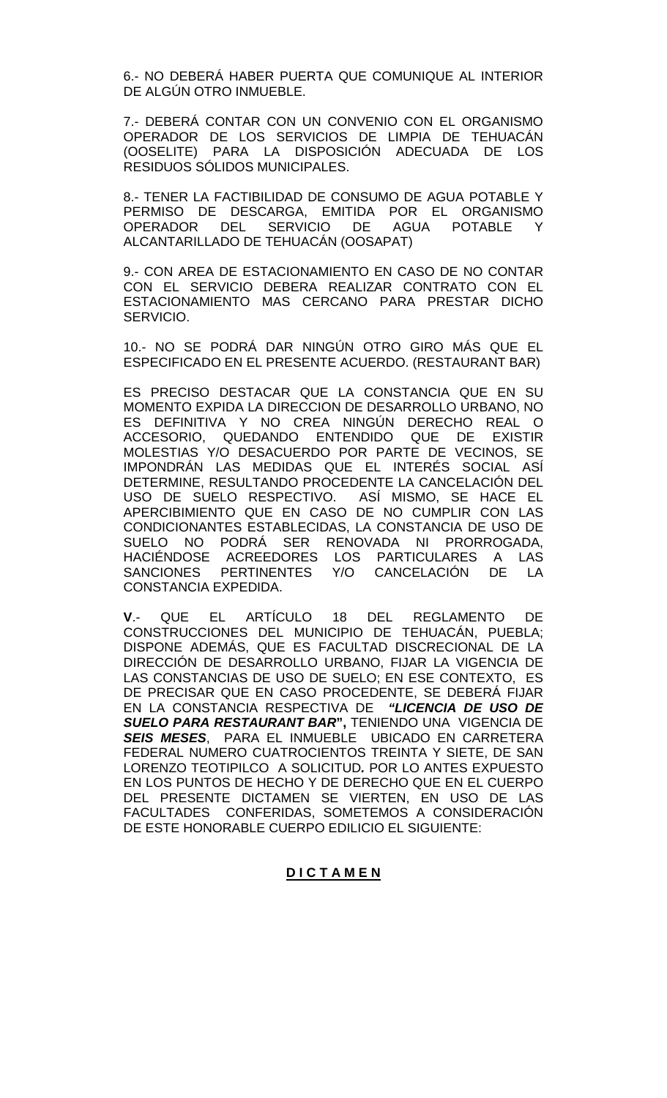6.- NO DEBERÁ HABER PUERTA QUE COMUNIQUE AL INTERIOR DE ALGÚN OTRO INMUEBLE.

7.- DEBERÁ CONTAR CON UN CONVENIO CON EL ORGANISMO OPERADOR DE LOS SERVICIOS DE LIMPIA DE TEHUACÁN (OOSELITE) PARA LA DISPOSICIÓN ADECUADA DE LOS RESIDUOS SÓLIDOS MUNICIPALES.

8.- TENER LA FACTIBILIDAD DE CONSUMO DE AGUA POTABLE Y PERMISO DE DESCARGA, EMITIDA POR EL ORGANISMO OPERADOR DEL SERVICIO DE AGUA POTABLE Y ALCANTARILLADO DE TEHUACÁN (OOSAPAT)

9.- CON AREA DE ESTACIONAMIENTO EN CASO DE NO CONTAR CON EL SERVICIO DEBERA REALIZAR CONTRATO CON EL ESTACIONAMIENTO MAS CERCANO PARA PRESTAR DICHO SERVICIO.

10.- NO SE PODRÁ DAR NINGÚN OTRO GIRO MÁS QUE EL ESPECIFICADO EN EL PRESENTE ACUERDO. (RESTAURANT BAR)

ES PRECISO DESTACAR QUE LA CONSTANCIA QUE EN SU MOMENTO EXPIDA LA DIRECCION DE DESARROLLO URBANO, NO ES DEFINITIVA Y NO CREA NINGÚN DERECHO REAL O ACCESORIO, QUEDANDO ENTENDIDO QUE DE EXISTIR MOLESTIAS Y/O DESACUERDO POR PARTE DE VECINOS, SE IMPONDRÁN LAS MEDIDAS QUE EL INTERÉS SOCIAL ASÍ DETERMINE, RESULTANDO PROCEDENTE LA CANCELACIÓN DEL USO DE SUELO RESPECTIVO. ASÍ MISMO, SE HACE EL APERCIBIMIENTO QUE EN CASO DE NO CUMPLIR CON LAS CONDICIONANTES ESTABLECIDAS, LA CONSTANCIA DE USO DE SUELO NO PODRÁ SER RENOVADA NI PRORROGADA, HACIÉNDOSE ACREEDORES LOS PARTICULARES A LAS<br>SANCIONES PERTINENTES Y/O CANCELACIÓN DE LA SANCIONES PERTINENTES Y/O CANCELACIÓN DE LA CONSTANCIA EXPEDIDA.

**V**.- QUE EL ARTÍCULO 18 DEL REGLAMENTO DE CONSTRUCCIONES DEL MUNICIPIO DE TEHUACÁN, PUEBLA; DISPONE ADEMÁS, QUE ES FACULTAD DISCRECIONAL DE LA DIRECCIÓN DE DESARROLLO URBANO, FIJAR LA VIGENCIA DE LAS CONSTANCIAS DE USO DE SUELO; EN ESE CONTEXTO, ES DE PRECISAR QUE EN CASO PROCEDENTE, SE DEBERÁ FIJAR EN LA CONSTANCIA RESPECTIVA DE *"LICENCIA DE USO DE SUELO PARA RESTAURANT BAR***",** TENIENDO UNA VIGENCIA DE *SEIS MESES*, PARA EL INMUEBLE UBICADO EN CARRETERA FEDERAL NUMERO CUATROCIENTOS TREINTA Y SIETE, DE SAN LORENZO TEOTIPILCO A SOLICITUD*.* POR LO ANTES EXPUESTO EN LOS PUNTOS DE HECHO Y DE DERECHO QUE EN EL CUERPO DEL PRESENTE DICTAMEN SE VIERTEN, EN USO DE LAS FACULTADES CONFERIDAS, SOMETEMOS A CONSIDERACIÓN DE ESTE HONORABLE CUERPO EDILICIO EL SIGUIENTE:

### **D I C T A M E N**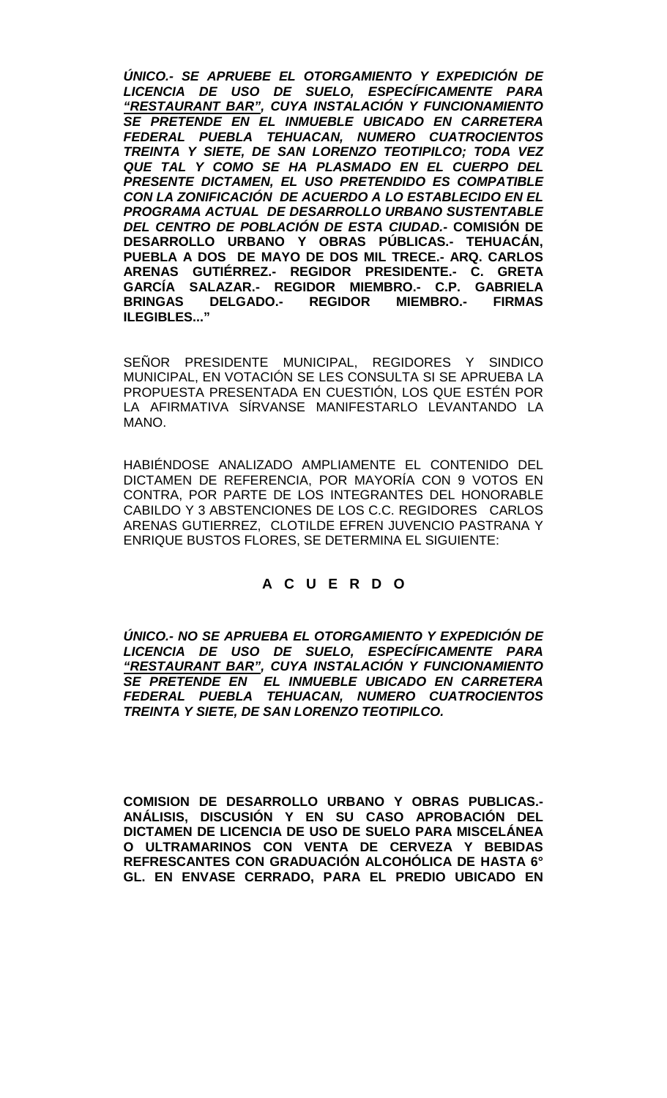*ÚNICO.- SE APRUEBE EL OTORGAMIENTO Y EXPEDICIÓN DE LICENCIA DE USO DE SUELO, ESPECÍFICAMENTE PARA "RESTAURANT BAR", CUYA INSTALACIÓN Y FUNCIONAMIENTO SE PRETENDE EN EL INMUEBLE UBICADO EN CARRETERA FEDERAL PUEBLA TEHUACAN, NUMERO CUATROCIENTOS TREINTA Y SIETE, DE SAN LORENZO TEOTIPILCO; TODA VEZ QUE TAL Y COMO SE HA PLASMADO EN EL CUERPO DEL PRESENTE DICTAMEN, EL USO PRETENDIDO ES COMPATIBLE CON LA ZONIFICACIÓN DE ACUERDO A LO ESTABLECIDO EN EL PROGRAMA ACTUAL DE DESARROLLO URBANO SUSTENTABLE DEL CENTRO DE POBLACIÓN DE ESTA CIUDAD.-* **COMISIÓN DE DESARROLLO URBANO Y OBRAS PÚBLICAS.- TEHUACÁN, PUEBLA A DOS DE MAYO DE DOS MIL TRECE.- ARQ. CARLOS ARENAS GUTIÉRREZ.- REGIDOR PRESIDENTE.- C. GRETA GARCÍA SALAZAR.- REGIDOR MIEMBRO.- C.P. GABRIELA BRINGAS DELGADO.- REGIDOR MIEMBRO.- FIRMAS ILEGIBLES..."**

SEÑOR PRESIDENTE MUNICIPAL, REGIDORES Y SINDICO MUNICIPAL, EN VOTACIÓN SE LES CONSULTA SI SE APRUEBA LA PROPUESTA PRESENTADA EN CUESTIÓN, LOS QUE ESTÉN POR LA AFIRMATIVA SÍRVANSE MANIFESTARLO LEVANTANDO LA MANO.

HABIÉNDOSE ANALIZADO AMPLIAMENTE EL CONTENIDO DEL DICTAMEN DE REFERENCIA, POR MAYORÍA CON 9 VOTOS EN CONTRA, POR PARTE DE LOS INTEGRANTES DEL HONORABLE CABILDO Y 3 ABSTENCIONES DE LOS C.C. REGIDORES CARLOS ARENAS GUTIERREZ, CLOTILDE EFREN JUVENCIO PASTRANA Y ENRIQUE BUSTOS FLORES, SE DETERMINA EL SIGUIENTE:

# **A C U E R D O**

*ÚNICO.- NO SE APRUEBA EL OTORGAMIENTO Y EXPEDICIÓN DE LICENCIA DE USO DE SUELO, ESPECÍFICAMENTE PARA "RESTAURANT BAR", CUYA INSTALACIÓN Y FUNCIONAMIENTO SE PRETENDE EN EL INMUEBLE UBICADO EN CARRETERA FEDERAL PUEBLA TEHUACAN, NUMERO CUATROCIENTOS TREINTA Y SIETE, DE SAN LORENZO TEOTIPILCO.*

**COMISION DE DESARROLLO URBANO Y OBRAS PUBLICAS.- ANÁLISIS, DISCUSIÓN Y EN SU CASO APROBACIÓN DEL DICTAMEN DE LICENCIA DE USO DE SUELO PARA MISCELÁNEA O ULTRAMARINOS CON VENTA DE CERVEZA Y BEBIDAS REFRESCANTES CON GRADUACIÓN ALCOHÓLICA DE HASTA 6° GL. EN ENVASE CERRADO, PARA EL PREDIO UBICADO EN**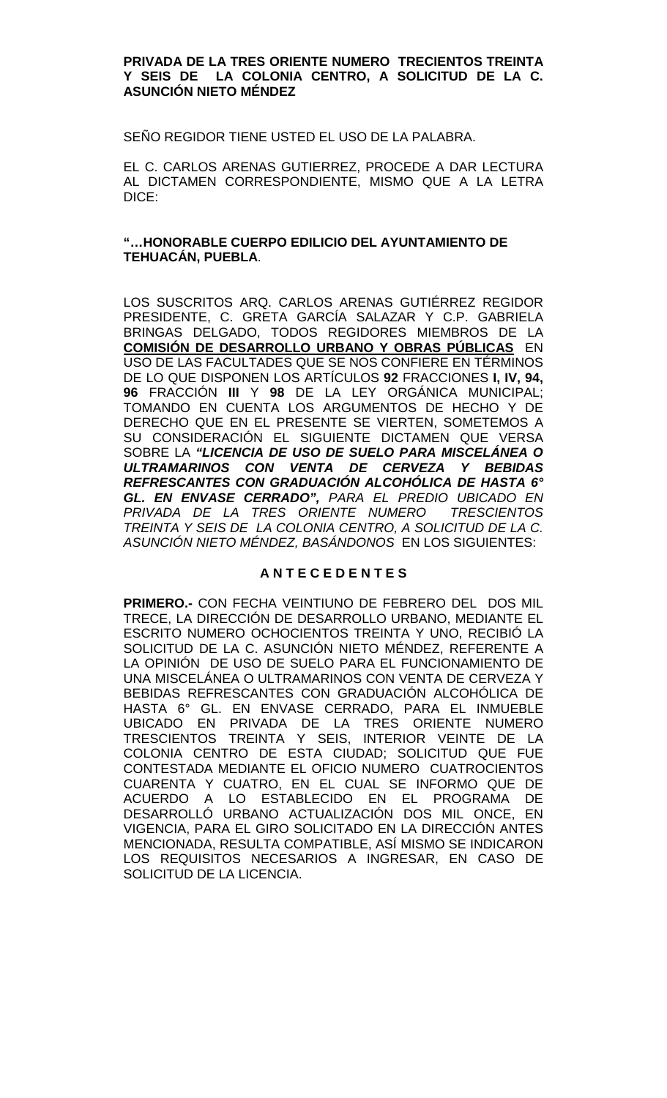#### **PRIVADA DE LA TRES ORIENTE NUMERO TRECIENTOS TREINTA Y SEIS DE LA COLONIA CENTRO, A SOLICITUD DE LA C. ASUNCIÓN NIETO MÉNDEZ**

SEÑO REGIDOR TIENE USTED EL USO DE LA PALABRA.

EL C. CARLOS ARENAS GUTIERREZ, PROCEDE A DAR LECTURA AL DICTAMEN CORRESPONDIENTE, MISMO QUE A LA LETRA DICE:

# **"…HONORABLE CUERPO EDILICIO DEL AYUNTAMIENTO DE TEHUACÁN, PUEBLA**.

LOS SUSCRITOS ARQ. CARLOS ARENAS GUTIÉRREZ REGIDOR PRESIDENTE, C. GRETA GARCÍA SALAZAR Y C.P. GABRIELA BRINGAS DELGADO, TODOS REGIDORES MIEMBROS DE LA **COMISIÓN DE DESARROLLO URBANO Y OBRAS PÚBLICAS** EN USO DE LAS FACULTADES QUE SE NOS CONFIERE EN TÉRMINOS DE LO QUE DISPONEN LOS ARTÍCULOS **92** FRACCIONES **I, IV, 94, 96** FRACCIÓN **III** Y **98** DE LA LEY ORGÁNICA MUNICIPAL; TOMANDO EN CUENTA LOS ARGUMENTOS DE HECHO Y DE DERECHO QUE EN EL PRESENTE SE VIERTEN, SOMETEMOS A SU CONSIDERACIÓN EL SIGUIENTE DICTAMEN QUE VERSA SOBRE LA *"LICENCIA DE USO DE SUELO PARA MISCELÁNEA O ULTRAMARINOS CON VENTA DE CERVEZA Y BEBIDAS REFRESCANTES CON GRADUACIÓN ALCOHÓLICA DE HASTA 6° GL. EN ENVASE CERRADO", PARA EL PREDIO UBICADO EN PRIVADA DE LA TRES ORIENTE NUMERO TRESCIENTOS TREINTA Y SEIS DE LA COLONIA CENTRO, A SOLICITUD DE LA C. ASUNCIÓN NIETO MÉNDEZ, BASÁNDONOS* EN LOS SIGUIENTES:

# **A N T E C E D E N T E S**

**PRIMERO.-** CON FECHA VEINTIUNO DE FEBRERO DEL DOS MIL TRECE, LA DIRECCIÓN DE DESARROLLO URBANO, MEDIANTE EL ESCRITO NUMERO OCHOCIENTOS TREINTA Y UNO, RECIBIÓ LA SOLICITUD DE LA C. ASUNCIÓN NIETO MÉNDEZ, REFERENTE A LA OPINIÓN DE USO DE SUELO PARA EL FUNCIONAMIENTO DE UNA MISCELÁNEA O ULTRAMARINOS CON VENTA DE CERVEZA Y BEBIDAS REFRESCANTES CON GRADUACIÓN ALCOHÓLICA DE HASTA 6° GL. EN ENVASE CERRADO, PARA EL INMUEBLE UBICADO EN PRIVADA DE LA TRES ORIENTE NUMERO TRESCIENTOS TREINTA Y SEIS, INTERIOR VEINTE DE LA COLONIA CENTRO DE ESTA CIUDAD; SOLICITUD QUE FUE CONTESTADA MEDIANTE EL OFICIO NUMERO CUATROCIENTOS CUARENTA Y CUATRO, EN EL CUAL SE INFORMO QUE DE ACUERDO A LO ESTABLECIDO EN EL PROGRAMA DE DESARROLLÓ URBANO ACTUALIZACIÓN DOS MIL ONCE, EN VIGENCIA, PARA EL GIRO SOLICITADO EN LA DIRECCIÓN ANTES MENCIONADA, RESULTA COMPATIBLE, ASÍ MISMO SE INDICARON LOS REQUISITOS NECESARIOS A INGRESAR, EN CASO DE SOLICITUD DE LA LICENCIA.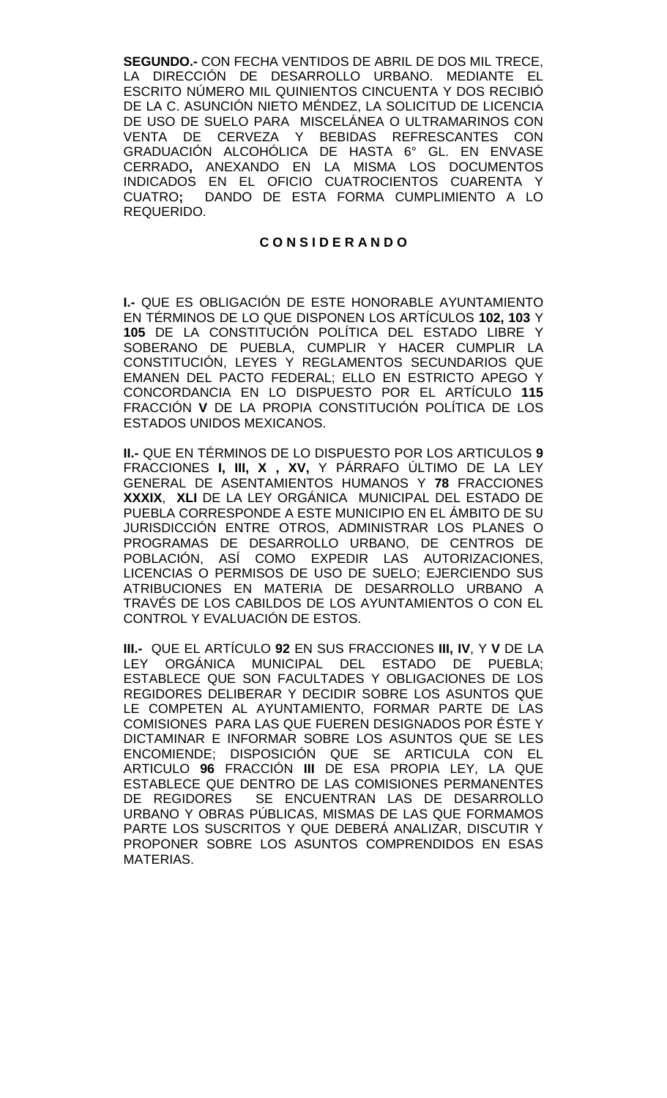**SEGUNDO.-** CON FECHA VENTIDOS DE ABRIL DE DOS MIL TRECE, LA DIRECCIÓN DE DESARROLLO URBANO. MEDIANTE EL ESCRITO NÚMERO MIL QUINIENTOS CINCUENTA Y DOS RECIBIÓ DE LA C. ASUNCIÓN NIETO MÉNDEZ, LA SOLICITUD DE LICENCIA DE USO DE SUELO PARA MISCELÁNEA O ULTRAMARINOS CON VENTA DE CERVEZA Y BEBIDAS REFRESCANTES CON GRADUACIÓN ALCOHÓLICA DE HASTA 6° GL. EN ENVASE CERRADO**,** ANEXANDO EN LA MISMA LOS DOCUMENTOS INDICADOS EN EL OFICIO CUATROCIENTOS CUARENTA Y CUATRO**;** DANDO DE ESTA FORMA CUMPLIMIENTO A LO REQUERIDO.

### **C O N S I D E R A N D O**

**I.-** QUE ES OBLIGACIÓN DE ESTE HONORABLE AYUNTAMIENTO EN TÉRMINOS DE LO QUE DISPONEN LOS ARTÍCULOS **102, 103** Y **105** DE LA CONSTITUCIÓN POLÍTICA DEL ESTADO LIBRE Y SOBERANO DE PUEBLA, CUMPLIR Y HACER CUMPLIR LA CONSTITUCIÓN, LEYES Y REGLAMENTOS SECUNDARIOS QUE EMANEN DEL PACTO FEDERAL; ELLO EN ESTRICTO APEGO Y CONCORDANCIA EN LO DISPUESTO POR EL ARTÍCULO **115**  FRACCIÓN **V** DE LA PROPIA CONSTITUCIÓN POLÍTICA DE LOS ESTADOS UNIDOS MEXICANOS.

**II.-** QUE EN TÉRMINOS DE LO DISPUESTO POR LOS ARTICULOS **9**  FRACCIONES **I, III, X , XV,** Y PÁRRAFO ÚLTIMO DE LA LEY GENERAL DE ASENTAMIENTOS HUMANOS Y **78** FRACCIONES **XXXIX**, **XLI** DE LA LEY ORGÁNICA MUNICIPAL DEL ESTADO DE PUEBLA CORRESPONDE A ESTE MUNICIPIO EN EL ÁMBITO DE SU JURISDICCIÓN ENTRE OTROS, ADMINISTRAR LOS PLANES O PROGRAMAS DE DESARROLLO URBANO, DE CENTROS DE POBLACIÓN, ASÍ COMO EXPEDIR LAS AUTORIZACIONES, LICENCIAS O PERMISOS DE USO DE SUELO; EJERCIENDO SUS ATRIBUCIONES EN MATERIA DE DESARROLLO URBANO A TRAVÉS DE LOS CABILDOS DE LOS AYUNTAMIENTOS O CON EL CONTROL Y EVALUACIÓN DE ESTOS.

**III.-** QUE EL ARTÍCULO **92** EN SUS FRACCIONES **III, IV**, Y **V** DE LA LEY ORGÁNICA MUNICIPAL DEL ESTADO DE PUEBLA; ESTABLECE QUE SON FACULTADES Y OBLIGACIONES DE LOS REGIDORES DELIBERAR Y DECIDIR SOBRE LOS ASUNTOS QUE LE COMPETEN AL AYUNTAMIENTO, FORMAR PARTE DE LAS COMISIONES PARA LAS QUE FUEREN DESIGNADOS POR ÉSTE Y DICTAMINAR E INFORMAR SOBRE LOS ASUNTOS QUE SE LES ENCOMIENDE; DISPOSICIÓN QUE SE ARTICULA CON EL ARTICULO **96** FRACCIÓN **III** DE ESA PROPIA LEY, LA QUE ESTABLECE QUE DENTRO DE LAS COMISIONES PERMANENTES<br>DE REGIDORES SE ENCUENTRAN LAS DE DESARROLLO SE ENCUENTRAN LAS DE DESARROLLO URBANO Y OBRAS PÚBLICAS, MISMAS DE LAS QUE FORMAMOS PARTE LOS SUSCRITOS Y QUE DEBERÁ ANALIZAR, DISCUTIR Y PROPONER SOBRE LOS ASUNTOS COMPRENDIDOS EN ESAS MATERIAS.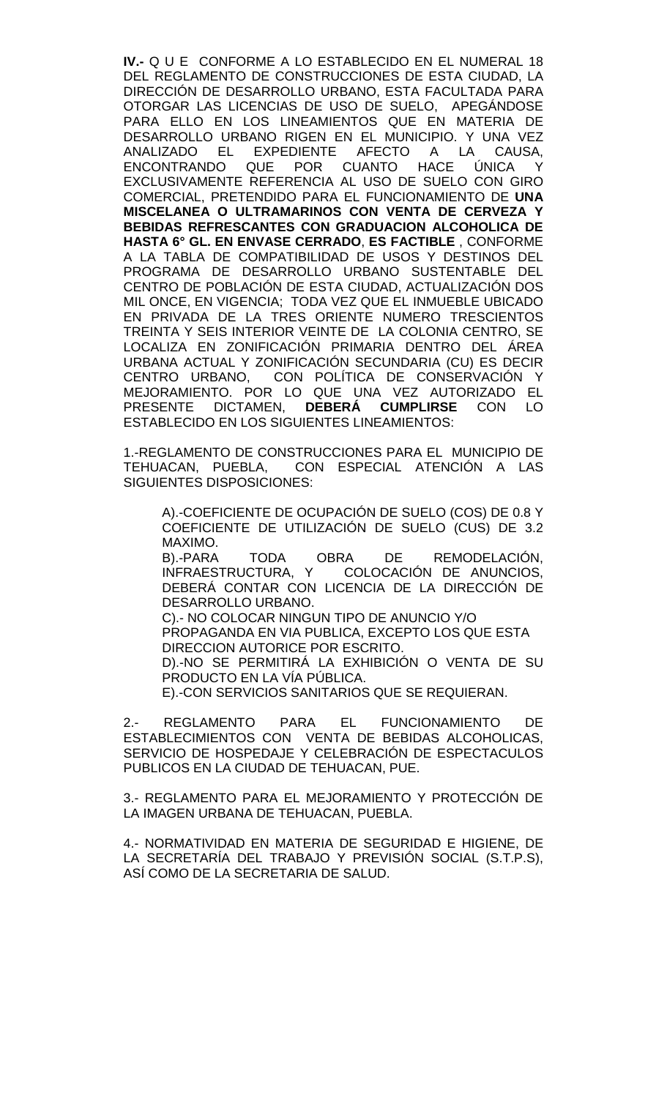**IV.-** Q U E CONFORME A LO ESTABLECIDO EN EL NUMERAL 18 DEL REGLAMENTO DE CONSTRUCCIONES DE ESTA CIUDAD, LA DIRECCIÓN DE DESARROLLO URBANO, ESTA FACULTADA PARA OTORGAR LAS LICENCIAS DE USO DE SUELO, APEGÁNDOSE PARA ELLO EN LOS LINEAMIENTOS QUE EN MATERIA DE DESARROLLO URBANO RIGEN EN EL MUNICIPIO. Y UNA VEZ ANALIZADO EL EXPEDIENTE AFECTO A LA CAUSA, ENCONTRANDO QUE POR CUANTO HACE ÚNICA Y EXCLUSIVAMENTE REFERENCIA AL USO DE SUELO CON GIRO COMERCIAL, PRETENDIDO PARA EL FUNCIONAMIENTO DE **UNA MISCELANEA O ULTRAMARINOS CON VENTA DE CERVEZA Y BEBIDAS REFRESCANTES CON GRADUACION ALCOHOLICA DE HASTA 6° GL. EN ENVASE CERRADO**, **ES FACTIBLE** , CONFORME A LA TABLA DE COMPATIBILIDAD DE USOS Y DESTINOS DEL PROGRAMA DE DESARROLLO URBANO SUSTENTABLE DEL CENTRO DE POBLACIÓN DE ESTA CIUDAD, ACTUALIZACIÓN DOS MIL ONCE, EN VIGENCIA; TODA VEZ QUE EL INMUEBLE UBICADO EN PRIVADA DE LA TRES ORIENTE NUMERO TRESCIENTOS TREINTA Y SEIS INTERIOR VEINTE DE LA COLONIA CENTRO, SE LOCALIZA EN ZONIFICACIÓN PRIMARIA DENTRO DEL ÁREA URBANA ACTUAL Y ZONIFICACIÓN SECUNDARIA (CU) ES DECIR CENTRO URBANO, CON POLÍTICA DE CONSERVACIÓN Y MEJORAMIENTO. POR LO QUE UNA VEZ AUTORIZADO EL PRESENTE DICTAMEN, **DEBERÁ CUMPLIRSE** CON LO ESTABLECIDO EN LOS SIGUIENTES LINEAMIENTOS:

1.-REGLAMENTO DE CONSTRUCCIONES PARA EL MUNICIPIO DE TEHUACAN, PUEBLA, CON ESPECIAL ATENCIÓN A LAS SIGUIENTES DISPOSICIONES:

A).-COEFICIENTE DE OCUPACIÓN DE SUELO (COS) DE 0.8 Y COEFICIENTE DE UTILIZACIÓN DE SUELO (CUS) DE 3.2 MAXIMO.

B).-PARA TODA OBRA DE REMODELACIÓN, INFRAESTRUCTURA, Y COLOCACIÓN DE ANUNCIOS, DEBERÁ CONTAR CON LICENCIA DE LA DIRECCIÓN DE DESARROLLO URBANO.

C).- NO COLOCAR NINGUN TIPO DE ANUNCIO Y/O PROPAGANDA EN VIA PUBLICA, EXCEPTO LOS QUE ESTA DIRECCION AUTORICE POR ESCRITO. D).-NO SE PERMITIRÁ LA EXHIBICIÓN O VENTA DE SU

PRODUCTO EN LA VÍA PÚBLICA.

E).-CON SERVICIOS SANITARIOS QUE SE REQUIERAN.

2.- REGLAMENTO PARA EL FUNCIONAMIENTO DE ESTABLECIMIENTOS CON VENTA DE BEBIDAS ALCOHOLICAS, SERVICIO DE HOSPEDAJE Y CELEBRACIÓN DE ESPECTACULOS PUBLICOS EN LA CIUDAD DE TEHUACAN, PUE.

3.- REGLAMENTO PARA EL MEJORAMIENTO Y PROTECCIÓN DE LA IMAGEN URBANA DE TEHUACAN, PUEBLA.

4.- NORMATIVIDAD EN MATERIA DE SEGURIDAD E HIGIENE, DE LA SECRETARÍA DEL TRABAJO Y PREVISIÓN SOCIAL (S.T.P.S), ASÍ COMO DE LA SECRETARIA DE SALUD.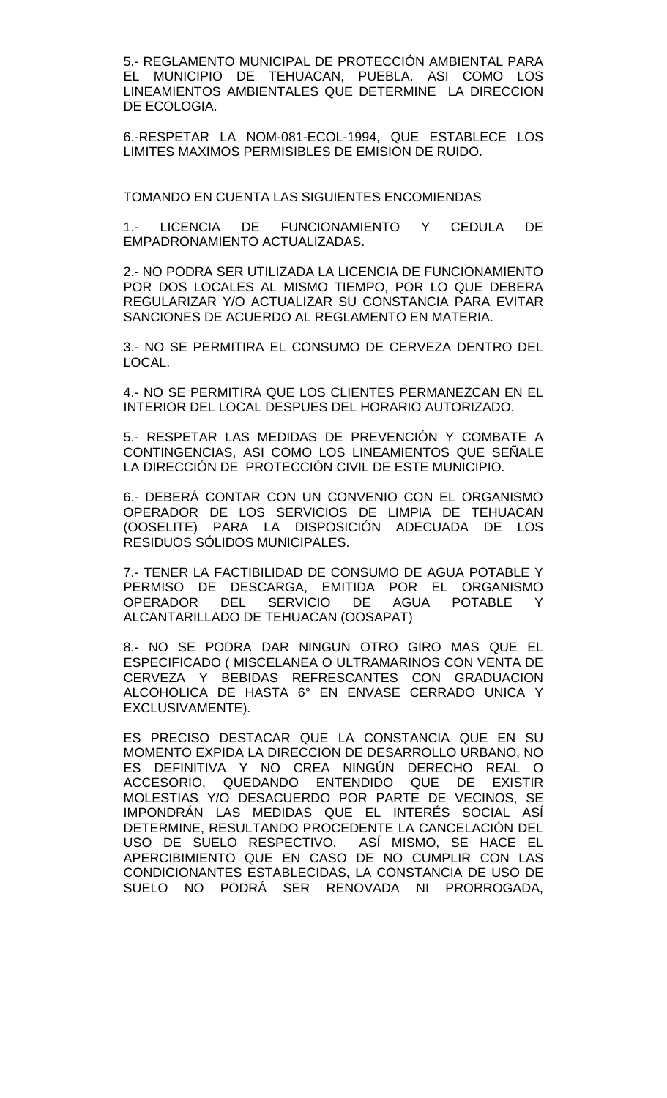5.- REGLAMENTO MUNICIPAL DE PROTECCIÓN AMBIENTAL PARA EL MUNICIPIO DE TEHUACAN, PUEBLA. ASI COMO LOS LINEAMIENTOS AMBIENTALES QUE DETERMINE LA DIRECCION DE ECOLOGIA.

6.-RESPETAR LA NOM-081-ECOL-1994, QUE ESTABLECE LOS LIMITES MAXIMOS PERMISIBLES DE EMISION DE RUIDO.

TOMANDO EN CUENTA LAS SIGUIENTES ENCOMIENDAS

1.- LICENCIA DE FUNCIONAMIENTO Y CEDULA DE EMPADRONAMIENTO ACTUALIZADAS.

2.- NO PODRA SER UTILIZADA LA LICENCIA DE FUNCIONAMIENTO POR DOS LOCALES AL MISMO TIEMPO, POR LO QUE DEBERA REGULARIZAR Y/O ACTUALIZAR SU CONSTANCIA PARA EVITAR SANCIONES DE ACUERDO AL REGLAMENTO EN MATERIA.

3.- NO SE PERMITIRA EL CONSUMO DE CERVEZA DENTRO DEL LOCAL.

4.- NO SE PERMITIRA QUE LOS CLIENTES PERMANEZCAN EN EL INTERIOR DEL LOCAL DESPUES DEL HORARIO AUTORIZADO.

5.- RESPETAR LAS MEDIDAS DE PREVENCIÓN Y COMBATE A CONTINGENCIAS, ASI COMO LOS LINEAMIENTOS QUE SEÑALE LA DIRECCIÓN DE PROTECCIÓN CIVIL DE ESTE MUNICIPIO.

6.- DEBERÁ CONTAR CON UN CONVENIO CON EL ORGANISMO OPERADOR DE LOS SERVICIOS DE LIMPIA DE TEHUACAN (OOSELITE) PARA LA DISPOSICIÓN ADECUADA DE LOS RESIDUOS SÓLIDOS MUNICIPALES.

7.- TENER LA FACTIBILIDAD DE CONSUMO DE AGUA POTABLE Y PERMISO DE DESCARGA, EMITIDA POR EL ORGANISMO OPERADOR DEL SERVICIO DE AGUA POTABLE Y ALCANTARILLADO DE TEHUACAN (OOSAPAT)

8.- NO SE PODRA DAR NINGUN OTRO GIRO MAS QUE EL ESPECIFICADO ( MISCELANEA O ULTRAMARINOS CON VENTA DE CERVEZA Y BEBIDAS REFRESCANTES CON GRADUACION ALCOHOLICA DE HASTA 6° EN ENVASE CERRADO UNICA Y EXCLUSIVAMENTE).

ES PRECISO DESTACAR QUE LA CONSTANCIA QUE EN SU MOMENTO EXPIDA LA DIRECCION DE DESARROLLO URBANO, NO ES DEFINITIVA Y NO CREA NINGÚN DERECHO REAL O ACCESORIO, QUEDANDO ENTENDIDO QUE DE EXISTIR MOLESTIAS Y/O DESACUERDO POR PARTE DE VECINOS, SE IMPONDRÁN LAS MEDIDAS QUE EL INTERÉS SOCIAL ASÍ DETERMINE, RESULTANDO PROCEDENTE LA CANCELACIÓN DEL USO DE SUELO RESPECTIVO. ASÍ MISMO, SE HACE EL APERCIBIMIENTO QUE EN CASO DE NO CUMPLIR CON LAS CONDICIONANTES ESTABLECIDAS, LA CONSTANCIA DE USO DE SUELO NO PODRÁ SER RENOVADA NI PRORROGADA,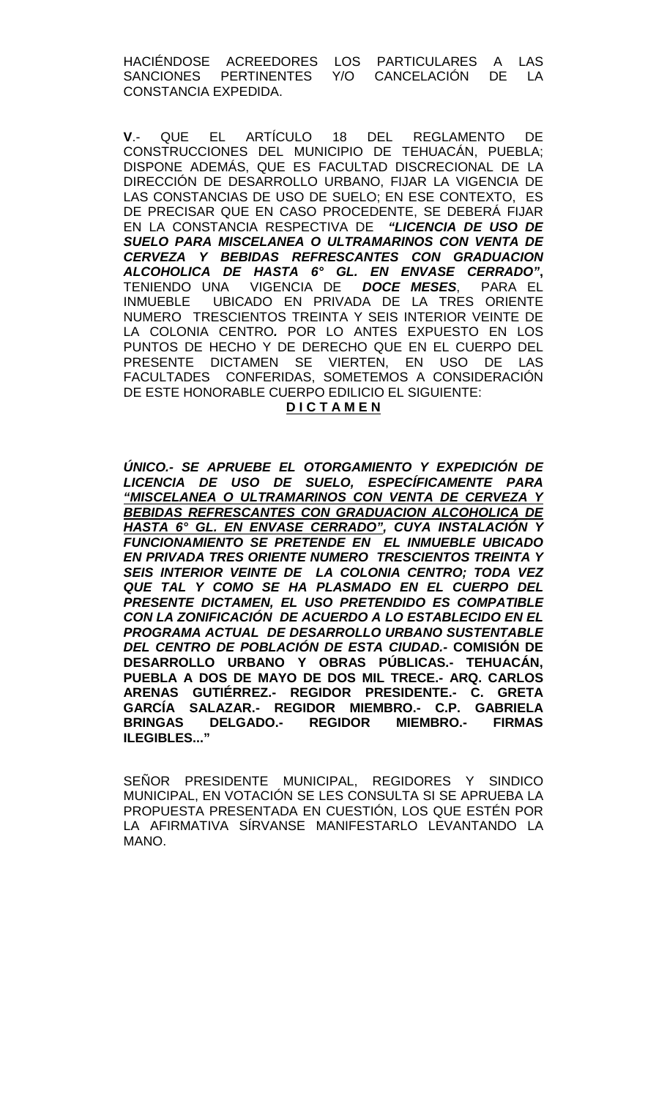HACIÉNDOSE ACREEDORES LOS PARTICULARES A LAS<br>SANCIONES PERTINENTES Y/O CANCELACIÓN DE LA PERTINENTES Y/O CONSTANCIA EXPEDIDA.

**V**.- QUE EL ARTÍCULO 18 DEL REGLAMENTO DE CONSTRUCCIONES DEL MUNICIPIO DE TEHUACÁN, PUEBLA; DISPONE ADEMÁS, QUE ES FACULTAD DISCRECIONAL DE LA DIRECCIÓN DE DESARROLLO URBANO, FIJAR LA VIGENCIA DE LAS CONSTANCIAS DE USO DE SUELO; EN ESE CONTEXTO, ES DE PRECISAR QUE EN CASO PROCEDENTE, SE DEBERÁ FIJAR EN LA CONSTANCIA RESPECTIVA DE *"LICENCIA DE USO DE SUELO PARA MISCELANEA O ULTRAMARINOS CON VENTA DE CERVEZA Y BEBIDAS REFRESCANTES CON GRADUACION ALCOHOLICA DE HASTA 6° GL. EN ENVASE CERRADO"***,**  TENIENDO UNA VIGENCIA DE *DOCE MESES*, PARA EL UBICADO EN PRIVADA DE LA TRES ORIENTE NUMERO TRESCIENTOS TREINTA Y SEIS INTERIOR VEINTE DE LA COLONIA CENTRO*.* POR LO ANTES EXPUESTO EN LOS PUNTOS DE HECHO Y DE DERECHO QUE EN EL CUERPO DEL PRESENTE DICTAMEN SE VIERTEN, EN USO DE LAS FACULTADES CONFERIDAS, SOMETEMOS A CONSIDERACIÓN DE ESTE HONORABLE CUERPO EDILICIO EL SIGUIENTE:

#### **D I C T A M E N**

*ÚNICO.- SE APRUEBE EL OTORGAMIENTO Y EXPEDICIÓN DE LICENCIA DE USO DE SUELO, ESPECÍFICAMENTE PARA "MISCELANEA O ULTRAMARINOS CON VENTA DE CERVEZA Y*  **BEBIDAS REFRESCANTES CON GRADUACION ALCOHOLICA DE** *HASTA 6° GL. EN ENVASE CERRADO", CUYA INSTALACIÓN Y FUNCIONAMIENTO SE PRETENDE EN EL INMUEBLE UBICADO EN PRIVADA TRES ORIENTE NUMERO TRESCIENTOS TREINTA Y SEIS INTERIOR VEINTE DE LA COLONIA CENTRO; TODA VEZ QUE TAL Y COMO SE HA PLASMADO EN EL CUERPO DEL PRESENTE DICTAMEN, EL USO PRETENDIDO ES COMPATIBLE CON LA ZONIFICACIÓN DE ACUERDO A LO ESTABLECIDO EN EL PROGRAMA ACTUAL DE DESARROLLO URBANO SUSTENTABLE DEL CENTRO DE POBLACIÓN DE ESTA CIUDAD.-* **COMISIÓN DE DESARROLLO URBANO Y OBRAS PÚBLICAS.- TEHUACÁN, PUEBLA A DOS DE MAYO DE DOS MIL TRECE.- ARQ. CARLOS ARENAS GUTIÉRREZ.- REGIDOR PRESIDENTE.- C. GRETA GARCÍA SALAZAR.- REGIDOR MIEMBRO.- C.P. GABRIELA BRINGAS DELGADO.- REGIDOR MIEMBRO.- FIRMAS ILEGIBLES..."**

SEÑOR PRESIDENTE MUNICIPAL, REGIDORES Y SINDICO MUNICIPAL, EN VOTACIÓN SE LES CONSULTA SI SE APRUEBA LA PROPUESTA PRESENTADA EN CUESTIÓN, LOS QUE ESTÉN POR LA AFIRMATIVA SÍRVANSE MANIFESTARLO LEVANTANDO LA MANO.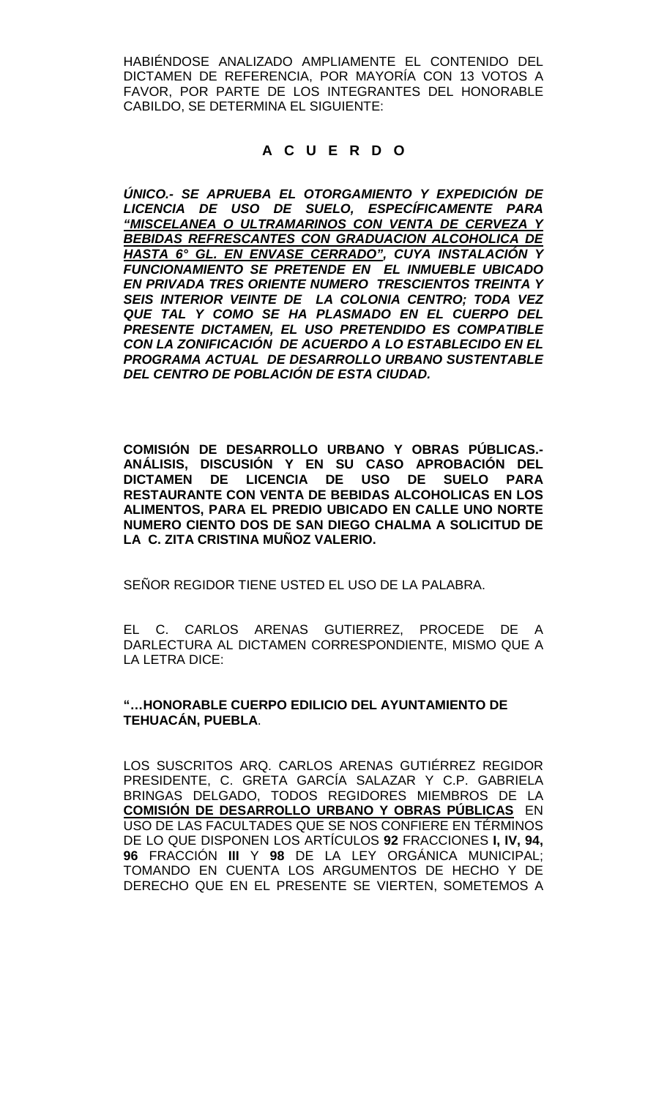HABIÉNDOSE ANALIZADO AMPLIAMENTE EL CONTENIDO DEL DICTAMEN DE REFERENCIA, POR MAYORÍA CON 13 VOTOS A FAVOR, POR PARTE DE LOS INTEGRANTES DEL HONORABLE CABILDO, SE DETERMINA EL SIGUIENTE:

# **A C U E R D O**

*ÚNICO.- SE APRUEBA EL OTORGAMIENTO Y EXPEDICIÓN DE LICENCIA DE USO DE SUELO, ESPECÍFICAMENTE PARA "MISCELANEA O ULTRAMARINOS CON VENTA DE CERVEZA Y BEBIDAS REFRESCANTES CON GRADUACION ALCOHOLICA DE HASTA 6° GL. EN ENVASE CERRADO", CUYA INSTALACIÓN Y FUNCIONAMIENTO SE PRETENDE EN EL INMUEBLE UBICADO EN PRIVADA TRES ORIENTE NUMERO TRESCIENTOS TREINTA Y SEIS INTERIOR VEINTE DE LA COLONIA CENTRO; TODA VEZ QUE TAL Y COMO SE HA PLASMADO EN EL CUERPO DEL PRESENTE DICTAMEN, EL USO PRETENDIDO ES COMPATIBLE CON LA ZONIFICACIÓN DE ACUERDO A LO ESTABLECIDO EN EL PROGRAMA ACTUAL DE DESARROLLO URBANO SUSTENTABLE DEL CENTRO DE POBLACIÓN DE ESTA CIUDAD.*

**COMISIÓN DE DESARROLLO URBANO Y OBRAS PÚBLICAS.- ANÁLISIS, DISCUSIÓN Y EN SU CASO APROBACIÓN DEL DICTAMEN DE LICENCIA DE USO DE SUELO PARA RESTAURANTE CON VENTA DE BEBIDAS ALCOHOLICAS EN LOS ALIMENTOS, PARA EL PREDIO UBICADO EN CALLE UNO NORTE NUMERO CIENTO DOS DE SAN DIEGO CHALMA A SOLICITUD DE LA C. ZITA CRISTINA MUÑOZ VALERIO.**

SEÑOR REGIDOR TIENE USTED EL USO DE LA PALABRA.

EL C. CARLOS ARENAS GUTIERREZ, PROCEDE DE A DARLECTURA AL DICTAMEN CORRESPONDIENTE, MISMO QUE A LA LETRA DICE:

### **"…HONORABLE CUERPO EDILICIO DEL AYUNTAMIENTO DE TEHUACÁN, PUEBLA**.

LOS SUSCRITOS ARQ. CARLOS ARENAS GUTIÉRREZ REGIDOR PRESIDENTE, C. GRETA GARCÍA SALAZAR Y C.P. GABRIELA BRINGAS DELGADO, TODOS REGIDORES MIEMBROS DE LA **COMISIÓN DE DESARROLLO URBANO Y OBRAS PÚBLICAS** EN USO DE LAS FACULTADES QUE SE NOS CONFIERE EN TÉRMINOS DE LO QUE DISPONEN LOS ARTÍCULOS **92** FRACCIONES **I, IV, 94, 96** FRACCIÓN **III** Y **98** DE LA LEY ORGÁNICA MUNICIPAL; TOMANDO EN CUENTA LOS ARGUMENTOS DE HECHO Y DE DERECHO QUE EN EL PRESENTE SE VIERTEN, SOMETEMOS A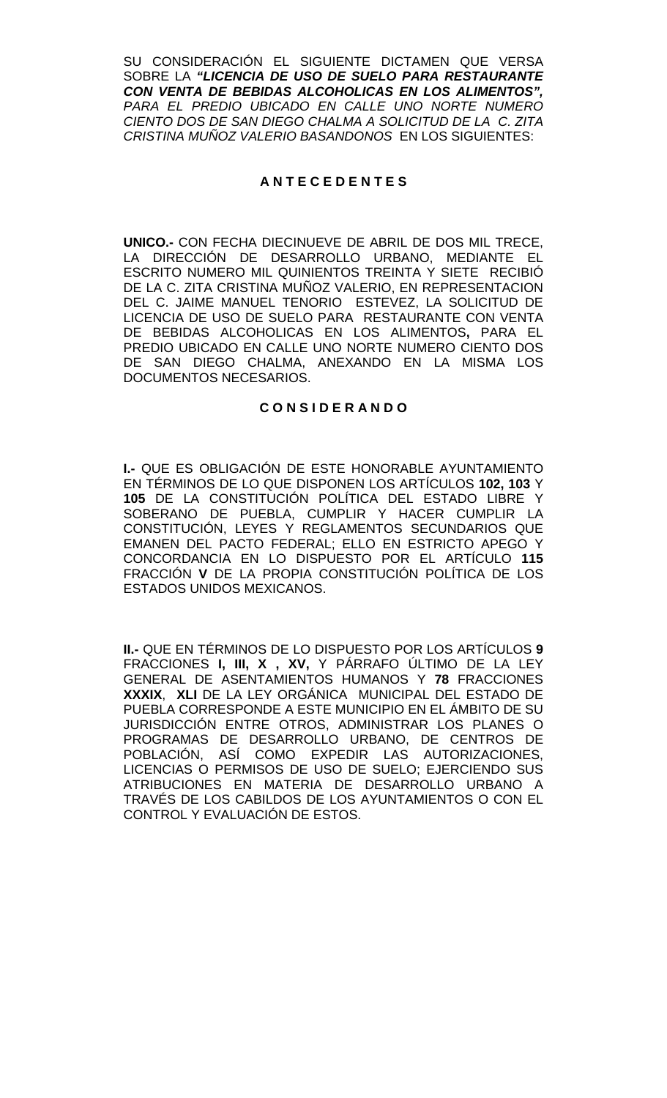SU CONSIDERACIÓN EL SIGUIENTE DICTAMEN QUE VERSA SOBRE LA *"LICENCIA DE USO DE SUELO PARA RESTAURANTE CON VENTA DE BEBIDAS ALCOHOLICAS EN LOS ALIMENTOS", PARA EL PREDIO UBICADO EN CALLE UNO NORTE NUMERO CIENTO DOS DE SAN DIEGO CHALMA A SOLICITUD DE LA C. ZITA CRISTINA MUÑOZ VALERIO BASANDONOS* EN LOS SIGUIENTES:

# **A N T E C E D E N T E S**

**UNICO.-** CON FECHA DIECINUEVE DE ABRIL DE DOS MIL TRECE, LA DIRECCIÓN DE DESARROLLO URBANO, MEDIANTE EL ESCRITO NUMERO MIL QUINIENTOS TREINTA Y SIETE RECIBIÓ DE LA C. ZITA CRISTINA MUÑOZ VALERIO, EN REPRESENTACION DEL C. JAIME MANUEL TENORIO ESTEVEZ, LA SOLICITUD DE LICENCIA DE USO DE SUELO PARA RESTAURANTE CON VENTA DE BEBIDAS ALCOHOLICAS EN LOS ALIMENTOS**,** PARA EL PREDIO UBICADO EN CALLE UNO NORTE NUMERO CIENTO DOS DE SAN DIEGO CHALMA, ANEXANDO EN LA MISMA LOS DOCUMENTOS NECESARIOS.

#### **C O N S I D E R A N D O**

**I.-** QUE ES OBLIGACIÓN DE ESTE HONORABLE AYUNTAMIENTO EN TÉRMINOS DE LO QUE DISPONEN LOS ARTÍCULOS **102, 103** Y **105** DE LA CONSTITUCIÓN POLÍTICA DEL ESTADO LIBRE Y SOBERANO DE PUEBLA, CUMPLIR Y HACER CUMPLIR LA CONSTITUCIÓN, LEYES Y REGLAMENTOS SECUNDARIOS QUE EMANEN DEL PACTO FEDERAL; ELLO EN ESTRICTO APEGO Y CONCORDANCIA EN LO DISPUESTO POR EL ARTÍCULO **115**  FRACCIÓN **V** DE LA PROPIA CONSTITUCIÓN POLÍTICA DE LOS ESTADOS UNIDOS MEXICANOS.

**II.-** QUE EN TÉRMINOS DE LO DISPUESTO POR LOS ARTÍCULOS **9**  FRACCIONES **I, III, X , XV,** Y PÁRRAFO ÚLTIMO DE LA LEY GENERAL DE ASENTAMIENTOS HUMANOS Y **78** FRACCIONES **XXXIX**, **XLI** DE LA LEY ORGÁNICA MUNICIPAL DEL ESTADO DE PUEBLA CORRESPONDE A ESTE MUNICIPIO EN EL ÁMBITO DE SU JURISDICCIÓN ENTRE OTROS, ADMINISTRAR LOS PLANES O PROGRAMAS DE DESARROLLO URBANO, DE CENTROS DE POBLACIÓN, ASÍ COMO EXPEDIR LAS AUTORIZACIONES, LICENCIAS O PERMISOS DE USO DE SUELO; EJERCIENDO SUS ATRIBUCIONES EN MATERIA DE DESARROLLO URBANO A TRAVÉS DE LOS CABILDOS DE LOS AYUNTAMIENTOS O CON EL CONTROL Y EVALUACIÓN DE ESTOS.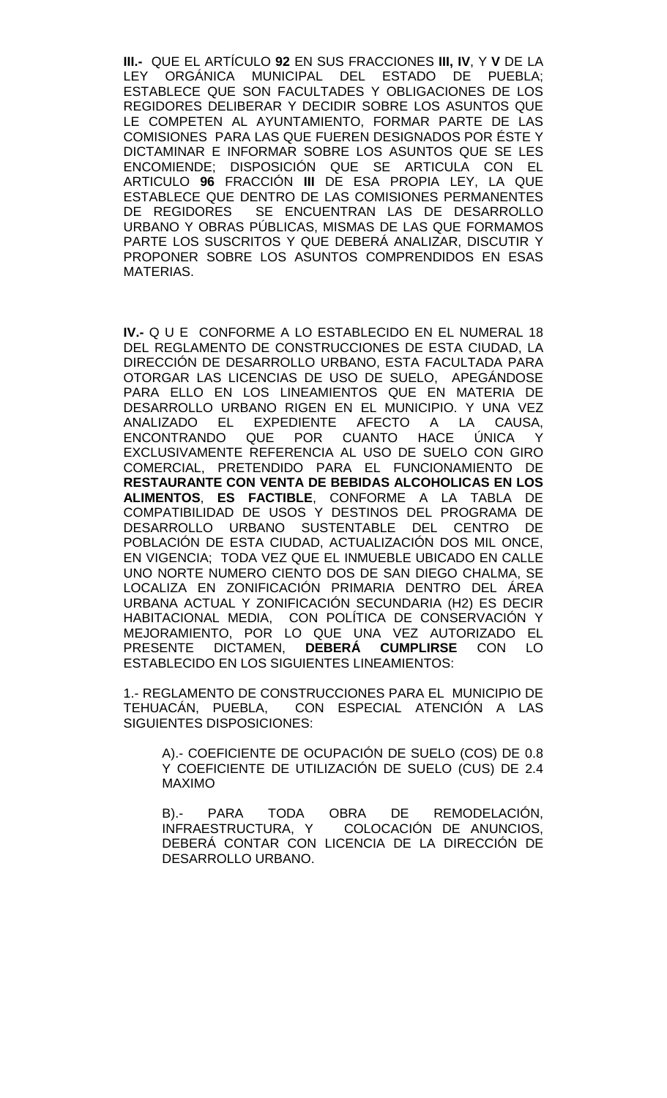**III.-** QUE EL ARTÍCULO **92** EN SUS FRACCIONES **III, IV**, Y **V** DE LA LEY ORGÁNICA MUNICIPAL DEL ESTADO DE PUEBLA; ESTABLECE QUE SON FACULTADES Y OBLIGACIONES DE LOS REGIDORES DELIBERAR Y DECIDIR SOBRE LOS ASUNTOS QUE LE COMPETEN AL AYUNTAMIENTO, FORMAR PARTE DE LAS COMISIONES PARA LAS QUE FUEREN DESIGNADOS POR ÉSTE Y DICTAMINAR E INFORMAR SOBRE LOS ASUNTOS QUE SE LES ENCOMIENDE; DISPOSICIÓN QUE SE ARTICULA CON EL ARTICULO **96** FRACCIÓN **III** DE ESA PROPIA LEY, LA QUE ESTABLECE QUE DENTRO DE LAS COMISIONES PERMANENTES DE REGIDORES SE ENCUENTRAN LAS DE DESARROLLO URBANO Y OBRAS PÚBLICAS, MISMAS DE LAS QUE FORMAMOS PARTE LOS SUSCRITOS Y QUE DEBERÁ ANALIZAR, DISCUTIR Y PROPONER SOBRE LOS ASUNTOS COMPRENDIDOS EN ESAS MATERIAS.

**IV.-** Q U E CONFORME A LO ESTABLECIDO EN EL NUMERAL 18 DEL REGLAMENTO DE CONSTRUCCIONES DE ESTA CIUDAD, LA DIRECCIÓN DE DESARROLLO URBANO, ESTA FACULTADA PARA OTORGAR LAS LICENCIAS DE USO DE SUELO, APEGÁNDOSE PARA ELLO EN LOS LINEAMIENTOS QUE EN MATERIA DE DESARROLLO URBANO RIGEN EN EL MUNICIPIO. Y UNA VEZ ANALIZADO EL EXPEDIENTE AFECTO A LA CAUSA, ENCONTRANDO QUE POR CUANTO HACE ÚNICA Y EXCLUSIVAMENTE REFERENCIA AL USO DE SUELO CON GIRO COMERCIAL, PRETENDIDO PARA EL FUNCIONAMIENTO DE **RESTAURANTE CON VENTA DE BEBIDAS ALCOHOLICAS EN LOS ALIMENTOS**, **ES FACTIBLE**, CONFORME A LA TABLA DE COMPATIBILIDAD DE USOS Y DESTINOS DEL PROGRAMA DE DESARROLLO URBANO SUSTENTABLE DEL CENTRO DE POBLACIÓN DE ESTA CIUDAD, ACTUALIZACIÓN DOS MIL ONCE, EN VIGENCIA; TODA VEZ QUE EL INMUEBLE UBICADO EN CALLE UNO NORTE NUMERO CIENTO DOS DE SAN DIEGO CHALMA, SE LOCALIZA EN ZONIFICACIÓN PRIMARIA DENTRO DEL ÁREA URBANA ACTUAL Y ZONIFICACIÓN SECUNDARIA (H2) ES DECIR HABITACIONAL MEDIA, CON POLÍTICA DE CONSERVACIÓN Y MEJORAMIENTO, POR LO QUE UNA VEZ AUTORIZADO EL PRESENTE DICTAMEN, **DEBERÁ CUMPLIRSE** CON LO ESTABLECIDO EN LOS SIGUIENTES LINEAMIENTOS:

1.- REGLAMENTO DE CONSTRUCCIONES PARA EL MUNICIPIO DE TEHUACÁN, PUEBLA, CON ESPECIAL ATENCIÓN A LAS SIGUIENTES DISPOSICIONES:

A).- COEFICIENTE DE OCUPACIÓN DE SUELO (COS) DE 0.8 Y COEFICIENTE DE UTILIZACIÓN DE SUELO (CUS) DE 2.4 MAXIMO

B).- PARA TODA OBRA DE REMODELACIÓN, INFRAESTRUCTURA, Y COLOCACIÓN DE ANUNCIOS, DEBERÁ CONTAR CON LICENCIA DE LA DIRECCIÓN DE DESARROLLO URBANO.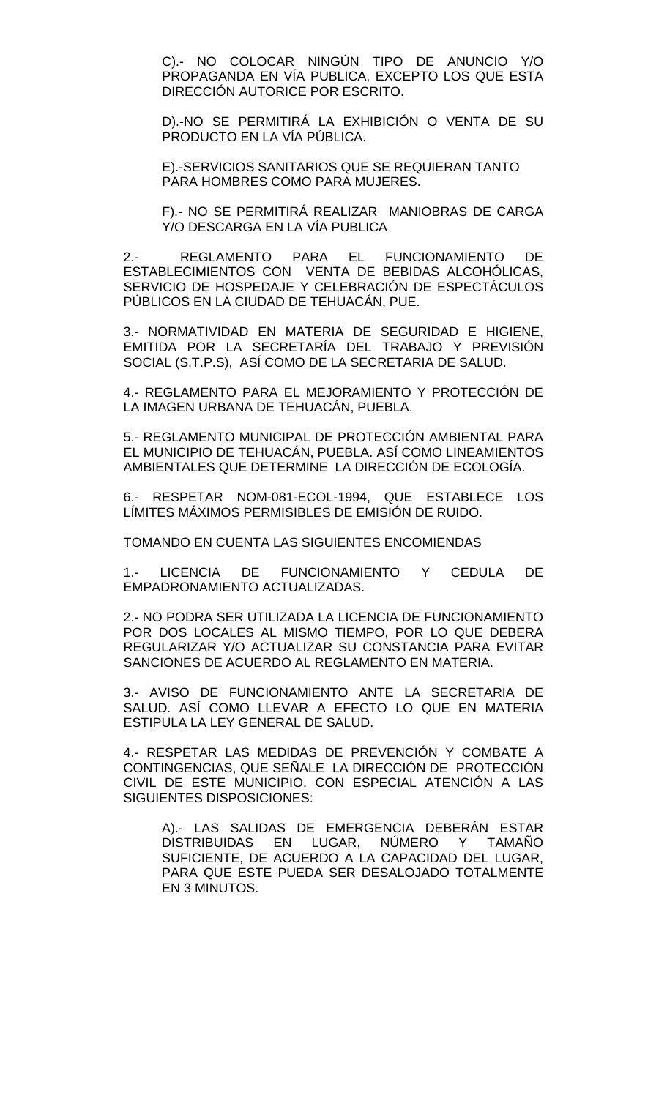C).- NO COLOCAR NINGÚN TIPO DE ANUNCIO Y/O PROPAGANDA EN VÍA PUBLICA, EXCEPTO LOS QUE ESTA DIRECCIÓN AUTORICE POR ESCRITO.

D).-NO SE PERMITIRÁ LA EXHIBICIÓN O VENTA DE SU PRODUCTO EN LA VÍA PÚBLICA.

E).-SERVICIOS SANITARIOS QUE SE REQUIERAN TANTO PARA HOMBRES COMO PARA MUJERES.

F).- NO SE PERMITIRÁ REALIZAR MANIOBRAS DE CARGA Y/O DESCARGA EN LA VÍA PUBLICA

2.- REGLAMENTO PARA EL FUNCIONAMIENTO DE ESTABLECIMIENTOS CON VENTA DE BEBIDAS ALCOHÓLICAS, SERVICIO DE HOSPEDAJE Y CELEBRACIÓN DE ESPECTÁCULOS PÚBLICOS EN LA CIUDAD DE TEHUACÁN, PUE.

3.- NORMATIVIDAD EN MATERIA DE SEGURIDAD E HIGIENE, EMITIDA POR LA SECRETARÍA DEL TRABAJO Y PREVISIÓN SOCIAL (S.T.P.S), ASÍ COMO DE LA SECRETARIA DE SALUD.

4.- REGLAMENTO PARA EL MEJORAMIENTO Y PROTECCIÓN DE LA IMAGEN URBANA DE TEHUACÁN, PUEBLA.

5.- REGLAMENTO MUNICIPAL DE PROTECCIÓN AMBIENTAL PARA EL MUNICIPIO DE TEHUACÁN, PUEBLA. ASÍ COMO LINEAMIENTOS AMBIENTALES QUE DETERMINE LA DIRECCIÓN DE ECOLOGÍA.

6.- RESPETAR NOM-081-ECOL-1994, QUE ESTABLECE LOS LÍMITES MÁXIMOS PERMISIBLES DE EMISIÓN DE RUIDO.

TOMANDO EN CUENTA LAS SIGUIENTES ENCOMIENDAS

1.- LICENCIA DE FUNCIONAMIENTO Y CEDULA DE EMPADRONAMIENTO ACTUALIZADAS.

2.- NO PODRA SER UTILIZADA LA LICENCIA DE FUNCIONAMIENTO POR DOS LOCALES AL MISMO TIEMPO, POR LO QUE DEBERA REGULARIZAR Y/O ACTUALIZAR SU CONSTANCIA PARA EVITAR SANCIONES DE ACUERDO AL REGLAMENTO EN MATERIA.

3.- AVISO DE FUNCIONAMIENTO ANTE LA SECRETARIA DE SALUD. ASÍ COMO LLEVAR A EFECTO LO QUE EN MATERIA ESTIPULA LA LEY GENERAL DE SALUD.

4.- RESPETAR LAS MEDIDAS DE PREVENCIÓN Y COMBATE A CONTINGENCIAS, QUE SEÑALE LA DIRECCIÓN DE PROTECCIÓN CIVIL DE ESTE MUNICIPIO. CON ESPECIAL ATENCIÓN A LAS SIGUIENTES DISPOSICIONES:

A).- LAS SALIDAS DE EMERGENCIA DEBERÁN ESTAR DISTRIBUIDAS EN LUGAR, NÚMERO Y TAMAÑO SUFICIENTE, DE ACUERDO A LA CAPACIDAD DEL LUGAR, PARA QUE ESTE PUEDA SER DESALOJADO TOTALMENTE EN 3 MINUTOS.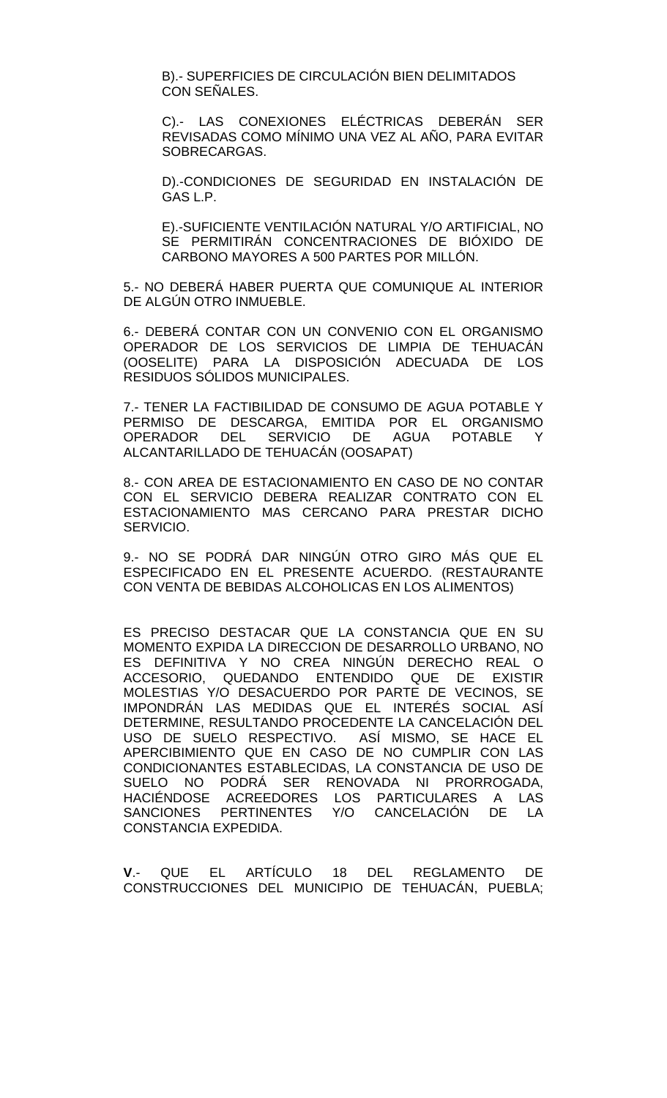B).- SUPERFICIES DE CIRCULACIÓN BIEN DELIMITADOS CON SEÑALES.

C).- LAS CONEXIONES ELÉCTRICAS DEBERÁN SER REVISADAS COMO MÍNIMO UNA VEZ AL AÑO, PARA EVITAR SOBRECARGAS.

D).-CONDICIONES DE SEGURIDAD EN INSTALACIÓN DE GAS L.P.

E).-SUFICIENTE VENTILACIÓN NATURAL Y/O ARTIFICIAL, NO SE PERMITIRÁN CONCENTRACIONES DE BIÓXIDO DE CARBONO MAYORES A 500 PARTES POR MILLÓN.

5.- NO DEBERÁ HABER PUERTA QUE COMUNIQUE AL INTERIOR DE ALGÚN OTRO INMUEBLE.

6.- DEBERÁ CONTAR CON UN CONVENIO CON EL ORGANISMO OPERADOR DE LOS SERVICIOS DE LIMPIA DE TEHUACÁN (OOSELITE) PARA LA DISPOSICIÓN ADECUADA DE LOS RESIDUOS SÓLIDOS MUNICIPALES.

7.- TENER LA FACTIBILIDAD DE CONSUMO DE AGUA POTABLE Y PERMISO DE DESCARGA, EMITIDA POR EL ORGANISMO<br>OPERADOR DEL SERVICIO DE AGUA POTABLE Y OPERADOR DEL SERVICIO DE AGUA POTABLE Y ALCANTARILLADO DE TEHUACÁN (OOSAPAT)

8.- CON AREA DE ESTACIONAMIENTO EN CASO DE NO CONTAR CON EL SERVICIO DEBERA REALIZAR CONTRATO CON EL ESTACIONAMIENTO MAS CERCANO PARA PRESTAR DICHO SERVICIO.

9.- NO SE PODRÁ DAR NINGÚN OTRO GIRO MÁS QUE EL ESPECIFICADO EN EL PRESENTE ACUERDO. (RESTAURANTE CON VENTA DE BEBIDAS ALCOHOLICAS EN LOS ALIMENTOS)

ES PRECISO DESTACAR QUE LA CONSTANCIA QUE EN SU MOMENTO EXPIDA LA DIRECCION DE DESARROLLO URBANO, NO ES DEFINITIVA Y NO CREA NINGÚN DERECHO REAL O ACCESORIO, QUEDANDO ENTENDIDO QUE DE EXISTIR MOLESTIAS Y/O DESACUERDO POR PARTE DE VECINOS, SE IMPONDRÁN LAS MEDIDAS QUE EL INTERÉS SOCIAL ASÍ DETERMINE, RESULTANDO PROCEDENTE LA CANCELACIÓN DEL USO DE SUELO RESPECTIVO. ASÍ MISMO, SE HACE EL APERCIBIMIENTO QUE EN CASO DE NO CUMPLIR CON LAS CONDICIONANTES ESTABLECIDAS, LA CONSTANCIA DE USO DE SUELO NO PODRÁ SER RENOVADA NI PRORROGADA, HACIÉNDOSE ACREEDORES LOS PARTICULARES A LAS SANCIONES PERTINENTES Y/O CANCELACIÓN DE LA CONSTANCIA EXPEDIDA.

**V**.- QUE EL ARTÍCULO 18 DEL REGLAMENTO DE CONSTRUCCIONES DEL MUNICIPIO DE TEHUACÁN, PUEBLA;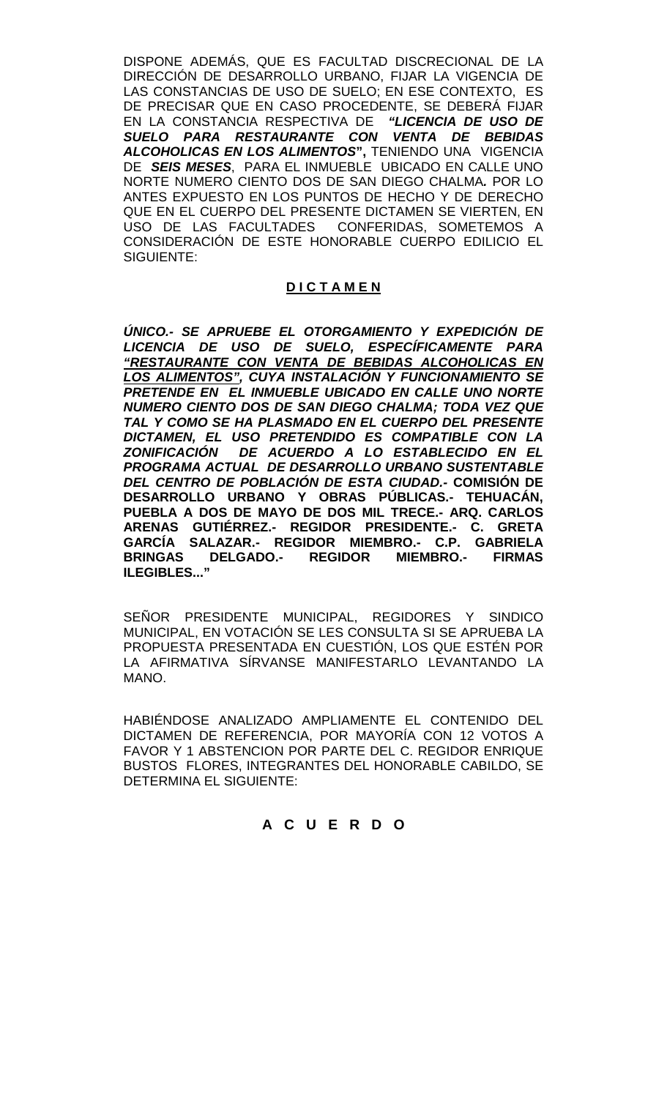DISPONE ADEMÁS, QUE ES FACULTAD DISCRECIONAL DE LA DIRECCIÓN DE DESARROLLO URBANO, FIJAR LA VIGENCIA DE LAS CONSTANCIAS DE USO DE SUELO; EN ESE CONTEXTO, ES DE PRECISAR QUE EN CASO PROCEDENTE, SE DEBERÁ FIJAR EN LA CONSTANCIA RESPECTIVA DE *"LICENCIA DE USO DE SUELO PARA RESTAURANTE CON VENTA DE BEBIDAS*  ALCOHOLICAS EN LOS ALIMENTOS", TENIENDO UNA VIGENCIA DE *SEIS MESES*, PARA EL INMUEBLE UBICADO EN CALLE UNO NORTE NUMERO CIENTO DOS DE SAN DIEGO CHALMA*.* POR LO ANTES EXPUESTO EN LOS PUNTOS DE HECHO Y DE DERECHO QUE EN EL CUERPO DEL PRESENTE DICTAMEN SE VIERTEN, EN USO DE LAS FACULTADES CONFERIDAS, SOMETEMOS A CONSIDERACIÓN DE ESTE HONORABLE CUERPO EDILICIO EL SIGUIENTE:

# **D I C T A M E N**

*ÚNICO.- SE APRUEBE EL OTORGAMIENTO Y EXPEDICIÓN DE LICENCIA DE USO DE SUELO, ESPECÍFICAMENTE PARA "RESTAURANTE CON VENTA DE BEBIDAS ALCOHOLICAS EN LOS ALIMENTOS", CUYA INSTALACIÓN Y FUNCIONAMIENTO SE PRETENDE EN EL INMUEBLE UBICADO EN CALLE UNO NORTE NUMERO CIENTO DOS DE SAN DIEGO CHALMA; TODA VEZ QUE TAL Y COMO SE HA PLASMADO EN EL CUERPO DEL PRESENTE DICTAMEN, EL USO PRETENDIDO ES COMPATIBLE CON LA ZONIFICACIÓN DE ACUERDO A LO ESTABLECIDO EN EL PROGRAMA ACTUAL DE DESARROLLO URBANO SUSTENTABLE DEL CENTRO DE POBLACIÓN DE ESTA CIUDAD.-* **COMISIÓN DE DESARROLLO URBANO Y OBRAS PÚBLICAS.- TEHUACÁN, PUEBLA A DOS DE MAYO DE DOS MIL TRECE.- ARQ. CARLOS ARENAS GUTIÉRREZ.- REGIDOR PRESIDENTE.- C. GRETA GARCÍA SALAZAR.- REGIDOR MIEMBRO.- C.P. GABRIELA BRINGAS DELGADO.- REGIDOR MIEMBRO.- FIRMAS ILEGIBLES..."**

SEÑOR PRESIDENTE MUNICIPAL, REGIDORES Y SINDICO MUNICIPAL, EN VOTACIÓN SE LES CONSULTA SI SE APRUEBA LA PROPUESTA PRESENTADA EN CUESTIÓN, LOS QUE ESTÉN POR LA AFIRMATIVA SÍRVANSE MANIFESTARLO LEVANTANDO LA MANO.

HABIÉNDOSE ANALIZADO AMPLIAMENTE EL CONTENIDO DEL DICTAMEN DE REFERENCIA, POR MAYORÍA CON 12 VOTOS A FAVOR Y 1 ABSTENCION POR PARTE DEL C. REGIDOR ENRIQUE BUSTOS FLORES, INTEGRANTES DEL HONORABLE CABILDO, SE DETERMINA EL SIGUIENTE:

### **A C U E R D O**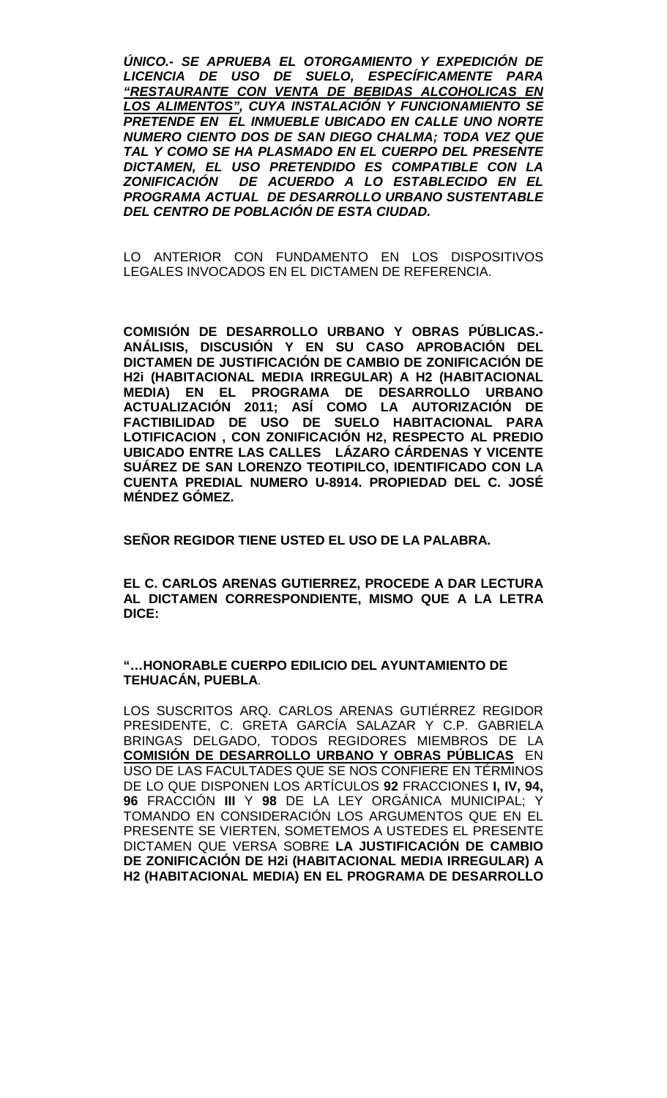*ÚNICO.- SE APRUEBA EL OTORGAMIENTO Y EXPEDICIÓN DE LICENCIA DE USO DE SUELO, ESPECÍFICAMENTE PARA "RESTAURANTE CON VENTA DE BEBIDAS ALCOHOLICAS EN LOS ALIMENTOS", CUYA INSTALACIÓN Y FUNCIONAMIENTO SE PRETENDE EN EL INMUEBLE UBICADO EN CALLE UNO NORTE NUMERO CIENTO DOS DE SAN DIEGO CHALMA; TODA VEZ QUE TAL Y COMO SE HA PLASMADO EN EL CUERPO DEL PRESENTE DICTAMEN, EL USO PRETENDIDO ES COMPATIBLE CON LA DE ACUERDO A LO ESTABLECIDO EN EL PROGRAMA ACTUAL DE DESARROLLO URBANO SUSTENTABLE DEL CENTRO DE POBLACIÓN DE ESTA CIUDAD.*

LO ANTERIOR CON FUNDAMENTO EN LOS DISPOSITIVOS LEGALES INVOCADOS EN EL DICTAMEN DE REFERENCIA.

**COMISIÓN DE DESARROLLO URBANO Y OBRAS PÚBLICAS.- ANÁLISIS, DISCUSIÓN Y EN SU CASO APROBACIÓN DEL DICTAMEN DE JUSTIFICACIÓN DE CAMBIO DE ZONIFICACIÓN DE H2i (HABITACIONAL MEDIA IRREGULAR) A H2 (HABITACIONAL MEDIA) EN EL PROGRAMA DE DESARROLLO URBANO ACTUALIZACIÓN 2011; ASÍ COMO LA AUTORIZACIÓN DE FACTIBILIDAD DE USO DE SUELO HABITACIONAL PARA LOTIFICACION , CON ZONIFICACIÓN H2, RESPECTO AL PREDIO UBICADO ENTRE LAS CALLES LÁZARO CÁRDENAS Y VICENTE SUÁREZ DE SAN LORENZO TEOTIPILCO, IDENTIFICADO CON LA CUENTA PREDIAL NUMERO U-8914. PROPIEDAD DEL C. JOSÉ MÉNDEZ GÓMEZ.**

**SEÑOR REGIDOR TIENE USTED EL USO DE LA PALABRA.**

**EL C. CARLOS ARENAS GUTIERREZ, PROCEDE A DAR LECTURA AL DICTAMEN CORRESPONDIENTE, MISMO QUE A LA LETRA DICE:**

**"…HONORABLE CUERPO EDILICIO DEL AYUNTAMIENTO DE TEHUACÁN, PUEBLA**.

LOS SUSCRITOS ARQ. CARLOS ARENAS GUTIÉRREZ REGIDOR PRESIDENTE, C. GRETA GARCÍA SALAZAR Y C.P. GABRIELA BRINGAS DELGADO, TODOS REGIDORES MIEMBROS DE LA **COMISIÓN DE DESARROLLO URBANO Y OBRAS PÚBLICAS** EN USO DE LAS FACULTADES QUE SE NOS CONFIERE EN TÉRMINOS DE LO QUE DISPONEN LOS ARTÍCULOS **92** FRACCIONES **I, IV, 94, 96** FRACCIÓN **III** Y **98** DE LA LEY ORGÁNICA MUNICIPAL; Y TOMANDO EN CONSIDERACIÓN LOS ARGUMENTOS QUE EN EL PRESENTE SE VIERTEN, SOMETEMOS A USTEDES EL PRESENTE DICTAMEN QUE VERSA SOBRE **LA JUSTIFICACIÓN DE CAMBIO DE ZONIFICACIÓN DE H2i (HABITACIONAL MEDIA IRREGULAR) A H2 (HABITACIONAL MEDIA) EN EL PROGRAMA DE DESARROLLO**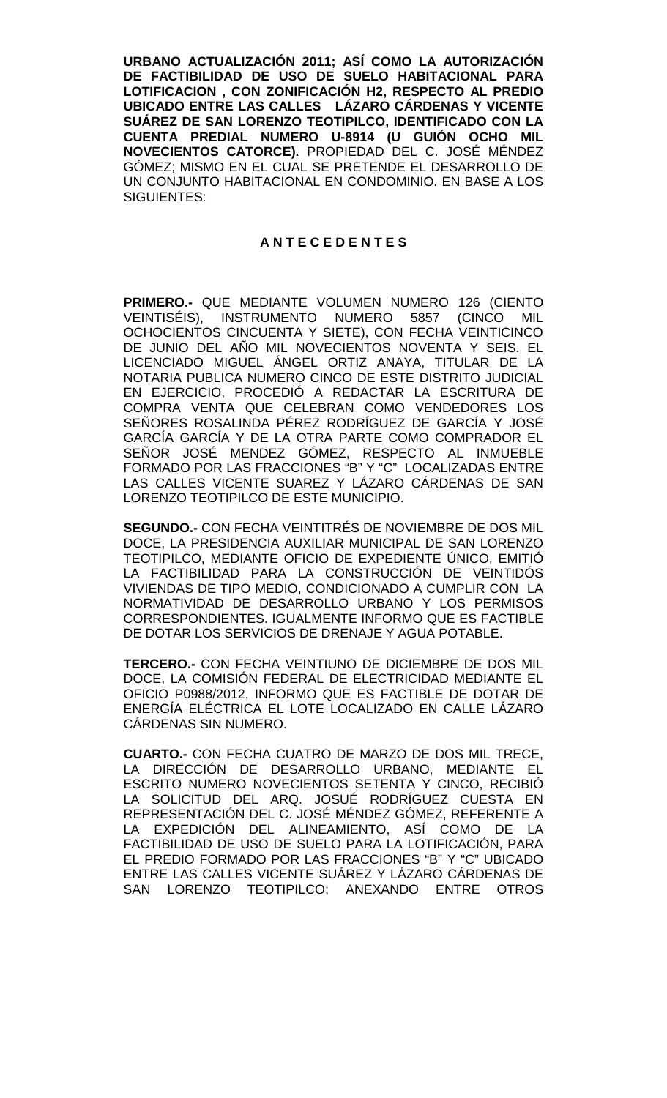**URBANO ACTUALIZACIÓN 2011; ASÍ COMO LA AUTORIZACIÓN DE FACTIBILIDAD DE USO DE SUELO HABITACIONAL PARA LOTIFICACION , CON ZONIFICACIÓN H2, RESPECTO AL PREDIO UBICADO ENTRE LAS CALLES LÁZARO CÁRDENAS Y VICENTE SUÁREZ DE SAN LORENZO TEOTIPILCO, IDENTIFICADO CON LA CUENTA PREDIAL NUMERO U-8914 (U GUIÓN OCHO MIL NOVECIENTOS CATORCE).** PROPIEDAD DEL C. JOSÉ MÉNDEZ GÓMEZ; MISMO EN EL CUAL SE PRETENDE EL DESARROLLO DE UN CONJUNTO HABITACIONAL EN CONDOMINIO. EN BASE A LOS SIGUIENTES:

### **A N T E C E D E N T E S**

**PRIMERO.-** QUE MEDIANTE VOLUMEN NUMERO 126 (CIENTO VEINTISÉIS), INSTRUMENTO NUMERO 5857 (CINCO MIL OCHOCIENTOS CINCUENTA Y SIETE), CON FECHA VEINTICINCO DE JUNIO DEL AÑO MIL NOVECIENTOS NOVENTA Y SEIS. EL LICENCIADO MIGUEL ÁNGEL ORTIZ ANAYA, TITULAR DE LA NOTARIA PUBLICA NUMERO CINCO DE ESTE DISTRITO JUDICIAL EN EJERCICIO, PROCEDIÓ A REDACTAR LA ESCRITURA DE COMPRA VENTA QUE CELEBRAN COMO VENDEDORES LOS SEÑORES ROSALINDA PÉREZ RODRÍGUEZ DE GARCÍA Y JOSÉ GARCÍA GARCÍA Y DE LA OTRA PARTE COMO COMPRADOR EL SEÑOR JOSÉ MENDEZ GÓMEZ, RESPECTO AL INMUEBLE FORMADO POR LAS FRACCIONES "B" Y "C" LOCALIZADAS ENTRE LAS CALLES VICENTE SUAREZ Y LÁZARO CÁRDENAS DE SAN LORENZO TEOTIPILCO DE ESTE MUNICIPIO.

**SEGUNDO.-** CON FECHA VEINTITRÉS DE NOVIEMBRE DE DOS MIL DOCE, LA PRESIDENCIA AUXILIAR MUNICIPAL DE SAN LORENZO TEOTIPILCO, MEDIANTE OFICIO DE EXPEDIENTE ÚNICO, EMITIÓ LA FACTIBILIDAD PARA LA CONSTRUCCIÓN DE VEINTIDÓS VIVIENDAS DE TIPO MEDIO, CONDICIONADO A CUMPLIR CON LA NORMATIVIDAD DE DESARROLLO URBANO Y LOS PERMISOS CORRESPONDIENTES. IGUALMENTE INFORMO QUE ES FACTIBLE DE DOTAR LOS SERVICIOS DE DRENAJE Y AGUA POTABLE.

**TERCERO.-** CON FECHA VEINTIUNO DE DICIEMBRE DE DOS MIL DOCE, LA COMISIÓN FEDERAL DE ELECTRICIDAD MEDIANTE EL OFICIO P0988/2012, INFORMO QUE ES FACTIBLE DE DOTAR DE ENERGÍA ELÉCTRICA EL LOTE LOCALIZADO EN CALLE LÁZARO CÁRDENAS SIN NUMERO.

**CUARTO.-** CON FECHA CUATRO DE MARZO DE DOS MIL TRECE, LA DIRECCIÓN DE DESARROLLO URBANO, MEDIANTE EL ESCRITO NUMERO NOVECIENTOS SETENTA Y CINCO, RECIBIÓ LA SOLICITUD DEL ARQ. JOSUÉ RODRÍGUEZ CUESTA EN REPRESENTACIÓN DEL C. JOSÉ MÉNDEZ GÓMEZ, REFERENTE A LA EXPEDICIÓN DEL ALINEAMIENTO, ASÍ COMO DE LA FACTIBILIDAD DE USO DE SUELO PARA LA LOTIFICACIÓN, PARA EL PREDIO FORMADO POR LAS FRACCIONES "B" Y "C" UBICADO ENTRE LAS CALLES VICENTE SUÁREZ Y LÁZARO CÁRDENAS DE SAN LORENZO TEOTIPILCO; ANEXANDO ENTRE OTROS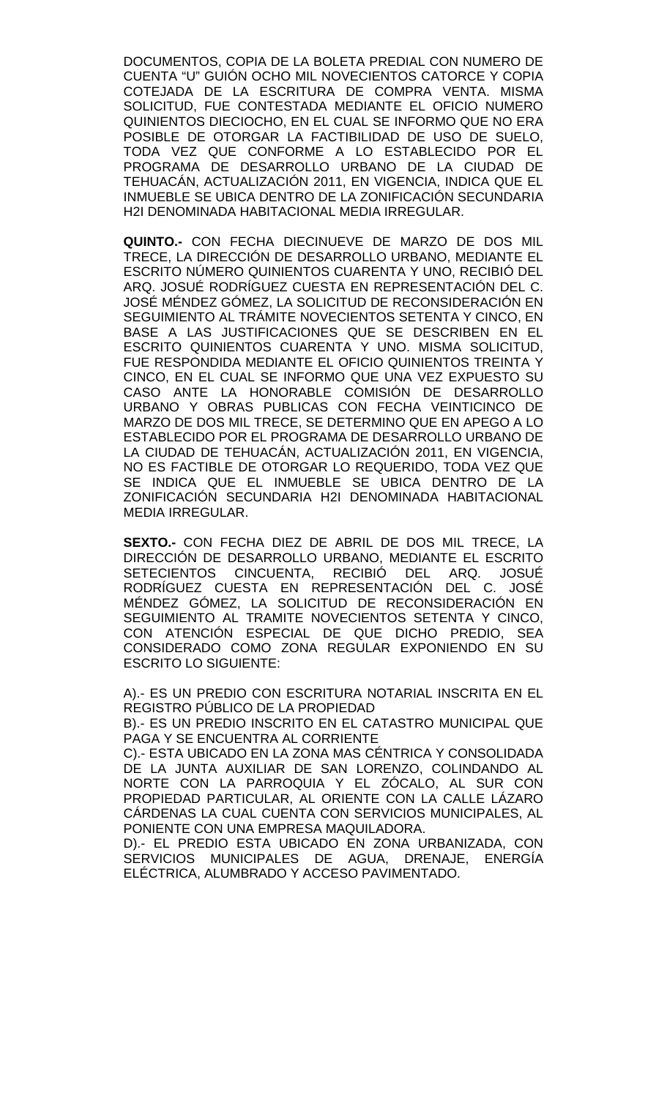DOCUMENTOS, COPIA DE LA BOLETA PREDIAL CON NUMERO DE CUENTA "U" GUIÓN OCHO MIL NOVECIENTOS CATORCE Y COPIA COTEJADA DE LA ESCRITURA DE COMPRA VENTA. MISMA SOLICITUD, FUE CONTESTADA MEDIANTE EL OFICIO NUMERO QUINIENTOS DIECIOCHO, EN EL CUAL SE INFORMO QUE NO ERA POSIBLE DE OTORGAR LA FACTIBILIDAD DE USO DE SUELO, TODA VEZ QUE CONFORME A LO ESTABLECIDO POR EL PROGRAMA DE DESARROLLO URBANO DE LA CIUDAD DE TEHUACÁN, ACTUALIZACIÓN 2011, EN VIGENCIA, INDICA QUE EL INMUEBLE SE UBICA DENTRO DE LA ZONIFICACIÓN SECUNDARIA H2I DENOMINADA HABITACIONAL MEDIA IRREGULAR.

**QUINTO.-** CON FECHA DIECINUEVE DE MARZO DE DOS MIL TRECE, LA DIRECCIÓN DE DESARROLLO URBANO, MEDIANTE EL ESCRITO NÚMERO QUINIENTOS CUARENTA Y UNO, RECIBIÓ DEL ARQ. JOSUÉ RODRÍGUEZ CUESTA EN REPRESENTACIÓN DEL C. JOSÉ MÉNDEZ GÓMEZ, LA SOLICITUD DE RECONSIDERACIÓN EN SEGUIMIENTO AL TRÁMITE NOVECIENTOS SETENTA Y CINCO, EN BASE A LAS JUSTIFICACIONES QUE SE DESCRIBEN EN EL ESCRITO QUINIENTOS CUARENTA Y UNO. MISMA SOLICITUD, FUE RESPONDIDA MEDIANTE EL OFICIO QUINIENTOS TREINTA Y CINCO, EN EL CUAL SE INFORMO QUE UNA VEZ EXPUESTO SU CASO ANTE LA HONORABLE COMISIÓN DE DESARROLLO URBANO Y OBRAS PUBLICAS CON FECHA VEINTICINCO DE MARZO DE DOS MIL TRECE, SE DETERMINO QUE EN APEGO A LO ESTABLECIDO POR EL PROGRAMA DE DESARROLLO URBANO DE LA CIUDAD DE TEHUACÁN, ACTUALIZACIÓN 2011, EN VIGENCIA, NO ES FACTIBLE DE OTORGAR LO REQUERIDO, TODA VEZ QUE SE INDICA QUE EL INMUEBLE SE UBICA DENTRO DE LA ZONIFICACIÓN SECUNDARIA H2I DENOMINADA HABITACIONAL MEDIA IRREGULAR.

**SEXTO.-** CON FECHA DIEZ DE ABRIL DE DOS MIL TRECE, LA DIRECCIÓN DE DESARROLLO URBANO, MEDIANTE EL ESCRITO<br>SETECIENTOS CINCUENTA, RECIBIÓ DEL ARQ. JOSUÉ SETECIENTOS CINCUENTA, RECIBIÓ RODRÍGUEZ CUESTA EN REPRESENTACIÓN DEL C. JOSÉ MÉNDEZ GÓMEZ, LA SOLICITUD DE RECONSIDERACIÓN EN SEGUIMIENTO AL TRAMITE NOVECIENTOS SETENTA Y CINCO, CON ATENCIÓN ESPECIAL DE QUE DICHO PREDIO, SEA CONSIDERADO COMO ZONA REGULAR EXPONIENDO EN SU ESCRITO LO SIGUIENTE:

A).- ES UN PREDIO CON ESCRITURA NOTARIAL INSCRITA EN EL REGISTRO PÚBLICO DE LA PROPIEDAD

B).- ES UN PREDIO INSCRITO EN EL CATASTRO MUNICIPAL QUE PAGA Y SE ENCUENTRA AL CORRIENTE

C).- ESTA UBICADO EN LA ZONA MAS CÉNTRICA Y CONSOLIDADA DE LA JUNTA AUXILIAR DE SAN LORENZO, COLINDANDO AL NORTE CON LA PARROQUIA Y EL ZÓCALO, AL SUR CON PROPIEDAD PARTICULAR, AL ORIENTE CON LA CALLE LÁZARO CÁRDENAS LA CUAL CUENTA CON SERVICIOS MUNICIPALES, AL PONIENTE CON UNA EMPRESA MAQUILADORA.

D).- EL PREDIO ESTA UBICADO EN ZONA URBANIZADA, CON SERVICIOS MUNICIPALES DE AGUA, DRENAJE, ENERGÍA ELÉCTRICA, ALUMBRADO Y ACCESO PAVIMENTADO.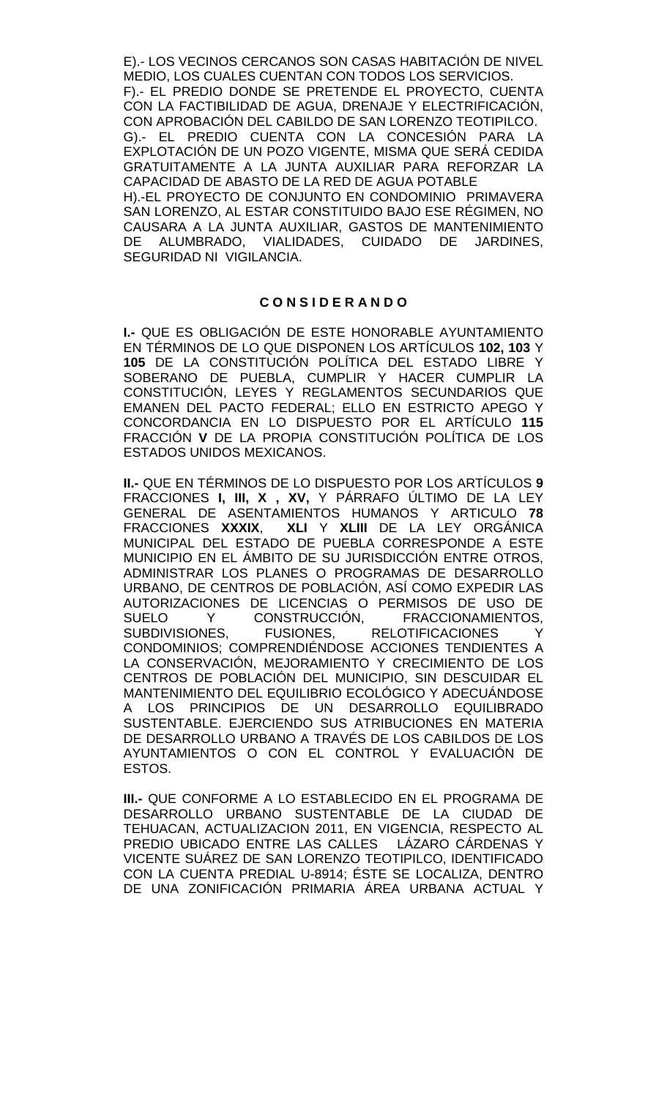E).- LOS VECINOS CERCANOS SON CASAS HABITACIÓN DE NIVEL MEDIO, LOS CUALES CUENTAN CON TODOS LOS SERVICIOS. F).- EL PREDIO DONDE SE PRETENDE EL PROYECTO, CUENTA CON LA FACTIBILIDAD DE AGUA, DRENAJE Y ELECTRIFICACIÓN, CON APROBACIÓN DEL CABILDO DE SAN LORENZO TEOTIPILCO. G).- EL PREDIO CUENTA CON LA CONCESIÓN PARA LA EXPLOTACIÓN DE UN POZO VIGENTE, MISMA QUE SERÁ CEDIDA GRATUITAMENTE A LA JUNTA AUXILIAR PARA REFORZAR LA CAPACIDAD DE ABASTO DE LA RED DE AGUA POTABLE H).-EL PROYECTO DE CONJUNTO EN CONDOMINIO PRIMAVERA SAN LORENZO, AL ESTAR CONSTITUIDO BAJO ESE RÉGIMEN, NO CAUSARA A LA JUNTA AUXILIAR, GASTOS DE MANTENIMIENTO DE ALUMBRADO, VIALIDADES, CUIDADO DE JARDINES, SEGURIDAD NI VIGILANCIA.

### **C O N S I D E R A N D O**

**I.-** QUE ES OBLIGACIÓN DE ESTE HONORABLE AYUNTAMIENTO EN TÉRMINOS DE LO QUE DISPONEN LOS ARTÍCULOS **102, 103** Y **105** DE LA CONSTITUCIÓN POLÍTICA DEL ESTADO LIBRE Y SOBERANO DE PUEBLA, CUMPLIR Y HACER CUMPLIR LA CONSTITUCIÓN, LEYES Y REGLAMENTOS SECUNDARIOS QUE EMANEN DEL PACTO FEDERAL; ELLO EN ESTRICTO APEGO Y CONCORDANCIA EN LO DISPUESTO POR EL ARTÍCULO **115**  FRACCIÓN **V** DE LA PROPIA CONSTITUCIÓN POLÍTICA DE LOS ESTADOS UNIDOS MEXICANOS.

**II.-** QUE EN TÉRMINOS DE LO DISPUESTO POR LOS ARTÍCULOS **9**  FRACCIONES **I, III, X , XV,** Y PÁRRAFO ÚLTIMO DE LA LEY GENERAL DE ASENTAMIENTOS HUMANOS Y ARTICULO **78** FRACCIONES **XXXIX**, **XLI** Y **XLIII** DE LA LEY ORGÁNICA MUNICIPAL DEL ESTADO DE PUEBLA CORRESPONDE A ESTE MUNICIPIO EN EL ÁMBITO DE SU JURISDICCIÓN ENTRE OTROS, ADMINISTRAR LOS PLANES O PROGRAMAS DE DESARROLLO URBANO, DE CENTROS DE POBLACIÓN, ASÍ COMO EXPEDIR LAS AUTORIZACIONES DE LICENCIAS O PERMISOS DE USO DE SUELO Y CONSTRUCCIÓN, FRACCIONAMIENTOS,<br>SUBDIVISIONES, FUSIONES, RELOTIFICACIONES Y RELOTIFICACIONES Y CONDOMINIOS; COMPRENDIÉNDOSE ACCIONES TENDIENTES A LA CONSERVACIÓN, MEJORAMIENTO Y CRECIMIENTO DE LOS CENTROS DE POBLACIÓN DEL MUNICIPIO, SIN DESCUIDAR EL MANTENIMIENTO DEL EQUILIBRIO ECOLÓGICO Y ADECUÁNDOSE A LOS PRINCIPIOS DE UN DESARROLLO EQUILIBRADO SUSTENTABLE. EJERCIENDO SUS ATRIBUCIONES EN MATERIA DE DESARROLLO URBANO A TRAVÉS DE LOS CABILDOS DE LOS AYUNTAMIENTOS O CON EL CONTROL Y EVALUACIÓN DE ESTOS.

**III.-** QUE CONFORME A LO ESTABLECIDO EN EL PROGRAMA DE DESARROLLO URBANO SUSTENTABLE DE LA CIUDAD DE TEHUACAN, ACTUALIZACION 2011, EN VIGENCIA, RESPECTO AL PREDIO UBICADO ENTRE LAS CALLES LÁZARO CÁRDENAS Y VICENTE SUÁREZ DE SAN LORENZO TEOTIPILCO, IDENTIFICADO CON LA CUENTA PREDIAL U-8914; ÉSTE SE LOCALIZA, DENTRO DE UNA ZONIFICACIÓN PRIMARIA ÁREA URBANA ACTUAL Y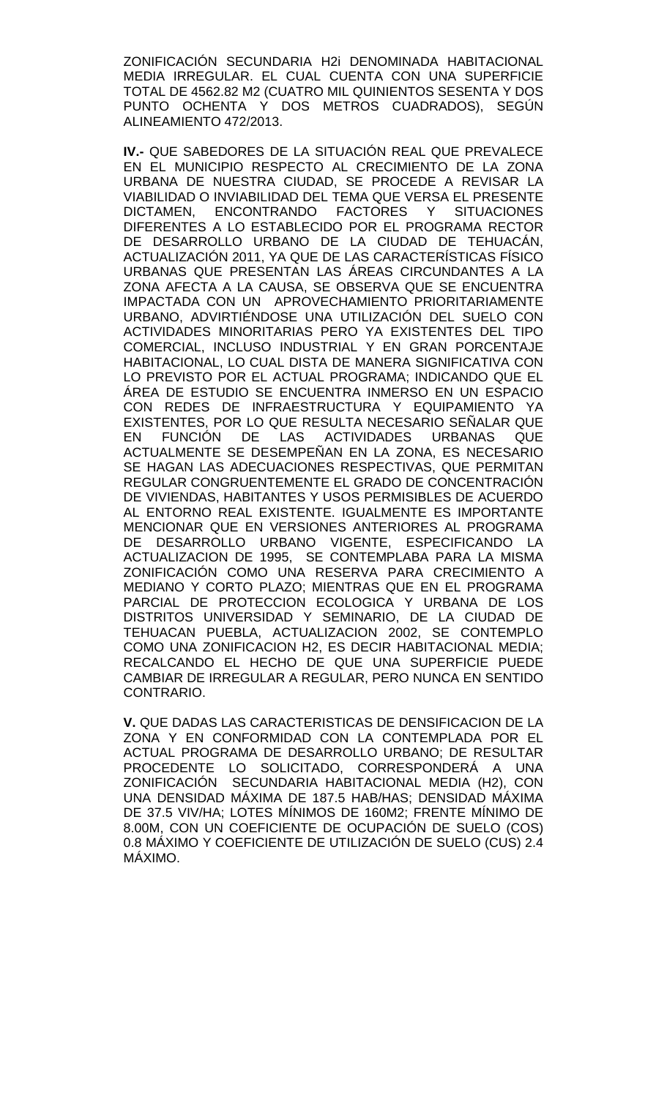ZONIFICACIÓN SECUNDARIA H2i DENOMINADA HABITACIONAL MEDIA IRREGULAR. EL CUAL CUENTA CON UNA SUPERFICIE TOTAL DE 4562.82 M2 (CUATRO MIL QUINIENTOS SESENTA Y DOS PUNTO OCHENTA Y DOS METROS CUADRADOS), SEGÚN ALINEAMIENTO 472/2013.

**IV.-** QUE SABEDORES DE LA SITUACIÓN REAL QUE PREVALECE EN EL MUNICIPIO RESPECTO AL CRECIMIENTO DE LA ZONA URBANA DE NUESTRA CIUDAD, SE PROCEDE A REVISAR LA VIABILIDAD O INVIABILIDAD DEL TEMA QUE VERSA EL PRESENTE DICTAMEN, ENCONTRANDO FACTORES Y SITUACIONES DIFERENTES A LO ESTABLECIDO POR EL PROGRAMA RECTOR DE DESARROLLO URBANO DE LA CIUDAD DE TEHUACÁN, ACTUALIZACIÓN 2011, YA QUE DE LAS CARACTERÍSTICAS FÍSICO URBANAS QUE PRESENTAN LAS ÁREAS CIRCUNDANTES A LA ZONA AFECTA A LA CAUSA, SE OBSERVA QUE SE ENCUENTRA IMPACTADA CON UN APROVECHAMIENTO PRIORITARIAMENTE URBANO, ADVIRTIÉNDOSE UNA UTILIZACIÓN DEL SUELO CON ACTIVIDADES MINORITARIAS PERO YA EXISTENTES DEL TIPO COMERCIAL, INCLUSO INDUSTRIAL Y EN GRAN PORCENTAJE HABITACIONAL, LO CUAL DISTA DE MANERA SIGNIFICATIVA CON LO PREVISTO POR EL ACTUAL PROGRAMA; INDICANDO QUE EL ÁREA DE ESTUDIO SE ENCUENTRA INMERSO EN UN ESPACIO CON REDES DE INFRAESTRUCTURA Y EQUIPAMIENTO YA EXISTENTES, POR LO QUE RESULTA NECESARIO SEÑALAR QUE EN FUNCIÓN DE LAS ACTIVIDADES URBANAS QUE ACTUALMENTE SE DESEMPEÑAN EN LA ZONA, ES NECESARIO SE HAGAN LAS ADECUACIONES RESPECTIVAS, QUE PERMITAN REGULAR CONGRUENTEMENTE EL GRADO DE CONCENTRACIÓN DE VIVIENDAS, HABITANTES Y USOS PERMISIBLES DE ACUERDO AL ENTORNO REAL EXISTENTE. IGUALMENTE ES IMPORTANTE MENCIONAR QUE EN VERSIONES ANTERIORES AL PROGRAMA DE DESARROLLO URBANO VIGENTE, ESPECIFICANDO LA ACTUALIZACION DE 1995, SE CONTEMPLABA PARA LA MISMA ZONIFICACIÓN COMO UNA RESERVA PARA CRECIMIENTO A MEDIANO Y CORTO PLAZO; MIENTRAS QUE EN EL PROGRAMA PARCIAL DE PROTECCION ECOLOGICA Y URBANA DE LOS DISTRITOS UNIVERSIDAD Y SEMINARIO, DE LA CIUDAD DE TEHUACAN PUEBLA, ACTUALIZACION 2002, SE CONTEMPLO COMO UNA ZONIFICACION H2, ES DECIR HABITACIONAL MEDIA; RECALCANDO EL HECHO DE QUE UNA SUPERFICIE PUEDE CAMBIAR DE IRREGULAR A REGULAR, PERO NUNCA EN SENTIDO CONTRARIO.

**V.** QUE DADAS LAS CARACTERISTICAS DE DENSIFICACION DE LA ZONA Y EN CONFORMIDAD CON LA CONTEMPLADA POR EL ACTUAL PROGRAMA DE DESARROLLO URBANO; DE RESULTAR PROCEDENTE LO SOLICITADO, CORRESPONDERÁ A UNA ZONIFICACIÓN SECUNDARIA HABITACIONAL MEDIA (H2), CON UNA DENSIDAD MÁXIMA DE 187.5 HAB/HAS; DENSIDAD MÁXIMA DE 37.5 VIV/HA; LOTES MÍNIMOS DE 160M2; FRENTE MÍNIMO DE 8.00M, CON UN COEFICIENTE DE OCUPACIÓN DE SUELO (COS) 0.8 MÁXIMO Y COEFICIENTE DE UTILIZACIÓN DE SUELO (CUS) 2.4 MÁXIMO.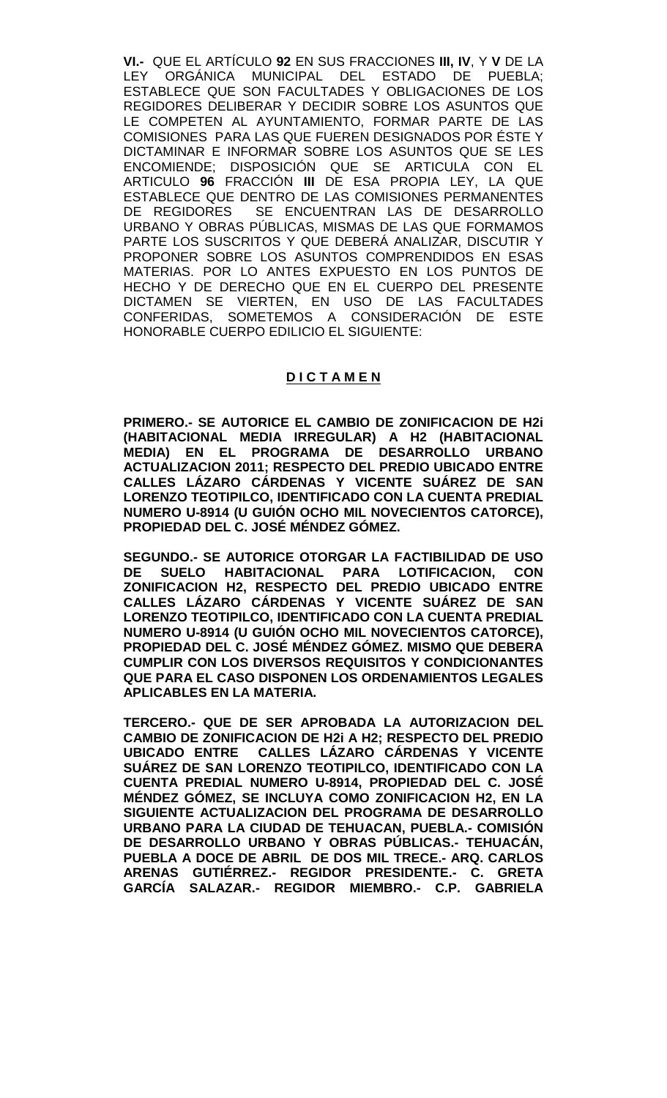**VI.-** QUE EL ARTÍCULO **92** EN SUS FRACCIONES **III, IV**, Y **V** DE LA LEY ORGÁNICA MUNICIPAL DEL ESTADO DE PUEBLA; ESTABLECE QUE SON FACULTADES Y OBLIGACIONES DE LOS REGIDORES DELIBERAR Y DECIDIR SOBRE LOS ASUNTOS QUE LE COMPETEN AL AYUNTAMIENTO, FORMAR PARTE DE LAS COMISIONES PARA LAS QUE FUEREN DESIGNADOS POR ÉSTE Y DICTAMINAR E INFORMAR SOBRE LOS ASUNTOS QUE SE LES ENCOMIENDE; DISPOSICIÓN QUE SE ARTICULA CON EL ARTICULO **96** FRACCIÓN **III** DE ESA PROPIA LEY, LA QUE ESTABLECE QUE DENTRO DE LAS COMISIONES PERMANENTES DE REGIDORES SE ENCUENTRAN LAS DE DESARROLLO URBANO Y OBRAS PÚBLICAS, MISMAS DE LAS QUE FORMAMOS PARTE LOS SUSCRITOS Y QUE DEBERÁ ANALIZAR, DISCUTIR Y PROPONER SOBRE LOS ASUNTOS COMPRENDIDOS EN ESAS MATERIAS. POR LO ANTES EXPUESTO EN LOS PUNTOS DE HECHO Y DE DERECHO QUE EN EL CUERPO DEL PRESENTE DICTAMEN SE VIERTEN, EN USO DE LAS FACULTADES CONFERIDAS, SOMETEMOS A CONSIDERACIÓN DE ESTE HONORABLE CUERPO EDILICIO EL SIGUIENTE:

### **D I C T A M E N**

**PRIMERO.- SE AUTORICE EL CAMBIO DE ZONIFICACION DE H2i (HABITACIONAL MEDIA IRREGULAR) A H2 (HABITACIONAL MEDIA) EN EL PROGRAMA DE DESARROLLO URBANO ACTUALIZACION 2011; RESPECTO DEL PREDIO UBICADO ENTRE CALLES LÁZARO CÁRDENAS Y VICENTE SUÁREZ DE SAN LORENZO TEOTIPILCO, IDENTIFICADO CON LA CUENTA PREDIAL NUMERO U-8914 (U GUIÓN OCHO MIL NOVECIENTOS CATORCE), PROPIEDAD DEL C. JOSÉ MÉNDEZ GÓMEZ.**

**SEGUNDO.- SE AUTORICE OTORGAR LA FACTIBILIDAD DE USO DE SUELO HABITACIONAL PARA LOTIFICACION, CON ZONIFICACION H2, RESPECTO DEL PREDIO UBICADO ENTRE CALLES LÁZARO CÁRDENAS Y VICENTE SUÁREZ DE SAN LORENZO TEOTIPILCO, IDENTIFICADO CON LA CUENTA PREDIAL NUMERO U-8914 (U GUIÓN OCHO MIL NOVECIENTOS CATORCE), PROPIEDAD DEL C. JOSÉ MÉNDEZ GÓMEZ. MISMO QUE DEBERA CUMPLIR CON LOS DIVERSOS REQUISITOS Y CONDICIONANTES QUE PARA EL CASO DISPONEN LOS ORDENAMIENTOS LEGALES APLICABLES EN LA MATERIA.**

**TERCERO.- QUE DE SER APROBADA LA AUTORIZACION DEL CAMBIO DE ZONIFICACION DE H2i A H2; RESPECTO DEL PREDIO UBICADO ENTRE CALLES LÁZARO CÁRDENAS Y VICENTE SUÁREZ DE SAN LORENZO TEOTIPILCO, IDENTIFICADO CON LA CUENTA PREDIAL NUMERO U-8914, PROPIEDAD DEL C. JOSÉ MÉNDEZ GÓMEZ, SE INCLUYA COMO ZONIFICACION H2, EN LA SIGUIENTE ACTUALIZACION DEL PROGRAMA DE DESARROLLO URBANO PARA LA CIUDAD DE TEHUACAN, PUEBLA.- COMISIÓN DE DESARROLLO URBANO Y OBRAS PÚBLICAS.- TEHUACÁN, PUEBLA A DOCE DE ABRIL DE DOS MIL TRECE.- ARQ. CARLOS ARENAS GUTIÉRREZ.- REGIDOR PRESIDENTE.- C. GRETA GARCÍA SALAZAR.- REGIDOR MIEMBRO.- C.P. GABRIELA**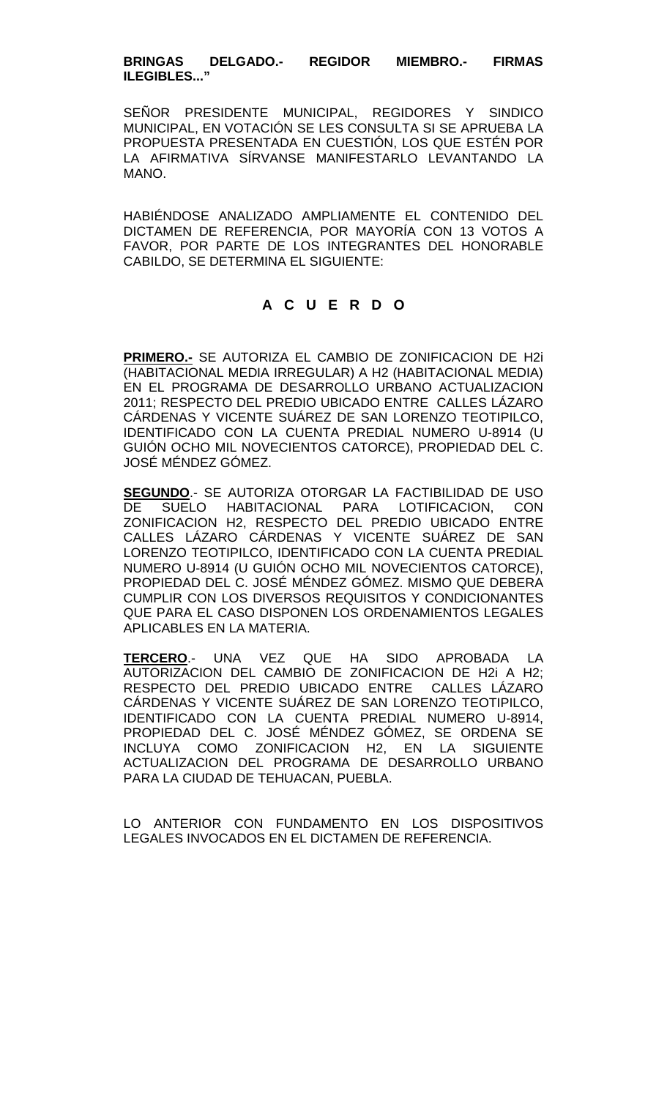### **BRINGAS DELGADO.- REGIDOR MIEMBRO.- FIRMAS ILEGIBLES..."**

SEÑOR PRESIDENTE MUNICIPAL, REGIDORES Y SINDICO MUNICIPAL, EN VOTACIÓN SE LES CONSULTA SI SE APRUEBA LA PROPUESTA PRESENTADA EN CUESTIÓN, LOS QUE ESTÉN POR LA AFIRMATIVA SÍRVANSE MANIFESTARLO LEVANTANDO LA MANO.

HABIÉNDOSE ANALIZADO AMPLIAMENTE EL CONTENIDO DEL DICTAMEN DE REFERENCIA, POR MAYORÍA CON 13 VOTOS A FAVOR, POR PARTE DE LOS INTEGRANTES DEL HONORABLE CABILDO, SE DETERMINA EL SIGUIENTE:

# **A C U E R D O**

**PRIMERO.-** SE AUTORIZA EL CAMBIO DE ZONIFICACION DE H2i (HABITACIONAL MEDIA IRREGULAR) A H2 (HABITACIONAL MEDIA) EN EL PROGRAMA DE DESARROLLO URBANO ACTUALIZACION 2011; RESPECTO DEL PREDIO UBICADO ENTRE CALLES LÁZARO CÁRDENAS Y VICENTE SUÁREZ DE SAN LORENZO TEOTIPILCO, IDENTIFICADO CON LA CUENTA PREDIAL NUMERO U-8914 (U GUIÓN OCHO MIL NOVECIENTOS CATORCE), PROPIEDAD DEL C. JOSÉ MÉNDEZ GÓMEZ.

**SEGUNDO**.- SE AUTORIZA OTORGAR LA FACTIBILIDAD DE USO DE SUELO HABITACIONAL PARA LOTIFICACION, CON ZONIFICACION H2, RESPECTO DEL PREDIO UBICADO ENTRE CALLES LÁZARO CÁRDENAS Y VICENTE SUÁREZ DE SAN LORENZO TEOTIPILCO, IDENTIFICADO CON LA CUENTA PREDIAL NUMERO U-8914 (U GUIÓN OCHO MIL NOVECIENTOS CATORCE), PROPIEDAD DEL C. JOSÉ MÉNDEZ GÓMEZ. MISMO QUE DEBERA CUMPLIR CON LOS DIVERSOS REQUISITOS Y CONDICIONANTES QUE PARA EL CASO DISPONEN LOS ORDENAMIENTOS LEGALES APLICABLES EN LA MATERIA.

**TERCERO**.- UNA VEZ QUE HA SIDO APROBADA LA AUTORIZACION DEL CAMBIO DE ZONIFICACION DE H2i A H2; RESPECTO DEL PREDIO UBICADO ENTRE CALLES LÁZARO CÁRDENAS Y VICENTE SUÁREZ DE SAN LORENZO TEOTIPILCO, IDENTIFICADO CON LA CUENTA PREDIAL NUMERO U-8914, PROPIEDAD DEL C. JOSÉ MÉNDEZ GÓMEZ, SE ORDENA SE INCLUYA COMO ZONIFICACION H2, EN LA SIGUIENTE ACTUALIZACION DEL PROGRAMA DE DESARROLLO URBANO PARA LA CIUDAD DE TEHUACAN, PUEBLA.

LO ANTERIOR CON FUNDAMENTO EN LOS DISPOSITIVOS LEGALES INVOCADOS EN EL DICTAMEN DE REFERENCIA.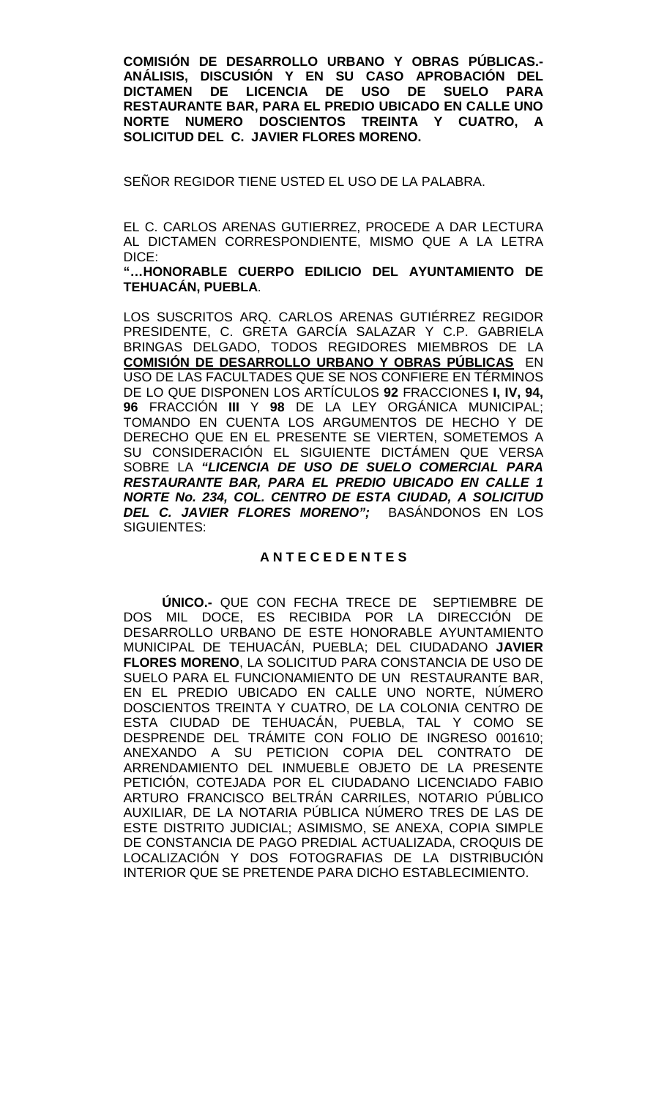**COMISIÓN DE DESARROLLO URBANO Y OBRAS PÚBLICAS.- ANÁLISIS, DISCUSIÓN Y EN SU CASO APROBACIÓN DEL** LICENCIA DE USO DE SUELO PARA **RESTAURANTE BAR, PARA EL PREDIO UBICADO EN CALLE UNO NORTE NUMERO DOSCIENTOS TREINTA Y CUATRO, A SOLICITUD DEL C. JAVIER FLORES MORENO.**

SEÑOR REGIDOR TIENE USTED EL USO DE LA PALABRA.

EL C. CARLOS ARENAS GUTIERREZ, PROCEDE A DAR LECTURA AL DICTAMEN CORRESPONDIENTE, MISMO QUE A LA LETRA DICE:

**"…HONORABLE CUERPO EDILICIO DEL AYUNTAMIENTO DE TEHUACÁN, PUEBLA**.

LOS SUSCRITOS ARQ. CARLOS ARENAS GUTIÉRREZ REGIDOR PRESIDENTE, C. GRETA GARCÍA SALAZAR Y C.P. GABRIELA BRINGAS DELGADO, TODOS REGIDORES MIEMBROS DE LA **COMISIÓN DE DESARROLLO URBANO Y OBRAS PÚBLICAS** EN USO DE LAS FACULTADES QUE SE NOS CONFIERE EN TÉRMINOS DE LO QUE DISPONEN LOS ARTÍCULOS **92** FRACCIONES **I, IV, 94, 96** FRACCIÓN **III** Y **98** DE LA LEY ORGÁNICA MUNICIPAL; TOMANDO EN CUENTA LOS ARGUMENTOS DE HECHO Y DE DERECHO QUE EN EL PRESENTE SE VIERTEN, SOMETEMOS A SU CONSIDERACIÓN EL SIGUIENTE DICTÁMEN QUE VERSA SOBRE LA *"LICENCIA DE USO DE SUELO COMERCIAL PARA RESTAURANTE BAR, PARA EL PREDIO UBICADO EN CALLE 1 NORTE No. 234, COL. CENTRO DE ESTA CIUDAD, A SOLICITUD DEL C. JAVIER FLORES MORENO";* BASÁNDONOS EN LOS SIGUIENTES:

# **A N T E C E D E N T E S**

**ÚNICO.-** QUE CON FECHA TRECE DE SEPTIEMBRE DE DOS MIL DOCE, ES RECIBIDA POR LA DIRECCIÓN DE DESARROLLO URBANO DE ESTE HONORABLE AYUNTAMIENTO MUNICIPAL DE TEHUACÁN, PUEBLA; DEL CIUDADANO **JAVIER FLORES MORENO**, LA SOLICITUD PARA CONSTANCIA DE USO DE SUELO PARA EL FUNCIONAMIENTO DE UN RESTAURANTE BAR, EN EL PREDIO UBICADO EN CALLE UNO NORTE, NÚMERO DOSCIENTOS TREINTA Y CUATRO, DE LA COLONIA CENTRO DE ESTA CIUDAD DE TEHUACÁN, PUEBLA, TAL Y COMO SE DESPRENDE DEL TRÁMITE CON FOLIO DE INGRESO 001610; ANEXANDO A SU PETICION COPIA DEL CONTRATO DE ARRENDAMIENTO DEL INMUEBLE OBJETO DE LA PRESENTE PETICIÓN, COTEJADA POR EL CIUDADANO LICENCIADO FABIO ARTURO FRANCISCO BELTRÁN CARRILES, NOTARIO PÚBLICO AUXILIAR, DE LA NOTARIA PÚBLICA NÚMERO TRES DE LAS DE ESTE DISTRITO JUDICIAL; ASIMISMO, SE ANEXA, COPIA SIMPLE DE CONSTANCIA DE PAGO PREDIAL ACTUALIZADA, CROQUIS DE LOCALIZACIÓN Y DOS FOTOGRAFIAS DE LA DISTRIBUCIÓN INTERIOR QUE SE PRETENDE PARA DICHO ESTABLECIMIENTO.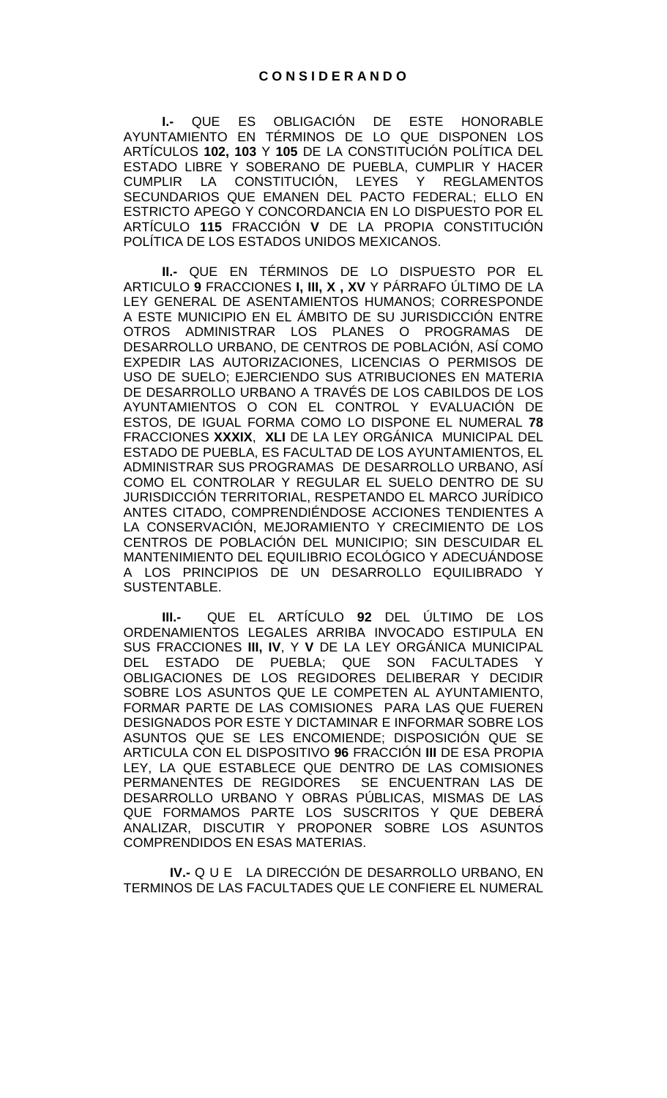**I.-** QUE ES OBLIGACIÓN DE ESTE HONORABLE AYUNTAMIENTO EN TÉRMINOS DE LO QUE DISPONEN LOS ARTÍCULOS **102, 103** Y **105** DE LA CONSTITUCIÓN POLÍTICA DEL ESTADO LIBRE Y SOBERANO DE PUEBLA, CUMPLIR Y HACER<br>CUMPLIR LA CONSTITUCIÓN, LEYES Y REGLAMENTOS CUMPLIR LA CONSTITUCIÓN, LEYES Y REGLAMENTOS SECUNDARIOS QUE EMANEN DEL PACTO FEDERAL; ELLO EN ESTRICTO APEGO Y CONCORDANCIA EN LO DISPUESTO POR EL ARTÍCULO **115** FRACCIÓN **V** DE LA PROPIA CONSTITUCIÓN POLÍTICA DE LOS ESTADOS UNIDOS MEXICANOS.

**II.-** QUE EN TÉRMINOS DE LO DISPUESTO POR EL ARTICULO **9** FRACCIONES **I, III, X , XV** Y PÁRRAFO ÚLTIMO DE LA LEY GENERAL DE ASENTAMIENTOS HUMANOS; CORRESPONDE A ESTE MUNICIPIO EN EL ÁMBITO DE SU JURISDICCIÓN ENTRE OTROS ADMINISTRAR LOS PLANES O PROGRAMAS DE DESARROLLO URBANO, DE CENTROS DE POBLACIÓN, ASÍ COMO EXPEDIR LAS AUTORIZACIONES, LICENCIAS O PERMISOS DE USO DE SUELO; EJERCIENDO SUS ATRIBUCIONES EN MATERIA DE DESARROLLO URBANO A TRAVÉS DE LOS CABILDOS DE LOS AYUNTAMIENTOS O CON EL CONTROL Y EVALUACIÓN DE ESTOS, DE IGUAL FORMA COMO LO DISPONE EL NUMERAL **78** FRACCIONES **XXXIX**, **XLI** DE LA LEY ORGÁNICA MUNICIPAL DEL ESTADO DE PUEBLA, ES FACULTAD DE LOS AYUNTAMIENTOS, EL ADMINISTRAR SUS PROGRAMAS DE DESARROLLO URBANO, ASÍ COMO EL CONTROLAR Y REGULAR EL SUELO DENTRO DE SU JURISDICCIÓN TERRITORIAL, RESPETANDO EL MARCO JURÍDICO ANTES CITADO, COMPRENDIÉNDOSE ACCIONES TENDIENTES A LA CONSERVACIÓN, MEJORAMIENTO Y CRECIMIENTO DE LOS CENTROS DE POBLACIÓN DEL MUNICIPIO; SIN DESCUIDAR EL MANTENIMIENTO DEL EQUILIBRIO ECOLÓGICO Y ADECUÁNDOSE A LOS PRINCIPIOS DE UN DESARROLLO EQUILIBRADO Y SUSTENTABLE.

**III.-** QUE EL ARTÍCULO **92** DEL ÚLTIMO DE LOS ORDENAMIENTOS LEGALES ARRIBA INVOCADO ESTIPULA EN SUS FRACCIONES **III, IV**, Y **V** DE LA LEY ORGÁNICA MUNICIPAL DEL ESTADO DE PUEBLA; QUE SON FACULTADES Y OBLIGACIONES DE LOS REGIDORES DELIBERAR Y DECIDIR SOBRE LOS ASUNTOS QUE LE COMPETEN AL AYUNTAMIENTO, FORMAR PARTE DE LAS COMISIONES PARA LAS QUE FUEREN DESIGNADOS POR ESTE Y DICTAMINAR E INFORMAR SOBRE LOS ASUNTOS QUE SE LES ENCOMIENDE; DISPOSICIÓN QUE SE ARTICULA CON EL DISPOSITIVO **96** FRACCIÓN **III** DE ESA PROPIA LEY, LA QUE ESTABLECE QUE DENTRO DE LAS COMISIONES PERMANENTES DE REGIDORES SE ENCUENTRAN LAS DE DESARROLLO URBANO Y OBRAS PÚBLICAS, MISMAS DE LAS QUE FORMAMOS PARTE LOS SUSCRITOS Y QUE DEBERÁ ANALIZAR, DISCUTIR Y PROPONER SOBRE LOS ASUNTOS COMPRENDIDOS EN ESAS MATERIAS.

**IV.-** Q U E LA DIRECCIÓN DE DESARROLLO URBANO, EN TERMINOS DE LAS FACULTADES QUE LE CONFIERE EL NUMERAL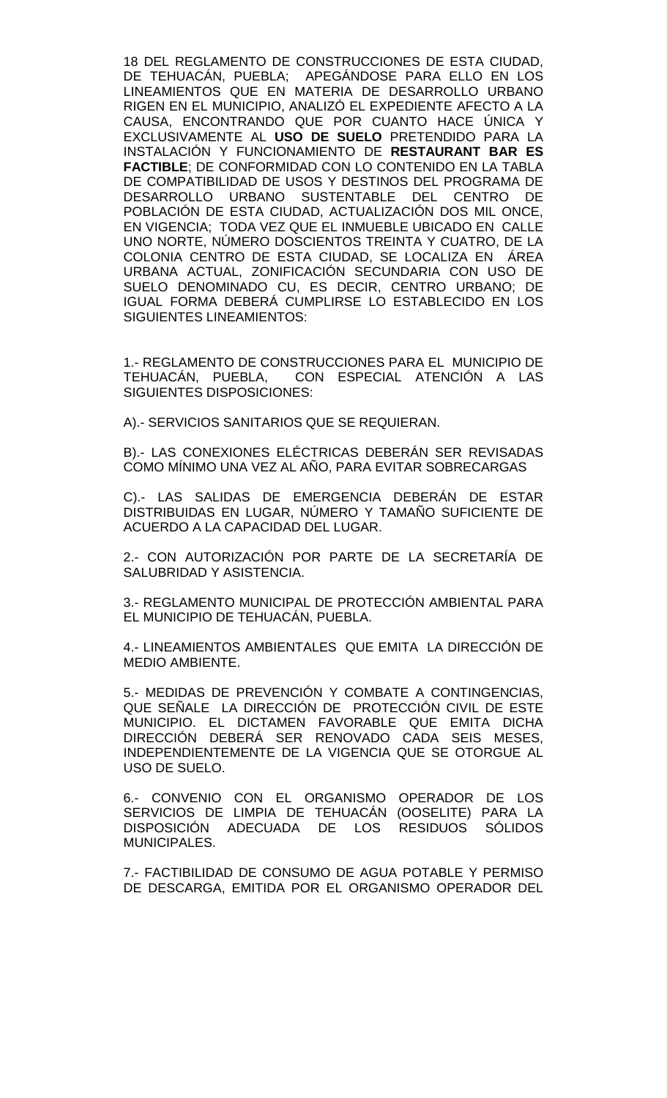18 DEL REGLAMENTO DE CONSTRUCCIONES DE ESTA CIUDAD, DE TEHUACÁN, PUEBLA; APEGÁNDOSE PARA ELLO EN LOS LINEAMIENTOS QUE EN MATERIA DE DESARROLLO URBANO RIGEN EN EL MUNICIPIO, ANALIZÓ EL EXPEDIENTE AFECTO A LA CAUSA, ENCONTRANDO QUE POR CUANTO HACE ÚNICA Y EXCLUSIVAMENTE AL **USO DE SUELO** PRETENDIDO PARA LA INSTALACIÓN Y FUNCIONAMIENTO DE **RESTAURANT BAR ES FACTIBLE**; DE CONFORMIDAD CON LO CONTENIDO EN LA TABLA DE COMPATIBILIDAD DE USOS Y DESTINOS DEL PROGRAMA DE DESARROLLO URBANO SUSTENTABLE DEL CENTRO DE POBLACIÓN DE ESTA CIUDAD, ACTUALIZACIÓN DOS MIL ONCE, EN VIGENCIA; TODA VEZ QUE EL INMUEBLE UBICADO EN CALLE UNO NORTE, NÚMERO DOSCIENTOS TREINTA Y CUATRO, DE LA COLONIA CENTRO DE ESTA CIUDAD, SE LOCALIZA EN ÁREA URBANA ACTUAL, ZONIFICACIÓN SECUNDARIA CON USO DE SUELO DENOMINADO CU, ES DECIR, CENTRO URBANO; DE IGUAL FORMA DEBERÁ CUMPLIRSE LO ESTABLECIDO EN LOS SIGUIENTES LINEAMIENTOS:

1.- REGLAMENTO DE CONSTRUCCIONES PARA EL MUNICIPIO DE TEHUACÁN, PUEBLA, CON ESPECIAL ATENCIÓN A LAS SIGUIENTES DISPOSICIONES:

A).- SERVICIOS SANITARIOS QUE SE REQUIERAN.

B).- LAS CONEXIONES ELÉCTRICAS DEBERÁN SER REVISADAS COMO MÍNIMO UNA VEZ AL AÑO, PARA EVITAR SOBRECARGAS

C).- LAS SALIDAS DE EMERGENCIA DEBERÁN DE ESTAR DISTRIBUIDAS EN LUGAR, NÚMERO Y TAMAÑO SUFICIENTE DE ACUERDO A LA CAPACIDAD DEL LUGAR.

2.- CON AUTORIZACIÓN POR PARTE DE LA SECRETARÍA DE SALUBRIDAD Y ASISTENCIA.

3.- REGLAMENTO MUNICIPAL DE PROTECCIÓN AMBIENTAL PARA EL MUNICIPIO DE TEHUACÁN, PUEBLA.

4.- LINEAMIENTOS AMBIENTALES QUE EMITA LA DIRECCIÓN DE MEDIO AMBIENTE.

5.- MEDIDAS DE PREVENCIÓN Y COMBATE A CONTINGENCIAS, QUE SEÑALE LA DIRECCIÓN DE PROTECCIÓN CIVIL DE ESTE MUNICIPIO. EL DICTAMEN FAVORABLE QUE EMITA DICHA DIRECCIÓN DEBERÁ SER RENOVADO CADA SEIS MESES, INDEPENDIENTEMENTE DE LA VIGENCIA QUE SE OTORGUE AL USO DE SUELO.

6.- CONVENIO CON EL ORGANISMO OPERADOR DE LOS SERVICIOS DE LIMPIA DE TEHUACÁN (OOSELITE) PARA LA DISPOSICIÓN ADECUADA DE LOS RESIDUOS SÓLIDOS MUNICIPALES.

7.- FACTIBILIDAD DE CONSUMO DE AGUA POTABLE Y PERMISO DE DESCARGA, EMITIDA POR EL ORGANISMO OPERADOR DEL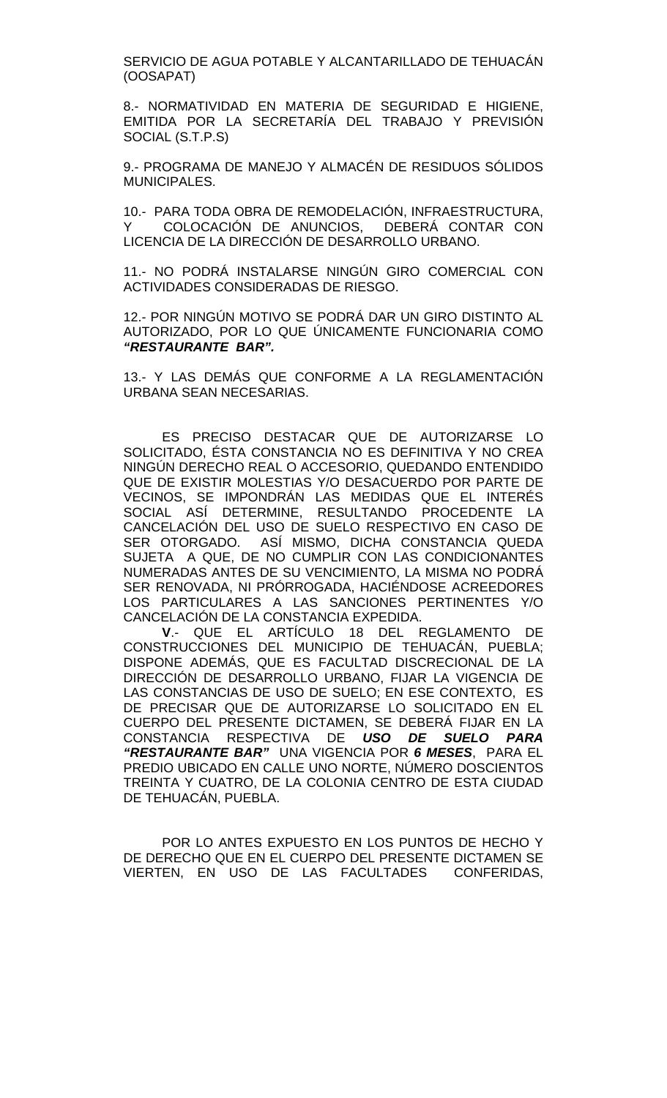SERVICIO DE AGUA POTABLE Y ALCANTARILLADO DE TEHUACÁN (OOSAPAT)

8.- NORMATIVIDAD EN MATERIA DE SEGURIDAD E HIGIENE, EMITIDA POR LA SECRETARÍA DEL TRABAJO Y PREVISIÓN SOCIAL (S.T.P.S)

9.- PROGRAMA DE MANEJO Y ALMACÉN DE RESIDUOS SÓLIDOS MUNICIPALES.

10.- PARA TODA OBRA DE REMODELACIÓN, INFRAESTRUCTURA, Y COLOCACIÓN DE ANUNCIOS, DEBERÁ CONTAR CON LICENCIA DE LA DIRECCIÓN DE DESARROLLO URBANO.

11.- NO PODRÁ INSTALARSE NINGÚN GIRO COMERCIAL CON ACTIVIDADES CONSIDERADAS DE RIESGO.

12.- POR NINGÚN MOTIVO SE PODRÁ DAR UN GIRO DISTINTO AL AUTORIZADO, POR LO QUE ÚNICAMENTE FUNCIONARIA COMO *"RESTAURANTE BAR".*

13.- Y LAS DEMÁS QUE CONFORME A LA REGLAMENTACIÓN URBANA SEAN NECESARIAS.

ES PRECISO DESTACAR QUE DE AUTORIZARSE LO SOLICITADO, ÉSTA CONSTANCIA NO ES DEFINITIVA Y NO CREA NINGÚN DERECHO REAL O ACCESORIO, QUEDANDO ENTENDIDO QUE DE EXISTIR MOLESTIAS Y/O DESACUERDO POR PARTE DE VECINOS, SE IMPONDRÁN LAS MEDIDAS QUE EL INTERÉS SOCIAL ASÍ DETERMINE, RESULTANDO PROCEDENTE LA CANCELACIÓN DEL USO DE SUELO RESPECTIVO EN CASO DE SER OTORGADO. ASÍ MISMO, DICHA CONSTANCIA QUEDA SUJETA A QUE, DE NO CUMPLIR CON LAS CONDICIONANTES NUMERADAS ANTES DE SU VENCIMIENTO, LA MISMA NO PODRÁ SER RENOVADA, NI PRÓRROGADA, HACIÉNDOSE ACREEDORES LOS PARTICULARES A LAS SANCIONES PERTINENTES Y/O CANCELACIÓN DE LA CONSTANCIA EXPEDIDA.

**V**.- QUE EL ARTÍCULO 18 DEL REGLAMENTO DE CONSTRUCCIONES DEL MUNICIPIO DE TEHUACÁN, PUEBLA; DISPONE ADEMÁS, QUE ES FACULTAD DISCRECIONAL DE LA DIRECCIÓN DE DESARROLLO URBANO, FIJAR LA VIGENCIA DE LAS CONSTANCIAS DE USO DE SUELO; EN ESE CONTEXTO, ES DE PRECISAR QUE DE AUTORIZARSE LO SOLICITADO EN EL CUERPO DEL PRESENTE DICTAMEN, SE DEBERÁ FIJAR EN LA CONSTANCIA RESPECTIVA DE *USO DE SUELO PARA "RESTAURANTE BAR"* UNA VIGENCIA POR *6 MESES*, PARA EL PREDIO UBICADO EN CALLE UNO NORTE, NÚMERO DOSCIENTOS TREINTA Y CUATRO, DE LA COLONIA CENTRO DE ESTA CIUDAD DE TEHUACÁN, PUEBLA.

POR LO ANTES EXPUESTO EN LOS PUNTOS DE HECHO Y DE DERECHO QUE EN EL CUERPO DEL PRESENTE DICTAMEN SE VIERTEN, EN USO DE LAS FACULTADES CONFERIDAS,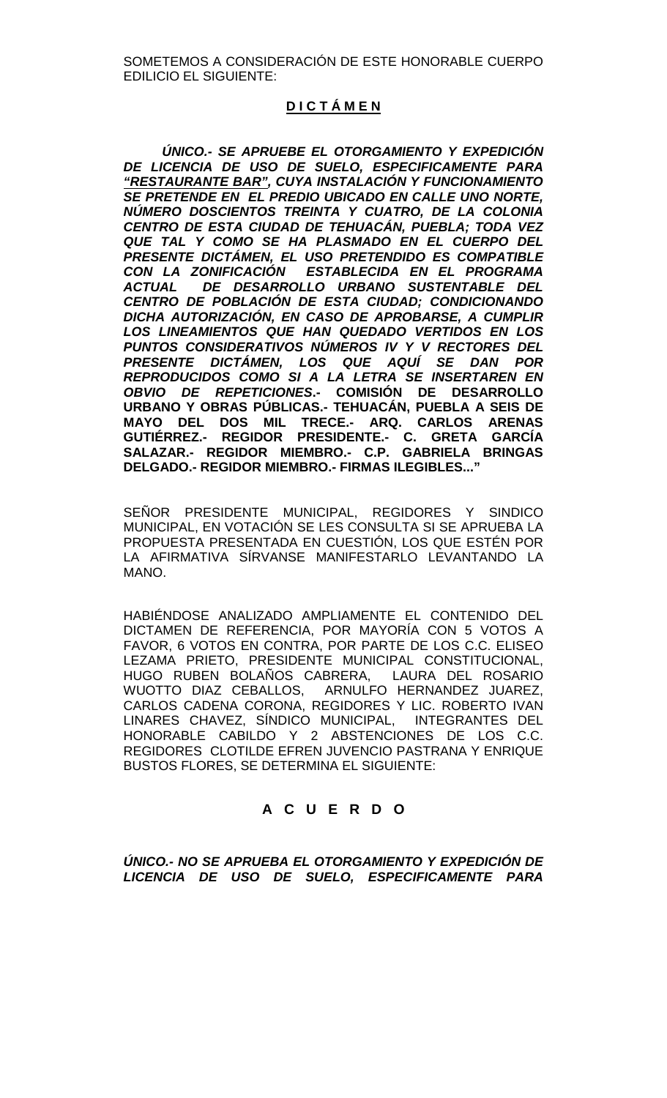SOMETEMOS A CONSIDERACIÓN DE ESTE HONORABLE CUERPO EDILICIO EL SIGUIENTE:

# **D I C T Á M E N**

*ÚNICO.- SE APRUEBE EL OTORGAMIENTO Y EXPEDICIÓN DE LICENCIA DE USO DE SUELO, ESPECIFICAMENTE PARA "RESTAURANTE BAR", CUYA INSTALACIÓN Y FUNCIONAMIENTO SE PRETENDE EN EL PREDIO UBICADO EN CALLE UNO NORTE, NÚMERO DOSCIENTOS TREINTA Y CUATRO, DE LA COLONIA CENTRO DE ESTA CIUDAD DE TEHUACÁN, PUEBLA; TODA VEZ QUE TAL Y COMO SE HA PLASMADO EN EL CUERPO DEL PRESENTE DICTÁMEN, EL USO PRETENDIDO ES COMPATIBLE CON LA ZONIFICACIÓN ESTABLECIDA EN EL PROGRAMA*  **DE DESARROLLO URBANO SUSTENTABLE DEL** *CENTRO DE POBLACIÓN DE ESTA CIUDAD; CONDICIONANDO DICHA AUTORIZACIÓN, EN CASO DE APROBARSE, A CUMPLIR LOS LINEAMIENTOS QUE HAN QUEDADO VERTIDOS EN LOS PUNTOS CONSIDERATIVOS NÚMEROS IV Y V RECTORES DEL PRESENTE DICTÁMEN, LOS QUE AQUÍ SE DAN POR REPRODUCIDOS COMO SI A LA LETRA SE INSERTAREN EN OBVIO DE REPETICIONES***.- COMISIÓN DE DESARROLLO URBANO Y OBRAS PÚBLICAS.- TEHUACÁN, PUEBLA A SEIS DE MAYO DEL DOS MIL TRECE.- ARQ. CARLOS ARENAS GUTIÉRREZ.- REGIDOR PRESIDENTE.- C. GRETA GARCÍA SALAZAR.- REGIDOR MIEMBRO.- C.P. GABRIELA BRINGAS DELGADO.- REGIDOR MIEMBRO.- FIRMAS ILEGIBLES..."**

SEÑOR PRESIDENTE MUNICIPAL, REGIDORES Y SINDICO MUNICIPAL, EN VOTACIÓN SE LES CONSULTA SI SE APRUEBA LA PROPUESTA PRESENTADA EN CUESTIÓN, LOS QUE ESTÉN POR LA AFIRMATIVA SÍRVANSE MANIFESTARLO LEVANTANDO LA MANO.

HABIÉNDOSE ANALIZADO AMPLIAMENTE EL CONTENIDO DEL DICTAMEN DE REFERENCIA, POR MAYORÍA CON 5 VOTOS A FAVOR, 6 VOTOS EN CONTRA, POR PARTE DE LOS C.C. ELISEO LEZAMA PRIETO, PRESIDENTE MUNICIPAL CONSTITUCIONAL, HUGO RUBEN BOLAÑOS CABRERA, LAURA DEL ROSARIO WUOTTO DIAZ CEBALLOS, ARNULFO HERNANDEZ JUAREZ, CARLOS CADENA CORONA, REGIDORES Y LIC. ROBERTO IVAN LINARES CHAVEZ, SÍNDICO MUNICIPAL, INTEGRANTES DEL HONORABLE CABILDO Y 2 ABSTENCIONES DE LOS C.C. REGIDORES CLOTILDE EFREN JUVENCIO PASTRANA Y ENRIQUE BUSTOS FLORES, SE DETERMINA EL SIGUIENTE:

# **A C U E R D O**

*ÚNICO.- NO SE APRUEBA EL OTORGAMIENTO Y EXPEDICIÓN DE LICENCIA DE USO DE SUELO, ESPECIFICAMENTE PARA*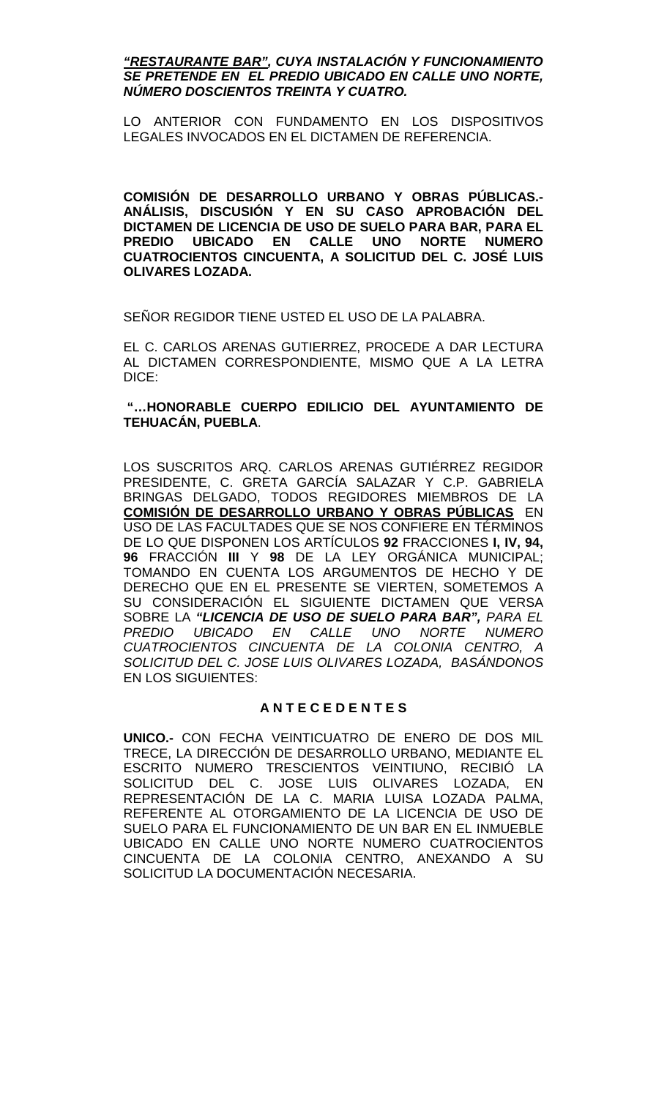### *"RESTAURANTE BAR", CUYA INSTALACIÓN Y FUNCIONAMIENTO SE PRETENDE EN EL PREDIO UBICADO EN CALLE UNO NORTE, NÚMERO DOSCIENTOS TREINTA Y CUATRO.*

LO ANTERIOR CON FUNDAMENTO EN LOS DISPOSITIVOS LEGALES INVOCADOS EN EL DICTAMEN DE REFERENCIA.

**COMISIÓN DE DESARROLLO URBANO Y OBRAS PÚBLICAS.- ANÁLISIS, DISCUSIÓN Y EN SU CASO APROBACIÓN DEL DICTAMEN DE LICENCIA DE USO DE SUELO PARA BAR, PARA EL PREDIO UBICADO EN CALLE UNO NORTE NUMERO CUATROCIENTOS CINCUENTA, A SOLICITUD DEL C. JOSÉ LUIS OLIVARES LOZADA.**

SEÑOR REGIDOR TIENE USTED EL USO DE LA PALABRA.

EL C. CARLOS ARENAS GUTIERREZ, PROCEDE A DAR LECTURA AL DICTAMEN CORRESPONDIENTE, MISMO QUE A LA LETRA DICE:

# **"…HONORABLE CUERPO EDILICIO DEL AYUNTAMIENTO DE TEHUACÁN, PUEBLA**.

LOS SUSCRITOS ARQ. CARLOS ARENAS GUTIÉRREZ REGIDOR PRESIDENTE, C. GRETA GARCÍA SALAZAR Y C.P. GABRIELA BRINGAS DELGADO, TODOS REGIDORES MIEMBROS DE LA **COMISIÓN DE DESARROLLO URBANO Y OBRAS PÚBLICAS** EN USO DE LAS FACULTADES QUE SE NOS CONFIERE EN TÉRMINOS DE LO QUE DISPONEN LOS ARTÍCULOS **92** FRACCIONES **I, IV, 94, 96** FRACCIÓN **III** Y **98** DE LA LEY ORGÁNICA MUNICIPAL; TOMANDO EN CUENTA LOS ARGUMENTOS DE HECHO Y DE DERECHO QUE EN EL PRESENTE SE VIERTEN, SOMETEMOS A SU CONSIDERACIÓN EL SIGUIENTE DICTAMEN QUE VERSA SOBRE LA *"LICENCIA DE USO DE SUELO PARA BAR", PARA EL PREDIO UBICADO EN CALLE UNO NORTE NUMERO CUATROCIENTOS CINCUENTA DE LA COLONIA CENTRO, A SOLICITUD DEL C. JOSE LUIS OLIVARES LOZADA, BASÁNDONOS*  EN LOS SIGUIENTES:

# **A N T E C E D E N T E S**

**UNICO.-** CON FECHA VEINTICUATRO DE ENERO DE DOS MIL TRECE, LA DIRECCIÓN DE DESARROLLO URBANO, MEDIANTE EL ESCRITO NUMERO TRESCIENTOS VEINTIUNO, RECIBIÓ LA SOLICITUD DEL C. JOSE LUIS OLIVARES LOZADA, EN REPRESENTACIÓN DE LA C. MARIA LUISA LOZADA PALMA, REFERENTE AL OTORGAMIENTO DE LA LICENCIA DE USO DE SUELO PARA EL FUNCIONAMIENTO DE UN BAR EN EL INMUEBLE UBICADO EN CALLE UNO NORTE NUMERO CUATROCIENTOS CINCUENTA DE LA COLONIA CENTRO, ANEXANDO A SU SOLICITUD LA DOCUMENTACIÓN NECESARIA.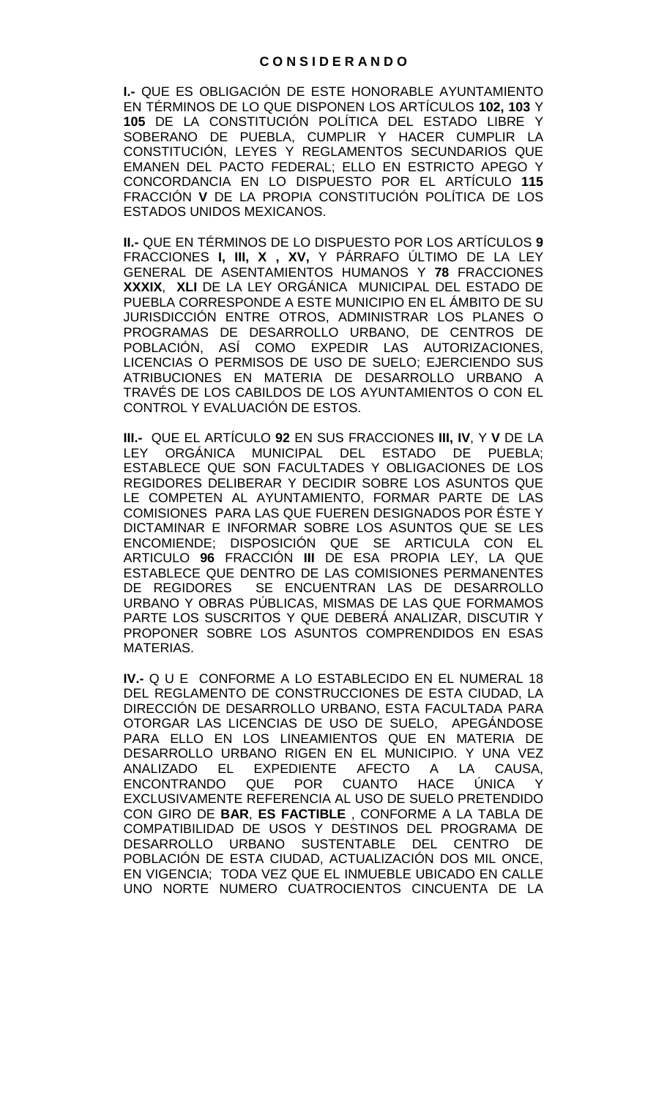**I.-** QUE ES OBLIGACIÓN DE ESTE HONORABLE AYUNTAMIENTO EN TÉRMINOS DE LO QUE DISPONEN LOS ARTÍCULOS **102, 103** Y **105** DE LA CONSTITUCIÓN POLÍTICA DEL ESTADO LIBRE Y SOBERANO DE PUEBLA, CUMPLIR Y HACER CUMPLIR LA CONSTITUCIÓN, LEYES Y REGLAMENTOS SECUNDARIOS QUE EMANEN DEL PACTO FEDERAL; ELLO EN ESTRICTO APEGO Y CONCORDANCIA EN LO DISPUESTO POR EL ARTÍCULO **115**  FRACCIÓN **V** DE LA PROPIA CONSTITUCIÓN POLÍTICA DE LOS ESTADOS UNIDOS MEXICANOS.

**II.-** QUE EN TÉRMINOS DE LO DISPUESTO POR LOS ARTÍCULOS **9**  FRACCIONES **I, III, X , XV,** Y PÁRRAFO ÚLTIMO DE LA LEY GENERAL DE ASENTAMIENTOS HUMANOS Y **78** FRACCIONES **XXXIX**, **XLI** DE LA LEY ORGÁNICA MUNICIPAL DEL ESTADO DE PUEBLA CORRESPONDE A ESTE MUNICIPIO EN EL ÁMBITO DE SU JURISDICCIÓN ENTRE OTROS, ADMINISTRAR LOS PLANES O PROGRAMAS DE DESARROLLO URBANO, DE CENTROS DE POBLACIÓN, ASÍ COMO EXPEDIR LAS AUTORIZACIONES, LICENCIAS O PERMISOS DE USO DE SUELO; EJERCIENDO SUS ATRIBUCIONES EN MATERIA DE DESARROLLO URBANO A TRAVÉS DE LOS CABILDOS DE LOS AYUNTAMIENTOS O CON EL CONTROL Y EVALUACIÓN DE ESTOS.

**III.-** QUE EL ARTÍCULO **92** EN SUS FRACCIONES **III, IV**, Y **V** DE LA LEY ORGÁNICA MUNICIPAL DEL ESTADO DE PUEBLA; ESTABLECE QUE SON FACULTADES Y OBLIGACIONES DE LOS REGIDORES DELIBERAR Y DECIDIR SOBRE LOS ASUNTOS QUE LE COMPETEN AL AYUNTAMIENTO, FORMAR PARTE DE LAS COMISIONES PARA LAS QUE FUEREN DESIGNADOS POR ÉSTE Y DICTAMINAR E INFORMAR SOBRE LOS ASUNTOS QUE SE LES ENCOMIENDE; DISPOSICIÓN QUE SE ARTICULA CON EL ARTICULO **96** FRACCIÓN **III** DE ESA PROPIA LEY, LA QUE ESTABLECE QUE DENTRO DE LAS COMISIONES PERMANENTES<br>DE REGIDORES SE ENCUENTRAN LAS DE DESARROLLO SE ENCUENTRAN LAS DE DESARROLLO URBANO Y OBRAS PÚBLICAS, MISMAS DE LAS QUE FORMAMOS PARTE LOS SUSCRITOS Y QUE DEBERÁ ANALIZAR, DISCUTIR Y PROPONER SOBRE LOS ASUNTOS COMPRENDIDOS EN ESAS MATERIAS.

**IV.-** Q U E CONFORME A LO ESTABLECIDO EN EL NUMERAL 18 DEL REGLAMENTO DE CONSTRUCCIONES DE ESTA CIUDAD, LA DIRECCIÓN DE DESARROLLO URBANO, ESTA FACULTADA PARA OTORGAR LAS LICENCIAS DE USO DE SUELO, APEGÁNDOSE PARA ELLO EN LOS LINEAMIENTOS QUE EN MATERIA DE DESARROLLO URBANO RIGEN EN EL MUNICIPIO. Y UNA VEZ<br>ANALIZADO EL EXPEDIENTE AFECTO A LA CAUSA, ANALIZADO EL EXPEDIENTE AFECTO A LA CAUSA, ENCONTRANDO QUE POR CUANTO HACE ÚNICA Y EXCLUSIVAMENTE REFERENCIA AL USO DE SUELO PRETENDIDO CON GIRO DE **BAR**, **ES FACTIBLE** , CONFORME A LA TABLA DE COMPATIBILIDAD DE USOS Y DESTINOS DEL PROGRAMA DE DESARROLLO URBANO SUSTENTABLE DEL CENTRO DE POBLACIÓN DE ESTA CIUDAD, ACTUALIZACIÓN DOS MIL ONCE, EN VIGENCIA; TODA VEZ QUE EL INMUEBLE UBICADO EN CALLE UNO NORTE NUMERO CUATROCIENTOS CINCUENTA DE LA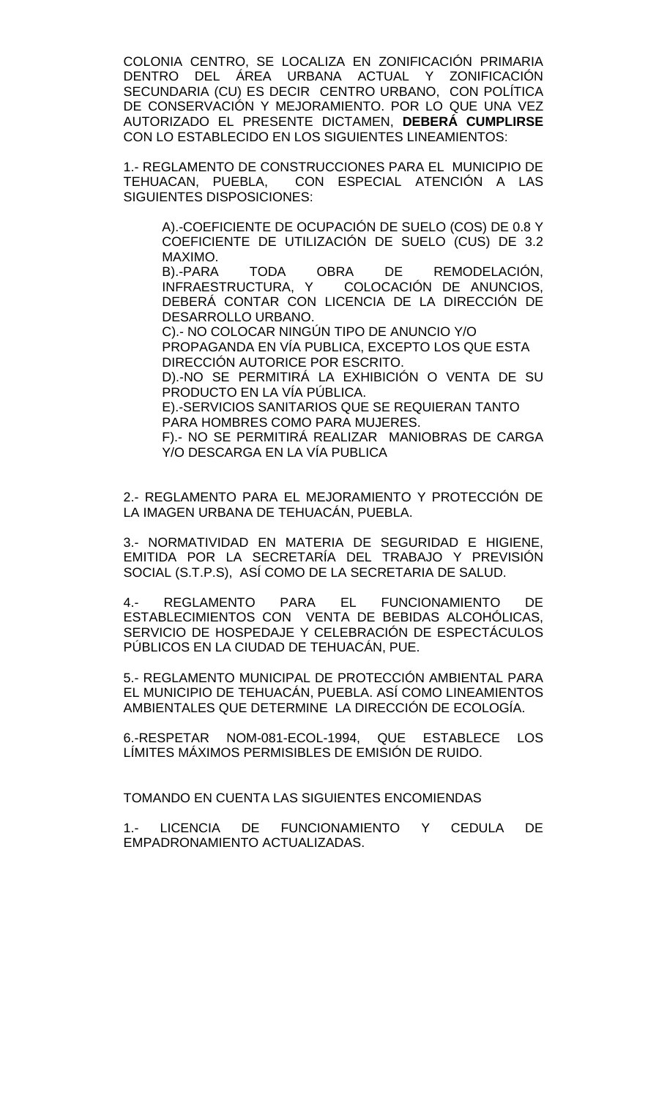COLONIA CENTRO, SE LOCALIZA EN ZONIFICACIÓN PRIMARIA DENTRO DEL ÁREA URBANA ACTUAL Y ZONIFICACIÓN SECUNDARIA (CU) ES DECIR CENTRO URBANO, CON POLÍTICA DE CONSERVACIÓN Y MEJORAMIENTO. POR LO QUE UNA VEZ AUTORIZADO EL PRESENTE DICTAMEN, **DEBERÁ CUMPLIRSE** CON LO ESTABLECIDO EN LOS SIGUIENTES LINEAMIENTOS:

1.- REGLAMENTO DE CONSTRUCCIONES PARA EL MUNICIPIO DE TEHUACAN, PUEBLA, CON ESPECIAL ATENCIÓN A LAS CON ESPECIAL ATENCIÓN A LAS SIGUIENTES DISPOSICIONES:

A).-COEFICIENTE DE OCUPACIÓN DE SUELO (COS) DE 0.8 Y COEFICIENTE DE UTILIZACIÓN DE SUELO (CUS) DE 3.2 MAXIMO.<br>B).-PARA

B).-PARA TODA OBRA DE REMODELACIÓN,<br>INFRAESTRUCTURA, Y COLOCACIÓN DE ANUNCIOS, COLOCACIÓN DE ANUNCIOS, DEBERÁ CONTAR CON LICENCIA DE LA DIRECCIÓN DE DESARROLLO URBANO.

C).- NO COLOCAR NINGÚN TIPO DE ANUNCIO Y/O

PROPAGANDA EN VÍA PUBLICA, EXCEPTO LOS QUE ESTA DIRECCIÓN AUTORICE POR ESCRITO.

D).-NO SE PERMITIRÁ LA EXHIBICIÓN O VENTA DE SU PRODUCTO EN LA VÍA PÚBLICA.

E).-SERVICIOS SANITARIOS QUE SE REQUIERAN TANTO PARA HOMBRES COMO PARA MUJERES.

F).- NO SE PERMITIRÁ REALIZAR MANIOBRAS DE CARGA Y/O DESCARGA EN LA VÍA PUBLICA

2.- REGLAMENTO PARA EL MEJORAMIENTO Y PROTECCIÓN DE LA IMAGEN URBANA DE TEHUACÁN, PUEBLA.

3.- NORMATIVIDAD EN MATERIA DE SEGURIDAD E HIGIENE, EMITIDA POR LA SECRETARIA DEL TRABAJO Y PREVISION SOCIAL (S.T.P.S), ASÍ COMO DE LA SECRETARIA DE SALUD.

4.- REGLAMENTO PARA EL FUNCIONAMIENTO DE ESTABLECIMIENTOS CON VENTA DE BEBIDAS ALCOHÓLICAS, SERVICIO DE HOSPEDAJE Y CELEBRACIÓN DE ESPECTÁCULOS PÚBLICOS EN LA CIUDAD DE TEHUACÁN, PUE.

5.- REGLAMENTO MUNICIPAL DE PROTECCIÓN AMBIENTAL PARA EL MUNICIPIO DE TEHUACÁN, PUEBLA. ASÍ COMO LINEAMIENTOS AMBIENTALES QUE DETERMINE LA DIRECCIÓN DE ECOLOGÍA.

6.-RESPETAR NOM-081-ECOL-1994, QUE ESTABLECE LOS LÍMITES MÁXIMOS PERMISIBLES DE EMISIÓN DE RUIDO.

TOMANDO EN CUENTA LAS SIGUIENTES ENCOMIENDAS

1.- LICENCIA DE FUNCIONAMIENTO Y CEDULA DE EMPADRONAMIENTO ACTUALIZADAS.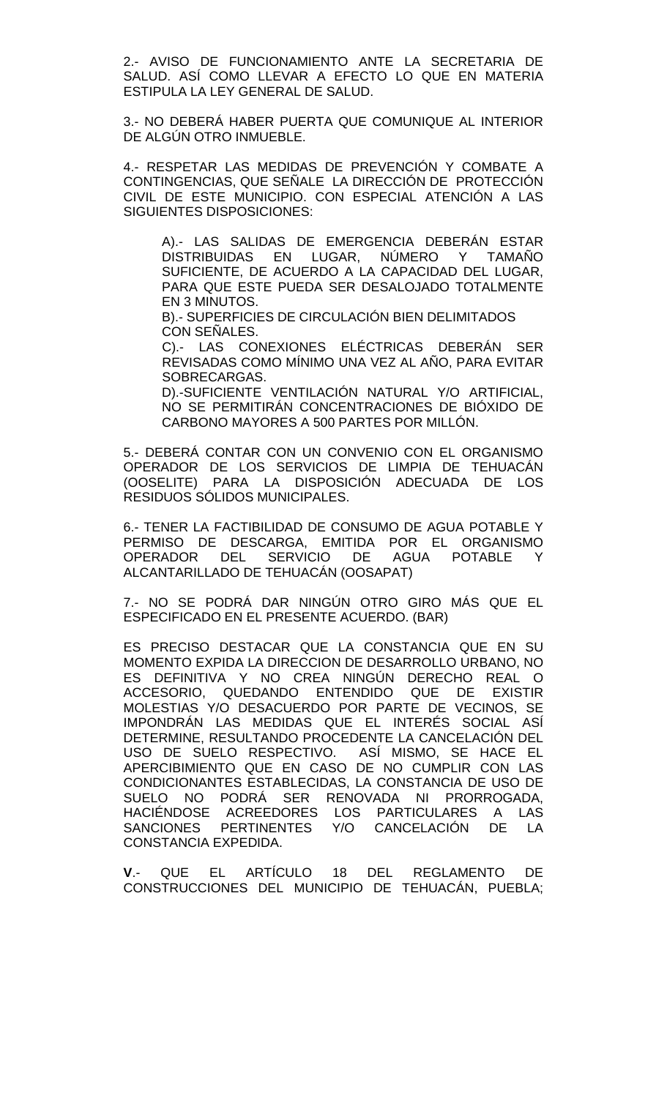2.- AVISO DE FUNCIONAMIENTO ANTE LA SECRETARIA DE SALUD. ASÍ COMO LLEVAR A EFECTO LO QUE EN MATERIA ESTIPULA LA LEY GENERAL DE SALUD.

3.- NO DEBERÁ HABER PUERTA QUE COMUNIQUE AL INTERIOR DE ALGÚN OTRO INMUEBLE.

4.- RESPETAR LAS MEDIDAS DE PREVENCIÓN Y COMBATE A CONTINGENCIAS, QUE SEÑALE LA DIRECCIÓN DE PROTECCIÓN CIVIL DE ESTE MUNICIPIO. CON ESPECIAL ATENCIÓN A LAS SIGUIENTES DISPOSICIONES:

A).- LAS SALIDAS DE EMERGENCIA DEBERÁN ESTAR DISTRIBUIDAS EN LUGAR, NÚMERO Y TAMAÑO SUFICIENTE, DE ACUERDO A LA CAPACIDAD DEL LUGAR, PARA QUE ESTE PUEDA SER DESALOJADO TOTALMENTE EN 3 MINUTOS.

B).- SUPERFICIES DE CIRCULACIÓN BIEN DELIMITADOS CON SENALES.

C).- LAS CONEXIONES ELÉCTRICAS DEBERÁN SER REVISADAS COMO MÍNIMO UNA VEZ AL AÑO, PARA EVITAR SOBRECARGAS.

D).-SUFICIENTE VENTILACIÓN NATURAL Y/O ARTIFICIAL, NO SE PERMITIRÁN CONCENTRACIONES DE BIÓXIDO DE CARBONO MAYORES A 500 PARTES POR MILLÓN.

5.- DEBERÁ CONTAR CON UN CONVENIO CON EL ORGANISMO OPERADOR DE LOS SERVICIOS DE LIMPIA DE TEHUACÁN (OOSELITE) PARA LA DISPOSICIÓN ADECUADA DE LOS RESIDUOS SÓLIDOS MUNICIPALES.

6.- TENER LA FACTIBILIDAD DE CONSUMO DE AGUA POTABLE Y PERMISO DE DESCARGA, EMITIDA POR EL ORGANISMO<br>OPERADOR DEL SERVICIO DE AGUA POTABLE Y AGUA POTABLE ALCANTARILLADO DE TEHUACÁN (OOSAPAT)

7.- NO SE PODRÁ DAR NINGÚN OTRO GIRO MÁS QUE EL ESPECIFICADO EN EL PRESENTE ACUERDO. (BAR)

ES PRECISO DESTACAR QUE LA CONSTANCIA QUE EN SU MOMENTO EXPIDA LA DIRECCION DE DESARROLLO URBANO, NO ES DEFINITIVA Y NO CREA NINGÚN DERECHO REAL O ACCESORIO, QUEDANDO ENTENDIDO QUE DE EXISTIR MOLESTIAS Y/O DESACUERDO POR PARTE DE VECINOS, SE IMPONDRÁN LAS MEDIDAS QUE EL INTERÉS SOCIAL ASÍ DETERMINE, RESULTANDO PROCEDENTE LA CANCELACIÓN DEL USO DE SUELO RESPECTIVO. ASÍ MISMO, SE HACE EL APERCIBIMIENTO QUE EN CASO DE NO CUMPLIR CON LAS CONDICIONANTES ESTABLECIDAS, LA CONSTANCIA DE USO DE SUELO NO PODRÁ SER RENOVADA NI PRORROGADA, HACIÉNDOSE ACREEDORES LOS PARTICULARES A LAS SANCIONES PERTINENTES Y/O CANCELACIÓN DE LA CONSTANCIA EXPEDIDA.

**V**.- QUE EL ARTÍCULO 18 DEL REGLAMENTO DE CONSTRUCCIONES DEL MUNICIPIO DE TEHUACÁN, PUEBLA;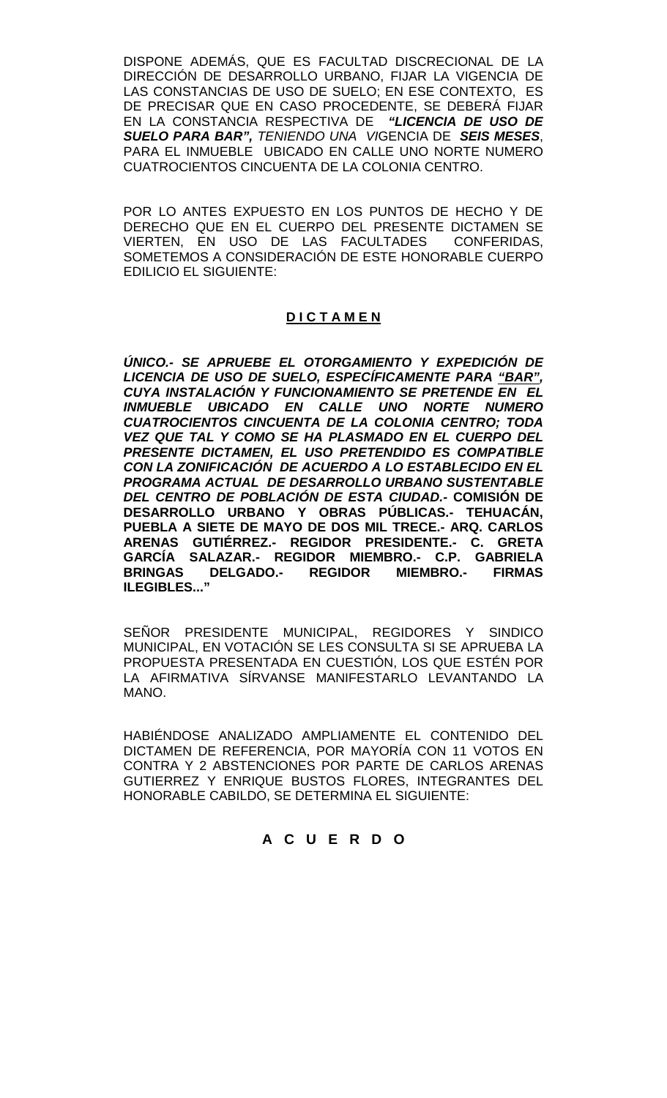DISPONE ADEMÁS, QUE ES FACULTAD DISCRECIONAL DE LA DIRECCIÓN DE DESARROLLO URBANO, FIJAR LA VIGENCIA DE LAS CONSTANCIAS DE USO DE SUELO; EN ESE CONTEXTO, ES DE PRECISAR QUE EN CASO PROCEDENTE, SE DEBERÁ FIJAR EN LA CONSTANCIA RESPECTIVA DE *"LICENCIA DE USO DE SUELO PARA BAR", TENIENDO UNA VI*GENCIA DE *SEIS MESES*, PARA EL INMUEBLE UBICADO EN CALLE UNO NORTE NUMERO CUATROCIENTOS CINCUENTA DE LA COLONIA CENTRO.

POR LO ANTES EXPUESTO EN LOS PUNTOS DE HECHO Y DE DERECHO QUE EN EL CUERPO DEL PRESENTE DICTAMEN SE VIERTEN, EN USO DE LAS FACULTADES CONFERIDAS, SOMETEMOS A CONSIDERACIÓN DE ESTE HONORABLE CUERPO EDILICIO EL SIGUIENTE:

# **D I C T A M E N**

*ÚNICO.- SE APRUEBE EL OTORGAMIENTO Y EXPEDICIÓN DE LICENCIA DE USO DE SUELO, ESPECÍFICAMENTE PARA "BAR", CUYA INSTALACIÓN Y FUNCIONAMIENTO SE PRETENDE EN EL INMUEBLE UBICADO EN CALLE UNO NORTE NUMERO CUATROCIENTOS CINCUENTA DE LA COLONIA CENTRO; TODA VEZ QUE TAL Y COMO SE HA PLASMADO EN EL CUERPO DEL PRESENTE DICTAMEN, EL USO PRETENDIDO ES COMPATIBLE CON LA ZONIFICACIÓN DE ACUERDO A LO ESTABLECIDO EN EL PROGRAMA ACTUAL DE DESARROLLO URBANO SUSTENTABLE DEL CENTRO DE POBLACIÓN DE ESTA CIUDAD.-* **COMISIÓN DE DESARROLLO URBANO Y OBRAS PÚBLICAS.- TEHUACÁN, PUEBLA A SIETE DE MAYO DE DOS MIL TRECE.- ARQ. CARLOS ARENAS GUTIÉRREZ.- REGIDOR PRESIDENTE.- C. GRETA GARCÍA SALAZAR.- REGIDOR MIEMBRO.- C.P. GABRIELA BRINGAS DELGADO.- REGIDOR MIEMBRO.- FIRMAS ILEGIBLES..."**

SEÑOR PRESIDENTE MUNICIPAL, REGIDORES Y SINDICO MUNICIPAL, EN VOTACIÓN SE LES CONSULTA SI SE APRUEBA LA PROPUESTA PRESENTADA EN CUESTIÓN, LOS QUE ESTÉN POR LA AFIRMATIVA SÍRVANSE MANIFESTARLO LEVANTANDO LA MANO.

HABIÉNDOSE ANALIZADO AMPLIAMENTE EL CONTENIDO DEL DICTAMEN DE REFERENCIA, POR MAYORÍA CON 11 VOTOS EN CONTRA Y 2 ABSTENCIONES POR PARTE DE CARLOS ARENAS GUTIERREZ Y ENRIQUE BUSTOS FLORES, INTEGRANTES DEL HONORABLE CABILDO, SE DETERMINA EL SIGUIENTE:

# **A C U E R D O**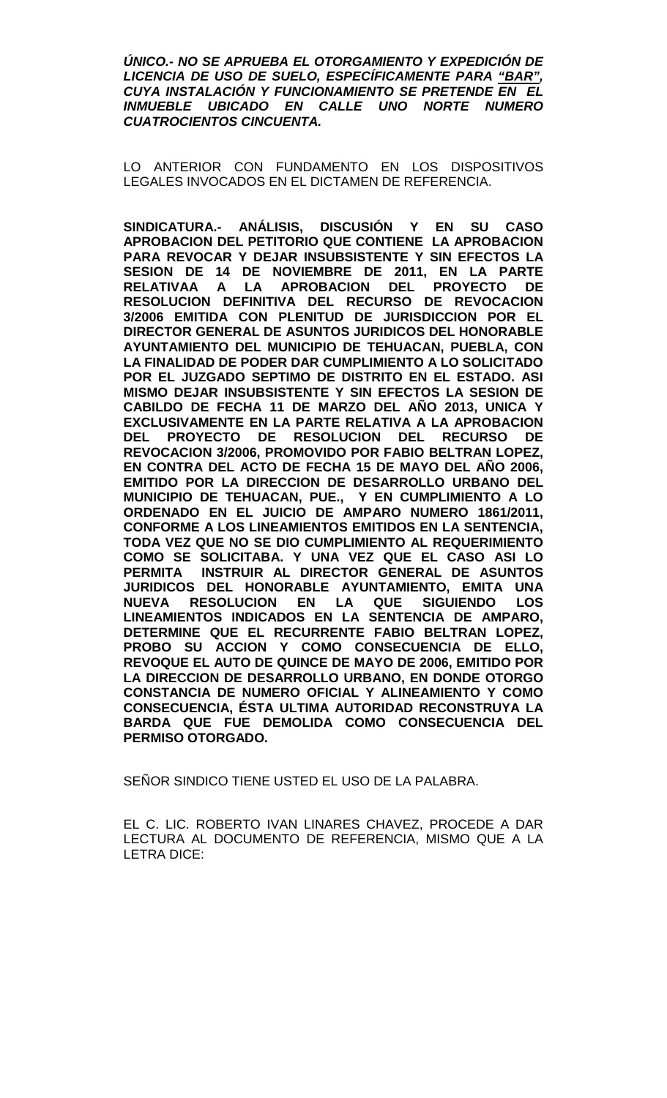*ÚNICO.- NO SE APRUEBA EL OTORGAMIENTO Y EXPEDICIÓN DE LICENCIA DE USO DE SUELO, ESPECÍFICAMENTE PARA "BAR", CUYA INSTALACIÓN Y FUNCIONAMIENTO SE PRETENDE EN EL INMUEBLE UBICADO EN CALLE UNO NORTE NUMERO CUATROCIENTOS CINCUENTA.*

LO ANTERIOR CON FUNDAMENTO EN LOS DISPOSITIVOS LEGALES INVOCADOS EN EL DICTAMEN DE REFERENCIA.

**SINDICATURA.- ANÁLISIS, DISCUSIÓN Y EN SU CASO APROBACION DEL PETITORIO QUE CONTIENE LA APROBACION PARA REVOCAR Y DEJAR INSUBSISTENTE Y SIN EFECTOS LA SESION DE 14 DE NOVIEMBRE DE 2011, EN LA PARTE RELATIVAA A LA APROBACION DEL PROYECTO DE RESOLUCION DEFINITIVA DEL RECURSO DE REVOCACION 3/2006 EMITIDA CON PLENITUD DE JURISDICCION POR EL DIRECTOR GENERAL DE ASUNTOS JURIDICOS DEL HONORABLE AYUNTAMIENTO DEL MUNICIPIO DE TEHUACAN, PUEBLA, CON LA FINALIDAD DE PODER DAR CUMPLIMIENTO A LO SOLICITADO POR EL JUZGADO SEPTIMO DE DISTRITO EN EL ESTADO. ASI MISMO DEJAR INSUBSISTENTE Y SIN EFECTOS LA SESION DE CABILDO DE FECHA 11 DE MARZO DEL AÑO 2013, UNICA Y EXCLUSIVAMENTE EN LA PARTE RELATIVA A LA APROBACION DEL PROYECTO DE RESOLUCION DEL RECURSO DE REVOCACION 3/2006, PROMOVIDO POR FABIO BELTRAN LOPEZ, EN CONTRA DEL ACTO DE FECHA 15 DE MAYO DEL AÑO 2006, EMITIDO POR LA DIRECCION DE DESARROLLO URBANO DEL MUNICIPIO DE TEHUACAN, PUE., Y EN CUMPLIMIENTO A LO ORDENADO EN EL JUICIO DE AMPARO NUMERO 1861/2011, CONFORME A LOS LINEAMIENTOS EMITIDOS EN LA SENTENCIA, TODA VEZ QUE NO SE DIO CUMPLIMIENTO AL REQUERIMIENTO COMO SE SOLICITABA. Y UNA VEZ QUE EL CASO ASI LO PERMITA INSTRUIR AL DIRECTOR GENERAL DE ASUNTOS JURIDICOS DEL HONORABLE AYUNTAMIENTO, EMITA UNA**  RESOLUCION EN LA QUE SIGUIENDO **LINEAMIENTOS INDICADOS EN LA SENTENCIA DE AMPARO, DETERMINE QUE EL RECURRENTE FABIO BELTRAN LOPEZ, PROBO SU ACCION Y COMO CONSECUENCIA DE ELLO, REVOQUE EL AUTO DE QUINCE DE MAYO DE 2006, EMITIDO POR LA DIRECCION DE DESARROLLO URBANO, EN DONDE OTORGO CONSTANCIA DE NUMERO OFICIAL Y ALINEAMIENTO Y COMO CONSECUENCIA, ÉSTA ULTIMA AUTORIDAD RECONSTRUYA LA BARDA QUE FUE DEMOLIDA COMO CONSECUENCIA DEL PERMISO OTORGADO.** 

SEÑOR SINDICO TIENE USTED EL USO DE LA PALABRA.

EL C. LIC. ROBERTO IVAN LINARES CHAVEZ, PROCEDE A DAR LECTURA AL DOCUMENTO DE REFERENCIA, MISMO QUE A LA LETRA DICE: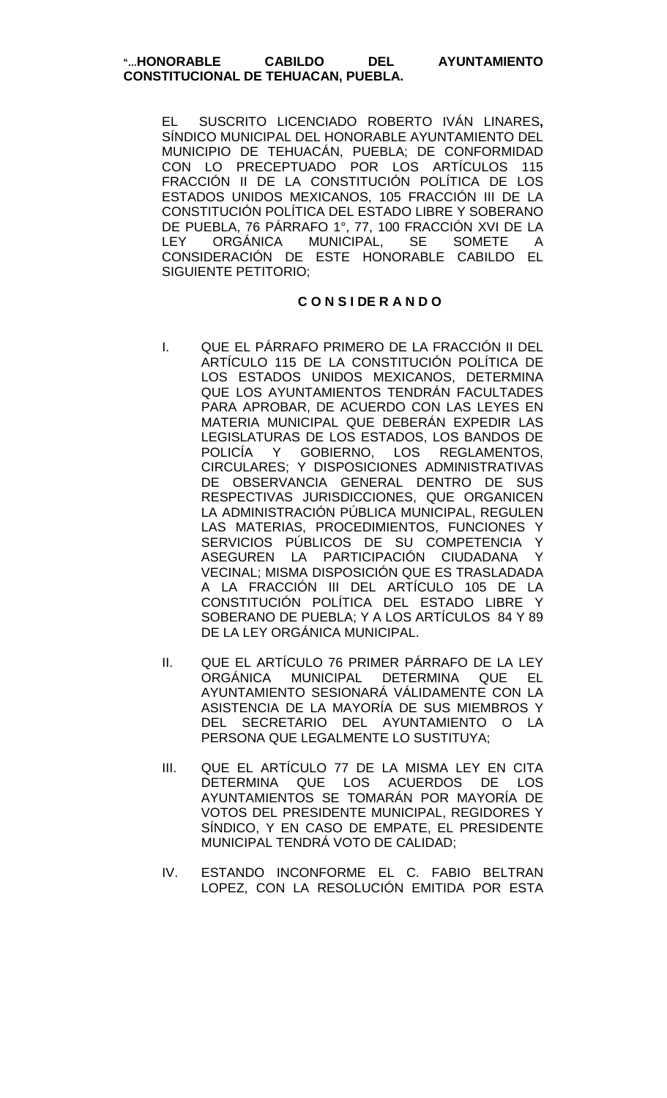EL SUSCRITO LICENCIADO ROBERTO IVÁN LINARES**,** SÍNDICO MUNICIPAL DEL HONORABLE AYUNTAMIENTO DEL MUNICIPIO DE TEHUACÁN, PUEBLA; DE CONFORMIDAD CON LO PRECEPTUADO POR LOS ARTÍCULOS 115 FRACCIÓN II DE LA CONSTITUCIÓN POLÍTICA DE LOS ESTADOS UNIDOS MEXICANOS, 105 FRACCIÓN III DE LA CONSTITUCIÓN POLÍTICA DEL ESTADO LIBRE Y SOBERANO DE PUEBLA, 76 PÁRRAFO 1°, 77, 100 FRACCIÓN XVI DE LA LEY ORGÁNICA MUNICIPAL, SE SOMETE A CONSIDERACIÓN DE ESTE HONORABLE CABILDO EL SIGUIENTE PETITORIO;

### **C O N S I DE R A N D O**

- I. QUE EL PÁRRAFO PRIMERO DE LA FRACCIÓN II DEL ARTÍCULO 115 DE LA CONSTITUCIÓN POLÍTICA DE LOS ESTADOS UNIDOS MEXICANOS, DETERMINA QUE LOS AYUNTAMIENTOS TENDRÁN FACULTADES PARA APROBAR, DE ACUERDO CON LAS LEYES EN MATERIA MUNICIPAL QUE DEBERÁN EXPEDIR LAS LEGISLATURAS DE LOS ESTADOS, LOS BANDOS DE POLICÍA Y GOBIERNO, LOS REGLAMENTOS, CIRCULARES; Y DISPOSICIONES ADMINISTRATIVAS DE OBSERVANCIA GENERAL DENTRO DE SUS RESPECTIVAS JURISDICCIONES, QUE ORGANICEN LA ADMINISTRACIÓN PÚBLICA MUNICIPAL, REGULEN LAS MATERIAS, PROCEDIMIENTOS, FUNCIONES Y SERVICIOS PÚBLICOS DE SU COMPETENCIA Y<br>ASEGUREN LA PARTICIPACIÓN CIUDADANA Y ASEGUREN LA PARTICIPACIÓN CIUDADANA VECINAL; MISMA DISPOSICIÓN QUE ES TRASLADADA A LA FRACCIÓN III DEL ARTÍCULO 105 DE LA CONSTITUCIÓN POLÍTICA DEL ESTADO LIBRE Y SOBERANO DE PUEBLA; Y A LOS ARTÍCULOS 84 Y 89 DE LA LEY ORGÁNICA MUNICIPAL.
- II. QUE EL ARTÍCULO 76 PRIMER PÁRRAFO DE LA LEY ORGÁNICA MUNICIPAL DETERMINA QUE EL AYUNTAMIENTO SESIONARÁ VÁLIDAMENTE CON LA ASISTENCIA DE LA MAYORÍA DE SUS MIEMBROS Y DEL SECRETARIO DEL AYUNTAMIENTO O LA PERSONA QUE LEGALMENTE LO SUSTITUYA;
- III. QUE EL ARTÍCULO 77 DE LA MISMA LEY EN CITA DETERMINA QUE LOS ACUERDOS DE LOS AYUNTAMIENTOS SE TOMARÁN POR MAYORÍA DE VOTOS DEL PRESIDENTE MUNICIPAL, REGIDORES Y SÍNDICO, Y EN CASO DE EMPATE, EL PRESIDENTE MUNICIPAL TENDRÁ VOTO DE CALIDAD;
- IV. ESTANDO INCONFORME EL C. FABIO BELTRAN LOPEZ, CON LA RESOLUCIÓN EMITIDA POR ESTA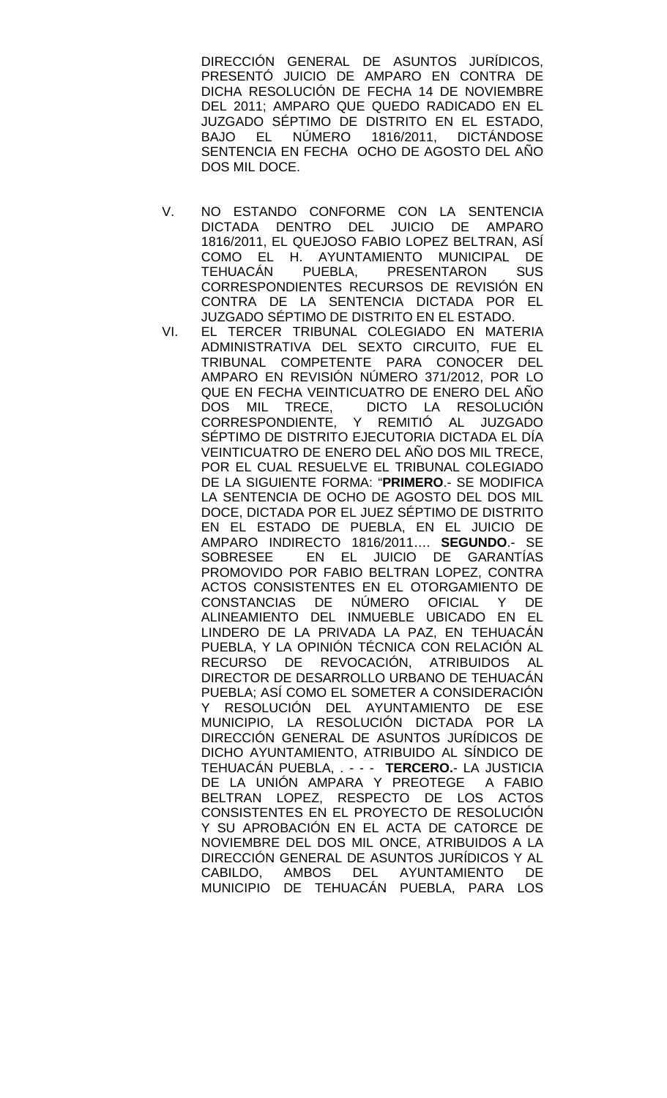DIRECCIÓN GENERAL DE ASUNTOS JURÍDICOS, PRESENTÓ JUICIO DE AMPARO EN CONTRA DE DICHA RESOLUCIÓN DE FECHA 14 DE NOVIEMBRE DEL 2011; AMPARO QUE QUEDO RADICADO EN EL JUZGADO SÉPTIMO DE DISTRITO EN EL ESTADO, BAJO EL NÚMERO 1816/2011, DICTÁNDOSE SENTENCIA EN FECHA OCHO DE AGOSTO DEL AÑO DOS MIL DOCE.

- V. NO ESTANDO CONFORME CON LA SENTENCIA DICTADA DENTRO DEL JUICIO DE AMPARO 1816/2011, EL QUEJOSO FABIO LOPEZ BELTRAN, ASÍ COMO EL H. AYUNTAMIENTO MUNICIPAL DE<br>TEHUACÁN PUEBLA, PRESENTARON SUS PUEBLA, PRESENTARON CORRESPONDIENTES RECURSOS DE REVISIÓN EN CONTRA DE LA SENTENCIA DICTADA POR EL JUZGADO SÉPTIMO DE DISTRITO EN EL ESTADO.
- VI. EL TERCER TRIBUNAL COLEGIADO EN MATERIA ADMINISTRATIVA DEL SEXTO CIRCUITO, FUE EL TRIBUNAL COMPETENTE PARA CONOCER DEL AMPARO EN REVISIÓN NÚMERO 371/2012, POR LO QUE EN FECHA VEINTICUATRO DE ENERO DEL AÑO DOS MIL TRECE, DICTO LA RESOLUCIÓN CORRESPONDIENTE, Y REMITIÓ AL JUZGADO SÉPTIMO DE DISTRITO EJECUTORIA DICTADA EL DÍA VEINTICUATRO DE ENERO DEL AÑO DOS MIL TRECE, POR EL CUAL RESUELVE EL TRIBUNAL COLEGIADO DE LA SIGUIENTE FORMA: "**PRIMERO**.- SE MODIFICA LA SENTENCIA DE OCHO DE AGOSTO DEL DOS MIL DOCE, DICTADA POR EL JUEZ SÉPTIMO DE DISTRITO EN EL ESTADO DE PUEBLA, EN EL JUICIO DE AMPARO INDIRECTO 1816/2011…. **SEGUNDO**.- SE SOBRESEE EN EL JUICIO DE GARANTÍAS PROMOVIDO POR FABIO BELTRAN LOPEZ, CONTRA ACTOS CONSISTENTES EN EL OTORGAMIENTO DE CONSTANCIAS DE NÚMERO OFICIAL Y DE ALINEAMIENTO DEL INMUEBLE UBICADO EN EL LINDERO DE LA PRIVADA LA PAZ, EN TEHUACÁN PUEBLA, Y LA OPINIÓN TÉCNICA CON RELACIÓN AL RECURSO DE REVOCACIÓN, ATRIBUIDOS AL DIRECTOR DE DESARROLLO URBANO DE TEHUACÁN PUEBLA; ASÍ COMO EL SOMETER A CONSIDERACIÓN Y RESOLUCIÓN DEL AYUNTAMIENTO DE ESE MUNICIPIO, LA RESOLUCIÓN DICTADA POR LA DIRECCIÓN GENERAL DE ASUNTOS JURÍDICOS DE DICHO AYUNTAMIENTO, ATRIBUIDO AL SÍNDICO DE TEHUACÁN PUEBLA, . - - - **TERCERO.**- LA JUSTICIA DE LA UNIÓN AMPARA Y PREOTEGE A FABIO BELTRAN LOPEZ, RESPECTO DE LOS ACTOS CONSISTENTES EN EL PROYECTO DE RESOLUCIÓN Y SU APROBACIÓN EN EL ACTA DE CATORCE DE NOVIEMBRE DEL DOS MIL ONCE, ATRIBUIDOS A LA DIRECCIÓN GENERAL DE ASUNTOS JURÍDICOS Y AL CABILDO, AMBOS DEL AYUNTAMIENTO DE MUNICIPIO DE TEHUACÁN PUEBLA, PARA LOS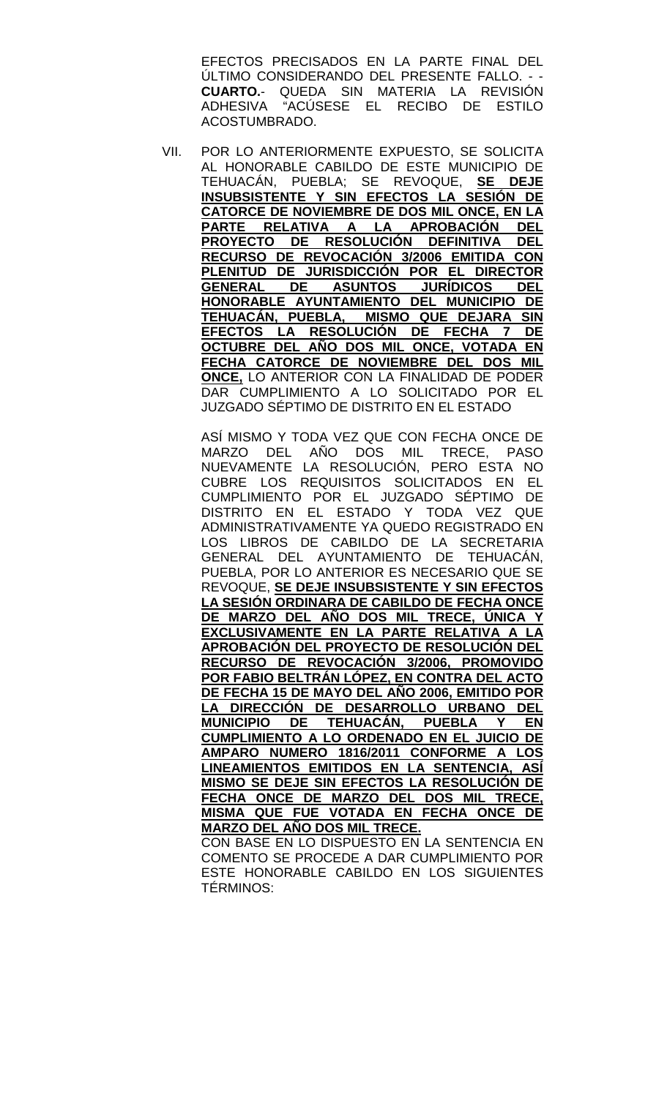EFECTOS PRECISADOS EN LA PARTE FINAL DEL ÚLTIMO CONSIDERANDO DEL PRESENTE FALLO. - - **CUARTO.**- QUEDA SIN MATERIA LA REVISIÓN ADHESIVA "ACÚSESE EL RECIBO DE ESTILO ACOSTUMBRADO.

VII. POR LO ANTERIORMENTE EXPUESTO, SE SOLICITA AL HONORABLE CABILDO DE ESTE MUNICIPIO DE TEHUACÁN, PUEBLA; SE REVOQUE, **SE DEJE INSUBSISTENTE Y SIN EFECTOS LA SESIÓN DE CATORCE DE NOVIEMBRE DE DOS MIL ONCE, EN LA PARTE RELATIVA A LA APROBACIÓN DEL PROYECTO DE RESOLUCIÓN DEFINITIVA DEL RECURSO DE REVOCACIÓN 3/2006 EMITIDA CON PLENITUD DE JURISDICCIÓN POR EL DIRECTOR GENERAL DE ASUNTOS JURÍDICOS DEL HONORABLE AYUNTAMIENTO DEL MUNICIPIO DE TEHUACÁN, PUEBLA, MISMO QUE DEJARA SIN EFECTOS LA RESOLUCIÓN DE FECHA 7 DE OCTUBRE DEL AÑO DOS MIL ONCE, VOTADA EN FECHA CATORCE DE NOVIEMBRE DEL DOS MIL ONCE,** LO ANTERIOR CON LA FINALIDAD DE PODER DAR CUMPLIMIENTO A LO SOLICITADO POR EL JUZGADO SÉPTIMO DE DISTRITO EN EL ESTADO

ASÍ MISMO Y TODA VEZ QUE CON FECHA ONCE DE MARZO DEL AÑO DOS MIL TRECE, PASO NUEVAMENTE LA RESOLUCIÓN, PERO ESTA NO CUBRE LOS REQUISITOS SOLICITADOS EN EL CUMPLIMIENTO POR EL JUZGADO SÉPTIMO DE DISTRITO EN EL ESTADO Y TODA VEZ QUE ADMINISTRATIVAMENTE YA QUEDO REGISTRADO EN LOS LIBROS DE CABILDO DE LA SECRETARIA GENERAL DEL AYUNTAMIENTO DE TEHUACÁN, PUEBLA, POR LO ANTERIOR ES NECESARIO QUE SE REVOQUE, **SE DEJE INSUBSISTENTE Y SIN EFECTOS LA SESIÓN ORDINARA DE CABILDO DE FECHA ONCE DE MARZO DEL AÑO DOS MIL TRECE, ÚNICA Y EXCLUSIVAMENTE EN LA PARTE RELATIVA A LA APROBACIÓN DEL PROYECTO DE RESOLUCIÓN DEL RECURSO DE REVOCACIÓN 3/2006, PROMOVIDO POR FABIO BELTRÁN LÓPEZ, EN CONTRA DEL ACTO DE FECHA 15 DE MAYO DEL AÑO 2006, EMITIDO POR LA DIRECCIÓN DE DESARROLLO URBANO DEL MUNICIPIO DE TEHUACÁN, PUEBLA Y CUMPLIMIENTO A LO ORDENADO EN EL JUICIO DE AMPARO NUMERO 1816/2011 CONFORME A LOS LINEAMIENTOS EMITIDOS EN LA SENTENCIA, ASÍ MISMO SE DEJE SIN EFECTOS LA RESOLUCIÓN DE FECHA ONCE DE MARZO DEL DOS MIL TRECE, MISMA QUE FUE VOTADA EN FECHA ONCE DE MARZO DEL AÑO DOS MIL TRECE.**

CON BASE EN LO DISPUESTO EN LA SENTENCIA EN COMENTO SE PROCEDE A DAR CUMPLIMIENTO POR ESTE HONORABLE CABILDO EN LOS SIGUIENTES TÉRMINOS: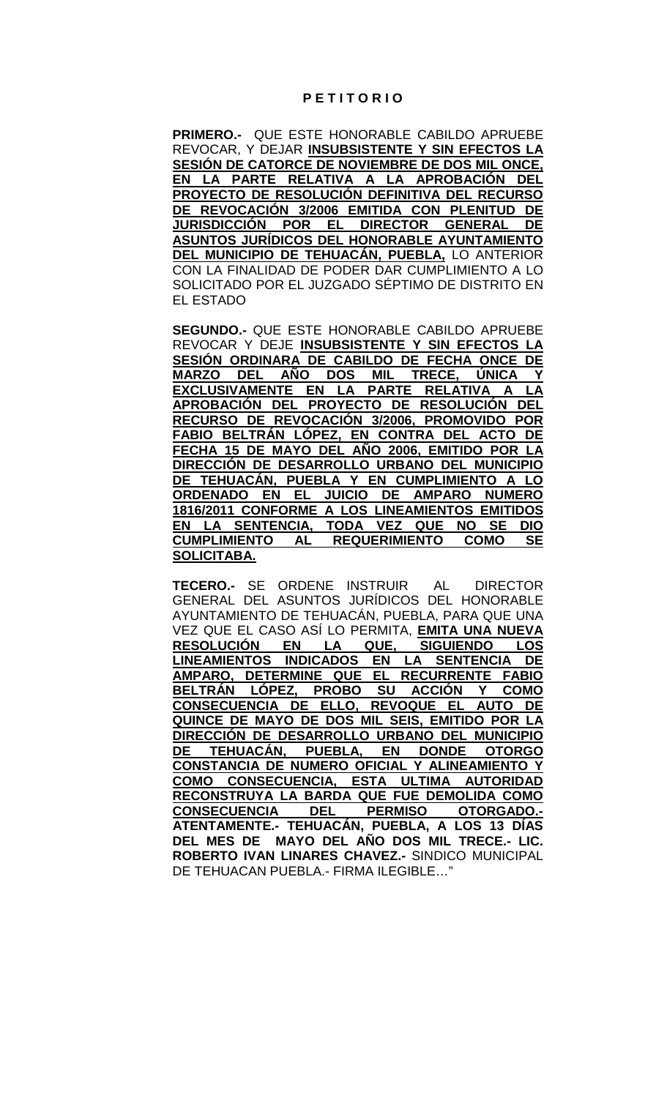### **P E T I T O R I O**

**PRIMERO.-** QUE ESTE HONORABLE CABILDO APRUEBE REVOCAR, Y DEJAR **INSUBSISTENTE Y SIN EFECTOS LA SESIÓN DE CATORCE DE NOVIEMBRE DE DOS MIL ONCE, EN LA PARTE RELATIVA A LA APROBACIÓN DEL PROYECTO DE RESOLUCIÓN DEFINITIVA DEL RECURSO DE REVOCACIÓN 3/2006 EMITIDA CON PLENITUD DE JURISDICCIÓN POR EL DIRECTOR GENERAL DE ASUNTOS JURÍDICOS DEL HONORABLE AYUNTAMIENTO DEL MUNICIPIO DE TEHUACÁN, PUEBLA,** LO ANTERIOR CON LA FINALIDAD DE PODER DAR CUMPLIMIENTO A LO SOLICITADO POR EL JUZGADO SÉPTIMO DE DISTRITO EN EL ESTADO

**SEGUNDO.-** QUE ESTE HONORABLE CABILDO APRUEBE REVOCAR Y DEJE **INSUBSISTENTE Y SIN EFECTOS LA SESIÓN ORDINARA DE CABILDO DE FECHA ONCE DE MARZO DEL AÑO DOS MIL TRECE, ÚNICA Y EXCLUSIVAMENTE EN LA PARTE RELATIVA A LA APROBACIÓN DEL PROYECTO DE RESOLUCIÓN DEL RECURSO DE REVOCACIÓN 3/2006, PROMOVIDO POR FABIO BELTRÁN LÓPEZ, EN CONTRA DEL ACTO DE FECHA 15 DE MAYO DEL AÑO 2006, EMITIDO POR LA DIRECCIÓN DE DESARROLLO URBANO DEL MUNICIPIO DE TEHUACÁN, PUEBLA Y EN CUMPLIMIENTO A LO <br>ORDENADO EN EL JUICIO DE AMPARO NUMERO ORDENADO EN EL JUICIO DE AMPARO NUMERO 1816/2011 CONFORME A LOS LINEAMIENTOS EMITIDOS**  <u>CIA, TODA VEZ QUE NO SE DIO</u><br>AL REQUERIMIENTO COMO SE **CUMPLIMIENTO AL REQUERIMIENTO COMO SE SOLICITABA.**

**TECERO.-** SE ORDENE INSTRUIR AL DIRECTOR GENERAL DEL ASUNTOS JURÍDICOS DEL HONORABLE AYUNTAMIENTO DE TEHUACÁN, PUEBLA, PARA QUE UNA VEZ QUE EL CASO ASÍ LO PERMITA, **EMITA UNA NUEVA**  <u>RESOLUCIÓN EN LA QUE, SIGUIENDO I</u><br>LINEAMIENTOS INDICADOS EN LA SENTENCIA **LINEAMIENTOS INDICADOS EN LA SENTENCIA DE AMPARO, DETERMINE QUE EL RECURRENTE FABIO BELTRÁN LÓPEZ, PROBO SU ACCIÓN Y COMO CONSECUENCIA DE ELLO, REVOQUE EL AUTO DE QUINCE DE MAYO DE DOS MIL SEIS, EMITIDO POR LA DIRECCIÓN DE DESARROLLO URBANO DEL MUNICIPIO DE TEHUACÁN, PUEBLA, EN DONDE OTORGO CONSTANCIA DE NUMERO OFICIAL Y ALINEAMIENTO Y COMO CONSECUENCIA, ESTA ULTIMA AUTORIDAD RECONSTRUYA LA BARDA QUE FUE DEMOLIDA COMO CONSECUENCIA DEL PERMISO OTORGADO.- ATENTAMENTE.- TEHUACÁN, PUEBLA, A LOS 13 DÍAS DEL MES DE MAYO DEL AÑO DOS MIL TRECE.- LIC. ROBERTO IVAN LINARES CHAVEZ.-** SINDICO MUNICIPAL DE TEHUACAN PUEBLA.- FIRMA ILEGIBLE…"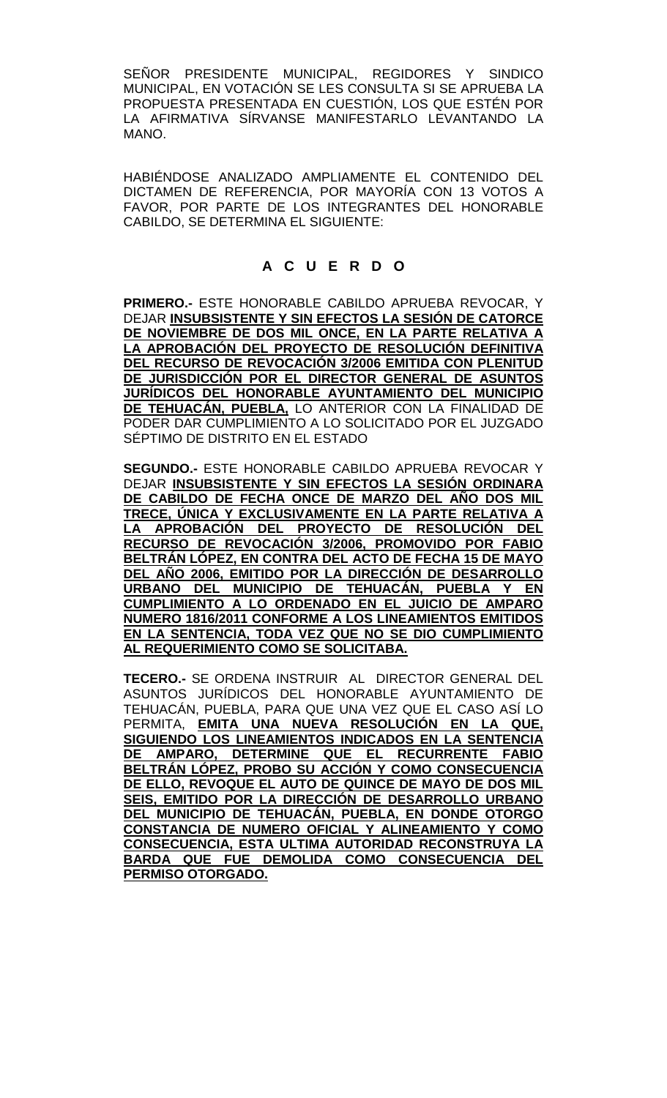SEÑOR PRESIDENTE MUNICIPAL, REGIDORES Y SINDICO MUNICIPAL, EN VOTACIÓN SE LES CONSULTA SI SE APRUEBA LA PROPUESTA PRESENTADA EN CUESTIÓN, LOS QUE ESTÉN POR LA AFIRMATIVA SÍRVANSE MANIFESTARLO LEVANTANDO LA MANO.

HABIÉNDOSE ANALIZADO AMPLIAMENTE EL CONTENIDO DEL DICTAMEN DE REFERENCIA, POR MAYORÍA CON 13 VOTOS A FAVOR, POR PARTE DE LOS INTEGRANTES DEL HONORABLE CABILDO, SE DETERMINA EL SIGUIENTE:

# **A C U E R D O**

**PRIMERO.-** ESTE HONORABLE CABILDO APRUEBA REVOCAR, Y DEJAR **INSUBSISTENTE Y SIN EFECTOS LA SESIÓN DE CATORCE DE NOVIEMBRE DE DOS MIL ONCE, EN LA PARTE RELATIVA A LA APROBACIÓN DEL PROYECTO DE RESOLUCIÓN DEFINITIVA DEL RECURSO DE REVOCACIÓN 3/2006 EMITIDA CON PLENITUD DE JURISDICCIÓN POR EL DIRECTOR GENERAL DE ASUNTOS JURÍDICOS DEL HONORABLE AYUNTAMIENTO DEL MUNICIPIO DE TEHUACÁN, PUEBLA,** LO ANTERIOR CON LA FINALIDAD DE PODER DAR CUMPLIMIENTO A LO SOLICITADO POR EL JUZGADO SÉPTIMO DE DISTRITO EN EL ESTADO

**SEGUNDO.-** ESTE HONORABLE CABILDO APRUEBA REVOCAR Y DEJAR **INSUBSISTENTE Y SIN EFECTOS LA SESIÓN ORDINARA DE CABILDO DE FECHA ONCE DE MARZO DEL AÑO DOS MIL TRECE, ÚNICA Y EXCLUSIVAMENTE EN LA PARTE RELATIVA A LA APROBACIÓN DEL PROYECTO DE RESOLUCIÓN DEL RECURSO DE REVOCACIÓN 3/2006, PROMOVIDO POR FABIO BELTRÁN LÓPEZ, EN CONTRA DEL ACTO DE FECHA 15 DE MAYO DEL AÑO 2006, EMITIDO POR LA DIRECCIÓN DE DESARROLLO URBANO DEL MUNICIPIO DE TEHUACÁN, PUEBLA Y EN CUMPLIMIENTO A LO ORDENADO EN EL JUICIO DE AMPARO NUMERO 1816/2011 CONFORME A LOS LINEAMIENTOS EMITIDOS EN LA SENTENCIA, TODA VEZ QUE NO SE DIO CUMPLIMIENTO AL REQUERIMIENTO COMO SE SOLICITABA.**

**TECERO.-** SE ORDENA INSTRUIR AL DIRECTOR GENERAL DEL ASUNTOS JURÍDICOS DEL HONORABLE AYUNTAMIENTO DE TEHUACÁN, PUEBLA, PARA QUE UNA VEZ QUE EL CASO ASÍ LO PERMITA, **EMITA UNA NUEVA RESOLUCIÓN EN LA QUE, SIGUIENDO LOS LINEAMIENTOS INDICADOS EN LA SENTENCIA DE AMPARO, DETERMINE QUE EL RECURRENTE FABIO BELTRÁN LÓPEZ, PROBO SU ACCIÓN Y COMO CONSECUENCIA DE ELLO, REVOQUE EL AUTO DE QUINCE DE MAYO DE DOS MIL SEIS, EMITIDO POR LA DIRECCIÓN DE DESARROLLO URBANO DEL MUNICIPIO DE TEHUACÁN, PUEBLA, EN DONDE OTORGO CONSTANCIA DE NUMERO OFICIAL Y ALINEAMIENTO Y COMO CONSECUENCIA, ESTA ULTIMA AUTORIDAD RECONSTRUYA LA BARDA QUE FUE DEMOLIDA COMO CONSECUENCIA DEL PERMISO OTORGADO.**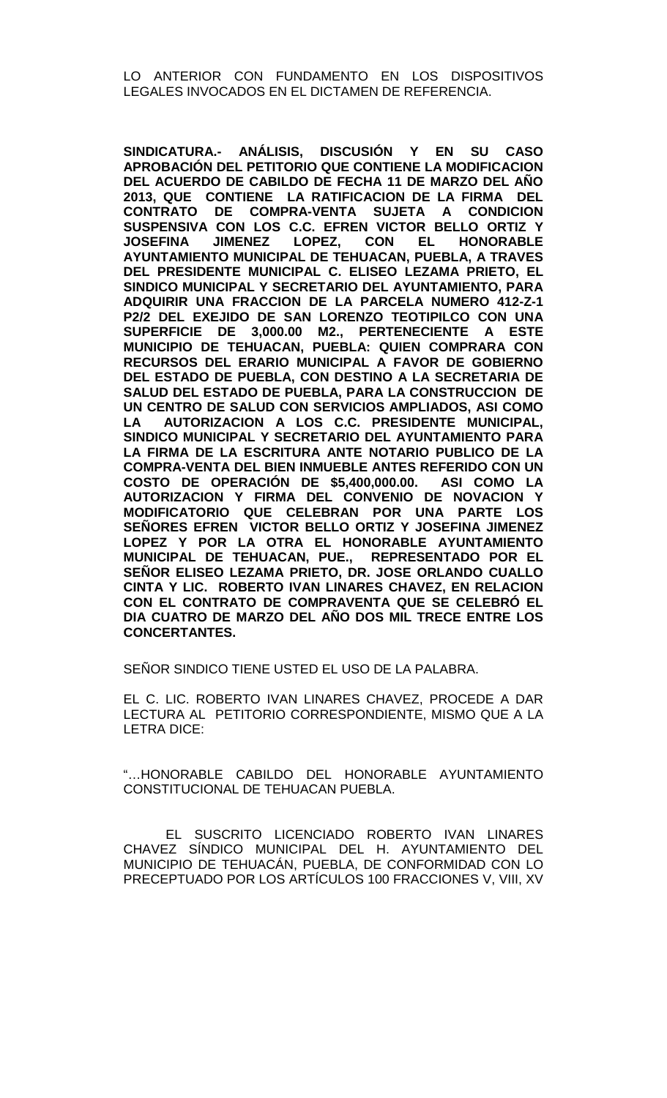LO ANTERIOR CON FUNDAMENTO EN LOS DISPOSITIVOS LEGALES INVOCADOS EN EL DICTAMEN DE REFERENCIA.

**SINDICATURA.- ANÁLISIS, DISCUSIÓN Y EN SU CASO APROBACIÓN DEL PETITORIO QUE CONTIENE LA MODIFICACION DEL ACUERDO DE CABILDO DE FECHA 11 DE MARZO DEL AÑO 2013, QUE CONTIENE LA RATIFICACION DE LA FIRMA DEL CONTRATO DE COMPRA-VENTA SUJETA A CONDICION SUSPENSIVA CON LOS C.C. EFREN VICTOR BELLO ORTIZ Y JOSEFINA JIMENEZ LOPEZ, CON EL HONORABLE AYUNTAMIENTO MUNICIPAL DE TEHUACAN, PUEBLA, A TRAVES DEL PRESIDENTE MUNICIPAL C. ELISEO LEZAMA PRIETO, EL SINDICO MUNICIPAL Y SECRETARIO DEL AYUNTAMIENTO, PARA ADQUIRIR UNA FRACCION DE LA PARCELA NUMERO 412-Z-1 P2/2 DEL EXEJIDO DE SAN LORENZO TEOTIPILCO CON UNA SUPERFICIE DE 3,000.00 M2., PERTENECIENTE A ESTE MUNICIPIO DE TEHUACAN, PUEBLA: QUIEN COMPRARA CON RECURSOS DEL ERARIO MUNICIPAL A FAVOR DE GOBIERNO DEL ESTADO DE PUEBLA, CON DESTINO A LA SECRETARIA DE SALUD DEL ESTADO DE PUEBLA, PARA LA CONSTRUCCION DE UN CENTRO DE SALUD CON SERVICIOS AMPLIADOS, ASI COMO LA AUTORIZACION A LOS C.C. PRESIDENTE MUNICIPAL, SINDICO MUNICIPAL Y SECRETARIO DEL AYUNTAMIENTO PARA LA FIRMA DE LA ESCRITURA ANTE NOTARIO PUBLICO DE LA COMPRA-VENTA DEL BIEN INMUEBLE ANTES REFERIDO CON UN COSTO DE OPERACIÓN DE \$5,400,000.00. ASI COMO LA AUTORIZACION Y FIRMA DEL CONVENIO DE NOVACION Y MODIFICATORIO QUE CELEBRAN POR UNA PARTE LOS SEÑORES EFREN VICTOR BELLO ORTIZ Y JOSEFINA JIMENEZ LOPEZ Y POR LA OTRA EL HONORABLE AYUNTAMIENTO MUNICIPAL DE TEHUACAN, PUE., REPRESENTADO POR EL SEÑOR ELISEO LEZAMA PRIETO, DR. JOSE ORLANDO CUALLO CINTA Y LIC. ROBERTO IVAN LINARES CHAVEZ, EN RELACION CON EL CONTRATO DE COMPRAVENTA QUE SE CELEBRÓ EL DIA CUATRO DE MARZO DEL AÑO DOS MIL TRECE ENTRE LOS CONCERTANTES.**

SEÑOR SINDICO TIENE USTED EL USO DE LA PALABRA.

EL C. LIC. ROBERTO IVAN LINARES CHAVEZ, PROCEDE A DAR LECTURA AL PETITORIO CORRESPONDIENTE, MISMO QUE A LA LETRA DICE:

"…HONORABLE CABILDO DEL HONORABLE AYUNTAMIENTO CONSTITUCIONAL DE TEHUACAN PUEBLA.

EL SUSCRITO LICENCIADO ROBERTO IVAN LINARES CHAVEZ SÍNDICO MUNICIPAL DEL H. AYUNTAMIENTO DEL MUNICIPIO DE TEHUACÁN, PUEBLA, DE CONFORMIDAD CON LO PRECEPTUADO POR LOS ARTÍCULOS 100 FRACCIONES V, VIII, XV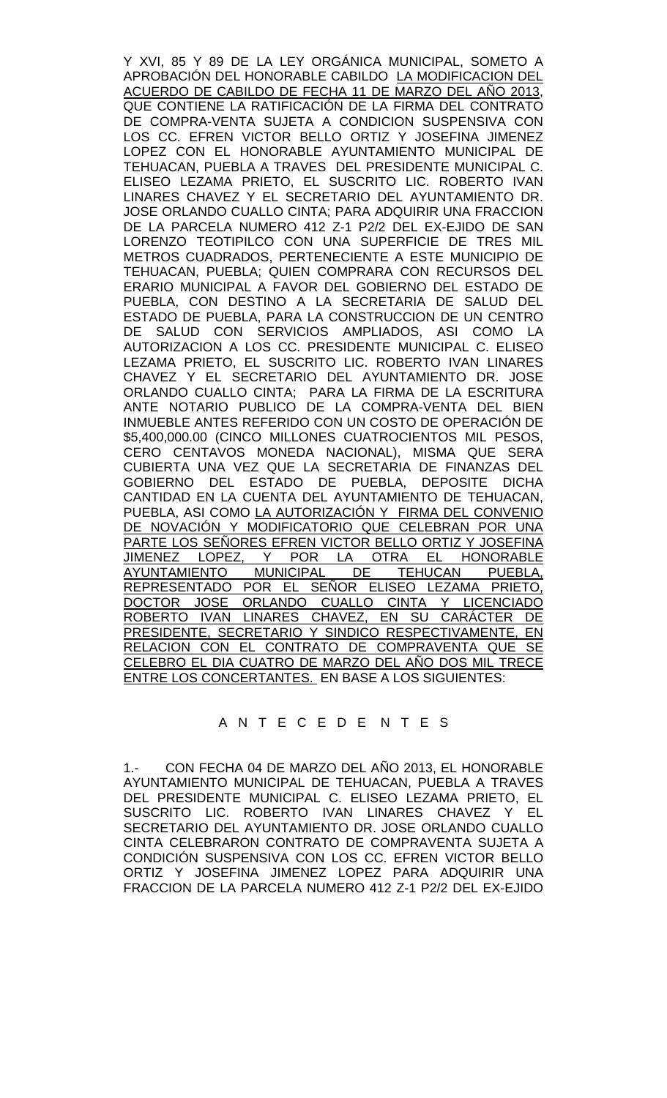Y XVI, 85 Y 89 DE LA LEY ORGÁNICA MUNICIPAL, SOMETO A APROBACIÓN DEL HONORABLE CABILDO LA MODIFICACION DEL ACUERDO DE CABILDO DE FECHA 11 DE MARZO DEL AÑO 2013, QUE CONTIENE LA RATIFICACIÓN DE LA FIRMA DEL CONTRATO DE COMPRA-VENTA SUJETA A CONDICION SUSPENSIVA CON LOS CC. EFREN VICTOR BELLO ORTIZ Y JOSEFINA JIMENEZ LOPEZ CON EL HONORABLE AYUNTAMIENTO MUNICIPAL DE TEHUACAN, PUEBLA A TRAVES DEL PRESIDENTE MUNICIPAL C. ELISEO LEZAMA PRIETO, EL SUSCRITO LIC. ROBERTO IVAN LINARES CHAVEZ Y EL SECRETARIO DEL AYUNTAMIENTO DR. JOSE ORLANDO CUALLO CINTA; PARA ADQUIRIR UNA FRACCION DE LA PARCELA NUMERO 412 Z-1 P2/2 DEL EX-EJIDO DE SAN LORENZO TEOTIPILCO CON UNA SUPERFICIE DE TRES MIL METROS CUADRADOS, PERTENECIENTE A ESTE MUNICIPIO DE TEHUACAN, PUEBLA; QUIEN COMPRARA CON RECURSOS DEL ERARIO MUNICIPAL A FAVOR DEL GOBIERNO DEL ESTADO DE PUEBLA, CON DESTINO A LA SECRETARIA DE SALUD DEL ESTADO DE PUEBLA, PARA LA CONSTRUCCION DE UN CENTRO DE SALUD CON SERVICIOS AMPLIADOS, ASI COMO LA AUTORIZACION A LOS CC. PRESIDENTE MUNICIPAL C. ELISEO LEZAMA PRIETO, EL SUSCRITO LIC. ROBERTO IVAN LINARES CHAVEZ Y EL SECRETARIO DEL AYUNTAMIENTO DR. JOSE ORLANDO CUALLO CINTA; PARA LA FIRMA DE LA ESCRITURA ANTE NOTARIO PUBLICO DE LA COMPRA-VENTA DEL BIEN INMUEBLE ANTES REFERIDO CON UN COSTO DE OPERACIÓN DE \$5,400,000.00 (CINCO MILLONES CUATROCIENTOS MIL PESOS, CERO CENTAVOS MONEDA NACIONAL), MISMA QUE SERA CUBIERTA UNA VEZ QUE LA SECRETARIA DE FINANZAS DEL GOBIERNO DEL ESTADO DE PUEBLA, DEPOSITE DICHA CANTIDAD EN LA CUENTA DEL AYUNTAMIENTO DE TEHUACAN, PUEBLA, ASI COMO <u>LA AUTORIZACIÓN Y FIRMA DEL CONVENIO</u> <u>DE NOVACIÓN Y MODIFICATORIO QUE CELEBRAN POR UNA</u> <u>PARTE LOS SEÑORES EFREN VICTOR BELLO ORTIZ Y JOSEFINA</u><br>JIMENEZ LOPEZ, Y POR LA OTRA EL HONORABLE <u>Y POR LA OTRA EL HIMUNICIPAL DE TEHUCAN</u> AYUNTAMIENTO MUNICIPAL DE TEHUCAN PUEBLA, REPRESENTADO POR EL SEÑOR ELISEO LEZAMA PRIETO, DOCTOR JOSE ORLANDO CUALLO CINTA Y LICENCIADO ROBERTO IVAN LINARES CHAVEZ, EN SU CARÁCTER DE PRESIDENTE, SECRETARIO Y SINDICO RESPECTIVAMENTE, EN RELACION CON EL CONTRATO DE COMPRAVENTA QUE SE CELEBRO EL DIA CUATRO DE MARZO DEL AÑO DOS MIL TRECE ENTRE LOS CONCERTANTES. EN BASE A LOS SIGUIENTES:

#### A N T E C E D E N T E S

1.- CON FECHA 04 DE MARZO DEL AÑO 2013, EL HONORABLE AYUNTAMIENTO MUNICIPAL DE TEHUACAN, PUEBLA A TRAVES DEL PRESIDENTE MUNICIPAL C. ELISEO LEZAMA PRIETO, EL SUSCRITO LIC. ROBERTO IVAN LINARES CHAVEZ Y EL SECRETARIO DEL AYUNTAMIENTO DR. JOSE ORLANDO CUALLO CINTA CELEBRARON CONTRATO DE COMPRAVENTA SUJETA A CONDICIÓN SUSPENSIVA CON LOS CC. EFREN VICTOR BELLO ORTIZ Y JOSEFINA JIMENEZ LOPEZ PARA ADQUIRIR UNA FRACCION DE LA PARCELA NUMERO 412 Z-1 P2/2 DEL EX-EJIDO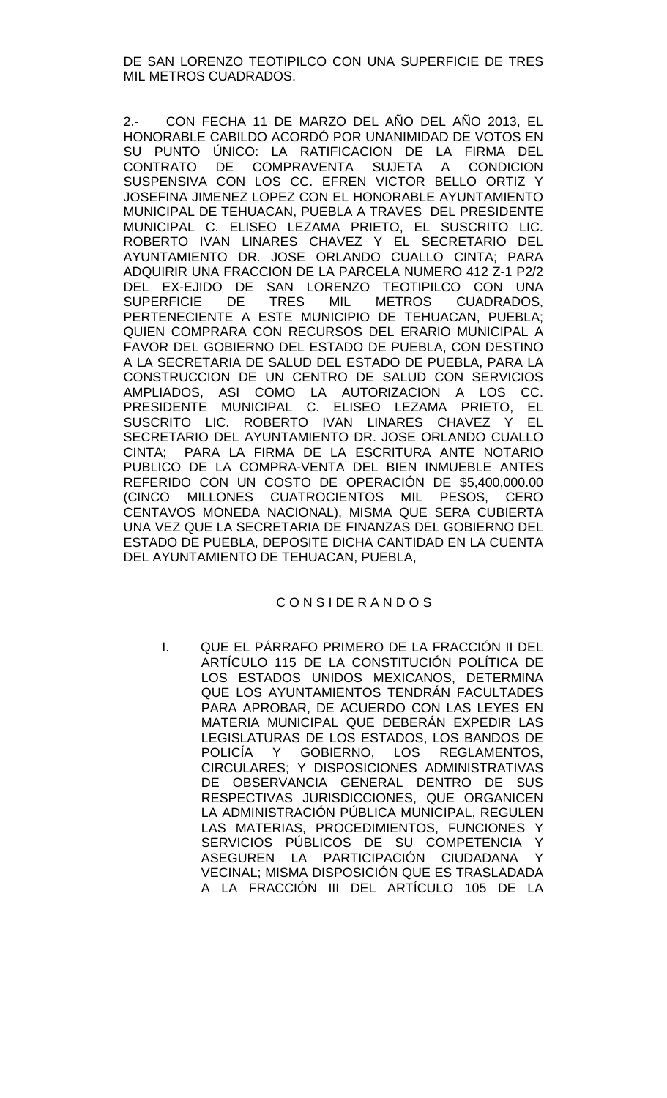DE SAN LORENZO TEOTIPILCO CON UNA SUPERFICIE DE TRES MIL METROS CUADRADOS.

2.- CON FECHA 11 DE MARZO DEL AÑO DEL AÑO 2013, EL HONORABLE CABILDO ACORDÓ POR UNANIMIDAD DE VOTOS EN SU PUNTO ÚNICO: LA RATIFICACION DE LA FIRMA DEL CONTRATO DE COMPRAVENTA SUJETA A CONDICION SUSPENSIVA CON LOS CC. EFREN VICTOR BELLO ORTIZ Y JOSEFINA JIMENEZ LOPEZ CON EL HONORABLE AYUNTAMIENTO MUNICIPAL DE TEHUACAN, PUEBLA A TRAVES DEL PRESIDENTE MUNICIPAL C. ELISEO LEZAMA PRIETO, EL SUSCRITO LIC. ROBERTO IVAN LINARES CHAVEZ Y EL SECRETARIO DEL AYUNTAMIENTO DR. JOSE ORLANDO CUALLO CINTA; PARA ADQUIRIR UNA FRACCION DE LA PARCELA NUMERO 412 Z-1 P2/2 DEL EX-EJIDO DE SAN LORENZO TEOTIPILCO CON UNA<br>SUPERFICIE DE TRES MIL METROS CUADRADOS, SUPERFICIE DE TRES MIL METROS CUADRADOS, PERTENECIENTE A ESTE MUNICIPIO DE TEHUACAN, PUEBLA; QUIEN COMPRARA CON RECURSOS DEL ERARIO MUNICIPAL A FAVOR DEL GOBIERNO DEL ESTADO DE PUEBLA, CON DESTINO A LA SECRETARIA DE SALUD DEL ESTADO DE PUEBLA, PARA LA CONSTRUCCION DE UN CENTRO DE SALUD CON SERVICIOS AMPLIADOS, ASI COMO LA AUTORIZACION A LOS CC. PRESIDENTE MUNICIPAL C. ELISEO LEZAMA PRIETO, EL SUSCRITO LIC. ROBERTO IVAN LINARES CHAVEZ Y EL SECRETARIO DEL AYUNTAMIENTO DR. JOSE ORLANDO CUALLO CINTA; PARA LA FIRMA DE LA ESCRITURA ANTE NOTARIO PUBLICO DE LA COMPRA-VENTA DEL BIEN INMUEBLE ANTES REFERIDO CON UN COSTO DE OPERACIÓN DE \$5,400,000.00 (CINCO MILLONES CUATROCIENTOS MIL PESOS, CERO CENTAVOS MONEDA NACIONAL), MISMA QUE SERA CUBIERTA UNA VEZ QUE LA SECRETARIA DE FINANZAS DEL GOBIERNO DEL ESTADO DE PUEBLA, DEPOSITE DICHA CANTIDAD EN LA CUENTA DEL AYUNTAMIENTO DE TEHUACAN, PUEBLA,

## C O N S I DE R A N D O S

I. QUE EL PÁRRAFO PRIMERO DE LA FRACCIÓN II DEL ARTÍCULO 115 DE LA CONSTITUCIÓN POLÍTICA DE LOS ESTADOS UNIDOS MEXICANOS, DETERMINA QUE LOS AYUNTAMIENTOS TENDRÁN FACULTADES PARA APROBAR, DE ACUERDO CON LAS LEYES EN MATERIA MUNICIPAL QUE DEBERÁN EXPEDIR LAS LEGISLATURAS DE LOS ESTADOS, LOS BANDOS DE POLICÍA Y GOBIERNO, LOS REGLAMENTOS, CIRCULARES; Y DISPOSICIONES ADMINISTRATIVAS DE OBSERVANCIA GENERAL DENTRO DE SUS RESPECTIVAS JURISDICCIONES, QUE ORGANICEN LA ADMINISTRACIÓN PÚBLICA MUNICIPAL, REGULEN LAS MATERIAS, PROCEDIMIENTOS, FUNCIONES Y SERVICIOS PÚBLICOS DE SU COMPETENCIA Y<br>ASEGUREN LA PARTICIPACIÓN CIUDADANA Y ASEGUREN LA PARTICIPACIÓN CIUDADANA VECINAL; MISMA DISPOSICIÓN QUE ES TRASLADADA A LA FRACCIÓN III DEL ARTÍCULO 105 DE LA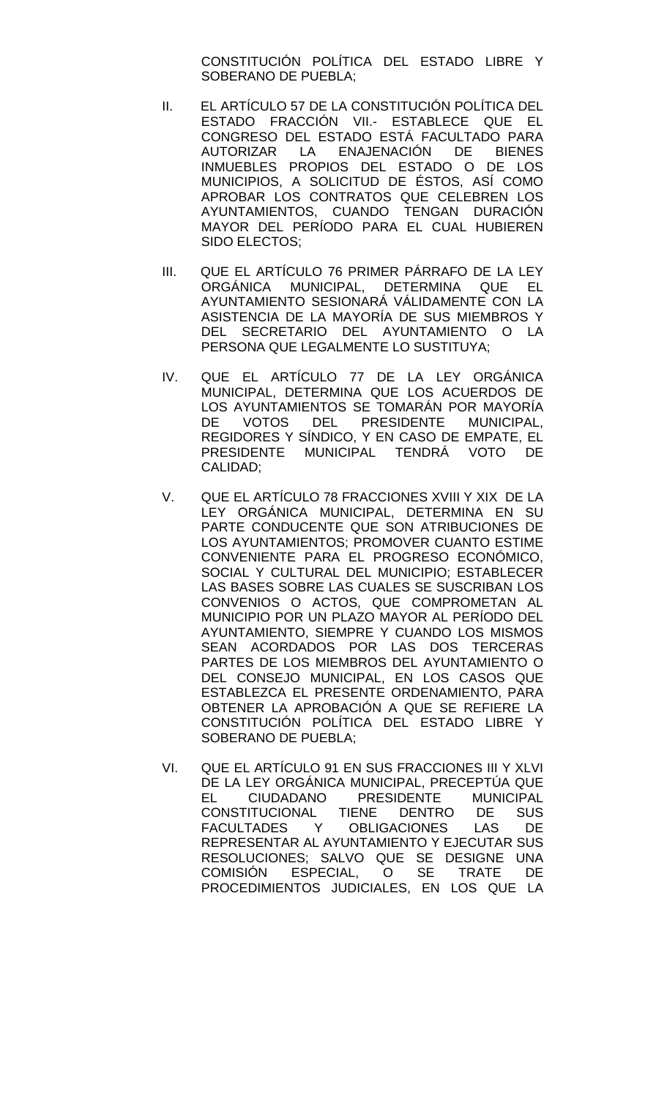CONSTITUCIÓN POLÍTICA DEL ESTADO LIBRE Y SOBERANO DE PUEBLA;

- II. EL ARTÍCULO 57 DE LA CONSTITUCIÓN POLÍTICA DEL ESTADO FRACCIÓN VII.- ESTABLECE QUE EL CONGRESO DEL ESTADO ESTÁ FACULTADO PARA AUTORIZAR LA ENAJENACIÓN DE BIENES INMUEBLES PROPIOS DEL ESTADO O DE LOS MUNICIPIOS, A SOLICITUD DE ÉSTOS, ASÍ COMO APROBAR LOS CONTRATOS QUE CELEBREN LOS AYUNTAMIENTOS, CUANDO TENGAN DURACIÓN MAYOR DEL PERÍODO PARA EL CUAL HUBIEREN SIDO ELECTOS;
- III. QUE EL ARTÍCULO 76 PRIMER PÁRRAFO DE LA LEY ORGÁNICA MUNICIPAL, DETERMINA QUE EL AYUNTAMIENTO SESIONARÁ VÁLIDAMENTE CON LA ASISTENCIA DE LA MAYORÍA DE SUS MIEMBROS Y DEL SECRETARIO DEL AYUNTAMIENTO O LA PERSONA QUE LEGALMENTE LO SUSTITUYA;
- IV. QUE EL ARTÍCULO 77 DE LA LEY ORGÁNICA MUNICIPAL, DETERMINA QUE LOS ACUERDOS DE LOS AYUNTAMIENTOS SE TOMARÁN POR MAYORÍA<br>DE VOTOS DEL PRESIDENTE MUNICIPAL. VOTOS DEL PRESIDENTE MUNICIPAL, REGIDORES Y SÍNDICO, Y EN CASO DE EMPATE, EL PRESIDENTE MUNICIPAL TENDRÁ VOTO DE CALIDAD;
- V. QUE EL ARTÍCULO 78 FRACCIONES XVIII Y XIX DE LA LEY ORGÁNICA MUNICIPAL, DETERMINA EN SU PARTE CONDUCENTE QUE SON ATRIBUCIONES DE LOS AYUNTAMIENTOS; PROMOVER CUANTO ESTIME CONVENIENTE PARA EL PROGRESO ECONÓMICO, SOCIAL Y CULTURAL DEL MUNICIPIO; ESTABLECER LAS BASES SOBRE LAS CUALES SE SUSCRIBAN LOS CONVENIOS O ACTOS, QUE COMPROMETAN AL MUNICIPIO POR UN PLAZO MAYOR AL PERÍODO DEL AYUNTAMIENTO, SIEMPRE Y CUANDO LOS MISMOS SEAN ACORDADOS POR LAS DOS TERCERAS PARTES DE LOS MIEMBROS DEL AYUNTAMIENTO O DEL CONSEJO MUNICIPAL, EN LOS CASOS QUE ESTABLEZCA EL PRESENTE ORDENAMIENTO, PARA OBTENER LA APROBACIÓN A QUE SE REFIERE LA CONSTITUCIÓN POLÍTICA DEL ESTADO LIBRE Y SOBERANO DE PUEBLA;
- VI. QUE EL ARTÍCULO 91 EN SUS FRACCIONES III Y XLVI DE LA LEY ORGÁNICA MUNICIPAL, PRECEPTÚA QUE EL CIUDADANO PRESIDENTE MUNICIPAL<br>CONSTITUCIONAL TIENE DENTRO DE SUS CONSTITUCIONAL TIENE DENTRO DE SUS FACULTADES Y OBLIGACIONES LAS DE REPRESENTAR AL AYUNTAMIENTO Y EJECUTAR SUS RESOLUCIONES; SALVO QUE SE DESIGNE UNA COMISIÓN ESPECIAL, O SE TRATE DE PROCEDIMIENTOS JUDICIALES, EN LOS QUE LA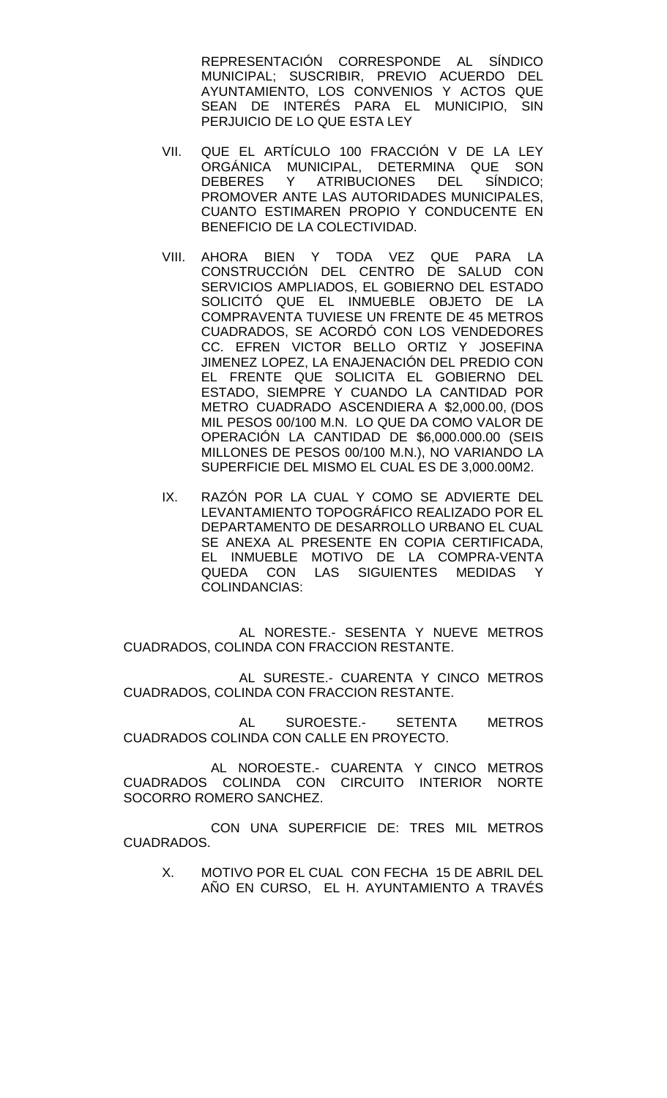REPRESENTACIÓN CORRESPONDE AL SÍNDICO MUNICIPAL; SUSCRIBIR, PREVIO ACUERDO DEL AYUNTAMIENTO, LOS CONVENIOS Y ACTOS QUE SEAN DE INTERÉS PARA EL MUNICIPIO, SIN PERJUICIO DE LO QUE ESTA LEY

- VII. QUE EL ARTÍCULO 100 FRACCIÓN V DE LA LEY ORGÁNICA MUNICIPAL, DETERMINA QUE SON<br>DEBERES Y ATRIBUCIONES DEL SÍNDICO: ATRIBUCIONES DEL SÍNDICO; PROMOVER ANTE LAS AUTORIDADES MUNICIPALES, CUANTO ESTIMAREN PROPIO Y CONDUCENTE EN BENEFICIO DE LA COLECTIVIDAD.
- VIII. AHORA BIEN Y TODA VEZ QUE PARA LA CONSTRUCCIÓN DEL CENTRO DE SALUD CON SERVICIOS AMPLIADOS, EL GOBIERNO DEL ESTADO SOLICITÓ QUE EL INMUEBLE OBJETO DE LA COMPRAVENTA TUVIESE UN FRENTE DE 45 METROS CUADRADOS, SE ACORDÓ CON LOS VENDEDORES CC. EFREN VICTOR BELLO ORTIZ Y JOSEFINA JIMENEZ LOPEZ, LA ENAJENACIÓN DEL PREDIO CON EL FRENTE QUE SOLICITA EL GOBIERNO DEL ESTADO, SIEMPRE Y CUANDO LA CANTIDAD POR METRO CUADRADO ASCENDIERA A \$2,000.00, (DOS MIL PESOS 00/100 M.N. LO QUE DA COMO VALOR DE OPERACIÓN LA CANTIDAD DE \$6,000.000.00 (SEIS MILLONES DE PESOS 00/100 M.N.), NO VARIANDO LA SUPERFICIE DEL MISMO EL CUAL ES DE 3,000.00M2.
- IX. RAZÓN POR LA CUAL Y COMO SE ADVIERTE DEL LEVANTAMIENTO TOPOGRÁFICO REALIZADO POR EL DEPARTAMENTO DE DESARROLLO URBANO EL CUAL SE ANEXA AL PRESENTE EN COPIA CERTIFICADA, EL INMUEBLE MOTIVO DE LA COMPRA-VENTA QUEDA CON LAS SIGUIENTES MEDIDAS Y COLINDANCIAS:

AL NORESTE.- SESENTA Y NUEVE METROS CUADRADOS, COLINDA CON FRACCION RESTANTE.

AL SURESTE.- CUARENTA Y CINCO METROS CUADRADOS, COLINDA CON FRACCION RESTANTE.

AL SUROESTE.- SETENTA METROS CUADRADOS COLINDA CON CALLE EN PROYECTO.

 AL NOROESTE.- CUARENTA Y CINCO METROS CUADRADOS COLINDA CON CIRCUITO INTERIOR NORTE SOCORRO ROMERO SANCHEZ.

 CON UNA SUPERFICIE DE: TRES MIL METROS CUADRADOS.

X. MOTIVO POR EL CUAL CON FECHA 15 DE ABRIL DEL AÑO EN CURSO, EL H. AYUNTAMIENTO A TRAVÉS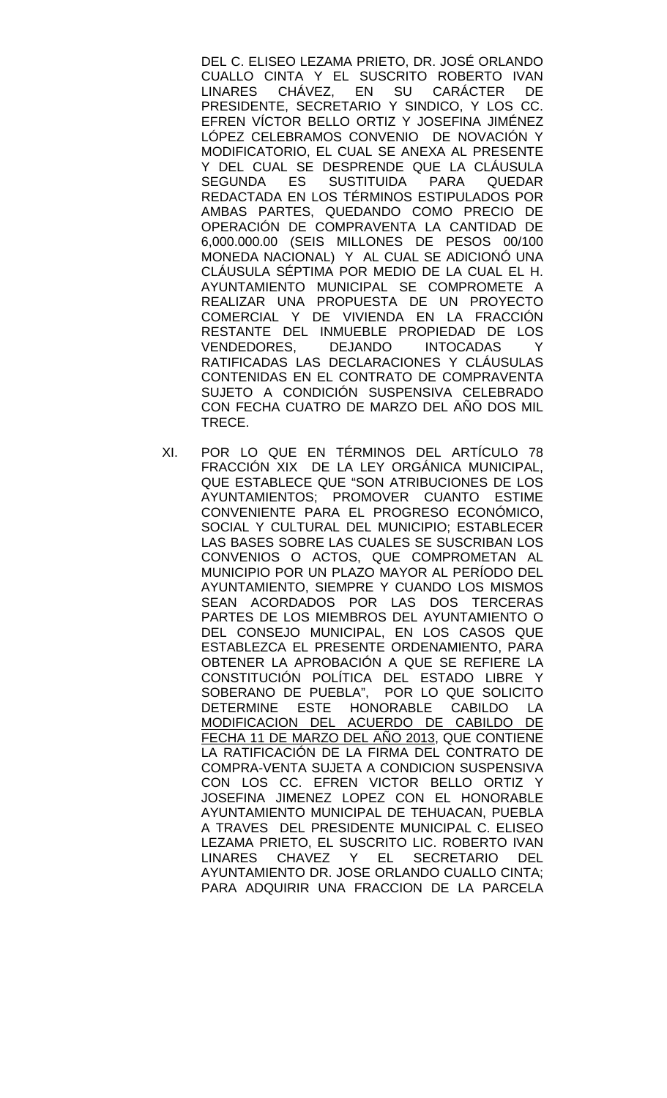DEL C. ELISEO LEZAMA PRIETO, DR. JOSÉ ORLANDO CUALLO CINTA Y EL SUSCRITO ROBERTO IVAN LINARES CHÁVEZ, EN SU CARÁCTER DE PRESIDENTE, SECRETARIO Y SINDICO, Y LOS CC. EFREN VÍCTOR BELLO ORTIZ Y JOSEFINA JIMÉNEZ LÓPEZ CELEBRAMOS CONVENIO DE NOVACIÓN Y MODIFICATORIO, EL CUAL SE ANEXA AL PRESENTE Y DEL CUAL SE DESPRENDE QUE LA CLÁUSULA<br>SEGUNDA ES SUSTITUIDA PARA QUEDAR SEGUNDA ES SUSTITUIDA PARA QUEDAR REDACTADA EN LOS TÉRMINOS ESTIPULADOS POR AMBAS PARTES, QUEDANDO COMO PRECIO DE OPERACIÓN DE COMPRAVENTA LA CANTIDAD DE 6,000.000.00 (SEIS MILLONES DE PESOS 00/100 MONEDA NACIONAL) Y AL CUAL SE ADICIONÓ UNA CLÁUSULA SÉPTIMA POR MEDIO DE LA CUAL EL H. AYUNTAMIENTO MUNICIPAL SE COMPROMETE A REALIZAR UNA PROPUESTA DE UN PROYECTO COMERCIAL Y DE VIVIENDA EN LA FRACCIÓN RESTANTE DEL INMUEBLE PROPIEDAD DE LOS VENDEDORES, DEJANDO INTOCADAS Y RATIFICADAS LAS DECLARACIONES Y CLÁUSULAS CONTENIDAS EN EL CONTRATO DE COMPRAVENTA SUJETO A CONDICIÓN SUSPENSIVA CELEBRADO CON FECHA CUATRO DE MARZO DEL AÑO DOS MIL TRECE.

XI. POR LO QUE EN TÉRMINOS DEL ARTÍCULO 78 FRACCIÓN XIX DE LA LEY ORGÁNICA MUNICIPAL, QUE ESTABLECE QUE "SON ATRIBUCIONES DE LOS AYUNTAMIENTOS; PROMOVER CUANTO ESTIME CONVENIENTE PARA EL PROGRESO ECONÓMICO, SOCIAL Y CULTURAL DEL MUNICIPIO; ESTABLECER LAS BASES SOBRE LAS CUALES SE SUSCRIBAN LOS CONVENIOS O ACTOS, QUE COMPROMETAN AL MUNICIPIO POR UN PLAZO MAYOR AL PERÍODO DEL AYUNTAMIENTO, SIEMPRE Y CUANDO LOS MISMOS SEAN ACORDADOS POR LAS DOS TERCERAS PARTES DE LOS MIEMBROS DEL AYUNTAMIENTO O DEL CONSEJO MUNICIPAL, EN LOS CASOS QUE ESTABLEZCA EL PRESENTE ORDENAMIENTO, PARA OBTENER LA APROBACIÓN A QUE SE REFIERE LA CONSTITUCIÓN POLÍTICA DEL ESTADO LIBRE Y SOBERANO DE PUEBLA", POR LO QUE SOLICITO DETERMINE ESTE HONORABLE CABILDO LA MODIFICACION DEL ACUERDO DE CABILDO DE FECHA 11 DE MARZO DEL AÑO 2013, QUE CONTIENE LA RATIFICACIÓN DE LA FIRMA DEL CONTRATO DE COMPRA-VENTA SUJETA A CONDICION SUSPENSIVA CON LOS CC. EFREN VICTOR BELLO ORTIZ Y JOSEFINA JIMENEZ LOPEZ CON EL HONORABLE AYUNTAMIENTO MUNICIPAL DE TEHUACAN, PUEBLA A TRAVES DEL PRESIDENTE MUNICIPAL C. ELISEO LEZAMA PRIETO, EL SUSCRITO LIC. ROBERTO IVAN LINARES CHAVEZ Y EL SECRETARIO DEL AYUNTAMIENTO DR. JOSE ORLANDO CUALLO CINTA; PARA ADQUIRIR UNA FRACCION DE LA PARCELA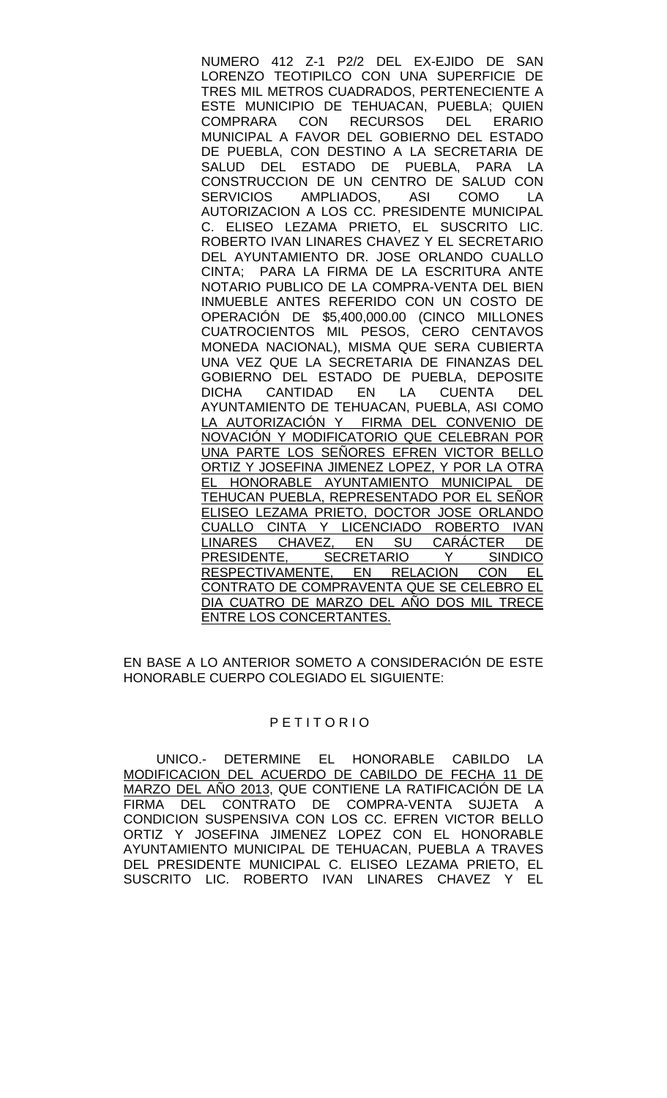NUMERO 412 Z-1 P2/2 DEL EX-EJIDO DE SAN LORENZO TEOTIPILCO CON UNA SUPERFICIE DE TRES MIL METROS CUADRADOS, PERTENECIENTE A ESTE MUNICIPIO DE TEHUACAN, PUEBLA; QUIEN<br>COMPRARA CON RECURSOS DEL ERARIO RECURSOS MUNICIPAL A FAVOR DEL GOBIERNO DEL ESTADO DE PUEBLA, CON DESTINO A LA SECRETARIA DE SALUD DEL ESTADO DE PUEBLA, PARA LA CONSTRUCCION DE UN CENTRO DE SALUD CON<br>SERVICIOS AMPLIADOS. ASI COMO LA AMPLIADOS, ASI COMO LA AUTORIZACION A LOS CC. PRESIDENTE MUNICIPAL C. ELISEO LEZAMA PRIETO, EL SUSCRITO LIC. ROBERTO IVAN LINARES CHAVEZ Y EL SECRETARIO DEL AYUNTAMIENTO DR. JOSE ORLANDO CUALLO CINTA; PARA LA FIRMA DE LA ESCRITURA ANTE NOTARIO PUBLICO DE LA COMPRA-VENTA DEL BIEN INMUEBLE ANTES REFERIDO CON UN COSTO DE OPERACIÓN DE \$5,400,000.00 (CINCO MILLONES CUATROCIENTOS MIL PESOS, CERO CENTAVOS MONEDA NACIONAL), MISMA QUE SERA CUBIERTA UNA VEZ QUE LA SECRETARIA DE FINANZAS DEL GOBIERNO DEL ESTADO DE PUEBLA, DEPOSITE DICHA CANTIDAD EN LA CUENTA DEL AYUNTAMIENTO DE TEHUACAN, PUEBLA, ASI COMO LA AUTORIZACIÓN Y FIRMA DEL CONVENIO DE NOVACIÓN Y MODIFICATORIO QUE CELEBRAN POR UNA PARTE LOS SEÑORES EFREN VICTOR BELLO ORTIZ Y JOSEFINA JIMENEZ LOPEZ, Y POR LA OTRA EL HONORABLE AYUNTAMIENTO MUNICIPAL DE TEHUCAN PUEBLA, REPRESENTADO POR EL SEÑOR ELISEO LEZAMA PRIETO, DOCTOR JOSE ORLANDO CUALLO CINTA Y LICENCIADO ROBERTO IVAN <u>LINARES CHAVEZ, EN SU CARACTER DE</u> PRESIDENTE, SECRETARIO Y SINDICO RESPECTIVAMENTE, EN RELACION CON EL CONTRATO DE COMPRAVENTA QUE SE CELEBRO EL DIA CUATRO DE MARZO DEL AÑO DOS MIL TRECE ENTRE LOS CONCERTANTES.

EN BASE A LO ANTERIOR SOMETO A CONSIDERACIÓN DE ESTE HONORABLE CUERPO COLEGIADO EL SIGUIENTE:

### P E T I T O R I O

 UNICO.- DETERMINE EL HONORABLE CABILDO LA MODIFICACION DEL ACUERDO DE CABILDO DE FECHA 11 DE MARZO DEL AÑO 2013, QUE CONTIENE LA RATIFICACIÓN DE LA FIRMA DEL CONTRATO DE COMPRA-VENTA SUJETA A CONDICION SUSPENSIVA CON LOS CC. EFREN VICTOR BELLO ORTIZ Y JOSEFINA JIMENEZ LOPEZ CON EL HONORABLE AYUNTAMIENTO MUNICIPAL DE TEHUACAN, PUEBLA A TRAVES DEL PRESIDENTE MUNICIPAL C. ELISEO LEZAMA PRIETO, EL SUSCRITO LIC. ROBERTO IVAN LINARES CHAVEZ Y EL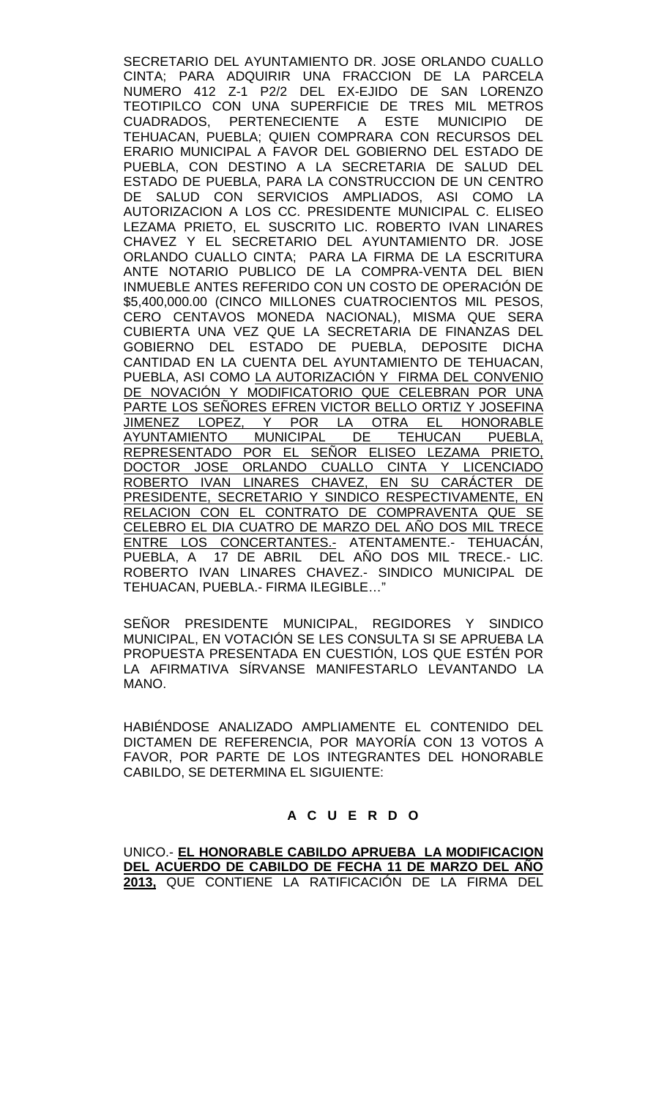SECRETARIO DEL AYUNTAMIENTO DR. JOSE ORLANDO CUALLO CINTA; PARA ADQUIRIR UNA FRACCION DE LA PARCELA NUMERO 412 Z-1 P2/2 DEL EX-EJIDO DE SAN LORENZO TEOTIPILCO CON UNA SUPERFICIE DE TRES MIL METROS CUADRADOS, PERTENECIENTE A ESTE MUNICIPIO DE TEHUACAN, PUEBLA; QUIEN COMPRARA CON RECURSOS DEL ERARIO MUNICIPAL A FAVOR DEL GOBIERNO DEL ESTADO DE PUEBLA, CON DESTINO A LA SECRETARIA DE SALUD DEL ESTADO DE PUEBLA, PARA LA CONSTRUCCION DE UN CENTRO DE SALUD CON SERVICIOS AMPLIADOS, ASI COMO LA AUTORIZACION A LOS CC. PRESIDENTE MUNICIPAL C. ELISEO LEZAMA PRIETO, EL SUSCRITO LIC. ROBERTO IVAN LINARES CHAVEZ Y EL SECRETARIO DEL AYUNTAMIENTO DR. JOSE ORLANDO CUALLO CINTA; PARA LA FIRMA DE LA ESCRITURA ANTE NOTARIO PUBLICO DE LA COMPRA-VENTA DEL BIEN INMUEBLE ANTES REFERIDO CON UN COSTO DE OPERACIÓN DE \$5,400,000.00 (CINCO MILLONES CUATROCIENTOS MIL PESOS, CERO CENTAVOS MONEDA NACIONAL), MISMA QUE SERA CUBIERTA UNA VEZ QUE LA SECRETARIA DE FINANZAS DEL GOBIERNO DEL ESTADO DE PUEBLA, DEPOSITE DICHA CANTIDAD EN LA CUENTA DEL AYUNTAMIENTO DE TEHUACAN, PUEBLA, ASI COMO LA AUTORIZACIÓN Y FIRMA DEL CONVENIO DE NOVACIÓN Y MODIFICATORIO QUE CELEBRAN POR UNA PARTE LOS SEÑORES EFREN VICTOR BELLO ORTIZ Y JOSEFINA JIMENEZ LOPEZ, Y POR LA OTRA EL HONORABLE AYUNTAMIENTO MUNICIPAL DE TEHUCAN PUEBLA, REPRESENTADO POR EL SEÑOR ELISEO LEZAMA PRIETO, DOCTOR JOSE ORLANDO CUALLO CINTA Y LICENCIADO <u>ROBERTO IVAN LINARES CHAVEZ, EN SU CARACTER DE</u> PRESIDENTE, SECRETARIO Y SINDICO RESPECTIVAMENTE, EN RELACION CON EL CONTRATO DE COMPRAVENTA QUE SE CELEBRO EL DIA CUATRO DE MARZO DEL AÑO DOS MIL TRECE <u>ENTRE LOS CONCERTANTES.-</u> ATENTAMENTE.- TEHUACÁN, PUEBLA, A 17 DE ABRIL DEL AÑO DOS MIL TRECE.- LIC. ROBERTO IVAN LINARES CHAVEZ.- SINDICO MUNICIPAL DE TEHUACAN, PUEBLA.- FIRMA ILEGIBLE…"

SEÑOR PRESIDENTE MUNICIPAL, REGIDORES Y SINDICO MUNICIPAL, EN VOTACIÓN SE LES CONSULTA SI SE APRUEBA LA PROPUESTA PRESENTADA EN CUESTIÓN, LOS QUE ESTÉN POR LA AFIRMATIVA SÍRVANSE MANIFESTARLO LEVANTANDO LA MANO.

HABIÉNDOSE ANALIZADO AMPLIAMENTE EL CONTENIDO DEL DICTAMEN DE REFERENCIA, POR MAYORÍA CON 13 VOTOS A FAVOR, POR PARTE DE LOS INTEGRANTES DEL HONORABLE CABILDO, SE DETERMINA EL SIGUIENTE:

## **A C U E R D O**

UNICO.- **EL HONORABLE CABILDO APRUEBA LA MODIFICACION DEL ACUERDO DE CABILDO DE FECHA 11 DE MARZO DEL AÑO 2013,** QUE CONTIENE LA RATIFICACIÓN DE LA FIRMA DEL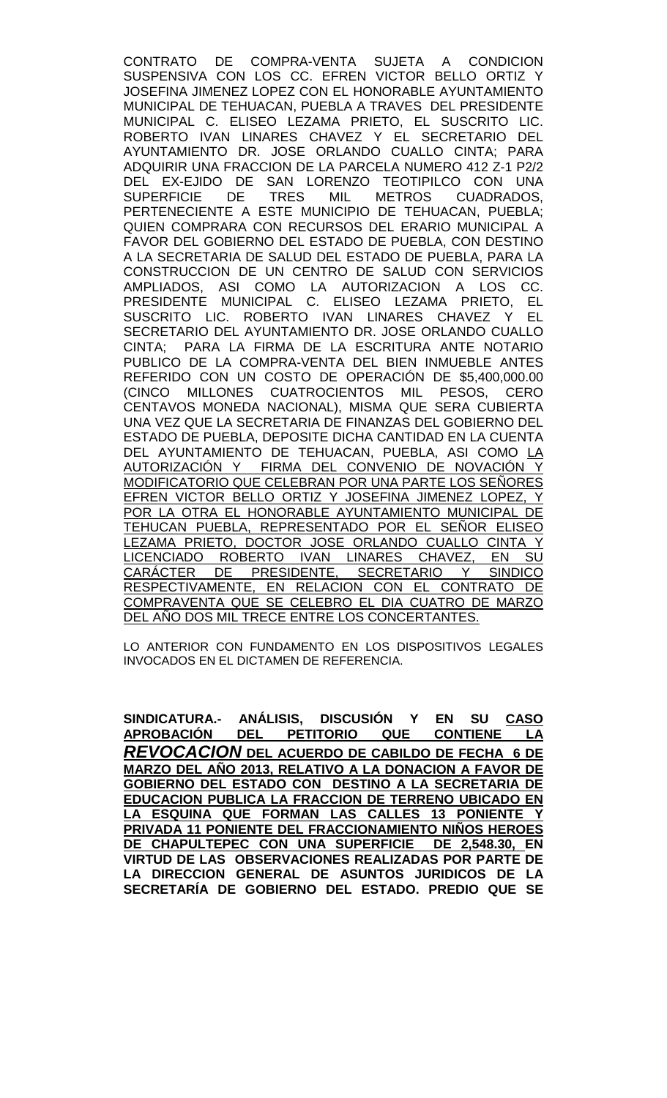CONTRATO DE COMPRA-VENTA SUJETA A CONDICION SUSPENSIVA CON LOS CC. EFREN VICTOR BELLO ORTIZ Y JOSEFINA JIMENEZ LOPEZ CON EL HONORABLE AYUNTAMIENTO MUNICIPAL DE TEHUACAN, PUEBLA A TRAVES DEL PRESIDENTE MUNICIPAL C. ELISEO LEZAMA PRIETO, EL SUSCRITO LIC. ROBERTO IVAN LINARES CHAVEZ Y EL SECRETARIO DEL AYUNTAMIENTO DR. JOSE ORLANDO CUALLO CINTA; PARA ADQUIRIR UNA FRACCION DE LA PARCELA NUMERO 412 Z-1 P2/2 DEL EX-EJIDO DE SAN LORENZO TEOTIPILCO CON UNA<br>SUPERFICIE DE TRES MIL METROS CUADRADOS. SUPERFICIE DE TRES MIL METROS CUADRADOS, PERTENECIENTE A ESTE MUNICIPIO DE TEHUACAN, PUEBLA; QUIEN COMPRARA CON RECURSOS DEL ERARIO MUNICIPAL A FAVOR DEL GOBIERNO DEL ESTADO DE PUEBLA, CON DESTINO A LA SECRETARIA DE SALUD DEL ESTADO DE PUEBLA, PARA LA CONSTRUCCION DE UN CENTRO DE SALUD CON SERVICIOS AMPLIADOS, ASI COMO LA AUTORIZACION A LOS CC. PRESIDENTE MUNICIPAL C. ELISEO LEZAMA PRIETO, EL SUSCRITO LIC. ROBERTO IVAN LINARES CHAVEZ Y EL SECRETARIO DEL AYUNTAMIENTO DR. JOSE ORLANDO CUALLO CINTA; PARA LA FIRMA DE LA ESCRITURA ANTE NOTARIO PUBLICO DE LA COMPRA-VENTA DEL BIEN INMUEBLE ANTES REFERIDO CON UN COSTO DE OPERACIÓN DE \$5,400,000.00 (CINCO MILLONES CUATROCIENTOS MIL PESOS, CERO CENTAVOS MONEDA NACIONAL), MISMA QUE SERA CUBIERTA UNA VEZ QUE LA SECRETARIA DE FINANZAS DEL GOBIERNO DEL ESTADO DE PUEBLA, DEPOSITE DICHA CANTIDAD EN LA CUENTA DEL AYUNTAMIENTO DE TEHUACAN, PUEBLA, ASI COMO LA AUTORIZACIÓN Y FIRMA DEL CONVENIO DE NOVACIÓN Y MODIFICATORIO QUE CELEBRAN POR UNA PARTE LOS SEÑORES EFREN VICTOR BELLO ORTIZ Y JOSEFINA JIMENEZ LOPEZ, Y POR LA OTRA EL HONORABLE AYUNTAMIENTO MUNICIPAL DE TEHUCAN PUEBLA, REPRESENTADO POR EL SEÑOR ELISEO <u>LEZAMA PRIETO, DOCTOR JOSE ORLANDO CUALLO CINTA Y</u><br><u>LICENCIADO ROBERTO IVAN LINARES CHAVEZ, EN SU</u> LICENCIADO ROBERTO IVAN LINARES CHAVEZ, EN SU<br>CARÁCTER DE PRESIDENTE, SECRETARIO Y SINDICO <u>CARÁCTER DE PRESIDENTE, SECRETARIO</u> RESPECTIVAMENTE, EN RELACION CON EL CONTRATO DE COMPRAVENTA QUE SE CELEBRO EL DIA CUATRO DE MARZO DEL AÑO DOS MIL TRECE ENTRE LOS CONCERTANTES.

LO ANTERIOR CON FUNDAMENTO EN LOS DISPOSITIVOS LEGALES INVOCADOS EN EL DICTAMEN DE REFERENCIA.

**SINDICATURA.- ANÁLISIS, DISCUSIÓN Y EN SU CASO**  DEL PETITORIO QUE CONTIENE LA *REVOCACION* **DEL ACUERDO DE CABILDO DE FECHA 6 DE MARZO DEL AÑO 2013, RELATIVO A LA DONACION A FAVOR DE GOBIERNO DEL ESTADO CON DESTINO A LA SECRETARIA DE EDUCACION PUBLICA LA FRACCION DE TERRENO UBICADO EN LA ESQUINA QUE FORMAN LAS CALLES 13 PONIENTE Y PRIVADA 11 PONIENTE DEL FRACCIONAMIENTO NIÑOS HEROES DE CHAPULTEPEC CON UNA SUPERFICIE DE 2,548.30, EN VIRTUD DE LAS OBSERVACIONES REALIZADAS POR PARTE DE LA DIRECCION GENERAL DE ASUNTOS JURIDICOS DE LA SECRETARÍA DE GOBIERNO DEL ESTADO. PREDIO QUE SE**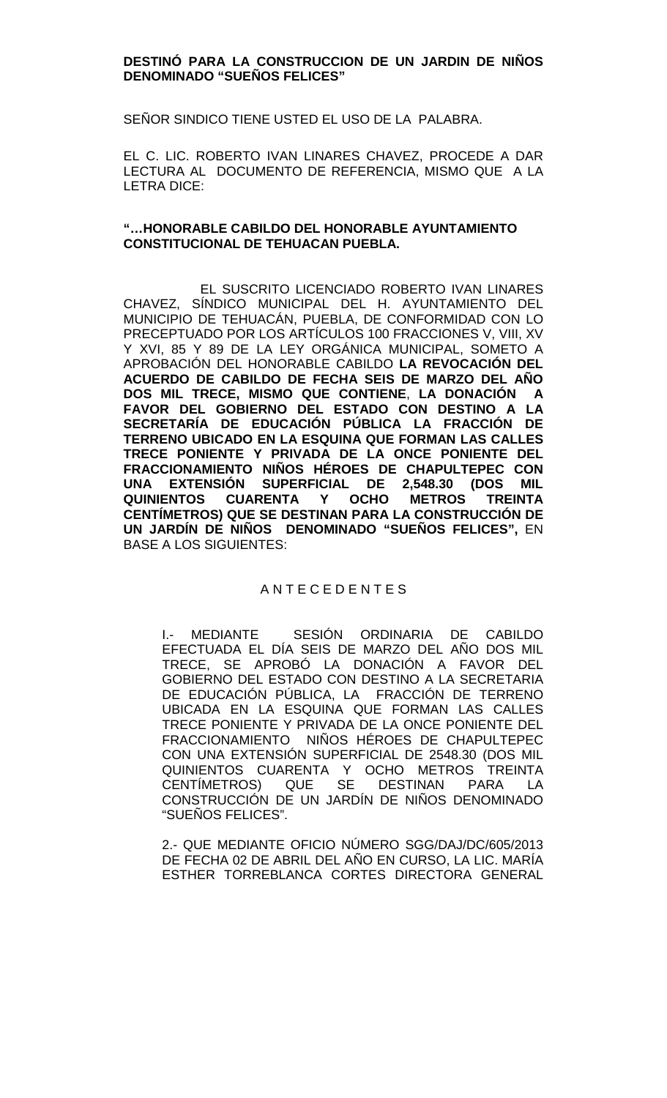### **DESTINÓ PARA LA CONSTRUCCION DE UN JARDIN DE NIÑOS DENOMINADO "SUEÑOS FELICES"**

SEÑOR SINDICO TIENE USTED EL USO DE LA PALABRA.

EL C. LIC. ROBERTO IVAN LINARES CHAVEZ, PROCEDE A DAR LECTURA AL DOCUMENTO DE REFERENCIA, MISMO QUE A LA LETRA DICE:

### **"…HONORABLE CABILDO DEL HONORABLE AYUNTAMIENTO CONSTITUCIONAL DE TEHUACAN PUEBLA.**

EL SUSCRITO LICENCIADO ROBERTO IVAN LINARES CHAVEZ, SÍNDICO MUNICIPAL DEL H. AYUNTAMIENTO DEL MUNICIPIO DE TEHUACÁN, PUEBLA, DE CONFORMIDAD CON LO PRECEPTUADO POR LOS ARTÍCULOS 100 FRACCIONES V, VIII, XV Y XVI, 85 Y 89 DE LA LEY ORGÁNICA MUNICIPAL, SOMETO A APROBACIÓN DEL HONORABLE CABILDO **LA REVOCACIÓN DEL ACUERDO DE CABILDO DE FECHA SEIS DE MARZO DEL AÑO DOS MIL TRECE, MISMO QUE CONTIENE**, **LA DONACIÓN A FAVOR DEL GOBIERNO DEL ESTADO CON DESTINO A LA SECRETARÍA DE EDUCACIÓN PÚBLICA LA FRACCIÓN DE TERRENO UBICADO EN LA ESQUINA QUE FORMAN LAS CALLES TRECE PONIENTE Y PRIVADA DE LA ONCE PONIENTE DEL FRACCIONAMIENTO NIÑOS HÉROES DE CHAPULTEPEC CON UNA EXTENSIÓN SUPERFICIAL DE 2,548.30 (DOS MIL QUINIENTOS CUARENTA Y OCHO METROS TREINTA CENTÍMETROS) QUE SE DESTINAN PARA LA CONSTRUCCIÓN DE UN JARDÍN DE NIÑOS DENOMINADO "SUEÑOS FELICES",** EN BASE A LOS SIGUIENTES:

## A N T E C E D E N T E S

I.- MEDIANTE SESIÓN ORDINARIA DE CABILDO EFECTUADA EL DÍA SEIS DE MARZO DEL AÑO DOS MIL TRECE, SE APROBÓ LA DONACIÓN A FAVOR DEL GOBIERNO DEL ESTADO CON DESTINO A LA SECRETARIA DE EDUCACIÓN PÚBLICA, LA FRACCIÓN DE TERRENO UBICADA EN LA ESQUINA QUE FORMAN LAS CALLES TRECE PONIENTE Y PRIVADA DE LA ONCE PONIENTE DEL FRACCIONAMIENTO NIÑOS HÉROES DE CHAPULTEPEC CON UNA EXTENSIÓN SUPERFICIAL DE 2548.30 (DOS MIL QUINIENTOS CUARENTA Y OCHO METROS TREINTA CENTÍMETROS) QUE SE DESTINAN PARA LA CONSTRUCCIÓN DE UN JARDÍN DE NIÑOS DENOMINADO "SUEÑOS FELICES".

2.- QUE MEDIANTE OFICIO NÚMERO SGG/DAJ/DC/605/2013 DE FECHA 02 DE ABRIL DEL AÑO EN CURSO, LA LIC. MARÍA ESTHER TORREBLANCA CORTES DIRECTORA GENERAL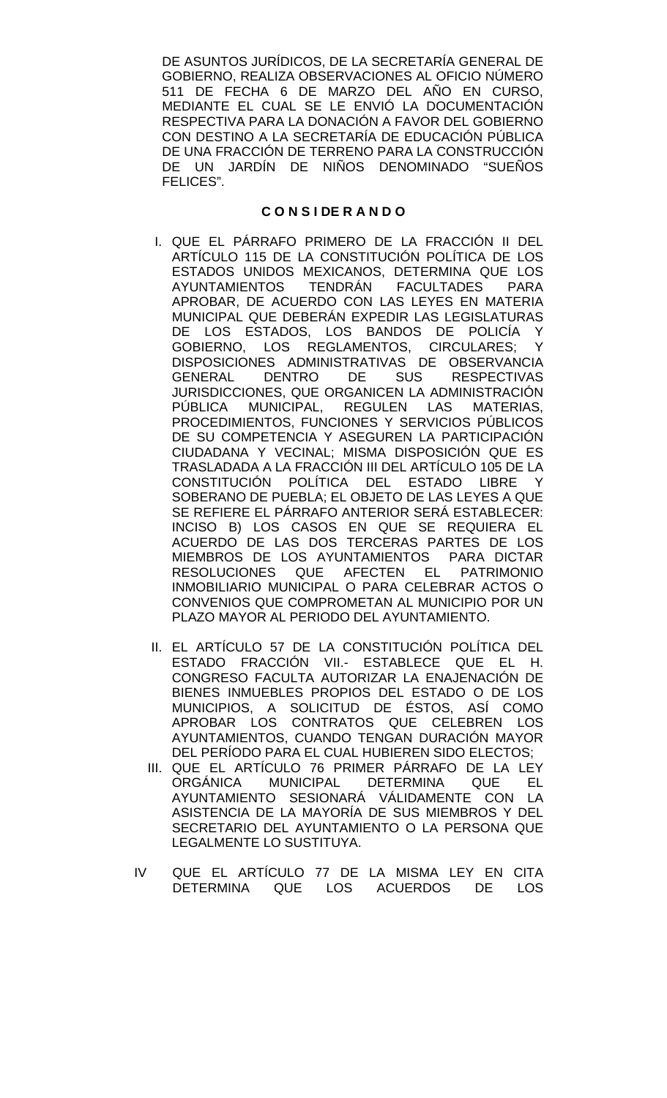DE ASUNTOS JURÍDICOS, DE LA SECRETARÍA GENERAL DE GOBIERNO, REALIZA OBSERVACIONES AL OFICIO NÚMERO 511 DE FECHA 6 DE MARZO DEL AÑO EN CURSO, MEDIANTE EL CUAL SE LE ENVIÓ LA DOCUMENTACIÓN RESPECTIVA PARA LA DONACIÓN A FAVOR DEL GOBIERNO CON DESTINO A LA SECRETARÍA DE EDUCACIÓN PÚBLICA DE UNA FRACCIÓN DE TERRENO PARA LA CONSTRUCCIÓN DE UN JARDÍN DE NIÑOS DENOMINADO "SUEÑOS FELICES".

### **C O N S I DE R A N D O**

- I. QUE EL PÁRRAFO PRIMERO DE LA FRACCIÓN II DEL ARTÍCULO 115 DE LA CONSTITUCIÓN POLÍTICA DE LOS ESTADOS UNIDOS MEXICANOS, DETERMINA QUE LOS<br>AYUNTAMIENTOS TENDRÁN FACULTADES PARA TENDRÁN FACULTADES PARA APROBAR, DE ACUERDO CON LAS LEYES EN MATERIA MUNICIPAL QUE DEBERÁN EXPEDIR LAS LEGISLATURAS DE LOS ESTADOS, LOS BANDOS DE POLICÍA Y GOBIERNO, LOS REGLAMENTOS, CIRCULARES; Y DISPOSICIONES ADMINISTRATIVAS DE OBSERVANCIA GENERAL DENTRO DE SUS RESPECTIVAS JURISDICCIONES, QUE ORGANICEN LA ADMINISTRACIÓN PÚBLICA MUNICIPAL, REGULEN LAS MATERIAS, PROCEDIMIENTOS, FUNCIONES Y SERVICIOS PÚBLICOS DE SU COMPETENCIA Y ASEGUREN LA PARTICIPACIÓN CIUDADANA Y VECINAL; MISMA DISPOSICIÓN QUE ES TRASLADADA A LA FRACCIÓN III DEL ARTÍCULO 105 DE LA CONSTITUCIÓN POLÍTICA DEL ESTADO LIBRE Y SOBERANO DE PUEBLA; EL OBJETO DE LAS LEYES A QUE SE REFIERE EL PÁRRAFO ANTERIOR SERÁ ESTABLECER: INCISO B) LOS CASOS EN QUE SE REQUIERA EL ACUERDO DE LAS DOS TERCERAS PARTES DE LOS MIEMBROS DE LOS AYUNTAMIENTOS PARA DICTAR RESOLUCIONES QUE AFECTEN EL PATRIMONIO INMOBILIARIO MUNICIPAL O PARA CELEBRAR ACTOS O CONVENIOS QUE COMPROMETAN AL MUNICIPIO POR UN PLAZO MAYOR AL PERIODO DEL AYUNTAMIENTO.
- II. EL ARTÍCULO 57 DE LA CONSTITUCIÓN POLÍTICA DEL ESTADO FRACCIÓN VII.- ESTABLECE QUE EL H. CONGRESO FACULTA AUTORIZAR LA ENAJENACIÓN DE BIENES INMUEBLES PROPIOS DEL ESTADO O DE LOS MUNICIPIOS, A SOLICITUD DE ÉSTOS, ASÍ COMO APROBAR LOS CONTRATOS QUE CELEBREN LOS AYUNTAMIENTOS, CUANDO TENGAN DURACIÓN MAYOR DEL PERÍODO PARA EL CUAL HUBIEREN SIDO ELECTOS;
- III. QUE EL ARTÍCULO 76 PRIMER PÁRRAFO DE LA LEY ORGÁNICA MUNICIPAL DETERMINA QUE EL AYUNTAMIENTO SESIONARÁ VÁLIDAMENTE CON LA ASISTENCIA DE LA MAYORÍA DE SUS MIEMBROS Y DEL SECRETARIO DEL AYUNTAMIENTO O LA PERSONA QUE LEGALMENTE LO SUSTITUYA.
- IV QUE EL ARTÍCULO 77 DE LA MISMA LEY EN CITA DETERMINA QUE LOS ACUERDOS DE LOS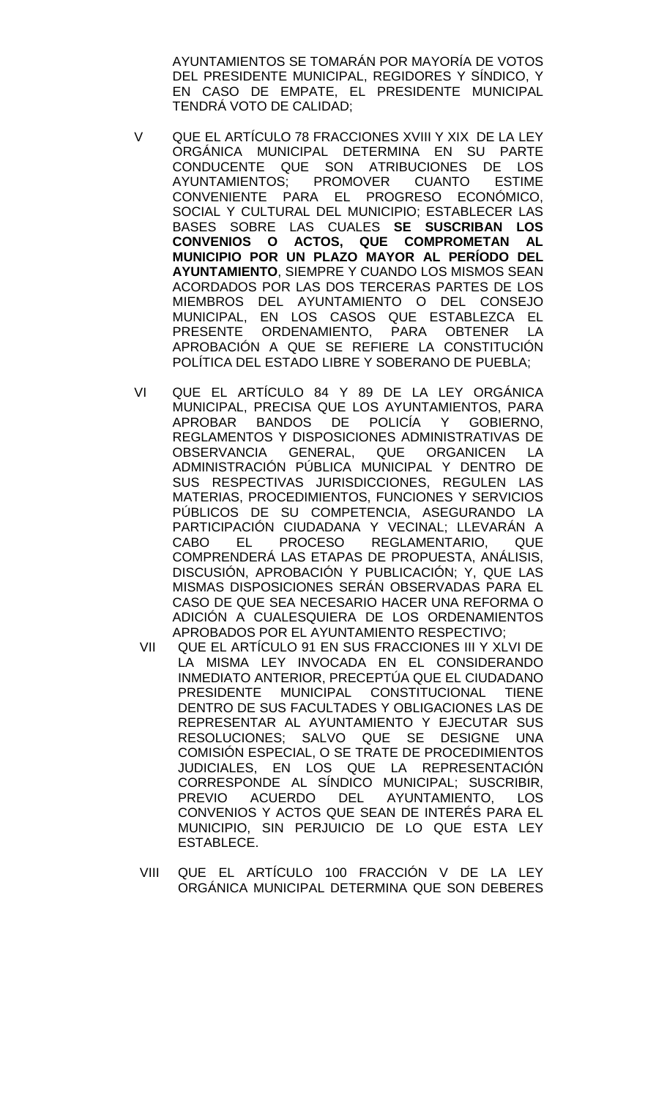AYUNTAMIENTOS SE TOMARÁN POR MAYORÍA DE VOTOS DEL PRESIDENTE MUNICIPAL, REGIDORES Y SÍNDICO, Y EN CASO DE EMPATE, EL PRESIDENTE MUNICIPAL TENDRÁ VOTO DE CALIDAD;

- V QUE EL ARTÍCULO 78 FRACCIONES XVIII Y XIX DE LA LEY ORGÁNICA MUNICIPAL DETERMINA EN SU PARTE CONDUCENTE QUE SON ATRIBUCIONES DE LOS<br>AYUNTAMIENTOS: PROMOVER CUANTO ESTIME AYUNTAMIENTOS; PROMOVER CUANTO CONVENIENTE PARA EL PROGRESO ECONÓMICO, SOCIAL Y CULTURAL DEL MUNICIPIO; ESTABLECER LAS BASES SOBRE LAS CUALES **SE SUSCRIBAN LOS CONVENIOS O ACTOS, QUE COMPROMETAN AL MUNICIPIO POR UN PLAZO MAYOR AL PERÍODO DEL AYUNTAMIENTO**, SIEMPRE Y CUANDO LOS MISMOS SEAN ACORDADOS POR LAS DOS TERCERAS PARTES DE LOS MIEMBROS DEL AYUNTAMIENTO O DEL CONSEJO MUNICIPAL, EN LOS CASOS QUE ESTABLEZCA EL PRESENTE ORDENAMIENTO, PARA OBTENER LA APROBACIÓN A QUE SE REFIERE LA CONSTITUCIÓN POLÍTICA DEL ESTADO LIBRE Y SOBERANO DE PUEBLA;
- VI QUE EL ARTÍCULO 84 Y 89 DE LA LEY ORGÁNICA MUNICIPAL, PRECISA QUE LOS AYUNTAMIENTOS, PARA APROBAR BANDOS DE POLICÍA Y GOBIERNO, REGLAMENTOS Y DISPOSICIONES ADMINISTRATIVAS DE OBSERVANCIA GENERAL, QUE ORGANICEN LA ADMINISTRACIÓN PÚBLICA MUNICIPAL Y DENTRO DE SUS RESPECTIVAS JURISDICCIONES, REGULEN LAS MATERIAS, PROCEDIMIENTOS, FUNCIONES Y SERVICIOS PÚBLICOS DE SU COMPETENCIA, ASEGURANDO LA PARTICIPACIÓN CIUDADANA Y VECINAL; LLEVARÁN A<br>CABO EL PROCESO REGLAMENTARIO. QUE PROCESO REGLAMENTARIO, COMPRENDERÁ LAS ETAPAS DE PROPUESTA, ANÁLISIS, DISCUSIÓN, APROBACIÓN Y PUBLICACIÓN; Y, QUE LAS MISMAS DISPOSICIONES SERÁN OBSERVADAS PARA EL CASO DE QUE SEA NECESARIO HACER UNA REFORMA O ADICIÓN A CUALESQUIERA DE LOS ORDENAMIENTOS APROBADOS POR EL AYUNTAMIENTO RESPECTIVO;
- VII QUE EL ARTÍCULO 91 EN SUS FRACCIONES III Y XLVI DE LA MISMA LEY INVOCADA EN EL CONSIDERANDO INMEDIATO ANTERIOR, PRECEPTÚA QUE EL CIUDADANO PRESIDENTE MUNICIPAL CONSTITUCIONAL DENTRO DE SUS FACULTADES Y OBLIGACIONES LAS DE REPRESENTAR AL AYUNTAMIENTO Y EJECUTAR SUS RESOLUCIONES; SALVO QUE SE DESIGNE UNA COMISIÓN ESPECIAL, O SE TRATE DE PROCEDIMIENTOS JUDICIALES, EN LOS QUE LA REPRESENTACIÓN CORRESPONDE AL SÍNDICO MUNICIPAL; SUSCRIBIR, PREVIO ACUERDO DEL AYUNTAMIENTO, LOS CONVENIOS Y ACTOS QUE SEAN DE INTERÉS PARA EL MUNICIPIO, SIN PERJUICIO DE LO QUE ESTA LEY ESTABLECE.
- VIII QUE EL ARTÍCULO 100 FRACCIÓN V DE LA LEY ORGÁNICA MUNICIPAL DETERMINA QUE SON DEBERES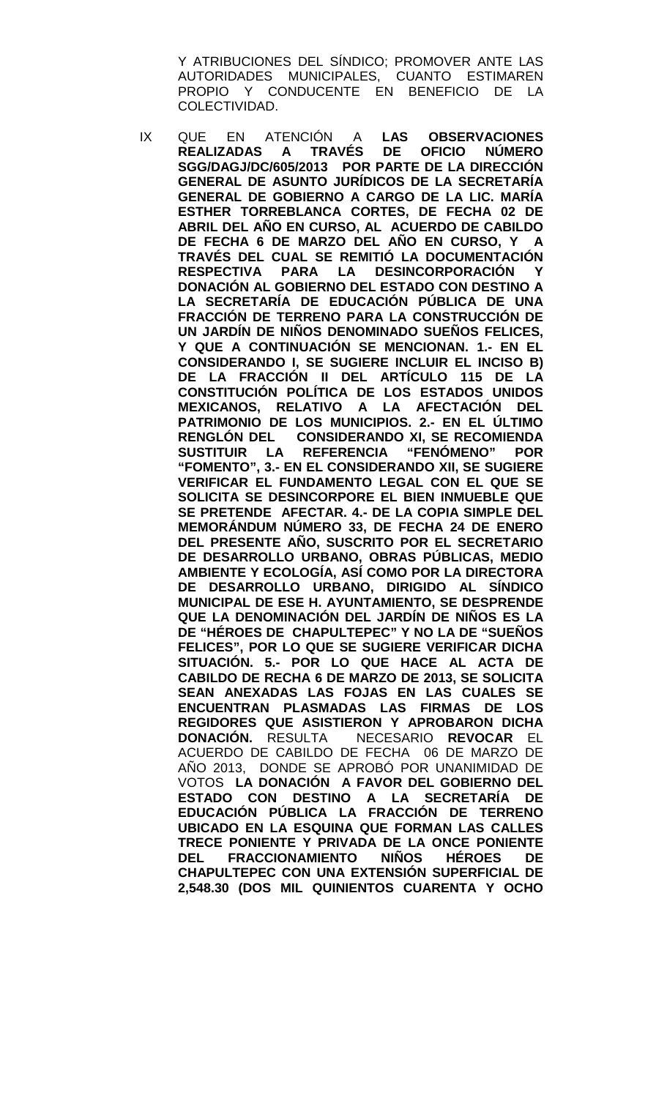Y ATRIBUCIONES DEL SÍNDICO; PROMOVER ANTE LAS AUTORIDADES MUNICIPALES, CUANTO ESTIMAREN PROPIO Y CONDUCENTE EN BENEFICIO DE LA COLECTIVIDAD.

IX QUE EN ATENCIÓN A **LAS OBSERVACIONES REALIZADAS A SGG/DAGJ/DC/605/2013 POR PARTE DE LA DIRECCIÓN GENERAL DE ASUNTO JURÍDICOS DE LA SECRETARÍA GENERAL DE GOBIERNO A CARGO DE LA LIC. MARÍA ESTHER TORREBLANCA CORTES, DE FECHA 02 DE ABRIL DEL AÑO EN CURSO, AL ACUERDO DE CABILDO DE FECHA 6 DE MARZO DEL AÑO EN CURSO, Y A TRAVÉS DEL CUAL SE REMITIÓ LA DOCUMENTACIÓN PARA LA DESINCORPORACIÓN DONACIÓN AL GOBIERNO DEL ESTADO CON DESTINO A LA SECRETARÍA DE EDUCACIÓN PÚBLICA DE UNA FRACCIÓN DE TERRENO PARA LA CONSTRUCCIÓN DE UN JARDÍN DE NIÑOS DENOMINADO SUEÑOS FELICES, Y QUE A CONTINUACIÓN SE MENCIONAN. 1.- EN EL CONSIDERANDO I, SE SUGIERE INCLUIR EL INCISO B) DE LA FRACCIÓN II DEL ARTÍCULO 115 DE LA CONSTITUCIÓN POLÍTICA DE LOS ESTADOS UNIDOS MEXICANOS, RELATIVO A LA AFECTACIÓN DEL PATRIMONIO DE LOS MUNICIPIOS. 2.- EN EL ÚLTIMO CONSIDERANDO XI, SE RECOMIENDA SUSTITUIR LA REFERENCIA "FENÓMENO" POR "FOMENTO", 3.- EN EL CONSIDERANDO XII, SE SUGIERE VERIFICAR EL FUNDAMENTO LEGAL CON EL QUE SE SOLICITA SE DESINCORPORE EL BIEN INMUEBLE QUE SE PRETENDE AFECTAR. 4.- DE LA COPIA SIMPLE DEL MEMORÁNDUM NÚMERO 33, DE FECHA 24 DE ENERO DEL PRESENTE AÑO, SUSCRITO POR EL SECRETARIO DE DESARROLLO URBANO, OBRAS PÚBLICAS, MEDIO AMBIENTE Y ECOLOGÍA, ASÍ COMO POR LA DIRECTORA DE DESARROLLO URBANO, DIRIGIDO AL SÍNDICO MUNICIPAL DE ESE H. AYUNTAMIENTO, SE DESPRENDE QUE LA DENOMINACIÓN DEL JARDÍN DE NIÑOS ES LA DE "HÉROES DE CHAPULTEPEC" Y NO LA DE "SUEÑOS FELICES", POR LO QUE SE SUGIERE VERIFICAR DICHA SITUACIÓN. 5.- POR LO QUE HACE AL ACTA DE CABILDO DE RECHA 6 DE MARZO DE 2013, SE SOLICITA SEAN ANEXADAS LAS FOJAS EN LAS CUALES SE ENCUENTRAN PLASMADAS LAS FIRMAS DE LOS REGIDORES QUE ASISTIERON Y APROBARON DICHA DONACIÓN.** RESULTA NECESARIO **REVOCAR** EL ACUERDO DE CABILDO DE FECHA 06 DE MARZO DE AÑO 2013, DONDE SE APROBÓ POR UNANIMIDAD DE VOTOS **LA DONACIÓN A FAVOR DEL GOBIERNO DEL ESTADO CON DESTINO A LA SECRETARÍA DE EDUCACIÓN PÚBLICA LA FRACCIÓN DE TERRENO UBICADO EN LA ESQUINA QUE FORMAN LAS CALLES TRECE PONIENTE Y PRIVADA DE LA ONCE PONIENTE DEL FRACCIONAMIENTO NIÑOS HÉROES DE CHAPULTEPEC CON UNA EXTENSIÓN SUPERFICIAL DE 2,548.30 (DOS MIL QUINIENTOS CUARENTA Y OCHO**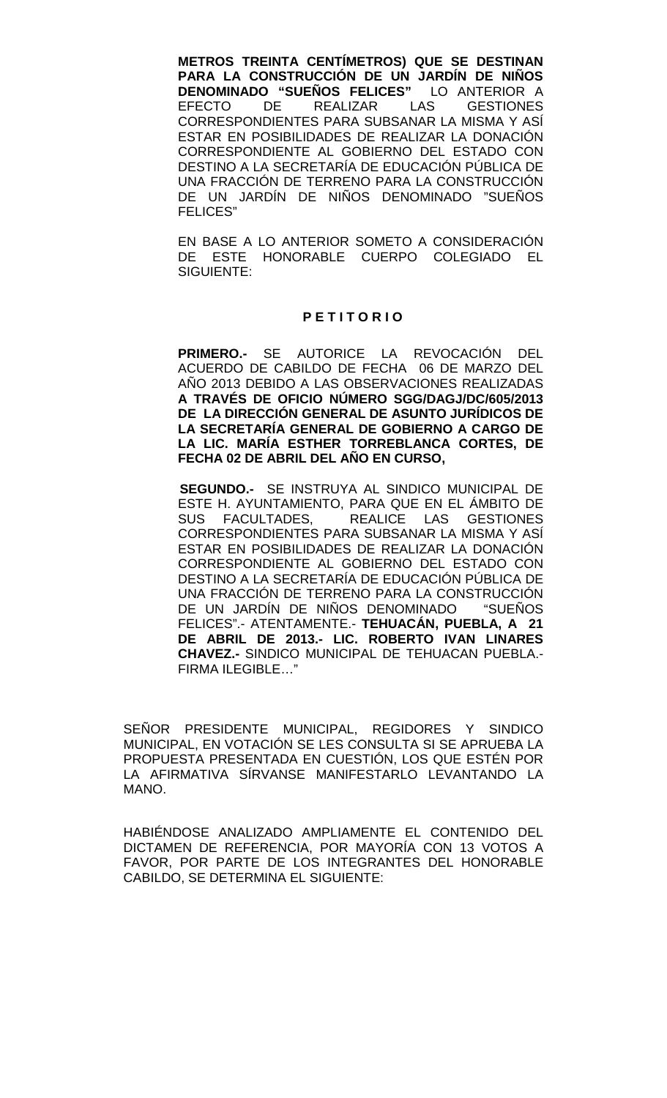**METROS TREINTA CENTÍMETROS) QUE SE DESTINAN PARA LA CONSTRUCCIÓN DE UN JARDÍN DE NIÑOS DENOMINADO "SUEÑOS FELICES"** L<br>EFECTO DE REALIZAR LAS **GESTIONES** CORRESPONDIENTES PARA SUBSANAR LA MISMA Y ASÍ ESTAR EN POSIBILIDADES DE REALIZAR LA DONACIÓN CORRESPONDIENTE AL GOBIERNO DEL ESTADO CON DESTINO A LA SECRETARÍA DE EDUCACIÓN PÚBLICA DE UNA FRACCIÓN DE TERRENO PARA LA CONSTRUCCIÓN DE UN JARDÍN DE NIÑOS DENOMINADO "SUEÑOS FELICES"

EN BASE A LO ANTERIOR SOMETO A CONSIDERACIÓN DE ESTE HONORABLE CUERPO COLEGIADO EL SIGUIENTE:

#### **P E T I T O R I O**

**PRIMERO.-** SE AUTORICE LA REVOCACIÓN DEL ACUERDO DE CABILDO DE FECHA 06 DE MARZO DEL AÑO 2013 DEBIDO A LAS OBSERVACIONES REALIZADAS **A TRAVÉS DE OFICIO NÚMERO SGG/DAGJ/DC/605/2013 DE LA DIRECCIÓN GENERAL DE ASUNTO JURÍDICOS DE LA SECRETARÍA GENERAL DE GOBIERNO A CARGO DE LA LIC. MARÍA ESTHER TORREBLANCA CORTES, DE FECHA 02 DE ABRIL DEL AÑO EN CURSO,**

 **SEGUNDO.-** SE INSTRUYA AL SINDICO MUNICIPAL DE ESTE H. AYUNTAMIENTO, PARA QUE EN EL ÁMBITO DE SUS FACULTADES, REALICE LAS GESTIONES CORRESPONDIENTES PARA SUBSANAR LA MISMA Y ASÍ ESTAR EN POSIBILIDADES DE REALIZAR LA DONACIÓN CORRESPONDIENTE AL GOBIERNO DEL ESTADO CON DESTINO A LA SECRETARÍA DE EDUCACIÓN PÚBLICA DE UNA FRACCIÓN DE TERRENO PARA LA CONSTRUCCIÓN DE UN JARDÍN DE NIÑOS DENOMINADO "SUEÑOS FELICES".- ATENTAMENTE.- **TEHUACÁN, PUEBLA, A 21 DE ABRIL DE 2013.- LIC. ROBERTO IVAN LINARES CHAVEZ.-** SINDICO MUNICIPAL DE TEHUACAN PUEBLA.- FIRMA ILEGIBLE…"

SEÑOR PRESIDENTE MUNICIPAL, REGIDORES Y SINDICO MUNICIPAL, EN VOTACIÓN SE LES CONSULTA SI SE APRUEBA LA PROPUESTA PRESENTADA EN CUESTIÓN, LOS QUE ESTÉN POR LA AFIRMATIVA SÍRVANSE MANIFESTARLO LEVANTANDO LA MANO.

HABIÉNDOSE ANALIZADO AMPLIAMENTE EL CONTENIDO DEL DICTAMEN DE REFERENCIA, POR MAYORÍA CON 13 VOTOS A FAVOR, POR PARTE DE LOS INTEGRANTES DEL HONORABLE CABILDO, SE DETERMINA EL SIGUIENTE: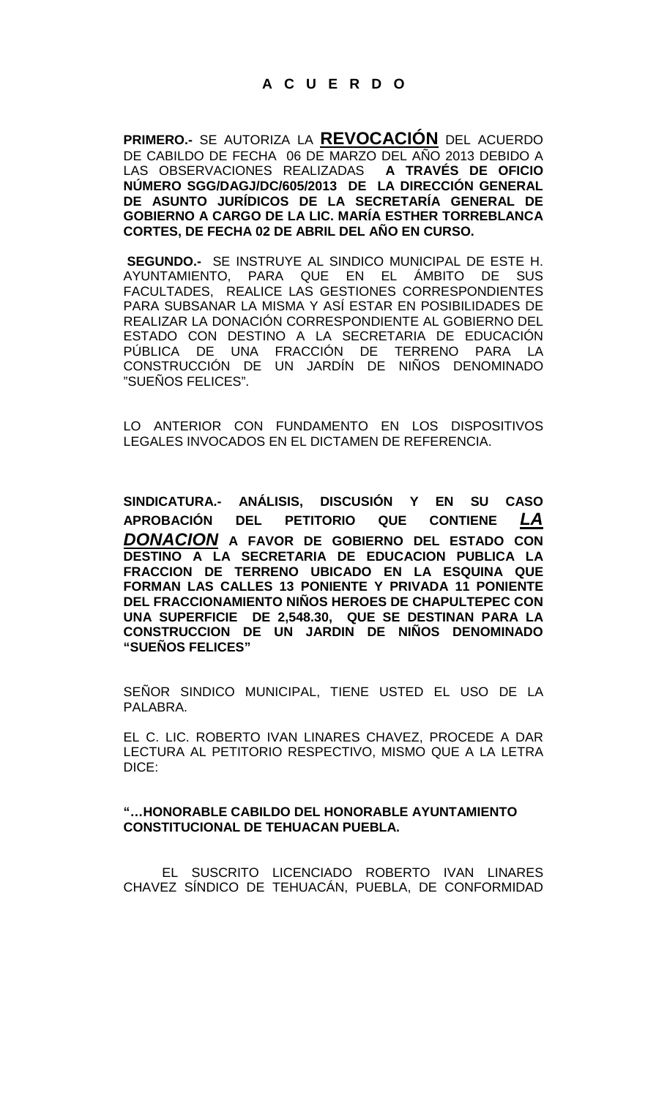**PRIMERO.-** SE AUTORIZA LA **REVOCACIÓN** DEL ACUERDO DE CABILDO DE FECHA 06 DE MARZO DEL AÑO 2013 DEBIDO A LAS OBSERVACIONES REALIZADAS A TRAVÉS DE OFICIO LAS OBSERVACIONES REALIZADAS **NÚMERO SGG/DAGJ/DC/605/2013 DE LA DIRECCIÓN GENERAL DE ASUNTO JURÍDICOS DE LA SECRETARÍA GENERAL DE GOBIERNO A CARGO DE LA LIC. MARÍA ESTHER TORREBLANCA CORTES, DE FECHA 02 DE ABRIL DEL AÑO EN CURSO.**

**SEGUNDO.-** SE INSTRUYE AL SINDICO MUNICIPAL DE ESTE H. AYUNTAMIENTO, PARA QUE EN EL ÁMBITO DE SUS FACULTADES, REALICE LAS GESTIONES CORRESPONDIENTES PARA SUBSANAR LA MISMA Y ASÍ ESTAR EN POSIBILIDADES DE REALIZAR LA DONACIÓN CORRESPONDIENTE AL GOBIERNO DEL ESTADO CON DESTINO A LA SECRETARIA DE EDUCACIÓN PÚBLICA DE UNA FRACCIÓN DE TERRENO PARA LA CONSTRUCCIÓN DE UN JARDIN DE NINOS DENOMINADO "SUEÑOS FELICES".

LO ANTERIOR CON FUNDAMENTO EN LOS DISPOSITIVOS LEGALES INVOCADOS EN EL DICTAMEN DE REFERENCIA.

**SINDICATURA.- ANÁLISIS, DISCUSIÓN Y EN SU CASO APROBACIÓN DEL PETITORIO QUE CONTIENE** *LA DONACION* **A FAVOR DE GOBIERNO DEL ESTADO CON DESTINO A LA SECRETARIA DE EDUCACION PUBLICA LA FRACCION DE TERRENO UBICADO EN LA ESQUINA QUE FORMAN LAS CALLES 13 PONIENTE Y PRIVADA 11 PONIENTE DEL FRACCIONAMIENTO NIÑOS HEROES DE CHAPULTEPEC CON UNA SUPERFICIE DE 2,548.30, QUE SE DESTINAN PARA LA CONSTRUCCION DE UN JARDIN DE NIÑOS DENOMINADO "SUEÑOS FELICES"**

SEÑOR SINDICO MUNICIPAL, TIENE USTED EL USO DE LA PALABRA.

EL C. LIC. ROBERTO IVAN LINARES CHAVEZ, PROCEDE A DAR LECTURA AL PETITORIO RESPECTIVO, MISMO QUE A LA LETRA DICE:

#### **"…HONORABLE CABILDO DEL HONORABLE AYUNTAMIENTO CONSTITUCIONAL DE TEHUACAN PUEBLA.**

EL SUSCRITO LICENCIADO ROBERTO IVAN LINARES CHAVEZ SÍNDICO DE TEHUACÁN, PUEBLA, DE CONFORMIDAD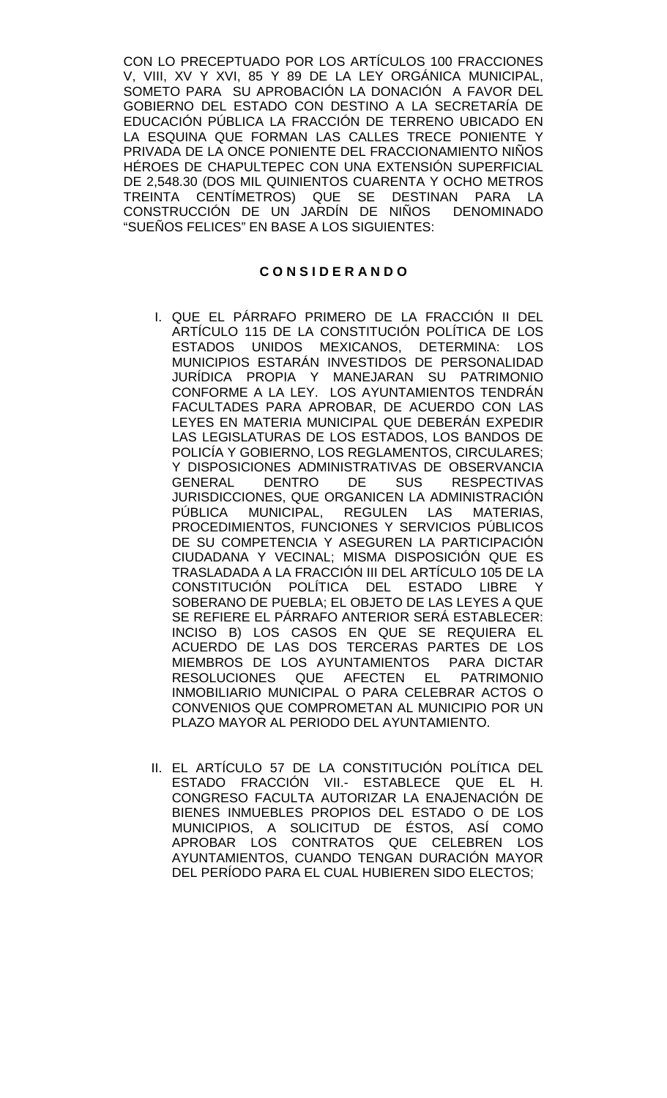CON LO PRECEPTUADO POR LOS ARTÍCULOS 100 FRACCIONES V, VIII, XV Y XVI, 85 Y 89 DE LA LEY ORGÁNICA MUNICIPAL, SOMETO PARA SU APROBACIÓN LA DONACIÓN A FAVOR DEL GOBIERNO DEL ESTADO CON DESTINO A LA SECRETARÍA DE EDUCACIÓN PÚBLICA LA FRACCIÓN DE TERRENO UBICADO EN LA ESQUINA QUE FORMAN LAS CALLES TRECE PONIENTE Y PRIVADA DE LA ONCE PONIENTE DEL FRACCIONAMIENTO NIÑOS HÉROES DE CHAPULTEPEC CON UNA EXTENSIÓN SUPERFICIAL DE 2,548.30 (DOS MIL QUINIENTOS CUARENTA Y OCHO METROS TREINTA CENTÍMETROS) QUE SE DESTINAN PARA LA CONSTRUCCIÓN DE UN JARDIN DE NINOS DENOMINADO "SUEÑOS FELICES" EN BASE A LOS SIGUIENTES:

## **C O N S I D E R A N D O**

- I. QUE EL PÁRRAFO PRIMERO DE LA FRACCIÓN II DEL ARTÍCULO 115 DE LA CONSTITUCIÓN POLÍTICA DE LOS ESTADOS UNIDOS MEXICANOS, DETERMINA: LOS MUNICIPIOS ESTARÁN INVESTIDOS DE PERSONALIDAD JURÍDICA PROPIA Y MANEJARAN SU PATRIMONIO CONFORME A LA LEY. LOS AYUNTAMIENTOS TENDRÁN FACULTADES PARA APROBAR, DE ACUERDO CON LAS LEYES EN MATERIA MUNICIPAL QUE DEBERÁN EXPEDIR LAS LEGISLATURAS DE LOS ESTADOS, LOS BANDOS DE POLICÍA Y GOBIERNO, LOS REGLAMENTOS, CIRCULARES; Y DISPOSICIONES ADMINISTRATIVAS DE OBSERVANCIA<br>GENERAL DENTRO DE SUS RESPECTIVAS DENTRO DE SUS RESPECTIVAS JURISDICCIONES, QUE ORGANICEN LA ADMINISTRACIÓN PÚBLICA MUNICIPAL, REGULEN LAS MATERIAS, PROCEDIMIENTOS, FUNCIONES Y SERVICIOS PÚBLICOS DE SU COMPETENCIA Y ASEGUREN LA PARTICIPACIÓN CIUDADANA Y VECINAL; MISMA DISPOSICIÓN QUE ES TRASLADADA A LA FRACCIÓN III DEL ARTÍCULO 105 DE LA CONSTITUCIÓN POLÍTICA DEL ESTADO LIBRE SOBERANO DE PUEBLA; EL OBJETO DE LAS LEYES A QUE SE REFIERE EL PÁRRAFO ANTERIOR SERÁ ESTABLECER: INCISO B) LOS CASOS EN QUE SE REQUIERA EL ACUERDO DE LAS DOS TERCERAS PARTES DE LOS MIEMBROS DE LOS AYUNTAMIENTOS PARA DICTAR RESOLUCIONES QUE AFECTEN EL PATRIMONIO INMOBILIARIO MUNICIPAL O PARA CELEBRAR ACTOS O CONVENIOS QUE COMPROMETAN AL MUNICIPIO POR UN PLAZO MAYOR AL PERIODO DEL AYUNTAMIENTO.
- II. EL ARTÍCULO 57 DE LA CONSTITUCIÓN POLÍTICA DEL ESTADO FRACCIÓN VII.- ESTABLECE QUE EL H. CONGRESO FACULTA AUTORIZAR LA ENAJENACIÓN DE BIENES INMUEBLES PROPIOS DEL ESTADO O DE LOS MUNICIPIOS, A SOLICITUD DE ÉSTOS, ASÍ COMO APROBAR LOS CONTRATOS QUE CELEBREN LOS AYUNTAMIENTOS, CUANDO TENGAN DURACIÓN MAYOR DEL PERÍODO PARA EL CUAL HUBIEREN SIDO ELECTOS;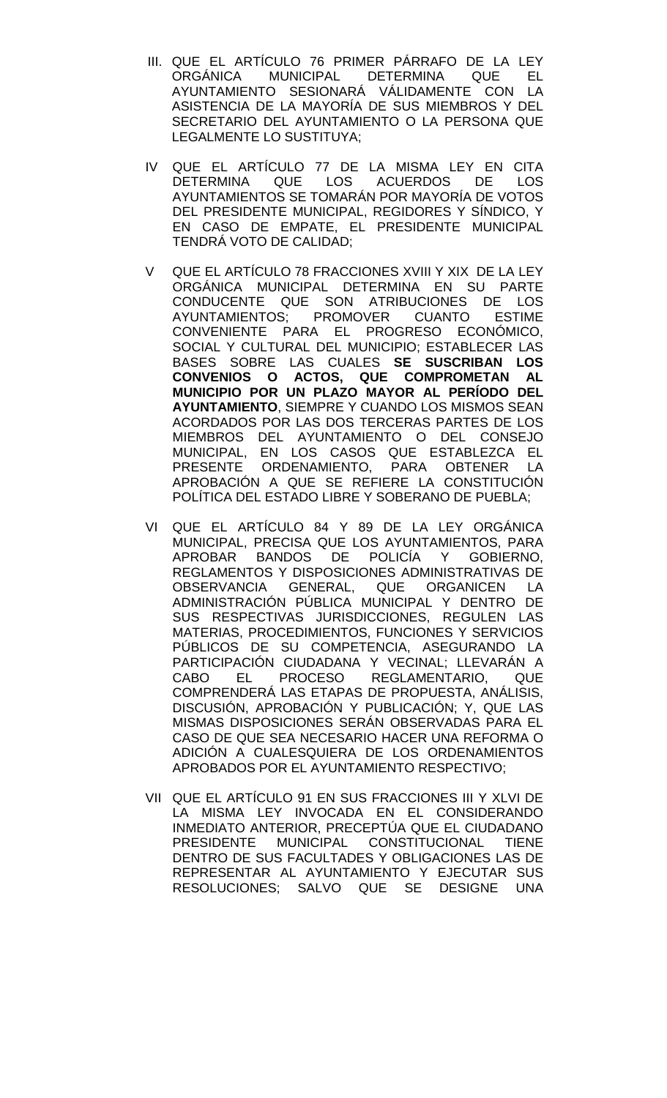- III. QUE EL ARTÍCULO 76 PRIMER PÁRRAFO DE LA LEY MUNICIPAL DETERMINA AYUNTAMIENTO SESIONARÁ VÁLIDAMENTE CON LA ASISTENCIA DE LA MAYORÍA DE SUS MIEMBROS Y DEL SECRETARIO DEL AYUNTAMIENTO O LA PERSONA QUE LEGALMENTE LO SUSTITUYA;
- IV QUE EL ARTÍCULO 77 DE LA MISMA LEY EN CITA DETERMINA QUE LOS ACUERDOS DE LOS AYUNTAMIENTOS SE TOMARÁN POR MAYORÍA DE VOTOS DEL PRESIDENTE MUNICIPAL, REGIDORES Y SÍNDICO, Y EN CASO DE EMPATE, EL PRESIDENTE MUNICIPAL TENDRÁ VOTO DE CALIDAD;
- V QUE EL ARTÍCULO 78 FRACCIONES XVIII Y XIX DE LA LEY ORGÁNICA MUNICIPAL DETERMINA EN SU PARTE CONDUCENTE QUE SON ATRIBUCIONES DE LOS<br>AYUNTAMIENTOS: PROMOVER CUANTO ESTIME AYUNTAMIENTOS; PROMOVER CUANTO ESTIME CONVENIENTE PARA EL PROGRESO ECONÓMICO, SOCIAL Y CULTURAL DEL MUNICIPIO; ESTABLECER LAS BASES SOBRE LAS CUALES **SE SUSCRIBAN LOS CONVENIOS O ACTOS, QUE COMPROMETAN AL MUNICIPIO POR UN PLAZO MAYOR AL PERÍODO DEL AYUNTAMIENTO**, SIEMPRE Y CUANDO LOS MISMOS SEAN ACORDADOS POR LAS DOS TERCERAS PARTES DE LOS MIEMBROS DEL AYUNTAMIENTO O DEL CONSEJO MUNICIPAL, EN LOS CASOS QUE ESTABLEZCA EL PRESENTE ORDENAMIENTO, PARA OBTENER LA APROBACIÓN A QUE SE REFIERE LA CONSTITUCIÓN POLÍTICA DEL ESTADO LIBRE Y SOBERANO DE PUEBLA;
- VI QUE EL ARTÍCULO 84 Y 89 DE LA LEY ORGÁNICA MUNICIPAL, PRECISA QUE LOS AYUNTAMIENTOS, PARA APROBAR BANDOS DE POLICÍA Y GOBIERNO, REGLAMENTOS Y DISPOSICIONES ADMINISTRATIVAS DE<br>OBSERVANCIA - GENERAL - OUE - ORGANICEN - LA OBSERVANCIA GENERAL, QUE ORGANICEN ADMINISTRACIÓN PÚBLICA MUNICIPAL Y DENTRO DE SUS RESPECTIVAS JURISDICCIONES, REGULEN LAS MATERIAS, PROCEDIMIENTOS, FUNCIONES Y SERVICIOS PÚBLICOS DE SU COMPETENCIA, ASEGURANDO LA PARTICIPACIÓN CIUDADANA Y VECINAL; LLEVARÁN A CABO EL PROCESO REGLAMENTARIO, QUE COMPRENDERÁ LAS ETAPAS DE PROPUESTA, ANÁLISIS, DISCUSIÓN, APROBACIÓN Y PUBLICACIÓN; Y, QUE LAS MISMAS DISPOSICIONES SERÁN OBSERVADAS PARA EL CASO DE QUE SEA NECESARIO HACER UNA REFORMA O ADICIÓN A CUALESQUIERA DE LOS ORDENAMIENTOS APROBADOS POR EL AYUNTAMIENTO RESPECTIVO;
- VII QUE EL ARTÍCULO 91 EN SUS FRACCIONES III Y XLVI DE LA MISMA LEY INVOCADA EN EL CONSIDERANDO INMEDIATO ANTERIOR, PRECEPTÚA QUE EL CIUDADANO PRESIDENTE MUNICIPAL CONSTITUCIONAL TIENE DENTRO DE SUS FACULTADES Y OBLIGACIONES LAS DE REPRESENTAR AL AYUNTAMIENTO Y EJECUTAR SUS RESOLUCIONES; SALVO QUE SE DESIGNE UNA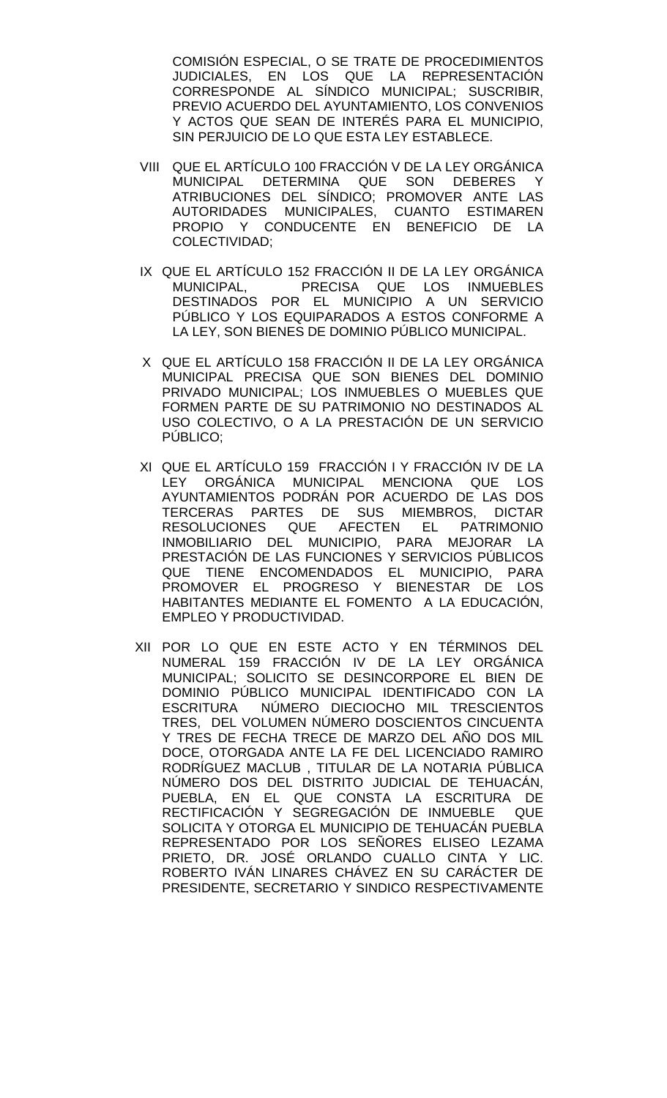COMISIÓN ESPECIAL, O SE TRATE DE PROCEDIMIENTOS JUDICIALES, EN LOS QUE LA REPRESENTACIÓN CORRESPONDE AL SÍNDICO MUNICIPAL; SUSCRIBIR, PREVIO ACUERDO DEL AYUNTAMIENTO, LOS CONVENIOS Y ACTOS QUE SEAN DE INTERÉS PARA EL MUNICIPIO, SIN PERJUICIO DE LO QUE ESTA LEY ESTABLECE.

- VIII QUE EL ARTÍCULO 100 FRACCIÓN V DE LA LEY ORGÁNICA MUNICIPAL DETERMINA QUE SON DEBERES Y ATRIBUCIONES DEL SÍNDICO; PROMOVER ANTE LAS AUTORIDADES MUNICIPALES, CUANTO ESTIMAREN PROPIO Y CONDUCENTE EN BENEFICIO DE LA COLECTIVIDAD;
- IX QUE EL ARTÍCULO 152 FRACCIÓN II DE LA LEY ORGÁNICA PRECISA QUE LOS INMUEBLES DESTINADOS POR EL MUNICIPIO A UN SERVICIO PÚBLICO Y LOS EQUIPARADOS A ESTOS CONFORME A LA LEY, SON BIENES DE DOMINIO PÚBLICO MUNICIPAL.
- X QUE EL ARTÍCULO 158 FRACCIÓN II DE LA LEY ORGÁNICA MUNICIPAL PRECISA QUE SON BIENES DEL DOMINIO PRIVADO MUNICIPAL; LOS INMUEBLES O MUEBLES QUE FORMEN PARTE DE SU PATRIMONIO NO DESTINADOS AL USO COLECTIVO, O A LA PRESTACIÓN DE UN SERVICIO PÚBLICO;
- XI QUE EL ARTÍCULO 159 FRACCIÓN I Y FRACCIÓN IV DE LA LEY ORGÁNICA MUNICIPAL MENCIONA QUE LOS AYUNTAMIENTOS PODRÁN POR ACUERDO DE LAS DOS TERCERAS PARTES DE SUS MIEMBROS, DICTAR RESOLUCIONES QUE AFECTEN EL PATRIMONIO INMOBILIARIO DEL MUNICIPIO, PARA MEJORAR LA PRESTACIÓN DE LAS FUNCIONES Y SERVICIOS PÚBLICOS QUE TIENE ENCOMENDADOS EL MUNICIPIO, PARA PROMOVER EL PROGRESO Y BIENESTAR DE LOS HABITANTES MEDIANTE EL FOMENTO A LA EDUCACIÓN, EMPLEO Y PRODUCTIVIDAD.
- XII POR LO QUE EN ESTE ACTO Y EN TÉRMINOS DEL NUMERAL 159 FRACCIÓN IV DE LA LEY ORGÁNICA MUNICIPAL; SOLICITO SE DESINCORPORE EL BIEN DE DOMINIO PÚBLICO MUNICIPAL IDENTIFICADO CON LA ESCRITURA NÚMERO DIECIOCHO MIL TRESCIENTOS TRES, DEL VOLUMEN NÚMERO DOSCIENTOS CINCUENTA Y TRES DE FECHA TRECE DE MARZO DEL AÑO DOS MIL DOCE, OTORGADA ANTE LA FE DEL LICENCIADO RAMIRO RODRÍGUEZ MACLUB , TITULAR DE LA NOTARIA PÚBLICA NÚMERO DOS DEL DISTRITO JUDICIAL DE TEHUACÁN, PUEBLA, EN EL QUE CONSTA LA ESCRITURA DE RECTIFICACIÓN Y SEGREGACIÓN DE INMUEBLE QUE SOLICITA Y OTORGA EL MUNICIPIO DE TEHUACÁN PUEBLA REPRESENTADO POR LOS SEÑORES ELISEO LEZAMA PRIETO, DR. JOSÉ ORLANDO CUALLO CINTA Y LIC. ROBERTO IVÁN LINARES CHÁVEZ EN SU CARÁCTER DE PRESIDENTE, SECRETARIO Y SINDICO RESPECTIVAMENTE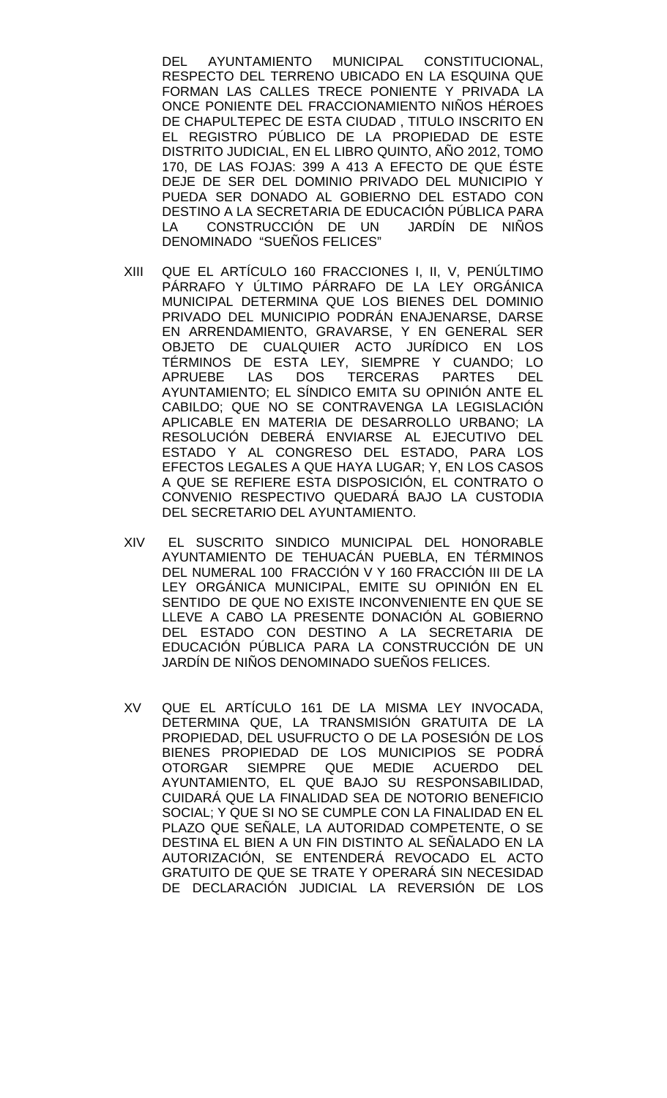DEL AYUNTAMIENTO MUNICIPAL CONSTITUCIONAL, RESPECTO DEL TERRENO UBICADO EN LA ESQUINA QUE FORMAN LAS CALLES TRECE PONIENTE Y PRIVADA LA ONCE PONIENTE DEL FRACCIONAMIENTO NIÑOS HÉROES DE CHAPULTEPEC DE ESTA CIUDAD , TITULO INSCRITO EN EL REGISTRO PÚBLICO DE LA PROPIEDAD DE ESTE DISTRITO JUDICIAL, EN EL LIBRO QUINTO, AÑO 2012, TOMO 170, DE LAS FOJAS: 399 A 413 A EFECTO DE QUE ÉSTE DEJE DE SER DEL DOMINIO PRIVADO DEL MUNICIPIO Y PUEDA SER DONADO AL GOBIERNO DEL ESTADO CON DESTINO A LA SECRETARIA DE EDUCACIÓN PÚBLICA PARA LA CONSTRUCCIÓN DE UN JARDÍN DE NIÑOS DENOMINADO "SUEÑOS FELICES"

- XIII QUE EL ARTÍCULO 160 FRACCIONES I, II, V, PENÚLTIMO PÁRRAFO Y ÚLTIMO PÁRRAFO DE LA LEY ORGÁNICA MUNICIPAL DETERMINA QUE LOS BIENES DEL DOMINIO PRIVADO DEL MUNICIPIO PODRÁN ENAJENARSE, DARSE EN ARRENDAMIENTO, GRAVARSE, Y EN GENERAL SER OBJETO DE CUALQUIER ACTO JURÍDICO EN LOS TÉRMINOS DE ESTA LEY, SIEMPRE Y CUANDO; LO APRUEBE LAS DOS TERCERAS PARTES DEL AYUNTAMIENTO; EL SÍNDICO EMITA SU OPINIÓN ANTE EL CABILDO; QUE NO SE CONTRAVENGA LA LEGISLACIÓN APLICABLE EN MATERIA DE DESARROLLO URBANO; LA RESOLUCIÓN DEBERÁ ENVIARSE AL EJECUTIVO DEL ESTADO Y AL CONGRESO DEL ESTADO, PARA LOS EFECTOS LEGALES A QUE HAYA LUGAR; Y, EN LOS CASOS A QUE SE REFIERE ESTA DISPOSICIÓN, EL CONTRATO O CONVENIO RESPECTIVO QUEDARÁ BAJO LA CUSTODIA DEL SECRETARIO DEL AYUNTAMIENTO.
- XIV EL SUSCRITO SINDICO MUNICIPAL DEL HONORABLE AYUNTAMIENTO DE TEHUACÁN PUEBLA, EN TÉRMINOS DEL NUMERAL 100 FRACCIÓN V Y 160 FRACCIÓN III DE LA LEY ORGÁNICA MUNICIPAL, EMITE SU OPINIÓN EN EL SENTIDO DE QUE NO EXISTE INCONVENIENTE EN QUE SE LLEVE A CABO LA PRESENTE DONACIÓN AL GOBIERNO DEL ESTADO CON DESTINO A LA SECRETARIA DE EDUCACIÓN PÚBLICA PARA LA CONSTRUCCIÓN DE UN JARDÍN DE NIÑOS DENOMINADO SUEÑOS FELICES.
- XV QUE EL ARTÍCULO 161 DE LA MISMA LEY INVOCADA, DETERMINA QUE, LA TRANSMISIÓN GRATUITA DE LA PROPIEDAD, DEL USUFRUCTO O DE LA POSESIÓN DE LOS BIENES PROPIEDAD DE LOS MUNICIPIOS SE PODRÁ OTORGAR SIEMPRE QUE MEDIE ACUERDO DEL AYUNTAMIENTO, EL QUE BAJO SU RESPONSABILIDAD, CUIDARÁ QUE LA FINALIDAD SEA DE NOTORIO BENEFICIO SOCIAL; Y QUE SI NO SE CUMPLE CON LA FINALIDAD EN EL PLAZO QUE SEÑALE, LA AUTORIDAD COMPETENTE, O SE DESTINA EL BIEN A UN FIN DISTINTO AL SEÑALADO EN LA AUTORIZACIÓN, SE ENTENDERÁ REVOCADO EL ACTO GRATUITO DE QUE SE TRATE Y OPERARÁ SIN NECESIDAD DE DECLARACIÓN JUDICIAL LA REVERSIÓN DE LOS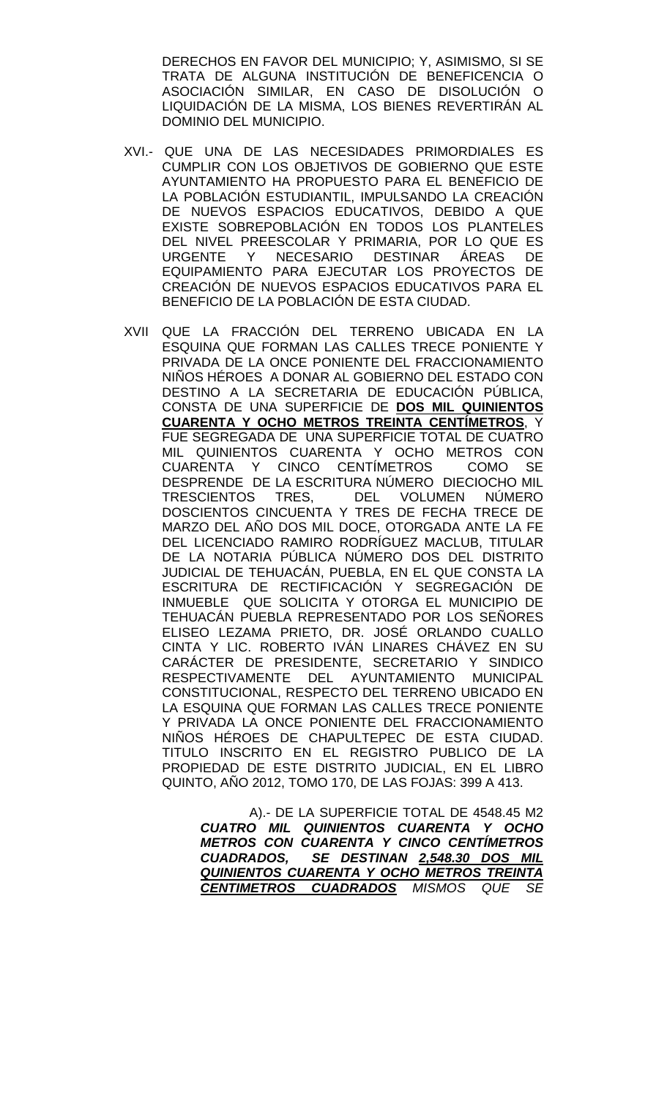DERECHOS EN FAVOR DEL MUNICIPIO; Y, ASIMISMO, SI SE TRATA DE ALGUNA INSTITUCIÓN DE BENEFICENCIA O ASOCIACIÓN SIMILAR, EN CASO DE DISOLUCIÓN O LIQUIDACIÓN DE LA MISMA, LOS BIENES REVERTIRÁN AL DOMINIO DEL MUNICIPIO.

- XVI.- QUE UNA DE LAS NECESIDADES PRIMORDIALES ES CUMPLIR CON LOS OBJETIVOS DE GOBIERNO QUE ESTE AYUNTAMIENTO HA PROPUESTO PARA EL BENEFICIO DE LA POBLACIÓN ESTUDIANTIL, IMPULSANDO LA CREACIÓN DE NUEVOS ESPACIOS EDUCATIVOS, DEBIDO A QUE EXISTE SOBREPOBLACIÓN EN TODOS LOS PLANTELES DEL NIVEL PREESCOLAR Y PRIMARIA, POR LO QUE ES URGENTE Y NECESARIO DESTINAR ÁREAS DE EQUIPAMIENTO PARA EJECUTAR LOS PROYECTOS DE CREACIÓN DE NUEVOS ESPACIOS EDUCATIVOS PARA EL BENEFICIO DE LA POBLACIÓN DE ESTA CIUDAD.
- XVII QUE LA FRACCIÓN DEL TERRENO UBICADA EN LA ESQUINA QUE FORMAN LAS CALLES TRECE PONIENTE Y PRIVADA DE LA ONCE PONIENTE DEL FRACCIONAMIENTO NIÑOS HÉROES A DONAR AL GOBIERNO DEL ESTADO CON DESTINO A LA SECRETARIA DE EDUCACIÓN PÚBLICA, CONSTA DE UNA SUPERFICIE DE **DOS MIL QUINIENTOS CUARENTA Y OCHO METROS TREINTA CENTÍMETROS**, Y FUE SEGREGADA DE UNA SUPERFICIE TOTAL DE CUATRO MIL QUINIENTOS CUARENTA Y OCHO METROS CON CUARENTA Y CINCO CENTÍMETROS COMO SE DESPRENDE DE LA ESCRITURA NÚMERO DIECIOCHO MIL TRESCIENTOS TRES, DEL VOLUMEN NÚMERO DOSCIENTOS CINCUENTA Y TRES DE FECHA TRECE DE MARZO DEL AÑO DOS MIL DOCE, OTORGADA ANTE LA FE DEL LICENCIADO RAMIRO RODRÍGUEZ MACLUB, TITULAR DE LA NOTARIA PÚBLICA NÚMERO DOS DEL DISTRITO JUDICIAL DE TEHUACÁN, PUEBLA, EN EL QUE CONSTA LA ESCRITURA DE RECTIFICACIÓN Y SEGREGACIÓN DE INMUEBLE QUE SOLICITA Y OTORGA EL MUNICIPIO DE TEHUACÁN PUEBLA REPRESENTADO POR LOS SEÑORES ELISEO LEZAMA PRIETO, DR. JOSÉ ORLANDO CUALLO CINTA Y LIC. ROBERTO IVÁN LINARES CHÁVEZ EN SU CARÁCTER DE PRESIDENTE, SECRETARIO Y SINDICO RESPECTIVAMENTE DEL AYUNTAMIENTO MUNICIPAL CONSTITUCIONAL, RESPECTO DEL TERRENO UBICADO EN LA ESQUINA QUE FORMAN LAS CALLES TRECE PONIENTE Y PRIVADA LA ONCE PONIENTE DEL FRACCIONAMIENTO NIÑOS HÉROES DE CHAPULTEPEC DE ESTA CIUDAD. TITULO INSCRITO EN EL REGISTRO PUBLICO DE LA PROPIEDAD DE ESTE DISTRITO JUDICIAL, EN EL LIBRO QUINTO, AÑO 2012, TOMO 170, DE LAS FOJAS: 399 A 413.

 A).- DE LA SUPERFICIE TOTAL DE 4548.45 M2 *CUATRO MIL QUINIENTOS CUARENTA Y OCHO METROS CON CUARENTA Y CINCO CENTÍMETROS CUADRADOS, SE DESTINAN 2,548.30 DOS MIL QUINIENTOS CUARENTA Y OCHO METROS TREINTA CENTIMETROS CUADRADOS MISMOS QUE SE*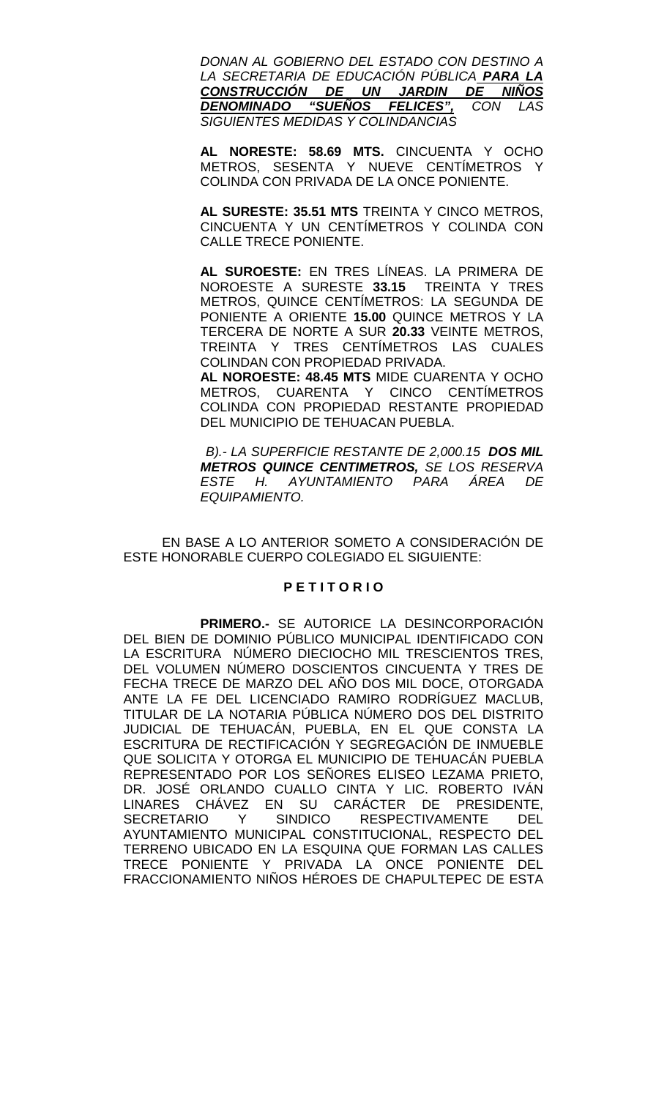*DONAN AL GOBIERNO DEL ESTADO CON DESTINO A LA SECRETARIA DE EDUCACIÓN PÚBLICA PARA LA CONSTRUCCIÓN DE UN JARDIN DE NIÑOS DENOMINADO "SUEÑOS FELICES", CON LAS SIGUIENTES MEDIDAS Y COLINDANCIAS* 

**AL NORESTE: 58.69 MTS.** CINCUENTA Y OCHO METROS, SESENTA Y NUEVE CENTÍMETROS Y COLINDA CON PRIVADA DE LA ONCE PONIENTE.

**AL SURESTE: 35.51 MTS** TREINTA Y CINCO METROS, CINCUENTA Y UN CENTÍMETROS Y COLINDA CON CALLE TRECE PONIENTE.

**AL SUROESTE:** EN TRES LÍNEAS. LA PRIMERA DE NOROESTE A SURESTE **33.15** TREINTA Y TRES METROS, QUINCE CENTÍMETROS: LA SEGUNDA DE PONIENTE A ORIENTE **15.00** QUINCE METROS Y LA TERCERA DE NORTE A SUR **20.33** VEINTE METROS, TREINTA Y TRES CENTÍMETROS LAS CUALES COLINDAN CON PROPIEDAD PRIVADA.

**AL NOROESTE: 48.45 MTS** MIDE CUARENTA Y OCHO METROS, CUARENTA Y CINCO CENTÍMETROS COLINDA CON PROPIEDAD RESTANTE PROPIEDAD DEL MUNICIPIO DE TEHUACAN PUEBLA.

 *B).- LA SUPERFICIE RESTANTE DE 2,000.15 DOS MIL METROS QUINCE CENTIMETROS, SE LOS RESERVA ESTE H. AYUNTAMIENTO PARA ÁREA DE EQUIPAMIENTO.*

EN BASE A LO ANTERIOR SOMETO A CONSIDERACIÓN DE ESTE HONORABLE CUERPO COLEGIADO EL SIGUIENTE:

## **P E T I T O R I O**

**PRIMERO.-** SE AUTORICE LA DESINCORPORACIÓN DEL BIEN DE DOMINIO PÚBLICO MUNICIPAL IDENTIFICADO CON LA ESCRITURA NÚMERO DIECIOCHO MIL TRESCIENTOS TRES, DEL VOLUMEN NÚMERO DOSCIENTOS CINCUENTA Y TRES DE FECHA TRECE DE MARZO DEL AÑO DOS MIL DOCE, OTORGADA ANTE LA FE DEL LICENCIADO RAMIRO RODRÍGUEZ MACLUB, TITULAR DE LA NOTARIA PÚBLICA NÚMERO DOS DEL DISTRITO JUDICIAL DE TEHUACÁN, PUEBLA, EN EL QUE CONSTA LA ESCRITURA DE RECTIFICACIÓN Y SEGREGACIÓN DE INMUEBLE QUE SOLICITA Y OTORGA EL MUNICIPIO DE TEHUACÁN PUEBLA REPRESENTADO POR LOS SEÑORES ELISEO LEZAMA PRIETO, DR. JOSÉ ORLANDO CUALLO CINTA Y LIC. ROBERTO IVÁN LINARES CHÁVEZ EN SU CARÁCTER DE PRESIDENTE, SECRETARIO Y SINDICO RESPECTIVAMENTE DEL AYUNTAMIENTO MUNICIPAL CONSTITUCIONAL, RESPECTO DEL TERRENO UBICADO EN LA ESQUINA QUE FORMAN LAS CALLES TRECE PONIENTE Y PRIVADA LA ONCE PONIENTE DEL FRACCIONAMIENTO NIÑOS HÉROES DE CHAPULTEPEC DE ESTA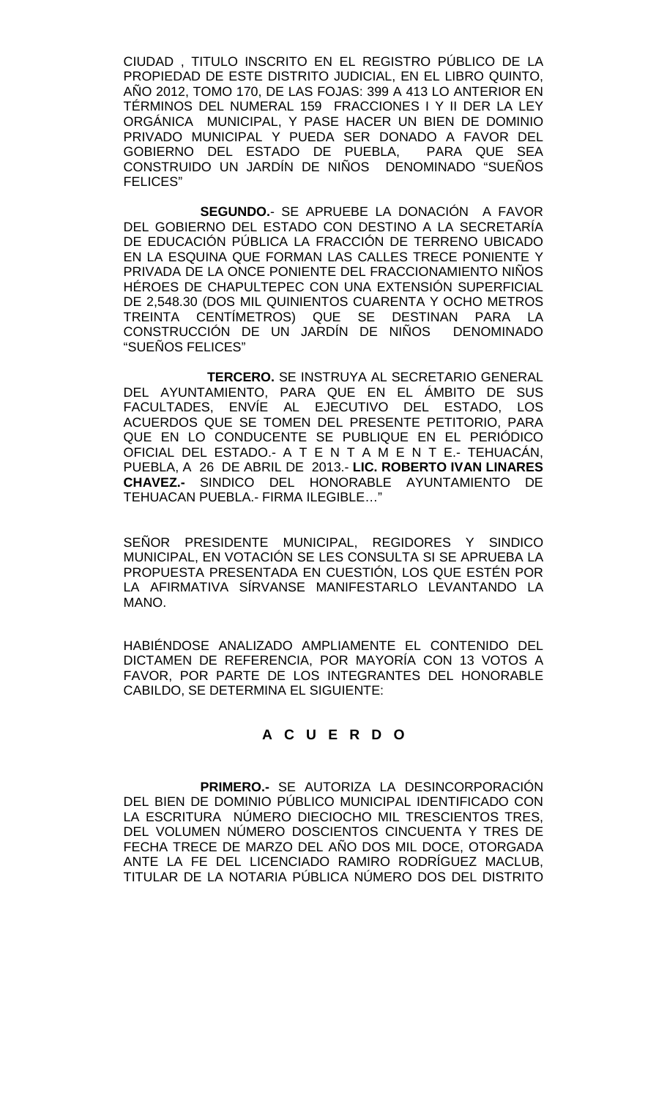CIUDAD , TITULO INSCRITO EN EL REGISTRO PÚBLICO DE LA PROPIEDAD DE ESTE DISTRITO JUDICIAL, EN EL LIBRO QUINTO, AÑO 2012, TOMO 170, DE LAS FOJAS: 399 A 413 LO ANTERIOR EN TÉRMINOS DEL NUMERAL 159 FRACCIONES I Y II DER LA LEY ORGÁNICA MUNICIPAL, Y PASE HACER UN BIEN DE DOMINIO PRIVADO MUNICIPAL Y PUEDA SER DONADO A FAVOR DEL GOBIERNO DEL ESTADO DE PUEBLA, CONSTRUIDO UN JARDÍN DE NIÑOS DENOMINADO "SUEÑOS FELICES"

**SEGUNDO.**- SE APRUEBE LA DONACIÓN A FAVOR DEL GOBIERNO DEL ESTADO CON DESTINO A LA SECRETARÍA DE EDUCACIÓN PÚBLICA LA FRACCIÓN DE TERRENO UBICADO EN LA ESQUINA QUE FORMAN LAS CALLES TRECE PONIENTE Y PRIVADA DE LA ONCE PONIENTE DEL FRACCIONAMIENTO NIÑOS HÉROES DE CHAPULTEPEC CON UNA EXTENSIÓN SUPERFICIAL DE 2,548.30 (DOS MIL QUINIENTOS CUARENTA Y OCHO METROS TREINTA CENTÍMETROS) QUE SE DESTINAN PARA LA CONSTRUCCIÓN DE UN JARDIN DE NINOS DENOMINADO "SUEÑOS FELICES"

 **TERCERO.** SE INSTRUYA AL SECRETARIO GENERAL DEL AYUNTAMIENTO, PARA QUE EN EL ÁMBITO DE SUS FACULTADES, ENVÍE AL EJECUTIVO DEL ESTADO, LOS ACUERDOS QUE SE TOMEN DEL PRESENTE PETITORIO, PARA QUE EN LO CONDUCENTE SE PUBLIQUE EN EL PERIÓDICO OFICIAL DEL ESTADO.- A T E N T A M E N T E.- TEHUACÁN, PUEBLA, A 26 DE ABRIL DE 2013.- **LIC. ROBERTO IVAN LINARES CHAVEZ.-** SINDICO DEL HONORABLE AYUNTAMIENTO DE TEHUACAN PUEBLA.- FIRMA ILEGIBLE…"

SEÑOR PRESIDENTE MUNICIPAL, REGIDORES Y SINDICO MUNICIPAL, EN VOTACIÓN SE LES CONSULTA SI SE APRUEBA LA PROPUESTA PRESENTADA EN CUESTIÓN, LOS QUE ESTÉN POR LA AFIRMATIVA SÍRVANSE MANIFESTARLO LEVANTANDO LA MANO.

HABIÉNDOSE ANALIZADO AMPLIAMENTE EL CONTENIDO DEL DICTAMEN DE REFERENCIA, POR MAYORÍA CON 13 VOTOS A FAVOR, POR PARTE DE LOS INTEGRANTES DEL HONORABLE CABILDO, SE DETERMINA EL SIGUIENTE:

## **A C U E R D O**

**PRIMERO.-** SE AUTORIZA LA DESINCORPORACIÓN DEL BIEN DE DOMINIO PÚBLICO MUNICIPAL IDENTIFICADO CON LA ESCRITURA NÚMERO DIECIOCHO MIL TRESCIENTOS TRES, DEL VOLUMEN NÚMERO DOSCIENTOS CINCUENTA Y TRES DE FECHA TRECE DE MARZO DEL AÑO DOS MIL DOCE, OTORGADA ANTE LA FE DEL LICENCIADO RAMIRO RODRÍGUEZ MACLUB, TITULAR DE LA NOTARIA PÚBLICA NÚMERO DOS DEL DISTRITO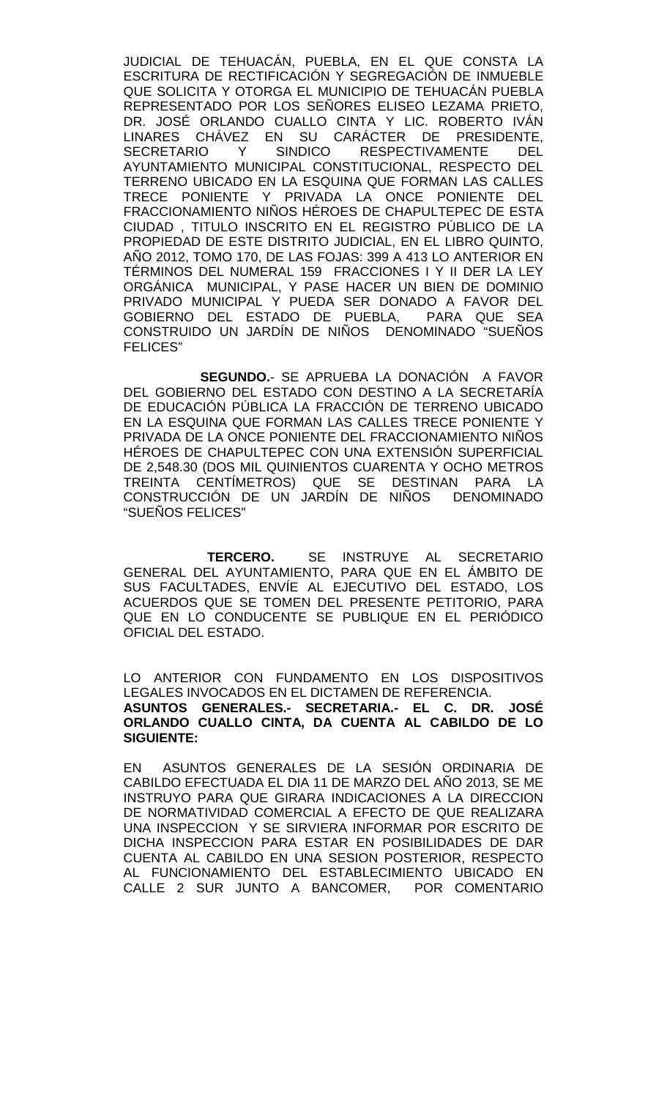JUDICIAL DE TEHUACÁN, PUEBLA, EN EL QUE CONSTA LA ESCRITURA DE RECTIFICACIÓN Y SEGREGACIÓN DE INMUEBLE QUE SOLICITA Y OTORGA EL MUNICIPIO DE TEHUACÁN PUEBLA REPRESENTADO POR LOS SEÑORES ELISEO LEZAMA PRIETO, DR. JOSÉ ORLANDO CUALLO CINTA Y LIC. ROBERTO IVÁN LINARES CHÁVEZ EN SU CARÁCTER DE PRESIDENTE,<br>SECRETARIO Y SINDICO RESPECTIVAMENTE DEL RESPECTIVAMENTE AYUNTAMIENTO MUNICIPAL CONSTITUCIONAL, RESPECTO DEL TERRENO UBICADO EN LA ESQUINA QUE FORMAN LAS CALLES TRECE PONIENTE Y PRIVADA LA ONCE PONIENTE DEL FRACCIONAMIENTO NIÑOS HÉROES DE CHAPULTEPEC DE ESTA CIUDAD , TITULO INSCRITO EN EL REGISTRO PÚBLICO DE LA PROPIEDAD DE ESTE DISTRITO JUDICIAL, EN EL LIBRO QUINTO, AÑO 2012, TOMO 170, DE LAS FOJAS: 399 A 413 LO ANTERIOR EN TÉRMINOS DEL NUMERAL 159 FRACCIONES I Y II DER LA LEY ORGÁNICA MUNICIPAL, Y PASE HACER UN BIEN DE DOMINIO PRIVADO MUNICIPAL Y PUEDA SER DONADO A FAVOR DEL GOBIERNO DEL ESTADO DE PUEBLA, PARA QUE SEA CONSTRUIDO UN JARDÍN DE NIÑOS DENOMINADO "SUEÑOS FELICES"

**SEGUNDO.**- SE APRUEBA LA DONACIÓN A FAVOR DEL GOBIERNO DEL ESTADO CON DESTINO A LA SECRETARÍA DE EDUCACIÓN PÚBLICA LA FRACCIÓN DE TERRENO UBICADO EN LA ESQUINA QUE FORMAN LAS CALLES TRECE PONIENTE Y PRIVADA DE LA ONCE PONIENTE DEL FRACCIONAMIENTO NIÑOS HÉROES DE CHAPULTEPEC CON UNA EXTENSIÓN SUPERFICIAL DE 2,548.30 (DOS MIL QUINIENTOS CUARENTA Y OCHO METROS TREINTA CENTÍMETROS) QUE SE DESTINAN PARA LA CONSTRUCCIÓN DE UN JARDÍN DE NIÑOS DENOMINADO "SUEÑOS FELICES"

 **TERCERO.** SE INSTRUYE AL SECRETARIO GENERAL DEL AYUNTAMIENTO, PARA QUE EN EL ÁMBITO DE SUS FACULTADES, ENVÍE AL EJECUTIVO DEL ESTADO, LOS ACUERDOS QUE SE TOMEN DEL PRESENTE PETITORIO, PARA QUE EN LO CONDUCENTE SE PUBLIQUE EN EL PERIÓDICO OFICIAL DEL ESTADO.

LO ANTERIOR CON FUNDAMENTO EN LOS DISPOSITIVOS LEGALES INVOCADOS EN EL DICTAMEN DE REFERENCIA. **ASUNTOS GENERALES.- SECRETARIA.- EL C. DR. JOSÉ ORLANDO CUALLO CINTA, DA CUENTA AL CABILDO DE LO SIGUIENTE:**

EN ASUNTOS GENERALES DE LA SESIÓN ORDINARIA DE CABILDO EFECTUADA EL DIA 11 DE MARZO DEL AÑO 2013, SE ME INSTRUYO PARA QUE GIRARA INDICACIONES A LA DIRECCION DE NORMATIVIDAD COMERCIAL A EFECTO DE QUE REALIZARA UNA INSPECCION Y SE SIRVIERA INFORMAR POR ESCRITO DE DICHA INSPECCION PARA ESTAR EN POSIBILIDADES DE DAR CUENTA AL CABILDO EN UNA SESION POSTERIOR, RESPECTO AL FUNCIONAMIENTO DEL ESTABLECIMIENTO UBICADO EN CALLE 2 SUR JUNTO A BANCOMER, POR COMENTARIO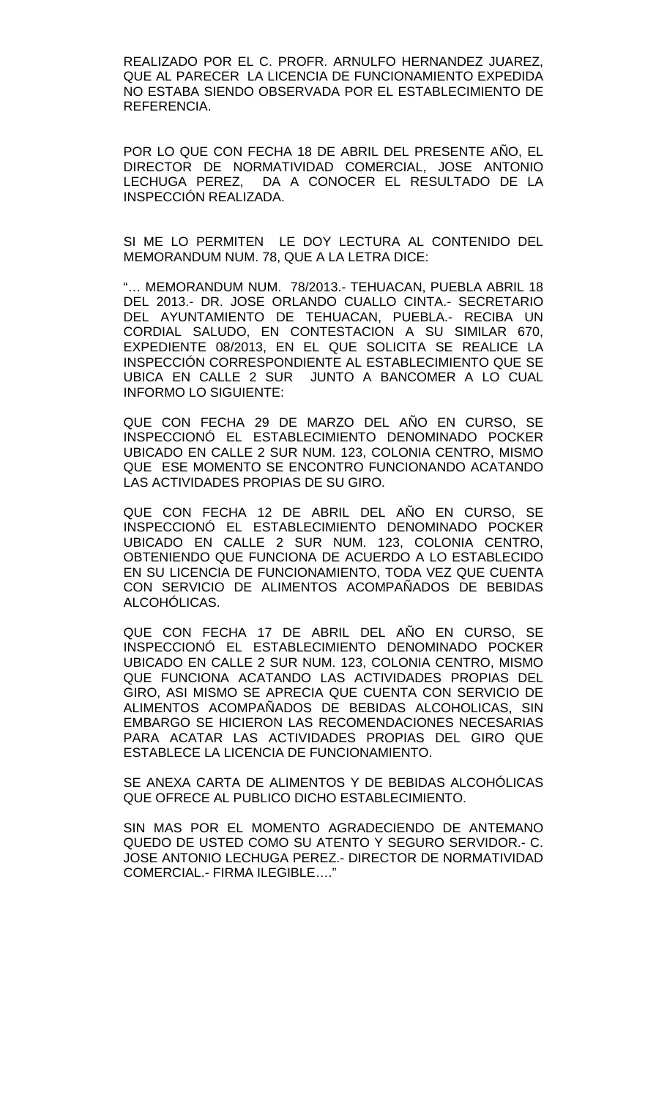REALIZADO POR EL C. PROFR. ARNULFO HERNANDEZ JUAREZ, QUE AL PARECER LA LICENCIA DE FUNCIONAMIENTO EXPEDIDA NO ESTABA SIENDO OBSERVADA POR EL ESTABLECIMIENTO DE REFERENCIA.

POR LO QUE CON FECHA 18 DE ABRIL DEL PRESENTE AÑO, EL DIRECTOR DE NORMATIVIDAD COMERCIAL, JOSE ANTONIO LECHUGA PEREZ, DA A CONOCER EL RESULTADO DE LA INSPECCIÓN REALIZADA.

SI ME LO PERMITEN LE DOY LECTURA AL CONTENIDO DEL MEMORANDUM NUM. 78, QUE A LA LETRA DICE:

"… MEMORANDUM NUM. 78/2013.- TEHUACAN, PUEBLA ABRIL 18 DEL 2013.- DR. JOSE ORLANDO CUALLO CINTA.- SECRETARIO DEL AYUNTAMIENTO DE TEHUACAN, PUEBLA.- RECIBA UN CORDIAL SALUDO, EN CONTESTACION A SU SIMILAR 670, EXPEDIENTE 08/2013, EN EL QUE SOLICITA SE REALICE LA INSPECCIÓN CORRESPONDIENTE AL ESTABLECIMIENTO QUE SE UBICA EN CALLE 2 SUR JUNTO A BANCOMER A LO CUAL INFORMO LO SIGUIENTE:

QUE CON FECHA 29 DE MARZO DEL AÑO EN CURSO, SE INSPECCIONÓ EL ESTABLECIMIENTO DENOMINADO POCKER UBICADO EN CALLE 2 SUR NUM. 123, COLONIA CENTRO, MISMO QUE ESE MOMENTO SE ENCONTRO FUNCIONANDO ACATANDO LAS ACTIVIDADES PROPIAS DE SU GIRO.

QUE CON FECHA 12 DE ABRIL DEL AÑO EN CURSO, SE INSPECCIONÓ EL ESTABLECIMIENTO DENOMINADO POCKER UBICADO EN CALLE 2 SUR NUM. 123, COLONIA CENTRO, OBTENIENDO QUE FUNCIONA DE ACUERDO A LO ESTABLECIDO EN SU LICENCIA DE FUNCIONAMIENTO, TODA VEZ QUE CUENTA CON SERVICIO DE ALIMENTOS ACOMPAÑADOS DE BEBIDAS ALCOHÓLICAS.

QUE CON FECHA 17 DE ABRIL DEL AÑO EN CURSO, SE INSPECCIONÓ EL ESTABLECIMIENTO DENOMINADO POCKER UBICADO EN CALLE 2 SUR NUM. 123, COLONIA CENTRO, MISMO QUE FUNCIONA ACATANDO LAS ACTIVIDADES PROPIAS DEL GIRO, ASI MISMO SE APRECIA QUE CUENTA CON SERVICIO DE ALIMENTOS ACOMPAÑADOS DE BEBIDAS ALCOHOLICAS, SIN EMBARGO SE HICIERON LAS RECOMENDACIONES NECESARIAS PARA ACATAR LAS ACTIVIDADES PROPIAS DEL GIRO QUE ESTABLECE LA LICENCIA DE FUNCIONAMIENTO.

SE ANEXA CARTA DE ALIMENTOS Y DE BEBIDAS ALCOHÓLICAS QUE OFRECE AL PUBLICO DICHO ESTABLECIMIENTO.

SIN MAS POR EL MOMENTO AGRADECIENDO DE ANTEMANO QUEDO DE USTED COMO SU ATENTO Y SEGURO SERVIDOR.- C. JOSE ANTONIO LECHUGA PEREZ.- DIRECTOR DE NORMATIVIDAD COMERCIAL.- FIRMA ILEGIBLE…."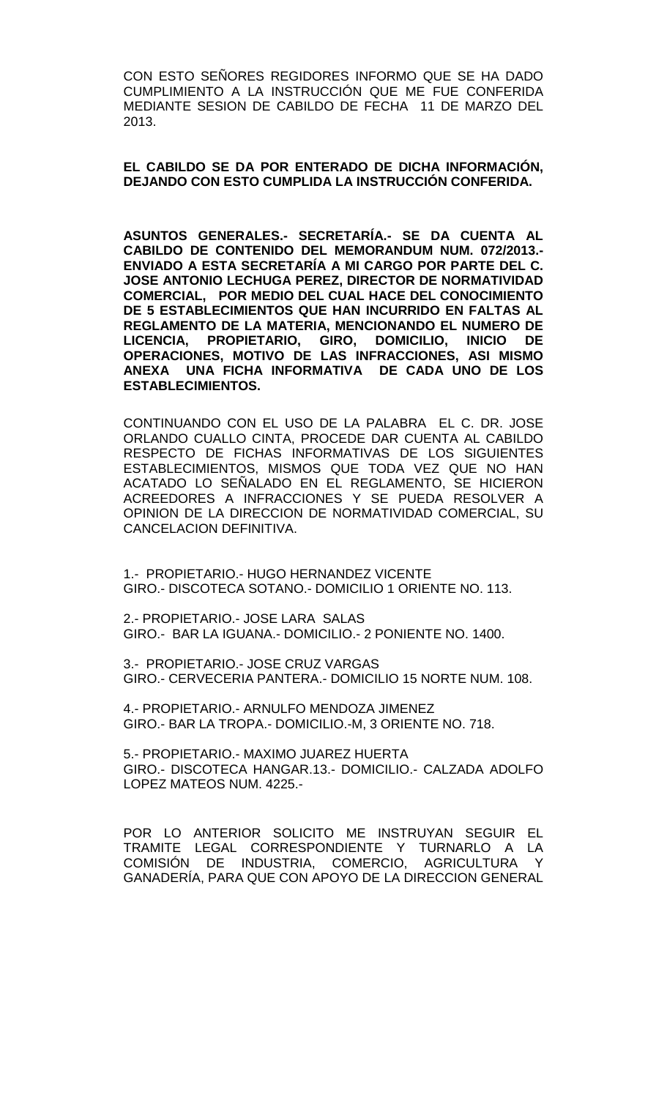CON ESTO SEÑORES REGIDORES INFORMO QUE SE HA DADO CUMPLIMIENTO A LA INSTRUCCIÓN QUE ME FUE CONFERIDA MEDIANTE SESION DE CABILDO DE FECHA 11 DE MARZO DEL 2013.

**EL CABILDO SE DA POR ENTERADO DE DICHA INFORMACIÓN, DEJANDO CON ESTO CUMPLIDA LA INSTRUCCIÓN CONFERIDA.**

**ASUNTOS GENERALES.- SECRETARÍA.- SE DA CUENTA AL CABILDO DE CONTENIDO DEL MEMORANDUM NUM. 072/2013.- ENVIADO A ESTA SECRETARÍA A MI CARGO POR PARTE DEL C. JOSE ANTONIO LECHUGA PEREZ, DIRECTOR DE NORMATIVIDAD COMERCIAL, POR MEDIO DEL CUAL HACE DEL CONOCIMIENTO DE 5 ESTABLECIMIENTOS QUE HAN INCURRIDO EN FALTAS AL REGLAMENTO DE LA MATERIA, MENCIONANDO EL NUMERO DE LICENCIA, PROPIETARIO, GIRO, DOMICILIO, INICIO DE OPERACIONES, MOTIVO DE LAS INFRACCIONES, ASI MISMO ANEXA UNA FICHA INFORMATIVA DE CADA UNO DE LOS ESTABLECIMIENTOS.**

CONTINUANDO CON EL USO DE LA PALABRA EL C. DR. JOSE ORLANDO CUALLO CINTA, PROCEDE DAR CUENTA AL CABILDO RESPECTO DE FICHAS INFORMATIVAS DE LOS SIGUIENTES ESTABLECIMIENTOS, MISMOS QUE TODA VEZ QUE NO HAN ACATADO LO SEÑALADO EN EL REGLAMENTO, SE HICIERON ACREEDORES A INFRACCIONES Y SE PUEDA RESOLVER A OPINION DE LA DIRECCION DE NORMATIVIDAD COMERCIAL, SU CANCELACION DEFINITIVA.

1.- PROPIETARIO.- HUGO HERNANDEZ VICENTE GIRO.- DISCOTECA SOTANO.- DOMICILIO 1 ORIENTE NO. 113.

2.- PROPIETARIO.- JOSE LARA SALAS GIRO.- BAR LA IGUANA.- DOMICILIO.- 2 PONIENTE NO. 1400.

3.- PROPIETARIO.- JOSE CRUZ VARGAS GIRO.- CERVECERIA PANTERA.- DOMICILIO 15 NORTE NUM. 108.

4.- PROPIETARIO.- ARNULFO MENDOZA JIMENEZ GIRO.- BAR LA TROPA.- DOMICILIO.-M, 3 ORIENTE NO. 718.

5.- PROPIETARIO.- MAXIMO JUAREZ HUERTA GIRO.- DISCOTECA HANGAR.13.- DOMICILIO.- CALZADA ADOLFO LOPEZ MATEOS NUM. 4225.-

POR LO ANTERIOR SOLICITO ME INSTRUYAN SEGUIR EL TRAMITE LEGAL CORRESPONDIENTE Y TURNARLO A LA COMISIÓN DE INDUSTRIA, COMERCIO, AGRICULTURA GANADERÍA, PARA QUE CON APOYO DE LA DIRECCION GENERAL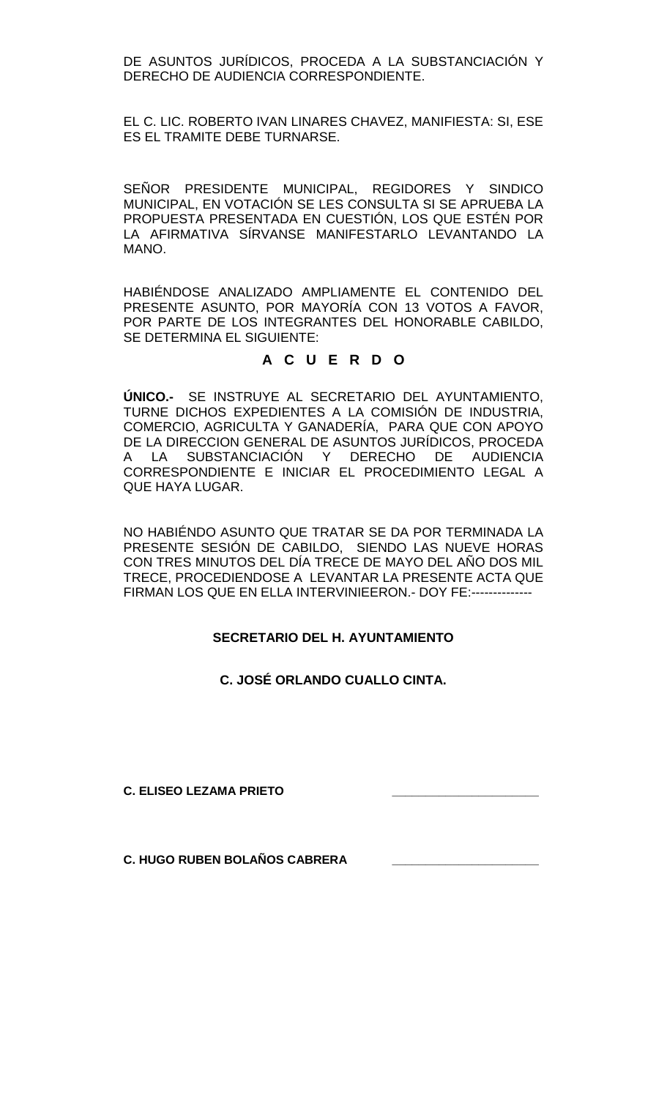DE ASUNTOS JURÍDICOS, PROCEDA A LA SUBSTANCIACIÓN Y DERECHO DE AUDIENCIA CORRESPONDIENTE.

EL C. LIC. ROBERTO IVAN LINARES CHAVEZ, MANIFIESTA: SI, ESE ES EL TRAMITE DEBE TURNARSE.

SEÑOR PRESIDENTE MUNICIPAL, REGIDORES Y SINDICO MUNICIPAL, EN VOTACIÓN SE LES CONSULTA SI SE APRUEBA LA PROPUESTA PRESENTADA EN CUESTIÓN, LOS QUE ESTÉN POR LA AFIRMATIVA SÍRVANSE MANIFESTARLO LEVANTANDO LA MANO.

HABIÉNDOSE ANALIZADO AMPLIAMENTE EL CONTENIDO DEL PRESENTE ASUNTO, POR MAYORÍA CON 13 VOTOS A FAVOR, POR PARTE DE LOS INTEGRANTES DEL HONORABLE CABILDO, SE DETERMINA EL SIGUIENTE:

## **A C U E R D O**

**ÚNICO.-** SE INSTRUYE AL SECRETARIO DEL AYUNTAMIENTO, TURNE DICHOS EXPEDIENTES A LA COMISIÓN DE INDUSTRIA, COMERCIO, AGRICULTA Y GANADERÍA, PARA QUE CON APOYO DE LA DIRECCION GENERAL DE ASUNTOS JURÍDICOS, PROCEDA A LA SUBSTANCIACIÓN Y DERECHO DE AUDIENCIA CORRESPONDIENTE E INICIAR EL PROCEDIMIENTO LEGAL A QUE HAYA LUGAR.

NO HABIÉNDO ASUNTO QUE TRATAR SE DA POR TERMINADA LA PRESENTE SESIÓN DE CABILDO, SIENDO LAS NUEVE HORAS CON TRES MINUTOS DEL DÍA TRECE DE MAYO DEL AÑO DOS MIL TRECE, PROCEDIENDOSE A LEVANTAR LA PRESENTE ACTA QUE FIRMAN LOS QUE EN ELLA INTERVINIEERON.- DOY FE:--------------

## **SECRETARIO DEL H. AYUNTAMIENTO**

**C. JOSÉ ORLANDO CUALLO CINTA.**

**C. ELISEO LEZAMA PRIETO \_\_\_\_\_\_\_\_\_\_\_\_\_\_\_\_\_\_\_\_\_\_**

**C. HUGO RUBEN BOLAÑOS CABRERA \_\_\_\_\_\_\_\_\_\_\_\_\_\_\_\_\_\_\_\_\_\_**